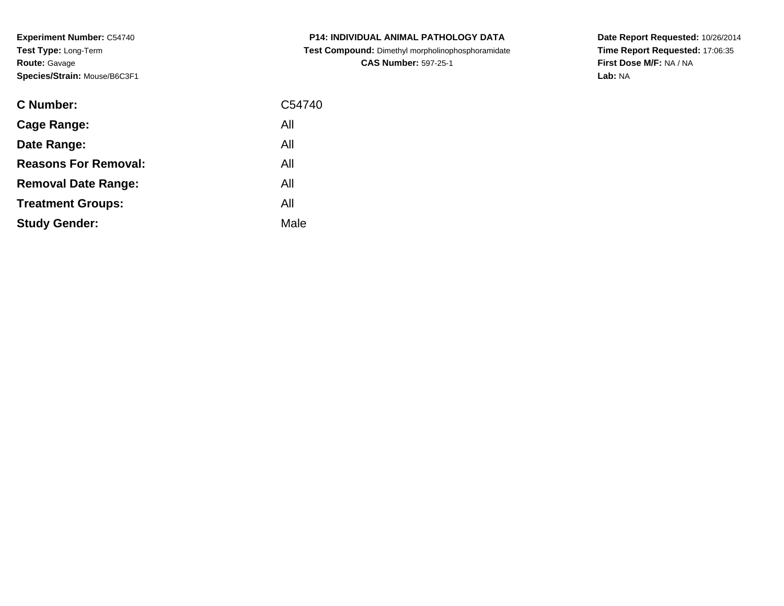**Experiment Number:** C54740**Test Type:** Long-Term**Route:** Gavage**Species/Strain:** Mouse/B6C3F1

| <b>C Number:</b>            | C54740 |
|-----------------------------|--------|
| <b>Cage Range:</b>          | All    |
| Date Range:                 | All    |
| <b>Reasons For Removal:</b> | All    |
| <b>Removal Date Range:</b>  | All    |
| <b>Treatment Groups:</b>    | All    |
| <b>Study Gender:</b>        | Male   |
|                             |        |

**P14: INDIVIDUAL ANIMAL PATHOLOGY DATA Test Compound:** Dimethyl morpholinophosphoramidate**CAS Number:** 597-25-1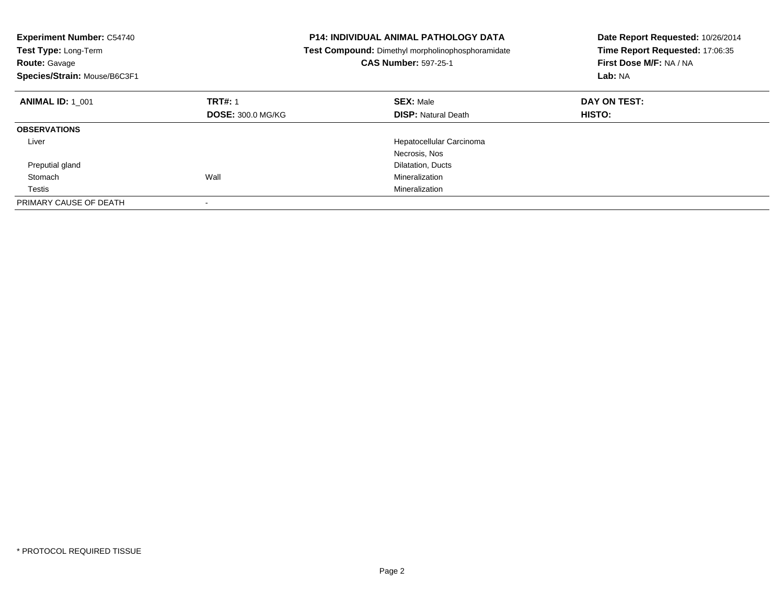| <b>Experiment Number: C54740</b><br>Test Type: Long-Term<br>Route: Gavage<br>Species/Strain: Mouse/B6C3F1 |                          | <b>P14: INDIVIDUAL ANIMAL PATHOLOGY DATA</b><br>Test Compound: Dimethyl morpholinophosphoramidate<br><b>CAS Number: 597-25-1</b> | Date Report Requested: 10/26/2014<br>Time Report Requested: 17:06:35<br>First Dose M/F: NA / NA<br>Lab: NA |
|-----------------------------------------------------------------------------------------------------------|--------------------------|----------------------------------------------------------------------------------------------------------------------------------|------------------------------------------------------------------------------------------------------------|
| <b>ANIMAL ID: 1 001</b>                                                                                   | <b>TRT#: 1</b>           | <b>SEX: Male</b>                                                                                                                 | DAY ON TEST:                                                                                               |
|                                                                                                           | <b>DOSE: 300.0 MG/KG</b> | <b>DISP:</b> Natural Death                                                                                                       | <b>HISTO:</b>                                                                                              |
| <b>OBSERVATIONS</b>                                                                                       |                          |                                                                                                                                  |                                                                                                            |
| Liver                                                                                                     |                          | Hepatocellular Carcinoma                                                                                                         |                                                                                                            |
|                                                                                                           |                          | Necrosis, Nos                                                                                                                    |                                                                                                            |
| Preputial gland                                                                                           |                          | Dilatation, Ducts                                                                                                                |                                                                                                            |
| Stomach                                                                                                   | Wall                     | Mineralization                                                                                                                   |                                                                                                            |
| Testis                                                                                                    |                          | Mineralization                                                                                                                   |                                                                                                            |
| PRIMARY CAUSE OF DEATH                                                                                    |                          |                                                                                                                                  |                                                                                                            |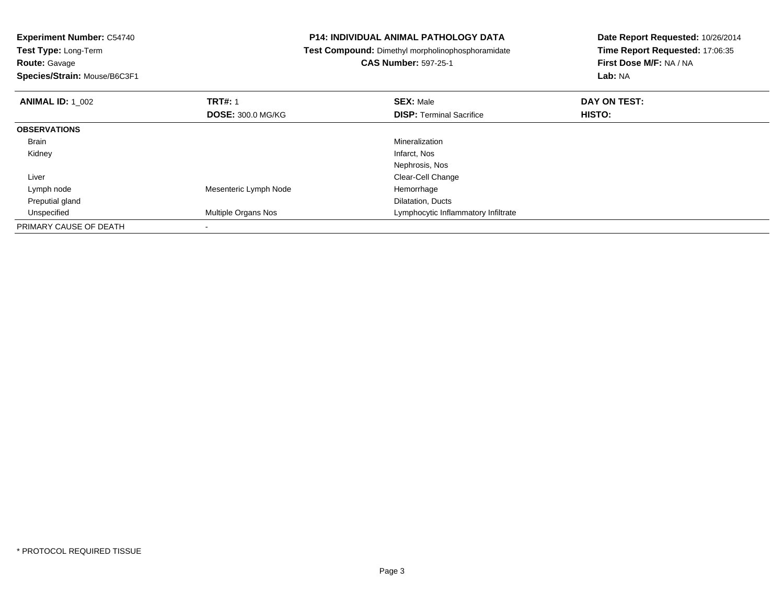**Experiment Number:** C54740**Test Type:** Long-Term**Route:** Gavage **Species/Strain:** Mouse/B6C3F1**P14: INDIVIDUAL ANIMAL PATHOLOGY DATA Test Compound:** Dimethyl morpholinophosphoramidate**CAS Number:** 597-25-1**Date Report Requested:** 10/26/2014**Time Report Requested:** 17:06:35**First Dose M/F:** NA / NA**Lab:** NA**ANIMAL ID:** 1\_002**2 DAY ON TRT#:** 1 **SEX:** Male **SEX:** Male **DAY ON TEST: DOSE:** 300.0 MG/KG**DISP:** Terminal Sacrifice **HISTO: OBSERVATIONS** Brainn and the control of the control of the control of the control of the control of the control of the control of the control of the control of the control of the control of the control of the control of the control of the co Kidneyy which is a state of the control of the control of the control of the control of the control of the control of the control of the control of the control of the control of the control of the control of the control of the c Nephrosis, Nos**Clear-Cell Change** (1999) and the control of the control of the control of the control of the control of the control of the control of the control of the control of the control of the control of the control of the control Liver Lymph nodeMesenteric Lymph Node Hemorrhage Preputial glandDilatation, Ducts<br>Multiple Organs Nos **Example 2** Lymphocytic Infla UnspecifiedLymphocytic Inflammatory Infiltrate PRIMARY CAUSE OF DEATH-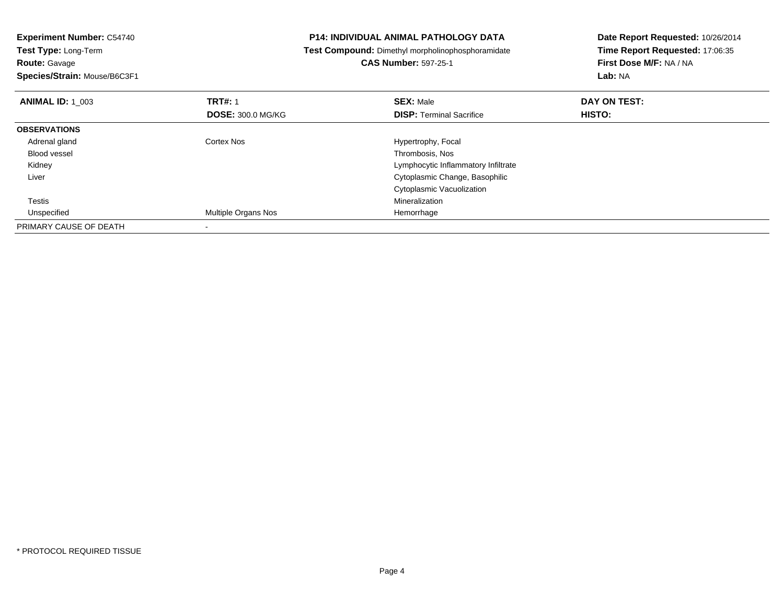| <b>Experiment Number: C54740</b><br><b>Test Type: Long-Term</b> |                          | <b>P14: INDIVIDUAL ANIMAL PATHOLOGY DATA</b>      | Date Report Requested: 10/26/2014<br>Time Report Requested: 17:06:35 |  |
|-----------------------------------------------------------------|--------------------------|---------------------------------------------------|----------------------------------------------------------------------|--|
|                                                                 |                          | Test Compound: Dimethyl morpholinophosphoramidate |                                                                      |  |
| Route: Gavage                                                   |                          | <b>CAS Number: 597-25-1</b>                       | First Dose M/F: NA / NA                                              |  |
| Species/Strain: Mouse/B6C3F1                                    |                          |                                                   | Lab: NA                                                              |  |
| <b>TRT#: 1</b><br><b>ANIMAL ID: 1 003</b>                       |                          | <b>SEX: Male</b>                                  | DAY ON TEST:                                                         |  |
|                                                                 | <b>DOSE: 300.0 MG/KG</b> | <b>DISP: Terminal Sacrifice</b>                   | HISTO:                                                               |  |
| <b>OBSERVATIONS</b>                                             |                          |                                                   |                                                                      |  |
| Adrenal gland<br>Cortex Nos                                     |                          | Hypertrophy, Focal                                |                                                                      |  |
| Blood vessel                                                    |                          | Thrombosis, Nos                                   |                                                                      |  |
| Kidney                                                          |                          | Lymphocytic Inflammatory Infiltrate               |                                                                      |  |
| Liver                                                           |                          | Cytoplasmic Change, Basophilic                    |                                                                      |  |
|                                                                 |                          | Cytoplasmic Vacuolization                         |                                                                      |  |
| Testis                                                          |                          | Mineralization                                    |                                                                      |  |
| Unspecified                                                     | Multiple Organs Nos      | Hemorrhage                                        |                                                                      |  |
| PRIMARY CAUSE OF DEATH                                          |                          |                                                   |                                                                      |  |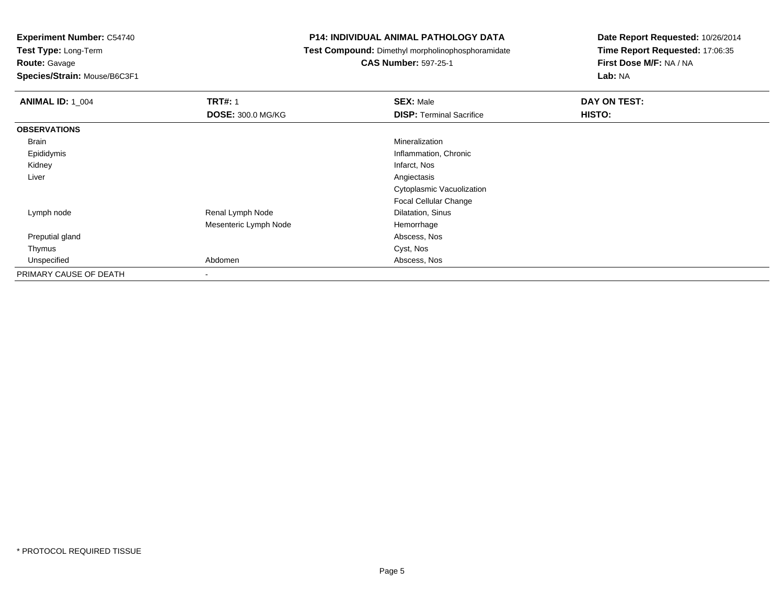**Route:** Gavage

**Species/Strain:** Mouse/B6C3F1

#### **P14: INDIVIDUAL ANIMAL PATHOLOGY DATA**

**Test Compound:** Dimethyl morpholinophosphoramidate

**CAS Number:** 597-25-1

| <b>ANIMAL ID: 1_004</b> | <b>TRT#: 1</b>           | <b>SEX: Male</b>                | DAY ON TEST: |  |
|-------------------------|--------------------------|---------------------------------|--------------|--|
|                         | <b>DOSE: 300.0 MG/KG</b> | <b>DISP: Terminal Sacrifice</b> | HISTO:       |  |
| <b>OBSERVATIONS</b>     |                          |                                 |              |  |
| Brain                   |                          | Mineralization                  |              |  |
| Epididymis              |                          | Inflammation, Chronic           |              |  |
| Kidney                  |                          | Infarct, Nos                    |              |  |
| Liver                   |                          | Angiectasis                     |              |  |
|                         |                          | Cytoplasmic Vacuolization       |              |  |
|                         |                          | Focal Cellular Change           |              |  |
| Lymph node              | Renal Lymph Node         | Dilatation, Sinus               |              |  |
|                         | Mesenteric Lymph Node    | Hemorrhage                      |              |  |
| Preputial gland         |                          | Abscess, Nos                    |              |  |
| Thymus                  |                          | Cyst, Nos                       |              |  |
| Unspecified             | Abdomen                  | Abscess, Nos                    |              |  |
| PRIMARY CAUSE OF DEATH  | $\overline{\phantom{a}}$ |                                 |              |  |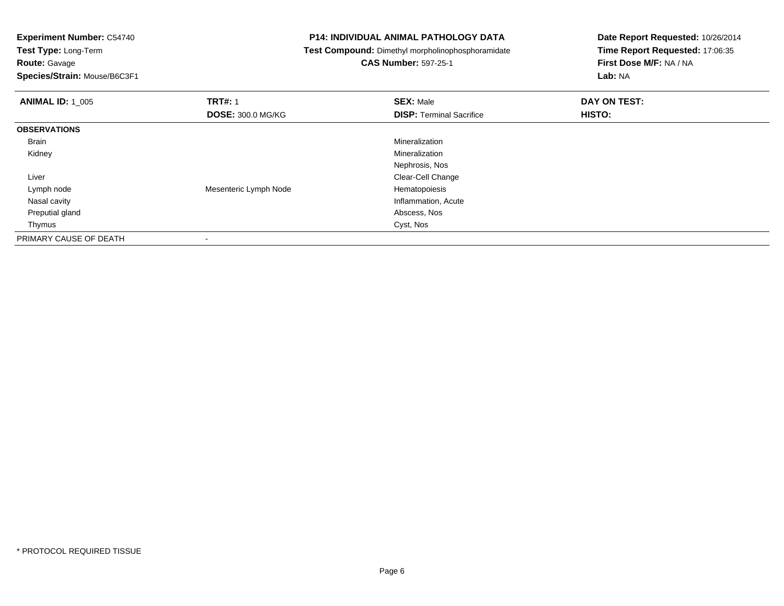**Test Type:** Long-Term**Route:** Gavage

**Species/Strain:** Mouse/B6C3F1

#### **P14: INDIVIDUAL ANIMAL PATHOLOGY DATA**

**Test Compound:** Dimethyl morpholinophosphoramidate

**CAS Number:** 597-25-1

| <b>ANIMAL ID: 1 005</b> | <b>TRT#: 1</b>           | <b>SEX: Male</b>                | DAY ON TEST: |  |
|-------------------------|--------------------------|---------------------------------|--------------|--|
|                         | <b>DOSE: 300.0 MG/KG</b> | <b>DISP: Terminal Sacrifice</b> | HISTO:       |  |
| <b>OBSERVATIONS</b>     |                          |                                 |              |  |
| Brain                   |                          | Mineralization                  |              |  |
| Kidney                  |                          | Mineralization                  |              |  |
|                         |                          | Nephrosis, Nos                  |              |  |
| Liver                   |                          | Clear-Cell Change               |              |  |
| Lymph node              | Mesenteric Lymph Node    | Hematopoiesis                   |              |  |
| Nasal cavity            |                          | Inflammation, Acute             |              |  |
| Preputial gland         |                          | Abscess, Nos                    |              |  |
| Thymus                  |                          | Cyst, Nos                       |              |  |
| PRIMARY CAUSE OF DEATH  | $\,$                     |                                 |              |  |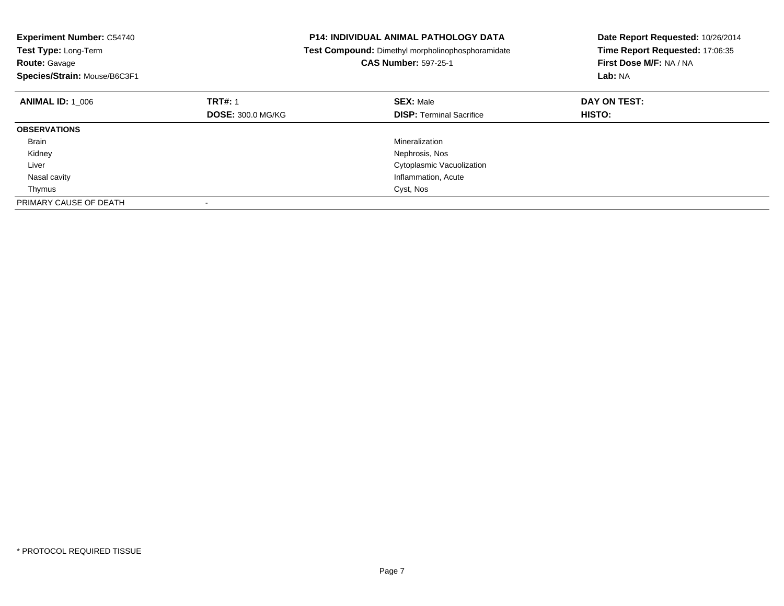| <b>Experiment Number: C54740</b><br><b>Test Type: Long-Term</b><br><b>Route: Gavage</b><br>Species/Strain: Mouse/B6C3F1 |                          | <b>P14: INDIVIDUAL ANIMAL PATHOLOGY DATA</b><br>Test Compound: Dimethyl morpholinophosphoramidate<br><b>CAS Number: 597-25-1</b> | Date Report Requested: 10/26/2014<br>Time Report Requested: 17:06:35<br>First Dose M/F: NA / NA<br>Lab: NA |
|-------------------------------------------------------------------------------------------------------------------------|--------------------------|----------------------------------------------------------------------------------------------------------------------------------|------------------------------------------------------------------------------------------------------------|
| <b>ANIMAL ID:</b> 1 006                                                                                                 | <b>TRT#: 1</b>           | <b>SEX: Male</b>                                                                                                                 | DAY ON TEST:                                                                                               |
|                                                                                                                         | <b>DOSE: 300.0 MG/KG</b> | <b>DISP: Terminal Sacrifice</b>                                                                                                  | <b>HISTO:</b>                                                                                              |
| <b>OBSERVATIONS</b>                                                                                                     |                          |                                                                                                                                  |                                                                                                            |
| Brain                                                                                                                   |                          | Mineralization                                                                                                                   |                                                                                                            |
| Kidney                                                                                                                  |                          | Nephrosis, Nos                                                                                                                   |                                                                                                            |
| Liver                                                                                                                   |                          | Cytoplasmic Vacuolization                                                                                                        |                                                                                                            |
| Nasal cavity                                                                                                            |                          | Inflammation, Acute                                                                                                              |                                                                                                            |
| Thymus                                                                                                                  |                          | Cyst, Nos                                                                                                                        |                                                                                                            |
| PRIMARY CAUSE OF DEATH                                                                                                  |                          |                                                                                                                                  |                                                                                                            |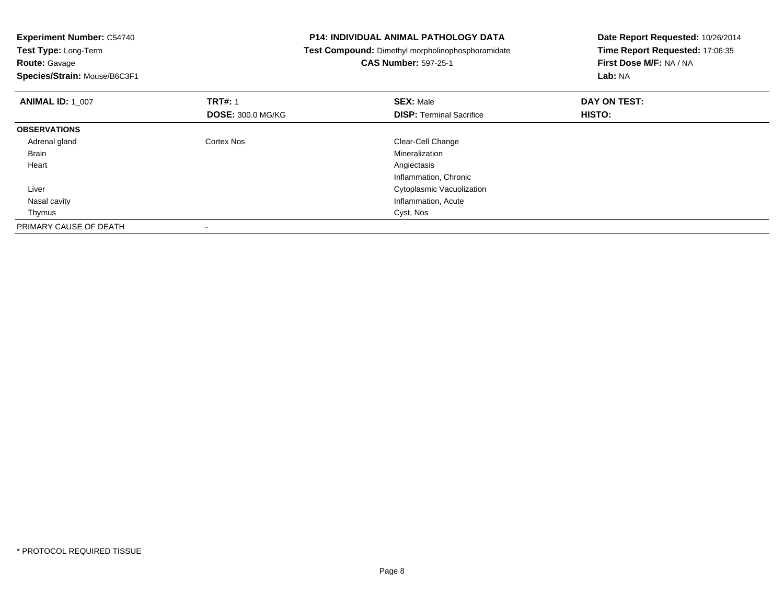|                          |                                 | Date Report Requested: 10/26/2014<br>Time Report Requested: 17:06:35                              |  |
|--------------------------|---------------------------------|---------------------------------------------------------------------------------------------------|--|
|                          |                                 |                                                                                                   |  |
|                          | <b>CAS Number: 597-25-1</b>     | First Dose M/F: NA / NA                                                                           |  |
|                          |                                 | Lab: NA                                                                                           |  |
| <b>TRT#: 1</b>           | <b>SEX: Male</b>                | DAY ON TEST:                                                                                      |  |
| <b>DOSE: 300.0 MG/KG</b> | <b>DISP:</b> Terminal Sacrifice | <b>HISTO:</b>                                                                                     |  |
|                          |                                 |                                                                                                   |  |
| Cortex Nos               | Clear-Cell Change               |                                                                                                   |  |
|                          | Mineralization                  |                                                                                                   |  |
|                          | Angiectasis                     |                                                                                                   |  |
|                          | Inflammation, Chronic           |                                                                                                   |  |
|                          | Cytoplasmic Vacuolization       |                                                                                                   |  |
|                          | Inflammation, Acute             |                                                                                                   |  |
|                          | Cyst, Nos                       |                                                                                                   |  |
|                          |                                 |                                                                                                   |  |
|                          |                                 | <b>P14: INDIVIDUAL ANIMAL PATHOLOGY DATA</b><br>Test Compound: Dimethyl morpholinophosphoramidate |  |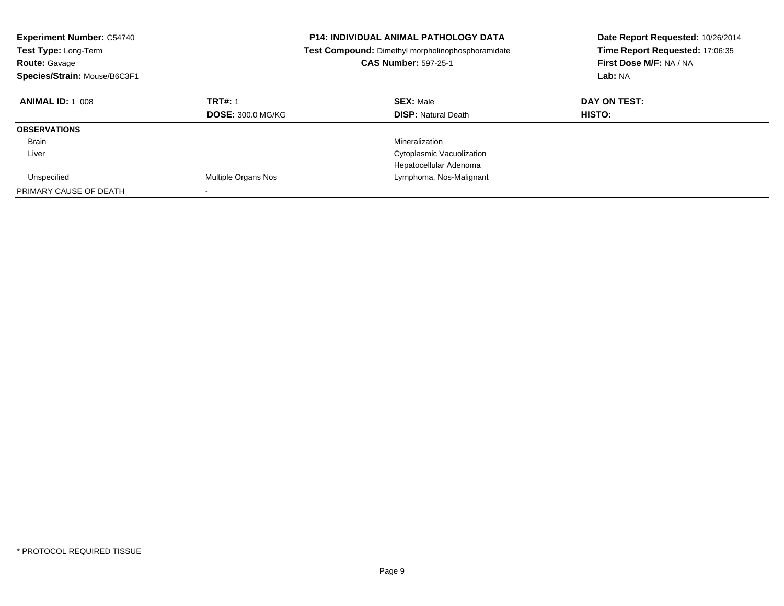| <b>Experiment Number: C54740</b><br><b>Test Type: Long-Term</b><br><b>Route: Gavage</b><br>Species/Strain: Mouse/B6C3F1 |                                            | <b>P14: INDIVIDUAL ANIMAL PATHOLOGY DATA</b><br><b>Test Compound:</b> Dimethyl morpholinophosphoramidate<br><b>CAS Number: 597-25-1</b> | Date Report Requested: 10/26/2014<br>Time Report Requested: 17:06:35<br>First Dose M/F: NA / NA<br>Lab: NA |
|-------------------------------------------------------------------------------------------------------------------------|--------------------------------------------|-----------------------------------------------------------------------------------------------------------------------------------------|------------------------------------------------------------------------------------------------------------|
| <b>ANIMAL ID: 1 008</b>                                                                                                 | <b>TRT#: 1</b><br><b>DOSE: 300.0 MG/KG</b> | <b>SEX: Male</b><br><b>DISP:</b> Natural Death                                                                                          | DAY ON TEST:<br><b>HISTO:</b>                                                                              |
| <b>OBSERVATIONS</b>                                                                                                     |                                            |                                                                                                                                         |                                                                                                            |
| <b>Brain</b>                                                                                                            |                                            | Mineralization                                                                                                                          |                                                                                                            |
| Liver                                                                                                                   |                                            | Cytoplasmic Vacuolization                                                                                                               |                                                                                                            |
|                                                                                                                         |                                            | Hepatocellular Adenoma                                                                                                                  |                                                                                                            |
| Unspecified                                                                                                             | Multiple Organs Nos                        | Lymphoma, Nos-Malignant                                                                                                                 |                                                                                                            |
| PRIMARY CAUSE OF DEATH                                                                                                  |                                            |                                                                                                                                         |                                                                                                            |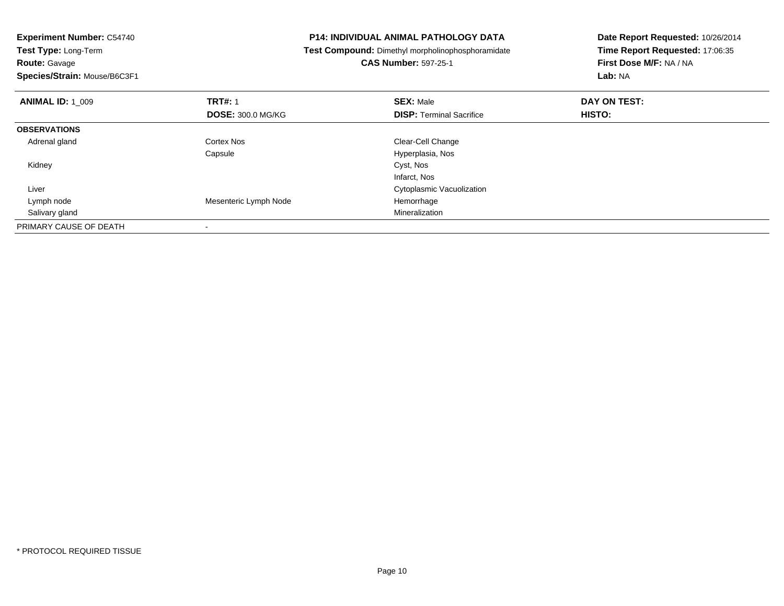| <b>P14: INDIVIDUAL ANIMAL PATHOLOGY DATA</b><br><b>Experiment Number: C54740</b> |  | Date Report Requested: 10/26/2014                 |                                 |  |
|----------------------------------------------------------------------------------|--|---------------------------------------------------|---------------------------------|--|
| <b>Test Type: Long-Term</b>                                                      |  | Test Compound: Dimethyl morpholinophosphoramidate | Time Report Requested: 17:06:35 |  |
| <b>Route: Gavage</b>                                                             |  | <b>CAS Number: 597-25-1</b>                       | First Dose M/F: NA / NA         |  |
| Species/Strain: Mouse/B6C3F1                                                     |  |                                                   | <b>Lab: NA</b>                  |  |
| <b>TRT#: 1</b><br><b>ANIMAL ID: 1 009</b>                                        |  | <b>SEX: Male</b>                                  | DAY ON TEST:                    |  |
| <b>DOSE: 300.0 MG/KG</b>                                                         |  | <b>DISP: Terminal Sacrifice</b>                   | HISTO:                          |  |
| <b>OBSERVATIONS</b>                                                              |  |                                                   |                                 |  |
| Adrenal gland<br><b>Cortex Nos</b>                                               |  | Clear-Cell Change                                 |                                 |  |
| Capsule                                                                          |  | Hyperplasia, Nos                                  |                                 |  |
| Kidney                                                                           |  | Cyst, Nos                                         |                                 |  |
|                                                                                  |  | Infarct, Nos                                      |                                 |  |
| Liver                                                                            |  | Cytoplasmic Vacuolization                         |                                 |  |
| Mesenteric Lymph Node<br>Lymph node                                              |  | Hemorrhage                                        |                                 |  |
| Salivary gland                                                                   |  | Mineralization                                    |                                 |  |
| PRIMARY CAUSE OF DEATH                                                           |  |                                                   |                                 |  |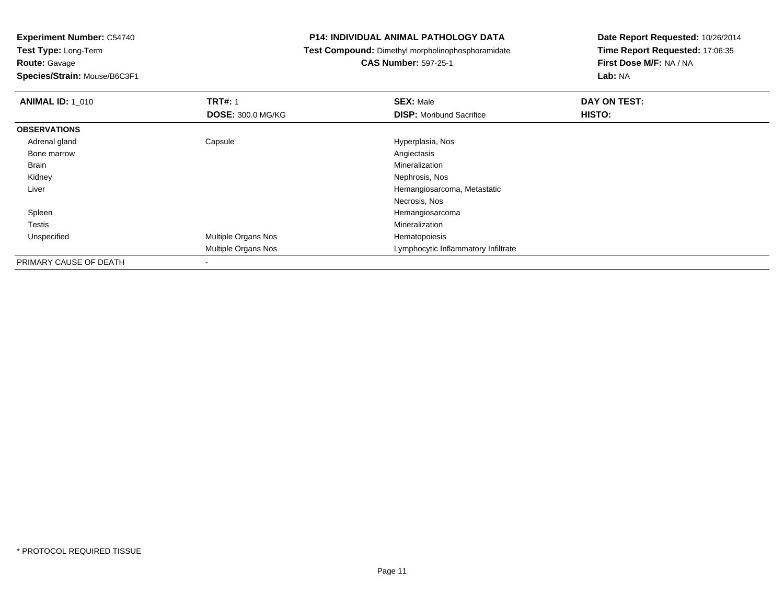**Route:** Gavage

**Species/Strain:** Mouse/B6C3F1

#### **P14: INDIVIDUAL ANIMAL PATHOLOGY DATA**

**Test Compound:** Dimethyl morpholinophosphoramidate

## **CAS Number:** 597-25-1

| <b>ANIMAL ID: 1_010</b> | <b>TRT#: 1</b>           | <b>SEX: Male</b>                    | DAY ON TEST: |
|-------------------------|--------------------------|-------------------------------------|--------------|
|                         | <b>DOSE: 300.0 MG/KG</b> | <b>DISP:</b> Moribund Sacrifice     | HISTO:       |
| <b>OBSERVATIONS</b>     |                          |                                     |              |
| Adrenal gland           | Capsule                  | Hyperplasia, Nos                    |              |
| Bone marrow             |                          | Angiectasis                         |              |
| Brain                   |                          | Mineralization                      |              |
| Kidney                  |                          | Nephrosis, Nos                      |              |
| Liver                   |                          | Hemangiosarcoma, Metastatic         |              |
|                         |                          | Necrosis, Nos                       |              |
| Spleen                  |                          | Hemangiosarcoma                     |              |
| <b>Testis</b>           |                          | Mineralization                      |              |
| Unspecified             | Multiple Organs Nos      | Hematopoiesis                       |              |
|                         | Multiple Organs Nos      | Lymphocytic Inflammatory Infiltrate |              |
| PRIMARY CAUSE OF DEATH  | ۰                        |                                     |              |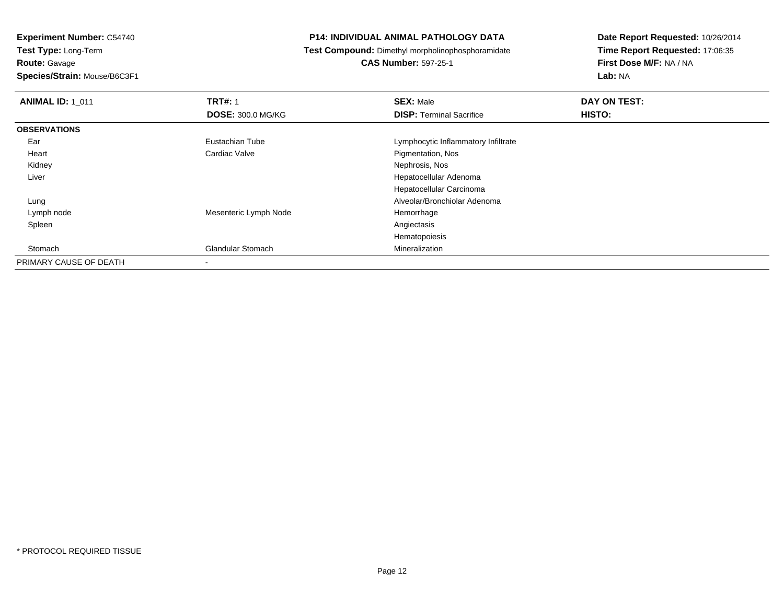**Experiment Number:** C54740**Test Type:** Long-Term**Route:** Gavage**Species/Strain:** Mouse/B6C3F1

#### **P14: INDIVIDUAL ANIMAL PATHOLOGY DATA**

**Test Compound:** Dimethyl morpholinophosphoramidate

**CAS Number:** 597-25-1

| <b>ANIMAL ID: 1 011</b> | <b>TRT#: 1</b>           | <b>SEX: Male</b>                    | DAY ON TEST: |  |
|-------------------------|--------------------------|-------------------------------------|--------------|--|
|                         | <b>DOSE: 300.0 MG/KG</b> | <b>DISP: Terminal Sacrifice</b>     | HISTO:       |  |
| <b>OBSERVATIONS</b>     |                          |                                     |              |  |
| Ear                     | Eustachian Tube          | Lymphocytic Inflammatory Infiltrate |              |  |
| Heart                   | Cardiac Valve            | Pigmentation, Nos                   |              |  |
| Kidney                  |                          | Nephrosis, Nos                      |              |  |
| Liver                   |                          | Hepatocellular Adenoma              |              |  |
|                         |                          | Hepatocellular Carcinoma            |              |  |
| Lung                    |                          | Alveolar/Bronchiolar Adenoma        |              |  |
| Lymph node              | Mesenteric Lymph Node    | Hemorrhage                          |              |  |
| Spleen                  |                          | Angiectasis                         |              |  |
|                         |                          | Hematopoiesis                       |              |  |
| Stomach                 | <b>Glandular Stomach</b> | Mineralization                      |              |  |
| PRIMARY CAUSE OF DEATH  | ۰                        |                                     |              |  |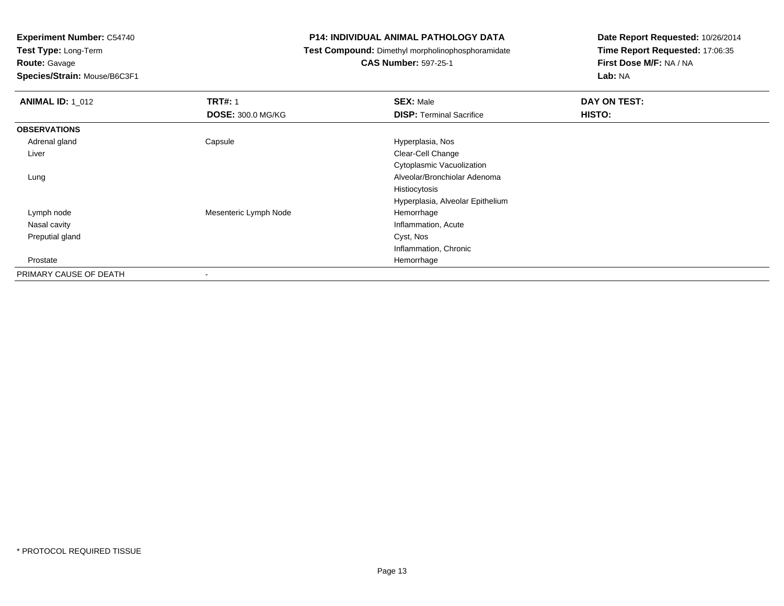**Test Type:** Long-Term**Route:** Gavage

**Species/Strain:** Mouse/B6C3F1

#### **P14: INDIVIDUAL ANIMAL PATHOLOGY DATA**

**Test Compound:** Dimethyl morpholinophosphoramidate

## **CAS Number:** 597-25-1

| <b>ANIMAL ID: 1_012</b> | <b>TRT#: 1</b>           | <b>SEX: Male</b>                 | DAY ON TEST: |
|-------------------------|--------------------------|----------------------------------|--------------|
|                         | <b>DOSE: 300.0 MG/KG</b> | <b>DISP: Terminal Sacrifice</b>  | HISTO:       |
| <b>OBSERVATIONS</b>     |                          |                                  |              |
| Adrenal gland           | Capsule                  | Hyperplasia, Nos                 |              |
| Liver                   |                          | Clear-Cell Change                |              |
|                         |                          | Cytoplasmic Vacuolization        |              |
| Lung                    |                          | Alveolar/Bronchiolar Adenoma     |              |
|                         |                          | Histiocytosis                    |              |
|                         |                          | Hyperplasia, Alveolar Epithelium |              |
| Lymph node              | Mesenteric Lymph Node    | Hemorrhage                       |              |
| Nasal cavity            |                          | Inflammation, Acute              |              |
| Preputial gland         |                          | Cyst, Nos                        |              |
|                         |                          | Inflammation, Chronic            |              |
| Prostate                |                          | Hemorrhage                       |              |
| PRIMARY CAUSE OF DEATH  | $\blacksquare$           |                                  |              |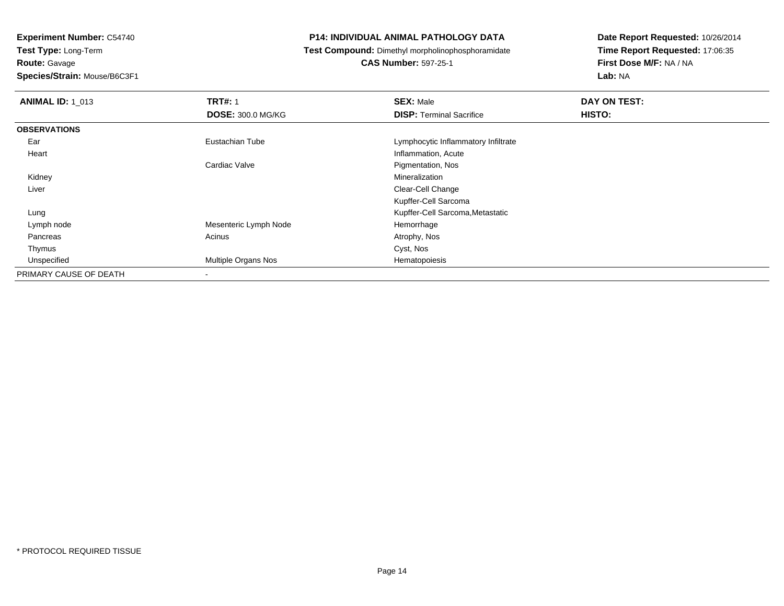**Experiment Number:** C54740**Test Type:** Long-Term**Route:** Gavage

**Species/Strain:** Mouse/B6C3F1

#### **P14: INDIVIDUAL ANIMAL PATHOLOGY DATA**

**Test Compound:** Dimethyl morpholinophosphoramidate

**CAS Number:** 597-25-1

| <b>ANIMAL ID: 1_013</b> | <b>TRT#: 1</b>           | <b>SEX: Male</b>                    | DAY ON TEST: |
|-------------------------|--------------------------|-------------------------------------|--------------|
|                         | <b>DOSE: 300.0 MG/KG</b> | <b>DISP: Terminal Sacrifice</b>     | HISTO:       |
| <b>OBSERVATIONS</b>     |                          |                                     |              |
| Ear                     | Eustachian Tube          | Lymphocytic Inflammatory Infiltrate |              |
| Heart                   |                          | Inflammation, Acute                 |              |
|                         | Cardiac Valve            | Pigmentation, Nos                   |              |
| Kidney                  |                          | Mineralization                      |              |
| Liver                   |                          | Clear-Cell Change                   |              |
|                         |                          | Kupffer-Cell Sarcoma                |              |
| Lung                    |                          | Kupffer-Cell Sarcoma, Metastatic    |              |
| Lymph node              | Mesenteric Lymph Node    | Hemorrhage                          |              |
| Pancreas                | Acinus                   | Atrophy, Nos                        |              |
| Thymus                  |                          | Cyst, Nos                           |              |
| Unspecified             | Multiple Organs Nos      | Hematopoiesis                       |              |
| PRIMARY CAUSE OF DEATH  |                          |                                     |              |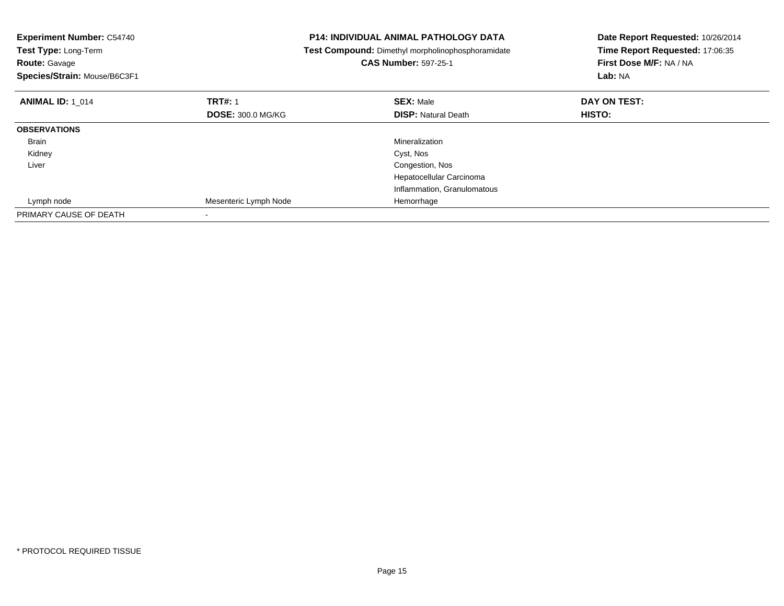| <b>Experiment Number: C54740</b><br>Test Type: Long-Term<br><b>Route: Gavage</b><br>Species/Strain: Mouse/B6C3F1 |                          | <b>P14: INDIVIDUAL ANIMAL PATHOLOGY DATA</b><br>Test Compound: Dimethyl morpholinophosphoramidate<br><b>CAS Number: 597-25-1</b> | Date Report Requested: 10/26/2014<br>Time Report Requested: 17:06:35<br>First Dose M/F: NA / NA<br>Lab: NA |
|------------------------------------------------------------------------------------------------------------------|--------------------------|----------------------------------------------------------------------------------------------------------------------------------|------------------------------------------------------------------------------------------------------------|
| <b>ANIMAL ID: 1_014</b>                                                                                          | <b>TRT#: 1</b>           | <b>SEX: Male</b>                                                                                                                 | DAY ON TEST:                                                                                               |
|                                                                                                                  | <b>DOSE: 300.0 MG/KG</b> | <b>DISP: Natural Death</b>                                                                                                       | HISTO:                                                                                                     |
| <b>OBSERVATIONS</b>                                                                                              |                          |                                                                                                                                  |                                                                                                            |
| <b>Brain</b>                                                                                                     |                          | Mineralization                                                                                                                   |                                                                                                            |
| Kidney                                                                                                           |                          | Cyst, Nos                                                                                                                        |                                                                                                            |
| Liver                                                                                                            |                          | Congestion, Nos                                                                                                                  |                                                                                                            |
|                                                                                                                  |                          | Hepatocellular Carcinoma                                                                                                         |                                                                                                            |
|                                                                                                                  |                          | Inflammation, Granulomatous                                                                                                      |                                                                                                            |
| Lymph node                                                                                                       | Mesenteric Lymph Node    | Hemorrhage                                                                                                                       |                                                                                                            |
| PRIMARY CAUSE OF DEATH                                                                                           |                          |                                                                                                                                  |                                                                                                            |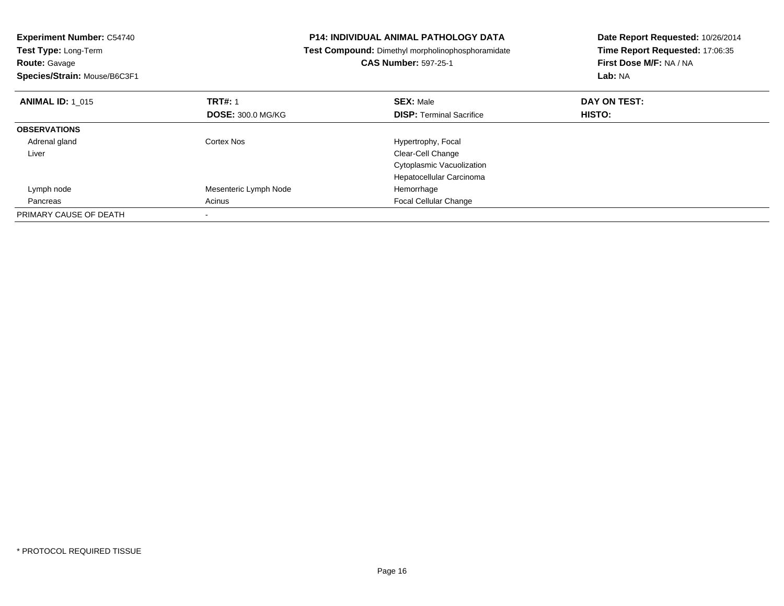| <b>Experiment Number: C54740</b><br>Test Type: Long-Term<br><b>Route: Gavage</b><br>Species/Strain: Mouse/B6C3F1 |                          | P14: INDIVIDUAL ANIMAL PATHOLOGY DATA<br>Test Compound: Dimethyl morpholinophosphoramidate<br><b>CAS Number: 597-25-1</b> | Date Report Requested: 10/26/2014<br>Time Report Requested: 17:06:35<br>First Dose M/F: NA / NA<br>Lab: NA |
|------------------------------------------------------------------------------------------------------------------|--------------------------|---------------------------------------------------------------------------------------------------------------------------|------------------------------------------------------------------------------------------------------------|
| <b>ANIMAL ID: 1 015</b>                                                                                          | <b>TRT#: 1</b>           | <b>SEX: Male</b>                                                                                                          | DAY ON TEST:                                                                                               |
|                                                                                                                  | <b>DOSE: 300.0 MG/KG</b> | <b>DISP:</b> Terminal Sacrifice                                                                                           | HISTO:                                                                                                     |
| <b>OBSERVATIONS</b>                                                                                              |                          |                                                                                                                           |                                                                                                            |
| Adrenal gland                                                                                                    | Cortex Nos               | Hypertrophy, Focal                                                                                                        |                                                                                                            |
| Liver                                                                                                            |                          | Clear-Cell Change                                                                                                         |                                                                                                            |
|                                                                                                                  |                          | Cytoplasmic Vacuolization                                                                                                 |                                                                                                            |
|                                                                                                                  |                          | Hepatocellular Carcinoma                                                                                                  |                                                                                                            |
| Lymph node                                                                                                       | Mesenteric Lymph Node    | Hemorrhage                                                                                                                |                                                                                                            |
| Pancreas                                                                                                         | Acinus                   | Focal Cellular Change                                                                                                     |                                                                                                            |
| PRIMARY CAUSE OF DEATH                                                                                           |                          |                                                                                                                           |                                                                                                            |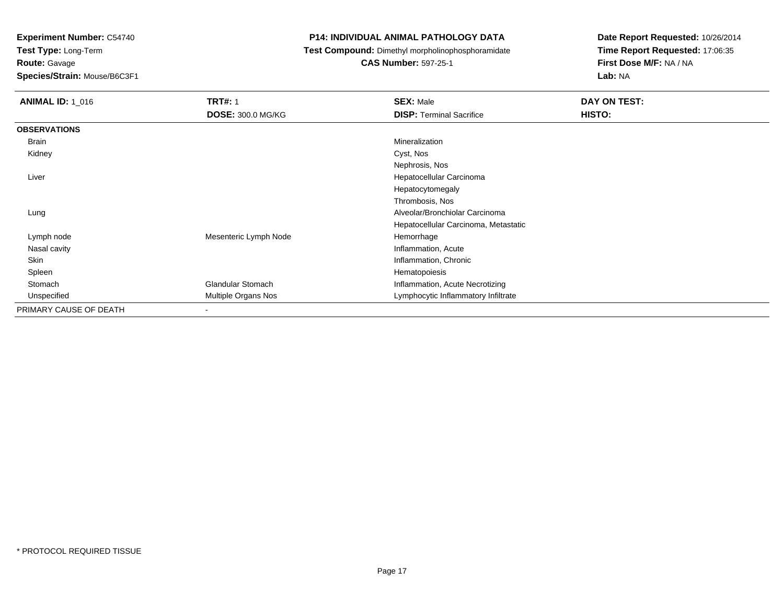**Test Type:** Long-Term

**Route:** Gavage

**Species/Strain:** Mouse/B6C3F1

#### **P14: INDIVIDUAL ANIMAL PATHOLOGY DATA**

**Test Compound:** Dimethyl morpholinophosphoramidate

**CAS Number:** 597-25-1

| <b>ANIMAL ID: 1 016</b> | <b>TRT#: 1</b>           | <b>SEX: Male</b>                     | DAY ON TEST: |  |
|-------------------------|--------------------------|--------------------------------------|--------------|--|
|                         | <b>DOSE: 300.0 MG/KG</b> | <b>DISP: Terminal Sacrifice</b>      | HISTO:       |  |
| <b>OBSERVATIONS</b>     |                          |                                      |              |  |
| Brain                   |                          | Mineralization                       |              |  |
| Kidney                  |                          | Cyst, Nos                            |              |  |
|                         |                          | Nephrosis, Nos                       |              |  |
| Liver                   |                          | Hepatocellular Carcinoma             |              |  |
|                         |                          | Hepatocytomegaly                     |              |  |
|                         |                          | Thrombosis, Nos                      |              |  |
| Lung                    |                          | Alveolar/Bronchiolar Carcinoma       |              |  |
|                         |                          | Hepatocellular Carcinoma, Metastatic |              |  |
| Lymph node              | Mesenteric Lymph Node    | Hemorrhage                           |              |  |
| Nasal cavity            |                          | Inflammation, Acute                  |              |  |
| Skin                    |                          | Inflammation, Chronic                |              |  |
| Spleen                  |                          | Hematopoiesis                        |              |  |
| Stomach                 | <b>Glandular Stomach</b> | Inflammation, Acute Necrotizing      |              |  |
| Unspecified             | Multiple Organs Nos      | Lymphocytic Inflammatory Infiltrate  |              |  |
| PRIMARY CAUSE OF DEATH  | ۰                        |                                      |              |  |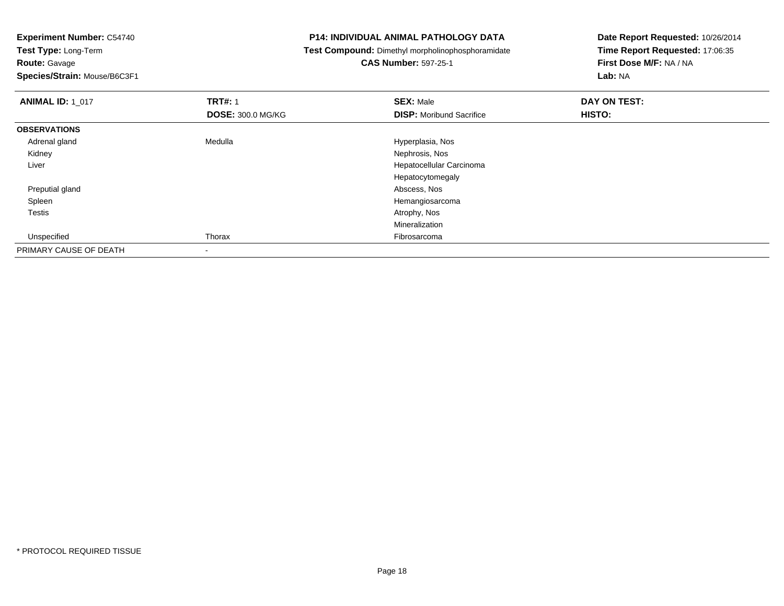**Test Type:** Long-Term**Route:** Gavage

**Species/Strain:** Mouse/B6C3F1

#### **P14: INDIVIDUAL ANIMAL PATHOLOGY DATA**

**Test Compound:** Dimethyl morpholinophosphoramidate

# **CAS Number:** 597-25-1

| <b>ANIMAL ID: 1 017</b> | <b>TRT#: 1</b>           | <b>SEX: Male</b>                | DAY ON TEST: |  |
|-------------------------|--------------------------|---------------------------------|--------------|--|
|                         | <b>DOSE: 300.0 MG/KG</b> | <b>DISP:</b> Moribund Sacrifice | HISTO:       |  |
| <b>OBSERVATIONS</b>     |                          |                                 |              |  |
| Adrenal gland           | Medulla                  | Hyperplasia, Nos                |              |  |
| Kidney                  |                          | Nephrosis, Nos                  |              |  |
| Liver                   |                          | Hepatocellular Carcinoma        |              |  |
|                         |                          | Hepatocytomegaly                |              |  |
| Preputial gland         |                          | Abscess, Nos                    |              |  |
| Spleen                  |                          | Hemangiosarcoma                 |              |  |
| <b>Testis</b>           |                          | Atrophy, Nos                    |              |  |
|                         |                          | Mineralization                  |              |  |
| Unspecified             | Thorax                   | Fibrosarcoma                    |              |  |
| PRIMARY CAUSE OF DEATH  |                          |                                 |              |  |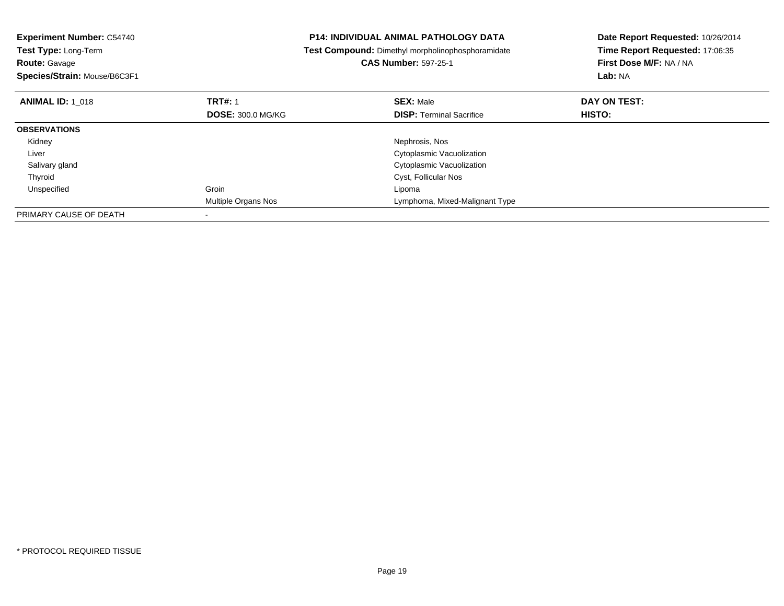| <b>Experiment Number: C54740</b><br>Test Type: Long-Term<br><b>Route: Gavage</b><br>Species/Strain: Mouse/B6C3F1 |                            | <b>P14: INDIVIDUAL ANIMAL PATHOLOGY DATA</b><br>Test Compound: Dimethyl morpholinophosphoramidate<br><b>CAS Number: 597-25-1</b> | Date Report Requested: 10/26/2014<br>Time Report Requested: 17:06:35<br>First Dose M/F: NA / NA<br>Lab: NA |
|------------------------------------------------------------------------------------------------------------------|----------------------------|----------------------------------------------------------------------------------------------------------------------------------|------------------------------------------------------------------------------------------------------------|
| <b>ANIMAL ID: 1 018</b>                                                                                          | <b>TRT#: 1</b>             | <b>SEX: Male</b>                                                                                                                 | DAY ON TEST:                                                                                               |
|                                                                                                                  | <b>DOSE: 300.0 MG/KG</b>   | <b>DISP: Terminal Sacrifice</b>                                                                                                  | <b>HISTO:</b>                                                                                              |
| <b>OBSERVATIONS</b>                                                                                              |                            |                                                                                                                                  |                                                                                                            |
| Kidney                                                                                                           |                            | Nephrosis, Nos                                                                                                                   |                                                                                                            |
| Liver                                                                                                            |                            | Cytoplasmic Vacuolization                                                                                                        |                                                                                                            |
| Salivary gland                                                                                                   |                            | Cytoplasmic Vacuolization                                                                                                        |                                                                                                            |
| Thyroid                                                                                                          |                            | Cyst, Follicular Nos                                                                                                             |                                                                                                            |
| Unspecified                                                                                                      | Groin                      | Lipoma                                                                                                                           |                                                                                                            |
|                                                                                                                  | <b>Multiple Organs Nos</b> | Lymphoma, Mixed-Malignant Type                                                                                                   |                                                                                                            |
| PRIMARY CAUSE OF DEATH                                                                                           |                            |                                                                                                                                  |                                                                                                            |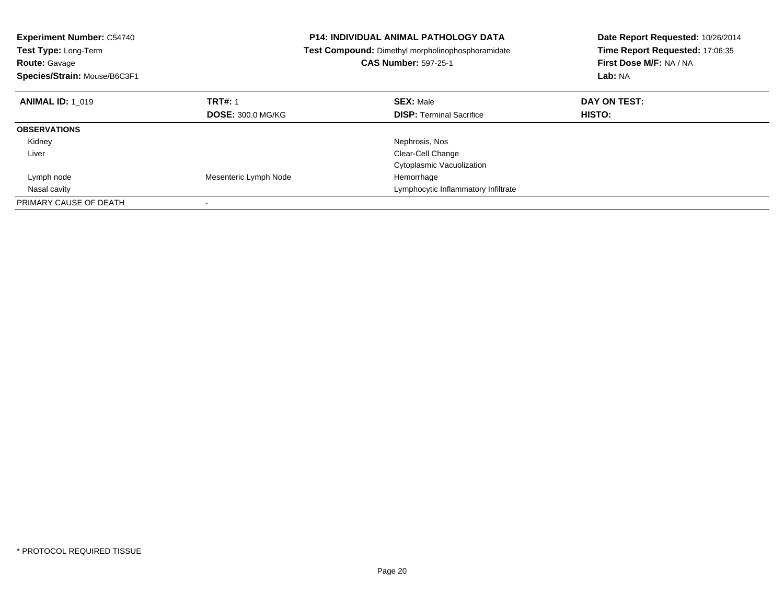| <b>Experiment Number: C54740</b><br><b>Test Type: Long-Term</b><br><b>Route: Gavage</b><br>Species/Strain: Mouse/B6C3F1 |                          | <b>P14: INDIVIDUAL ANIMAL PATHOLOGY DATA</b><br>Test Compound: Dimethyl morpholinophosphoramidate<br><b>CAS Number: 597-25-1</b> | Date Report Requested: 10/26/2014<br>Time Report Requested: 17:06:35<br>First Dose M/F: NA / NA<br>Lab: NA |
|-------------------------------------------------------------------------------------------------------------------------|--------------------------|----------------------------------------------------------------------------------------------------------------------------------|------------------------------------------------------------------------------------------------------------|
| <b>ANIMAL ID: 1 019</b>                                                                                                 | <b>TRT#: 1</b>           | <b>SEX: Male</b>                                                                                                                 | DAY ON TEST:                                                                                               |
|                                                                                                                         | <b>DOSE: 300.0 MG/KG</b> | <b>DISP: Terminal Sacrifice</b>                                                                                                  | HISTO:                                                                                                     |
| <b>OBSERVATIONS</b>                                                                                                     |                          |                                                                                                                                  |                                                                                                            |
| Kidney                                                                                                                  |                          | Nephrosis, Nos                                                                                                                   |                                                                                                            |
| Liver                                                                                                                   |                          | Clear-Cell Change                                                                                                                |                                                                                                            |
|                                                                                                                         |                          | Cytoplasmic Vacuolization                                                                                                        |                                                                                                            |
| Lymph node                                                                                                              | Mesenteric Lymph Node    | Hemorrhage                                                                                                                       |                                                                                                            |
| Nasal cavity                                                                                                            |                          | Lymphocytic Inflammatory Infiltrate                                                                                              |                                                                                                            |
| PRIMARY CAUSE OF DEATH                                                                                                  |                          |                                                                                                                                  |                                                                                                            |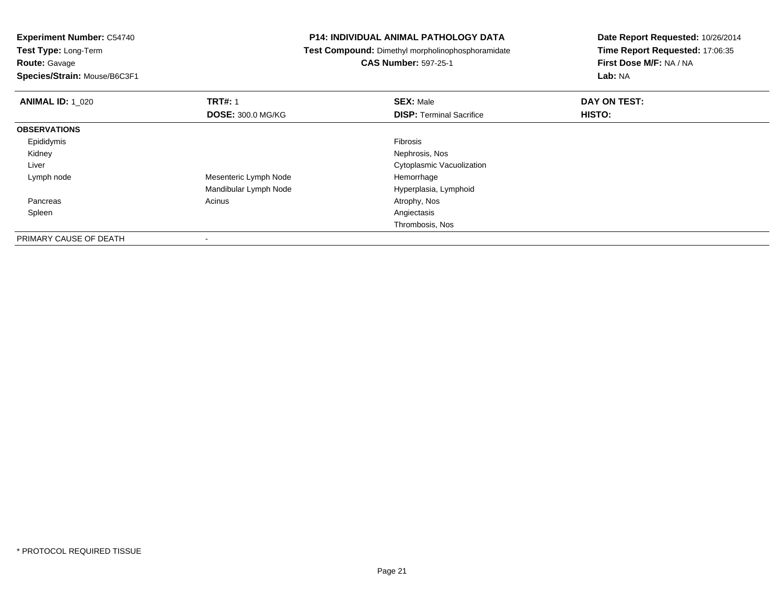**Route:** Gavage

**Species/Strain:** Mouse/B6C3F1

-

#### **P14: INDIVIDUAL ANIMAL PATHOLOGY DATA**

**Test Compound:** Dimethyl morpholinophosphoramidate

**CAS Number:** 597-25-1

| <b>ANIMAL ID: 1_020</b> | <b>TRT#: 1</b>           | <b>SEX: Male</b>                | DAY ON TEST: |  |
|-------------------------|--------------------------|---------------------------------|--------------|--|
|                         | <b>DOSE: 300.0 MG/KG</b> | <b>DISP: Terminal Sacrifice</b> | HISTO:       |  |
| <b>OBSERVATIONS</b>     |                          |                                 |              |  |
| Epididymis              |                          | Fibrosis                        |              |  |
| Kidney                  |                          | Nephrosis, Nos                  |              |  |
| Liver                   |                          | Cytoplasmic Vacuolization       |              |  |
| Lymph node              | Mesenteric Lymph Node    | Hemorrhage                      |              |  |
|                         | Mandibular Lymph Node    | Hyperplasia, Lymphoid           |              |  |
| Pancreas                | Acinus                   | Atrophy, Nos                    |              |  |
| Spleen                  |                          | Angiectasis                     |              |  |
|                         |                          | Thrombosis, Nos                 |              |  |
| PRIMARY CAUSE OF DEATH  | $\overline{\phantom{a}}$ |                                 |              |  |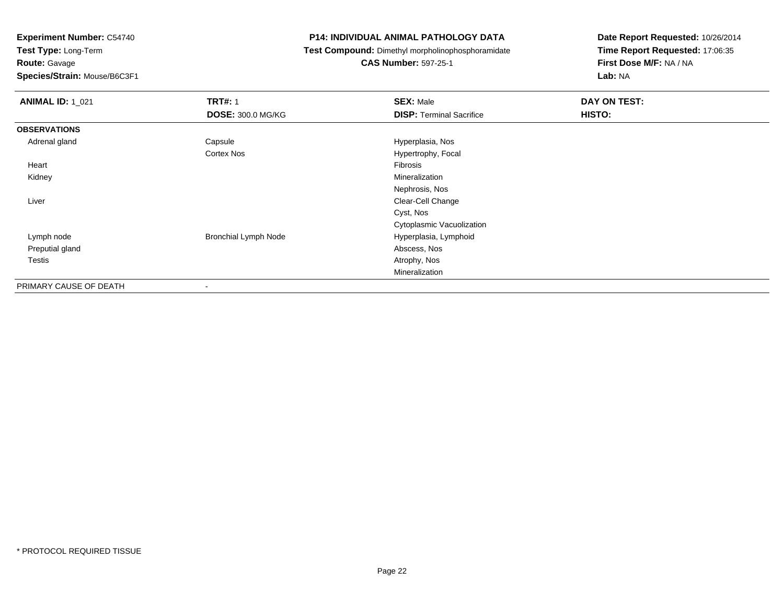**Test Type:** Long-Term**Route:** Gavage

**Species/Strain:** Mouse/B6C3F1

#### **P14: INDIVIDUAL ANIMAL PATHOLOGY DATA**

**Test Compound:** Dimethyl morpholinophosphoramidate

**CAS Number:** 597-25-1

| <b>ANIMAL ID: 1_021</b> | <b>TRT#: 1</b><br><b>DOSE: 300.0 MG/KG</b> | <b>SEX: Male</b><br><b>DISP: Terminal Sacrifice</b> | DAY ON TEST:<br>HISTO: |
|-------------------------|--------------------------------------------|-----------------------------------------------------|------------------------|
| <b>OBSERVATIONS</b>     |                                            |                                                     |                        |
| Adrenal gland           | Capsule                                    | Hyperplasia, Nos                                    |                        |
|                         | Cortex Nos                                 | Hypertrophy, Focal                                  |                        |
| Heart                   |                                            | Fibrosis                                            |                        |
| Kidney                  |                                            | Mineralization                                      |                        |
|                         |                                            | Nephrosis, Nos                                      |                        |
| Liver                   |                                            | Clear-Cell Change                                   |                        |
|                         |                                            | Cyst, Nos                                           |                        |
|                         |                                            | Cytoplasmic Vacuolization                           |                        |
| Lymph node              | <b>Bronchial Lymph Node</b>                | Hyperplasia, Lymphoid                               |                        |
| Preputial gland         |                                            | Abscess, Nos                                        |                        |
| <b>Testis</b>           |                                            | Atrophy, Nos                                        |                        |
|                         |                                            | Mineralization                                      |                        |
| PRIMARY CAUSE OF DEATH  |                                            |                                                     |                        |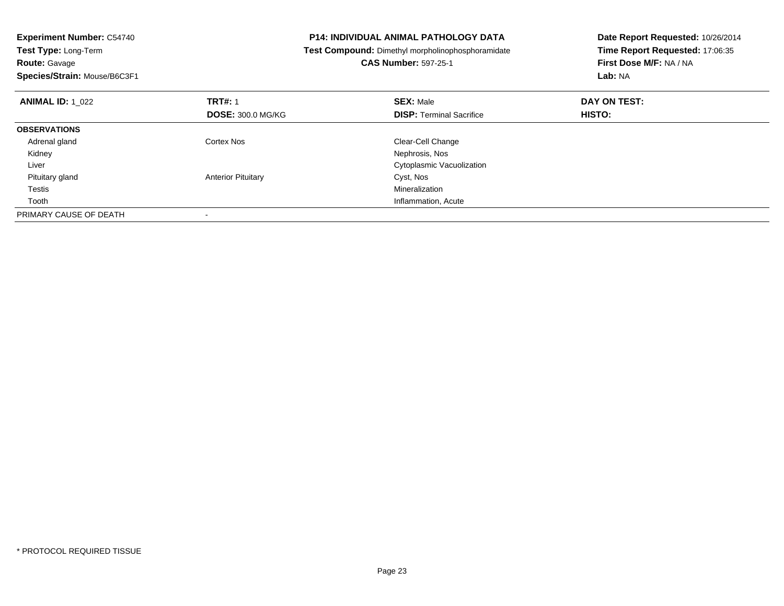| <b>Experiment Number: C54740</b> | <b>P14: INDIVIDUAL ANIMAL PATHOLOGY DATA</b> |                                                   | Date Report Requested: 10/26/2014 |  |
|----------------------------------|----------------------------------------------|---------------------------------------------------|-----------------------------------|--|
| <b>Test Type: Long-Term</b>      |                                              | Test Compound: Dimethyl morpholinophosphoramidate | Time Report Requested: 17:06:35   |  |
| <b>Route: Gavage</b>             |                                              | <b>CAS Number: 597-25-1</b>                       | First Dose M/F: NA / NA           |  |
| Species/Strain: Mouse/B6C3F1     |                                              |                                                   | Lab: NA                           |  |
| <b>ANIMAL ID: 1 022</b>          | <b>TRT#: 1</b>                               | <b>SEX: Male</b>                                  | DAY ON TEST:                      |  |
|                                  | <b>DOSE: 300.0 MG/KG</b>                     | <b>DISP: Terminal Sacrifice</b>                   | HISTO:                            |  |
| <b>OBSERVATIONS</b>              |                                              |                                                   |                                   |  |
| Adrenal gland                    | Cortex Nos                                   | Clear-Cell Change                                 |                                   |  |
| Kidney                           |                                              | Nephrosis, Nos                                    |                                   |  |
| Liver                            |                                              | Cytoplasmic Vacuolization                         |                                   |  |
| Pituitary gland                  | <b>Anterior Pituitary</b>                    | Cyst, Nos                                         |                                   |  |
| Testis                           |                                              | Mineralization                                    |                                   |  |
| Tooth                            |                                              | Inflammation, Acute                               |                                   |  |
| PRIMARY CAUSE OF DEATH           |                                              |                                                   |                                   |  |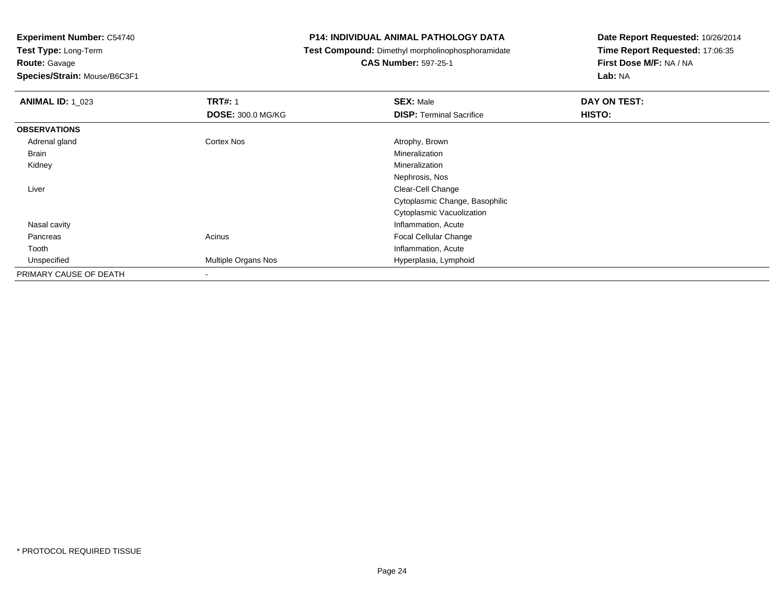**Route:** Gavage

**Species/Strain:** Mouse/B6C3F1

#### **P14: INDIVIDUAL ANIMAL PATHOLOGY DATA**

**Test Compound:** Dimethyl morpholinophosphoramidate

**CAS Number:** 597-25-1

| <b>ANIMAL ID: 1_023</b> | <b>TRT#: 1</b>           | <b>SEX: Male</b>                | DAY ON TEST: |
|-------------------------|--------------------------|---------------------------------|--------------|
|                         | <b>DOSE: 300.0 MG/KG</b> | <b>DISP: Terminal Sacrifice</b> | HISTO:       |
| <b>OBSERVATIONS</b>     |                          |                                 |              |
| Adrenal gland           | Cortex Nos               | Atrophy, Brown                  |              |
| Brain                   |                          | Mineralization                  |              |
| Kidney                  |                          | Mineralization                  |              |
|                         |                          | Nephrosis, Nos                  |              |
| Liver                   |                          | Clear-Cell Change               |              |
|                         |                          | Cytoplasmic Change, Basophilic  |              |
|                         |                          | Cytoplasmic Vacuolization       |              |
| Nasal cavity            |                          | Inflammation, Acute             |              |
| Pancreas                | Acinus                   | <b>Focal Cellular Change</b>    |              |
| Tooth                   |                          | Inflammation, Acute             |              |
| Unspecified             | Multiple Organs Nos      | Hyperplasia, Lymphoid           |              |
| PRIMARY CAUSE OF DEATH  |                          |                                 |              |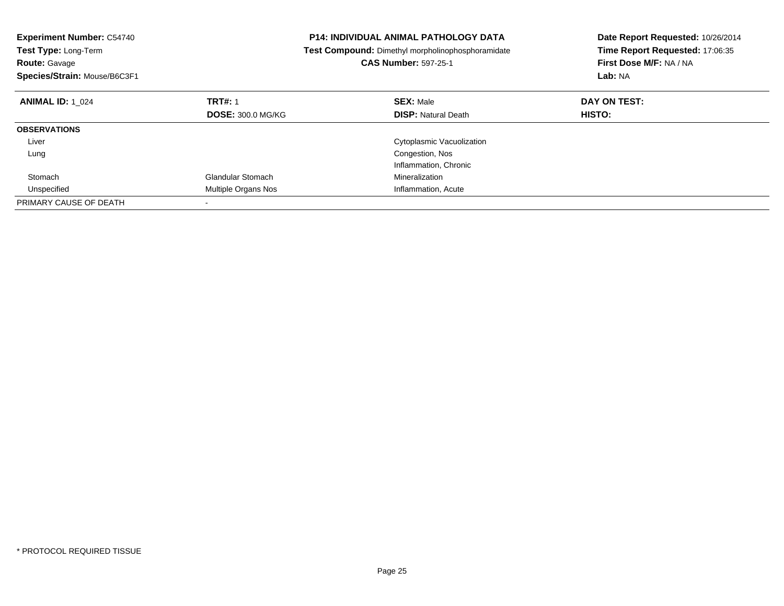| <b>Experiment Number: C54740</b><br>Test Type: Long-Term<br><b>Route: Gavage</b> |                          | <b>P14: INDIVIDUAL ANIMAL PATHOLOGY DATA</b><br>Test Compound: Dimethyl morpholinophosphoramidate<br><b>CAS Number: 597-25-1</b> | Date Report Requested: 10/26/2014<br>Time Report Requested: 17:06:35<br>First Dose M/F: NA / NA |
|----------------------------------------------------------------------------------|--------------------------|----------------------------------------------------------------------------------------------------------------------------------|-------------------------------------------------------------------------------------------------|
| Species/Strain: Mouse/B6C3F1                                                     |                          |                                                                                                                                  | Lab: NA                                                                                         |
| <b>ANIMAL ID: 1 024</b>                                                          | <b>TRT#: 1</b>           | <b>SEX: Male</b>                                                                                                                 | DAY ON TEST:                                                                                    |
|                                                                                  | <b>DOSE: 300.0 MG/KG</b> | <b>DISP: Natural Death</b>                                                                                                       | HISTO:                                                                                          |
| <b>OBSERVATIONS</b>                                                              |                          |                                                                                                                                  |                                                                                                 |
| Liver                                                                            |                          | Cytoplasmic Vacuolization                                                                                                        |                                                                                                 |
| Lung                                                                             |                          | Congestion, Nos                                                                                                                  |                                                                                                 |
|                                                                                  |                          | Inflammation, Chronic                                                                                                            |                                                                                                 |
| Stomach                                                                          | <b>Glandular Stomach</b> | Mineralization                                                                                                                   |                                                                                                 |
| Unspecified                                                                      | Multiple Organs Nos      | Inflammation, Acute                                                                                                              |                                                                                                 |
| PRIMARY CAUSE OF DEATH                                                           |                          |                                                                                                                                  |                                                                                                 |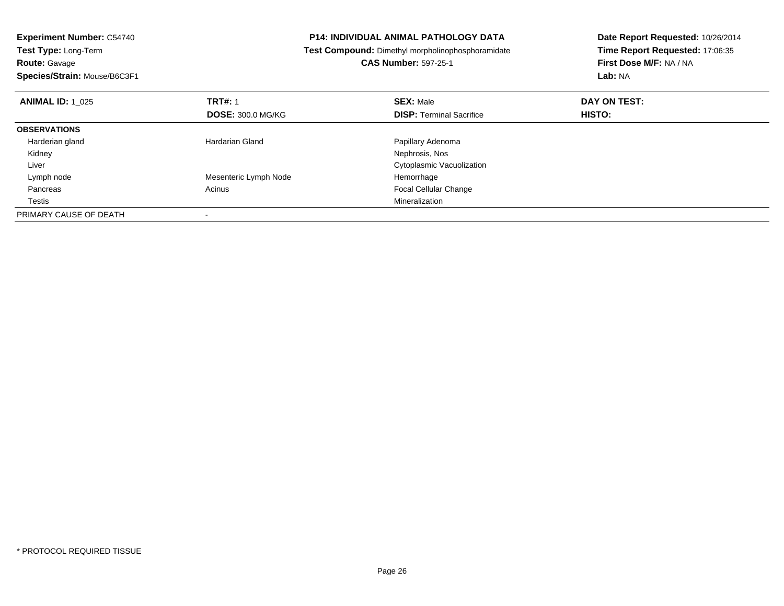| <b>Experiment Number: C54740</b><br><b>Test Type: Long-Term</b><br><b>Route: Gavage</b> |                          | <b>P14: INDIVIDUAL ANIMAL PATHOLOGY DATA</b>             | Date Report Requested: 10/26/2014<br>Time Report Requested: 17:06:35 |  |
|-----------------------------------------------------------------------------------------|--------------------------|----------------------------------------------------------|----------------------------------------------------------------------|--|
|                                                                                         |                          | <b>Test Compound:</b> Dimethyl morpholinophosphoramidate |                                                                      |  |
|                                                                                         |                          | <b>CAS Number: 597-25-1</b>                              | First Dose M/F: NA / NA                                              |  |
| Species/Strain: Mouse/B6C3F1                                                            |                          |                                                          | Lab: NA                                                              |  |
| <b>ANIMAL ID: 1 025</b>                                                                 | <b>TRT#: 1</b>           | <b>SEX: Male</b>                                         | DAY ON TEST:                                                         |  |
|                                                                                         | <b>DOSE: 300.0 MG/KG</b> | <b>DISP: Terminal Sacrifice</b>                          | <b>HISTO:</b>                                                        |  |
| <b>OBSERVATIONS</b>                                                                     |                          |                                                          |                                                                      |  |
| Harderian gland                                                                         | Hardarian Gland          | Papillary Adenoma                                        |                                                                      |  |
| Kidney                                                                                  |                          | Nephrosis, Nos                                           |                                                                      |  |
| Liver                                                                                   |                          | Cytoplasmic Vacuolization                                |                                                                      |  |
| Lymph node                                                                              | Mesenteric Lymph Node    | Hemorrhage                                               |                                                                      |  |
| Pancreas                                                                                | Acinus                   | <b>Focal Cellular Change</b>                             |                                                                      |  |
| Testis                                                                                  |                          | Mineralization                                           |                                                                      |  |
| PRIMARY CAUSE OF DEATH                                                                  |                          |                                                          |                                                                      |  |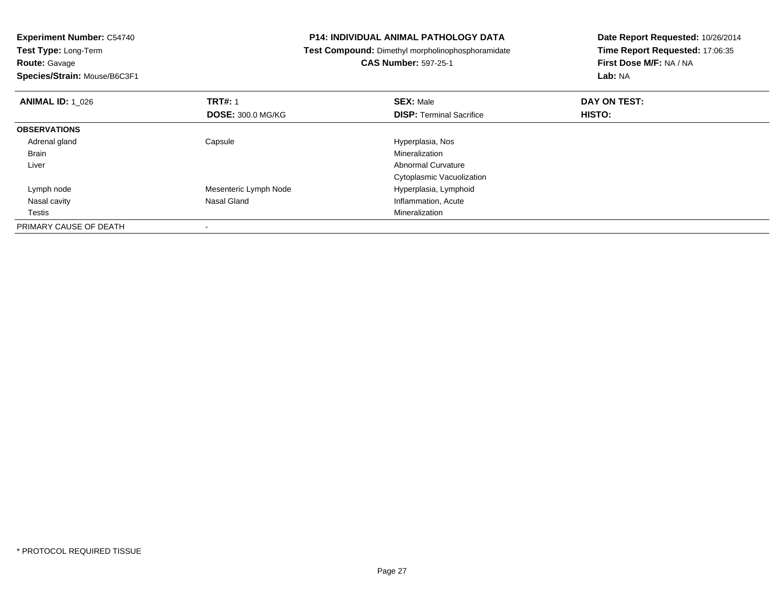**Route:** Gavage

**Species/Strain:** Mouse/B6C3F1

#### **P14: INDIVIDUAL ANIMAL PATHOLOGY DATA**

**Test Compound:** Dimethyl morpholinophosphoramidate

**CAS Number:** 597-25-1

| <b>ANIMAL ID: 1 026</b> | <b>TRT#: 1</b><br><b>DOSE: 300.0 MG/KG</b> | <b>SEX: Male</b><br><b>DISP: Terminal Sacrifice</b> | DAY ON TEST:<br>HISTO: |  |
|-------------------------|--------------------------------------------|-----------------------------------------------------|------------------------|--|
|                         |                                            |                                                     |                        |  |
| <b>OBSERVATIONS</b>     |                                            |                                                     |                        |  |
| Adrenal gland           | Capsule                                    | Hyperplasia, Nos                                    |                        |  |
| <b>Brain</b>            |                                            | Mineralization                                      |                        |  |
| Liver                   |                                            | <b>Abnormal Curvature</b>                           |                        |  |
|                         |                                            | Cytoplasmic Vacuolization                           |                        |  |
| Lymph node              | Mesenteric Lymph Node                      | Hyperplasia, Lymphoid                               |                        |  |
| Nasal cavity            | Nasal Gland                                | Inflammation, Acute                                 |                        |  |
| Testis                  |                                            | Mineralization                                      |                        |  |
| PRIMARY CAUSE OF DEATH  |                                            |                                                     |                        |  |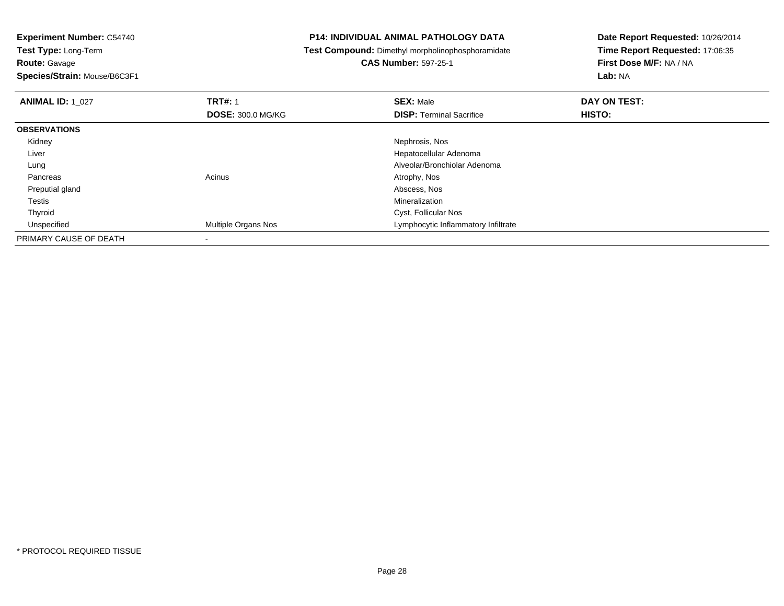**Route:** Gavage

**Species/Strain:** Mouse/B6C3F1

#### **P14: INDIVIDUAL ANIMAL PATHOLOGY DATA**

**Test Compound:** Dimethyl morpholinophosphoramidate

## **CAS Number:** 597-25-1

| <b>ANIMAL ID: 1_027</b> | <b>TRT#: 1</b>           | <b>SEX: Male</b>                    | DAY ON TEST: |  |
|-------------------------|--------------------------|-------------------------------------|--------------|--|
|                         | <b>DOSE: 300.0 MG/KG</b> | <b>DISP: Terminal Sacrifice</b>     | HISTO:       |  |
| <b>OBSERVATIONS</b>     |                          |                                     |              |  |
| Kidney                  |                          | Nephrosis, Nos                      |              |  |
| Liver                   |                          | Hepatocellular Adenoma              |              |  |
| Lung                    |                          | Alveolar/Bronchiolar Adenoma        |              |  |
| Pancreas                | Acinus                   | Atrophy, Nos                        |              |  |
| Preputial gland         |                          | Abscess, Nos                        |              |  |
| Testis                  |                          | Mineralization                      |              |  |
| Thyroid                 |                          | Cyst, Follicular Nos                |              |  |
| Unspecified             | Multiple Organs Nos      | Lymphocytic Inflammatory Infiltrate |              |  |
| PRIMARY CAUSE OF DEATH  |                          |                                     |              |  |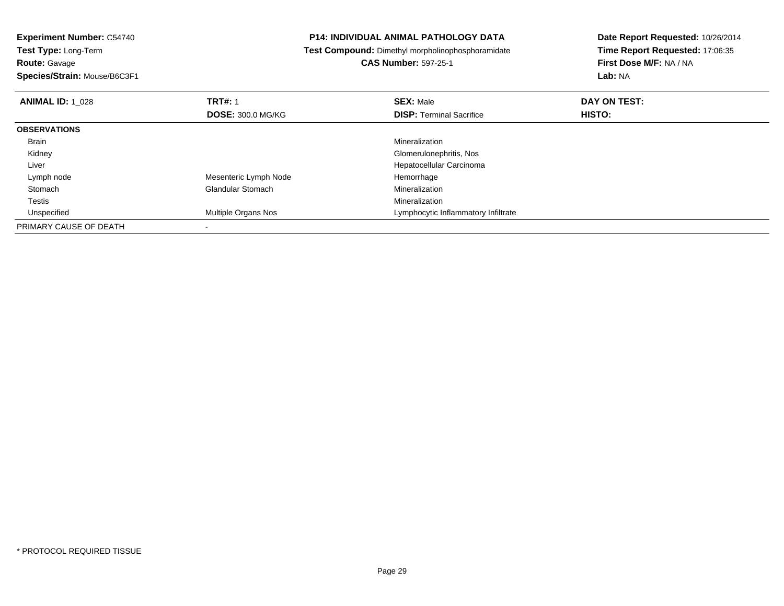**Experiment Number:** C54740**Test Type:** Long-Term**Route:** Gavage

**Species/Strain:** Mouse/B6C3F1

### **P14: INDIVIDUAL ANIMAL PATHOLOGY DATA**

**Test Compound:** Dimethyl morpholinophosphoramidate

### **CAS Number:** 597-25-1

| <b>ANIMAL ID: 1_028</b> | <b>TRT#: 1</b>           | <b>SEX: Male</b>                    | DAY ON TEST: |
|-------------------------|--------------------------|-------------------------------------|--------------|
|                         | <b>DOSE: 300.0 MG/KG</b> | <b>DISP: Terminal Sacrifice</b>     | HISTO:       |
| <b>OBSERVATIONS</b>     |                          |                                     |              |
| <b>Brain</b>            |                          | Mineralization                      |              |
| Kidney                  |                          | Glomerulonephritis, Nos             |              |
| Liver                   |                          | Hepatocellular Carcinoma            |              |
| Lymph node              | Mesenteric Lymph Node    | Hemorrhage                          |              |
| Stomach                 | <b>Glandular Stomach</b> | Mineralization                      |              |
| Testis                  |                          | Mineralization                      |              |
| Unspecified             | Multiple Organs Nos      | Lymphocytic Inflammatory Infiltrate |              |
| PRIMARY CAUSE OF DEATH  |                          |                                     |              |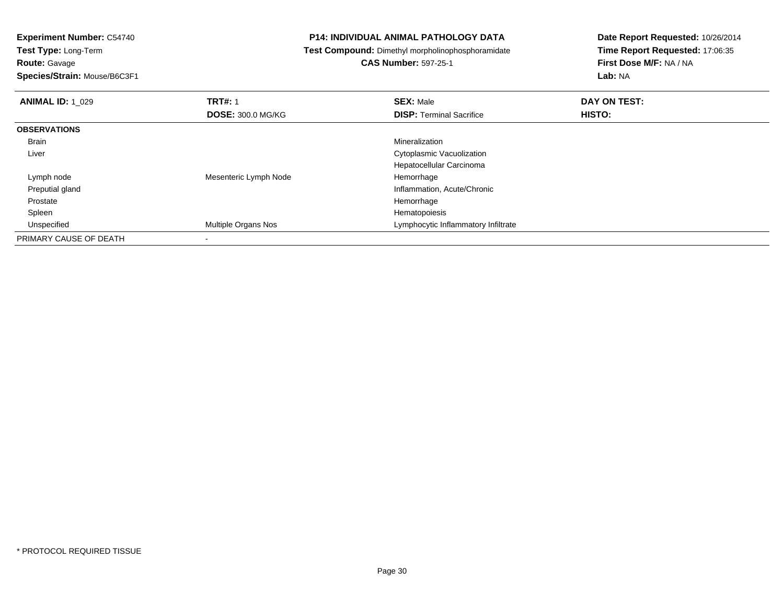**Route:** Gavage

**Species/Strain:** Mouse/B6C3F1

#### **P14: INDIVIDUAL ANIMAL PATHOLOGY DATA**

**Test Compound:** Dimethyl morpholinophosphoramidate

### **CAS Number:** 597-25-1

| <b>ANIMAL ID: 1 029</b> | <b>TRT#: 1</b>           | <b>SEX: Male</b>                    | DAY ON TEST: |  |
|-------------------------|--------------------------|-------------------------------------|--------------|--|
|                         | <b>DOSE: 300.0 MG/KG</b> | <b>DISP: Terminal Sacrifice</b>     | HISTO:       |  |
| <b>OBSERVATIONS</b>     |                          |                                     |              |  |
| Brain                   |                          | Mineralization                      |              |  |
| Liver                   |                          | Cytoplasmic Vacuolization           |              |  |
|                         |                          | Hepatocellular Carcinoma            |              |  |
| Lymph node              | Mesenteric Lymph Node    | Hemorrhage                          |              |  |
| Preputial gland         |                          | Inflammation, Acute/Chronic         |              |  |
| Prostate                |                          | Hemorrhage                          |              |  |
| Spleen                  |                          | Hematopoiesis                       |              |  |
| Unspecified             | Multiple Organs Nos      | Lymphocytic Inflammatory Infiltrate |              |  |
| PRIMARY CAUSE OF DEATH  |                          |                                     |              |  |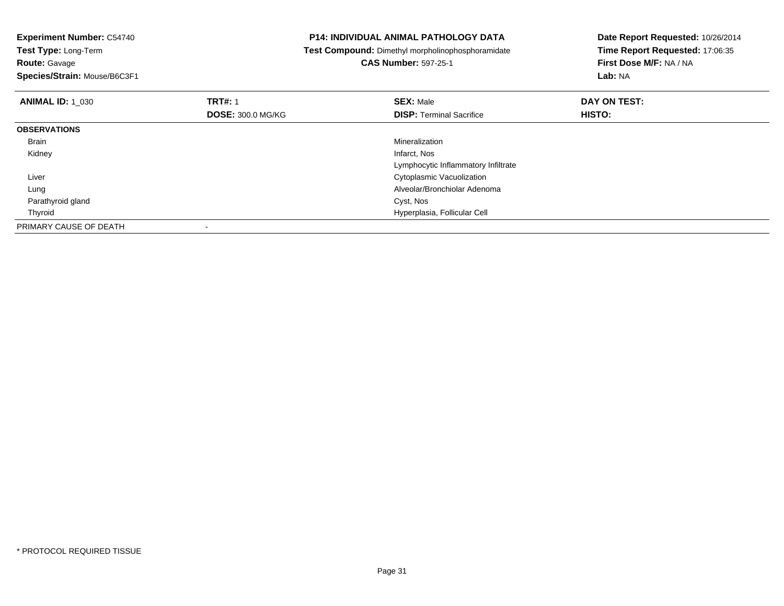**Experiment Number:** C54740**Test Type:** Long-Term**Route:** Gavage **Species/Strain:** Mouse/B6C3F1**P14: INDIVIDUAL ANIMAL PATHOLOGY DATA Test Compound:** Dimethyl morpholinophosphoramidate**CAS Number:** 597-25-1**Date Report Requested:** 10/26/2014**Time Report Requested:** 17:06:35**First Dose M/F:** NA / NA**Lab:** NA**ANIMAL ID:** 1\_030**C TRT#:** 1 **SEX:** Male **DAY ON TEST: DOSE:** 300.0 MG/KG**DISP:** Terminal Sacrifice **HISTO: OBSERVATIONS** Brainn and the control of the control of the control of the control of the control of the control of the control of the control of the control of the control of the control of the control of the control of the control of the co Kidneyy which is a state of the control of the control of the control of the control of the control of the control of the control of the control of the control of the control of the control of the control of the control of the c Lymphocytic Inflammatory Infiltrate Liver Cytoplasmic Vacuolization Alveolar/Bronchiolar Adenoma Lung Parathyroid gland Cyst, Nos Thyroid Hyperplasia, Follicular Cell PRIMARY CAUSE OF DEATH-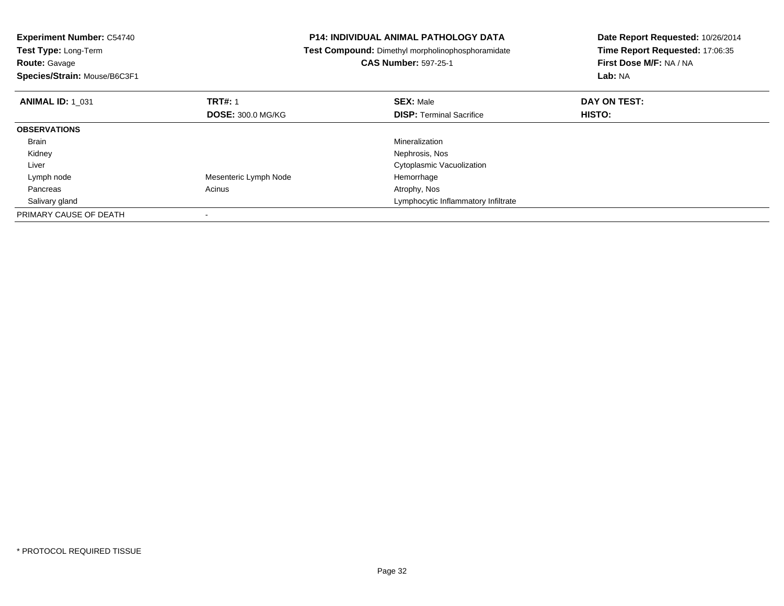**Experiment Number:** C54740**Test Type:** Long-Term**Route:** Gavage **Species/Strain:** Mouse/B6C3F1**P14: INDIVIDUAL ANIMAL PATHOLOGY DATA Test Compound:** Dimethyl morpholinophosphoramidate**CAS Number:** 597-25-1**Date Report Requested:** 10/26/2014**Time Report Requested:** 17:06:35**First Dose M/F:** NA / NA**Lab:** NA**ANIMAL ID:** 1\_031**TRT#:** 1 **SEX:** Male **DAY ON TEST: DOSE:** 300.0 MG/KG**DISP:** Terminal Sacrifice **HISTO: OBSERVATIONS** Brainn and the control of the control of the control of the control of the control of the control of the control of the control of the control of the control of the control of the control of the control of the control of the co Kidneyy which is a set of the set of the set of the set of the set of the set of the Nephrosis, Nos Liver Cytoplasmic Vacuolization Lymph node Mesenteric Lymph Node Hemorrhage Pancreass and the contract of the contract of the contract of the contract of the contract  $\mathsf{A}$  at  $\mathsf{A}$  and  $\mathsf{A}$  and  $\mathsf{A}$  and  $\mathsf{A}$  and  $\mathsf{A}$  are contract of  $\mathsf{A}$  and  $\mathsf{A}$  and  $\mathsf{A}$  are contract of Salivary gland Lymphocytic Inflammatory Infiltrate PRIMARY CAUSE OF DEATH-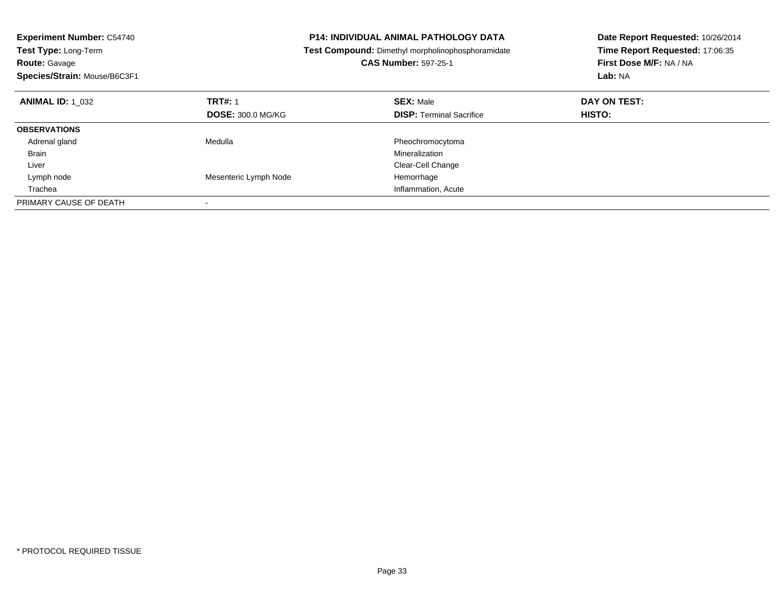| <b>Experiment Number: C54740</b><br><b>Test Type: Long-Term</b><br><b>Route: Gavage</b><br>Species/Strain: Mouse/B6C3F1 |                          | <b>P14: INDIVIDUAL ANIMAL PATHOLOGY DATA</b><br>Test Compound: Dimethyl morpholinophosphoramidate<br><b>CAS Number: 597-25-1</b> | Date Report Requested: 10/26/2014<br>Time Report Requested: 17:06:35<br>First Dose M/F: NA / NA<br>Lab: NA |
|-------------------------------------------------------------------------------------------------------------------------|--------------------------|----------------------------------------------------------------------------------------------------------------------------------|------------------------------------------------------------------------------------------------------------|
| <b>ANIMAL ID:</b> 1 032                                                                                                 | <b>TRT#: 1</b>           | <b>SEX: Male</b>                                                                                                                 | DAY ON TEST:                                                                                               |
|                                                                                                                         | <b>DOSE: 300.0 MG/KG</b> | <b>DISP: Terminal Sacrifice</b>                                                                                                  | <b>HISTO:</b>                                                                                              |
| <b>OBSERVATIONS</b>                                                                                                     |                          |                                                                                                                                  |                                                                                                            |
| Adrenal gland                                                                                                           | Medulla                  | Pheochromocytoma                                                                                                                 |                                                                                                            |
| <b>Brain</b>                                                                                                            |                          | Mineralization                                                                                                                   |                                                                                                            |
| Liver                                                                                                                   |                          | Clear-Cell Change                                                                                                                |                                                                                                            |
| Lymph node                                                                                                              | Mesenteric Lymph Node    | Hemorrhage                                                                                                                       |                                                                                                            |
| Trachea                                                                                                                 |                          | Inflammation, Acute                                                                                                              |                                                                                                            |
| PRIMARY CAUSE OF DEATH                                                                                                  |                          |                                                                                                                                  |                                                                                                            |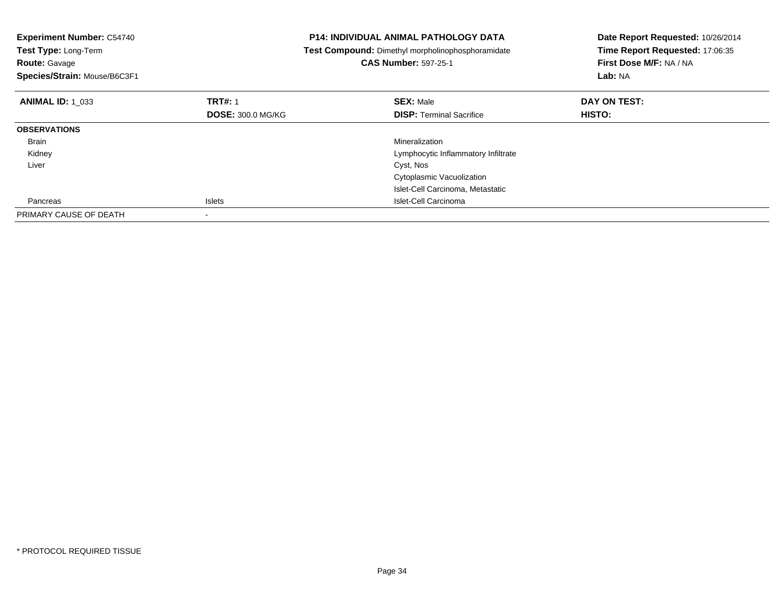| <b>Experiment Number: C54740</b><br>Test Type: Long-Term<br><b>Route: Gavage</b><br>Species/Strain: Mouse/B6C3F1 |                          | <b>P14: INDIVIDUAL ANIMAL PATHOLOGY DATA</b><br>Test Compound: Dimethyl morpholinophosphoramidate<br><b>CAS Number: 597-25-1</b> | Date Report Requested: 10/26/2014<br>Time Report Requested: 17:06:35<br>First Dose M/F: NA / NA<br><b>Lab: NA</b> |
|------------------------------------------------------------------------------------------------------------------|--------------------------|----------------------------------------------------------------------------------------------------------------------------------|-------------------------------------------------------------------------------------------------------------------|
| <b>ANIMAL ID: 1 033</b>                                                                                          | <b>TRT#: 1</b>           | <b>SEX: Male</b>                                                                                                                 | DAY ON TEST:                                                                                                      |
|                                                                                                                  | <b>DOSE: 300.0 MG/KG</b> | <b>DISP:</b> Terminal Sacrifice                                                                                                  | <b>HISTO:</b>                                                                                                     |
| <b>OBSERVATIONS</b>                                                                                              |                          |                                                                                                                                  |                                                                                                                   |
| Brain                                                                                                            |                          | Mineralization                                                                                                                   |                                                                                                                   |
| Kidney                                                                                                           |                          | Lymphocytic Inflammatory Infiltrate                                                                                              |                                                                                                                   |
| Liver                                                                                                            |                          | Cyst, Nos                                                                                                                        |                                                                                                                   |
|                                                                                                                  |                          | Cytoplasmic Vacuolization                                                                                                        |                                                                                                                   |
|                                                                                                                  |                          | Islet-Cell Carcinoma, Metastatic                                                                                                 |                                                                                                                   |
| Pancreas                                                                                                         | <b>Islets</b>            | Islet-Cell Carcinoma                                                                                                             |                                                                                                                   |
| PRIMARY CAUSE OF DEATH                                                                                           |                          |                                                                                                                                  |                                                                                                                   |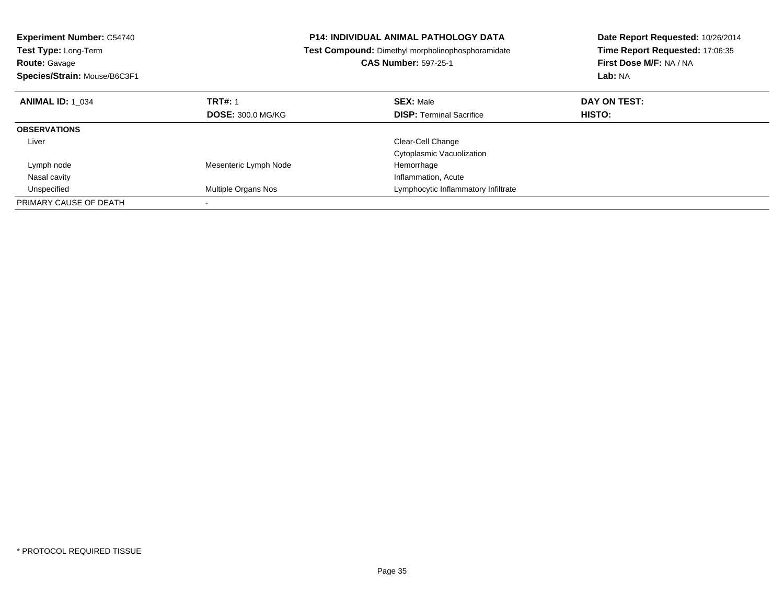| <b>Experiment Number: C54740</b><br>Test Type: Long-Term |                          | <b>P14: INDIVIDUAL ANIMAL PATHOLOGY DATA</b>      | Date Report Requested: 10/26/2014<br>Time Report Requested: 17:06:35 |  |
|----------------------------------------------------------|--------------------------|---------------------------------------------------|----------------------------------------------------------------------|--|
|                                                          |                          | Test Compound: Dimethyl morpholinophosphoramidate |                                                                      |  |
| <b>Route: Gavage</b>                                     |                          | <b>CAS Number: 597-25-1</b>                       | First Dose M/F: NA / NA                                              |  |
| Species/Strain: Mouse/B6C3F1                             |                          |                                                   | Lab: NA                                                              |  |
| <b>ANIMAL ID: 1 034</b>                                  | <b>TRT#: 1</b>           | <b>SEX: Male</b>                                  | DAY ON TEST:                                                         |  |
|                                                          | <b>DOSE: 300.0 MG/KG</b> | <b>DISP:</b> Terminal Sacrifice                   | HISTO:                                                               |  |
| <b>OBSERVATIONS</b>                                      |                          |                                                   |                                                                      |  |
| Liver                                                    |                          | Clear-Cell Change                                 |                                                                      |  |
|                                                          |                          | <b>Cytoplasmic Vacuolization</b>                  |                                                                      |  |
| Lymph node                                               | Mesenteric Lymph Node    | Hemorrhage                                        |                                                                      |  |
| Nasal cavity                                             |                          | Inflammation, Acute                               |                                                                      |  |
| Unspecified                                              | Multiple Organs Nos      | Lymphocytic Inflammatory Infiltrate               |                                                                      |  |
| PRIMARY CAUSE OF DEATH                                   |                          |                                                   |                                                                      |  |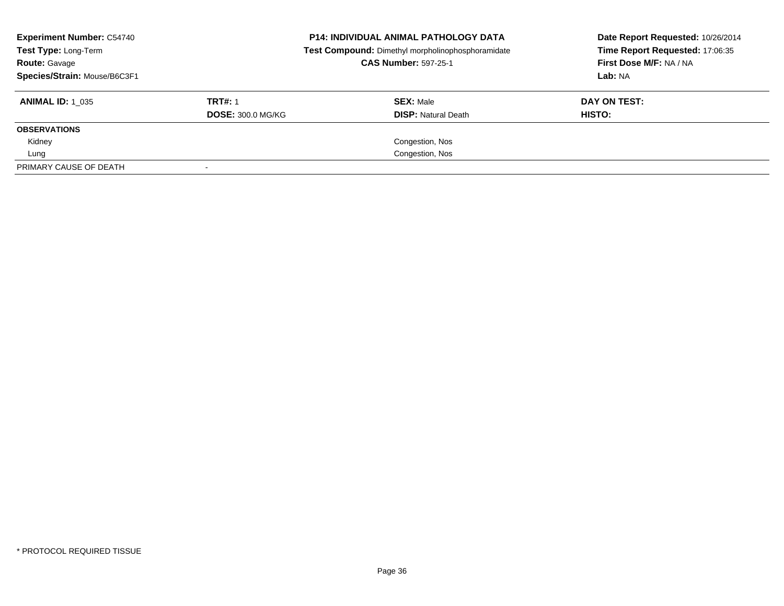| <b>Experiment Number: C54740</b><br>Test Type: Long-Term<br><b>Route: Gavage</b><br>Species/Strain: Mouse/B6C3F1 |                                            | <b>P14: INDIVIDUAL ANIMAL PATHOLOGY DATA</b><br>Test Compound: Dimethyl morpholinophosphoramidate<br><b>CAS Number: 597-25-1</b> | Date Report Requested: 10/26/2014<br>Time Report Requested: 17:06:35<br>First Dose M/F: NA / NA<br>Lab: NA |  |
|------------------------------------------------------------------------------------------------------------------|--------------------------------------------|----------------------------------------------------------------------------------------------------------------------------------|------------------------------------------------------------------------------------------------------------|--|
| <b>ANIMAL ID: 1 035</b>                                                                                          | <b>TRT#: 1</b><br><b>DOSE: 300.0 MG/KG</b> | <b>SEX: Male</b><br><b>DISP: Natural Death</b>                                                                                   | DAY ON TEST:<br><b>HISTO:</b>                                                                              |  |
| <b>OBSERVATIONS</b>                                                                                              |                                            |                                                                                                                                  |                                                                                                            |  |
| Kidney                                                                                                           |                                            | Congestion, Nos                                                                                                                  |                                                                                                            |  |
| Lung                                                                                                             |                                            | Congestion, Nos                                                                                                                  |                                                                                                            |  |
| PRIMARY CAUSE OF DEATH                                                                                           |                                            |                                                                                                                                  |                                                                                                            |  |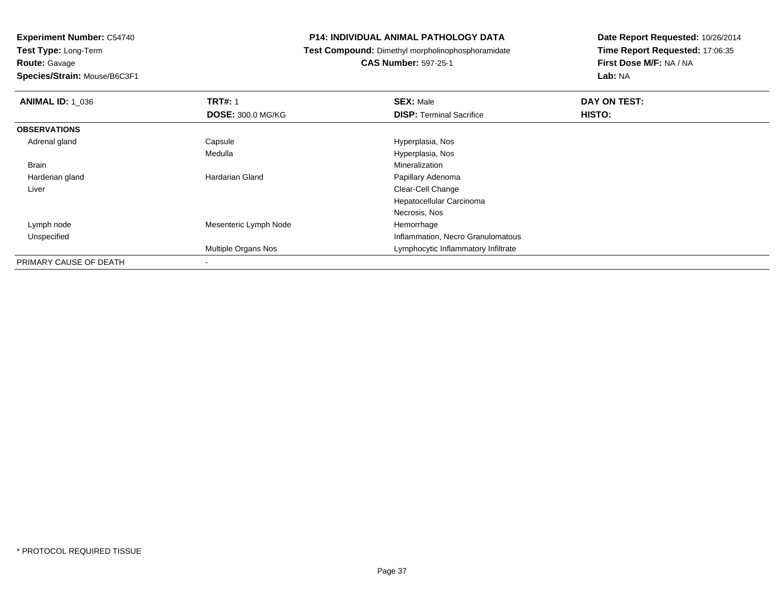**Route:** Gavage

**Species/Strain:** Mouse/B6C3F1

#### **P14: INDIVIDUAL ANIMAL PATHOLOGY DATA**

**Test Compound:** Dimethyl morpholinophosphoramidate

**CAS Number:** 597-25-1

| <b>ANIMAL ID: 1 036</b> | <b>TRT#: 1</b>             | <b>SEX: Male</b>                    | DAY ON TEST: |  |
|-------------------------|----------------------------|-------------------------------------|--------------|--|
|                         | <b>DOSE: 300.0 MG/KG</b>   | <b>DISP: Terminal Sacrifice</b>     | HISTO:       |  |
| <b>OBSERVATIONS</b>     |                            |                                     |              |  |
| Adrenal gland           | Capsule                    | Hyperplasia, Nos                    |              |  |
|                         | Medulla                    | Hyperplasia, Nos                    |              |  |
| <b>Brain</b>            |                            | Mineralization                      |              |  |
| Harderian gland         | Hardarian Gland            | Papillary Adenoma                   |              |  |
| Liver                   |                            | Clear-Cell Change                   |              |  |
|                         |                            | Hepatocellular Carcinoma            |              |  |
|                         |                            | Necrosis, Nos                       |              |  |
| Lymph node              | Mesenteric Lymph Node      | Hemorrhage                          |              |  |
| Unspecified             |                            | Inflammation, Necro Granulomatous   |              |  |
|                         | <b>Multiple Organs Nos</b> | Lymphocytic Inflammatory Infiltrate |              |  |
| PRIMARY CAUSE OF DEATH  |                            |                                     |              |  |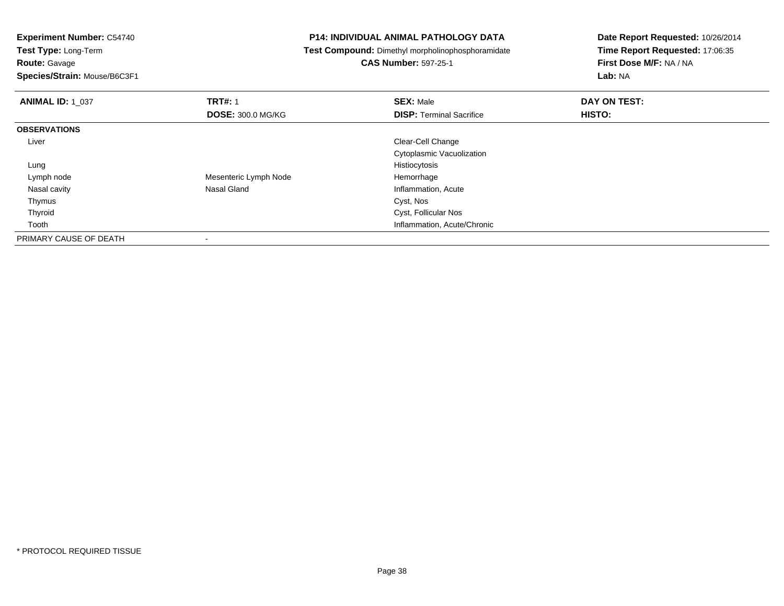**Test Type:** Long-Term**Route:** Gavage

**Species/Strain:** Mouse/B6C3F1

#### **P14: INDIVIDUAL ANIMAL PATHOLOGY DATA**

**Test Compound:** Dimethyl morpholinophosphoramidate

**CAS Number:** 597-25-1

| <b>ANIMAL ID: 1_037</b> | <b>TRT#: 1</b>           | <b>SEX: Male</b>                | DAY ON TEST: |  |
|-------------------------|--------------------------|---------------------------------|--------------|--|
|                         | <b>DOSE: 300.0 MG/KG</b> | <b>DISP: Terminal Sacrifice</b> | HISTO:       |  |
| <b>OBSERVATIONS</b>     |                          |                                 |              |  |
| Liver                   |                          | Clear-Cell Change               |              |  |
|                         |                          | Cytoplasmic Vacuolization       |              |  |
| Lung                    |                          | Histiocytosis                   |              |  |
| Lymph node              | Mesenteric Lymph Node    | Hemorrhage                      |              |  |
| Nasal cavity            | Nasal Gland              | Inflammation, Acute             |              |  |
| Thymus                  |                          | Cyst, Nos                       |              |  |
| Thyroid                 |                          | Cyst, Follicular Nos            |              |  |
| Tooth                   |                          | Inflammation, Acute/Chronic     |              |  |
| PRIMARY CAUSE OF DEATH  |                          |                                 |              |  |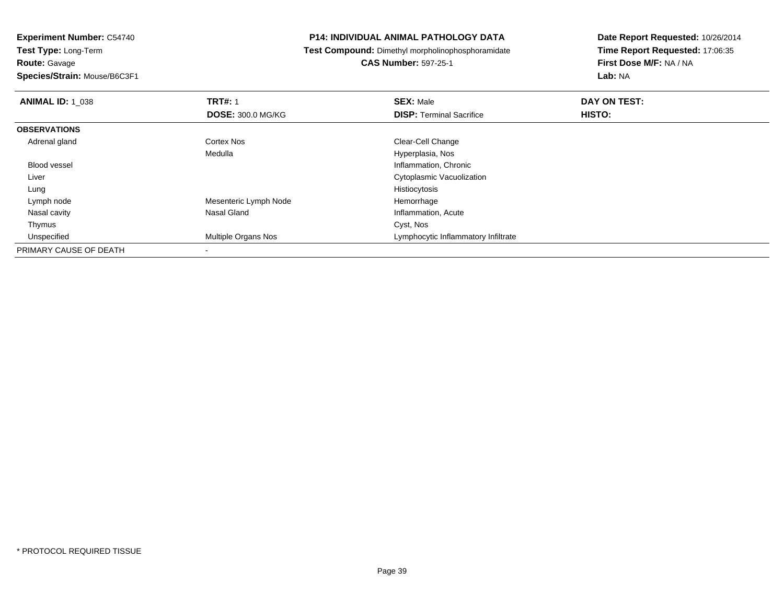# **Route:** Gavage

**Species/Strain:** Mouse/B6C3F1

#### **P14: INDIVIDUAL ANIMAL PATHOLOGY DATA**

# **Test Compound:** Dimethyl morpholinophosphoramidate

# **CAS Number:** 597-25-1

| <b>ANIMAL ID: 1 038</b> | <b>TRT#: 1</b>           | <b>SEX: Male</b>                    | DAY ON TEST: |  |
|-------------------------|--------------------------|-------------------------------------|--------------|--|
|                         | <b>DOSE: 300.0 MG/KG</b> | <b>DISP: Terminal Sacrifice</b>     | HISTO:       |  |
| <b>OBSERVATIONS</b>     |                          |                                     |              |  |
| Adrenal gland           | <b>Cortex Nos</b>        | Clear-Cell Change                   |              |  |
|                         | Medulla                  | Hyperplasia, Nos                    |              |  |
| <b>Blood vessel</b>     |                          | Inflammation, Chronic               |              |  |
| Liver                   |                          | Cytoplasmic Vacuolization           |              |  |
| Lung                    |                          | Histiocytosis                       |              |  |
| Lymph node              | Mesenteric Lymph Node    | Hemorrhage                          |              |  |
| Nasal cavity            | Nasal Gland              | Inflammation, Acute                 |              |  |
| Thymus                  |                          | Cyst, Nos                           |              |  |
| Unspecified             | Multiple Organs Nos      | Lymphocytic Inflammatory Infiltrate |              |  |
| PRIMARY CAUSE OF DEATH  |                          |                                     |              |  |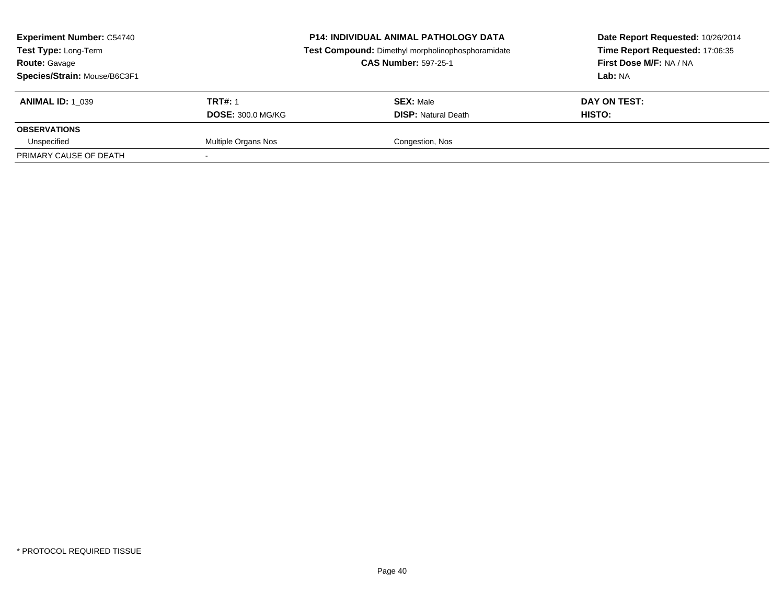| <b>Experiment Number: C54740</b><br><b>Test Type: Long-Term</b><br><b>Route: Gavage</b><br>Species/Strain: Mouse/B6C3F1 |                          | <b>P14: INDIVIDUAL ANIMAL PATHOLOGY DATA</b><br>Test Compound: Dimethyl morpholinophosphoramidate<br><b>CAS Number: 597-25-1</b> | Date Report Requested: 10/26/2014<br>Time Report Requested: 17:06:35<br>First Dose M/F: NA / NA<br>Lab: NA |  |
|-------------------------------------------------------------------------------------------------------------------------|--------------------------|----------------------------------------------------------------------------------------------------------------------------------|------------------------------------------------------------------------------------------------------------|--|
| <b>ANIMAL ID: 1 039</b>                                                                                                 | <b>TRT#: 1</b>           | <b>SEX: Male</b>                                                                                                                 | DAY ON TEST:                                                                                               |  |
|                                                                                                                         | <b>DOSE: 300.0 MG/KG</b> | <b>DISP:</b> Natural Death                                                                                                       | HISTO:                                                                                                     |  |
| <b>OBSERVATIONS</b>                                                                                                     |                          |                                                                                                                                  |                                                                                                            |  |
| Unspecified                                                                                                             | Multiple Organs Nos      | Congestion, Nos                                                                                                                  |                                                                                                            |  |
| PRIMARY CAUSE OF DEATH                                                                                                  |                          |                                                                                                                                  |                                                                                                            |  |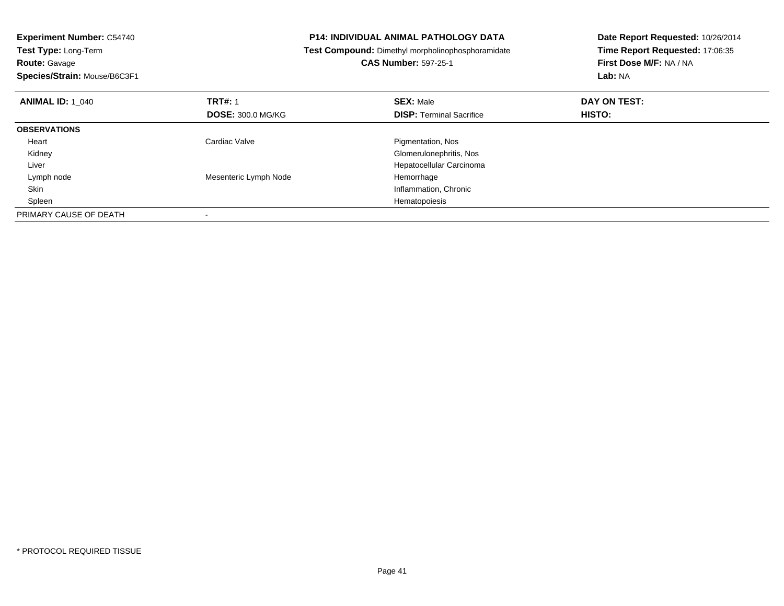| <b>Experiment Number: C54740</b>          | <b>P14: INDIVIDUAL ANIMAL PATHOLOGY DATA</b>      | Date Report Requested: 10/26/2014 |
|-------------------------------------------|---------------------------------------------------|-----------------------------------|
| Test Type: Long-Term                      | Test Compound: Dimethyl morpholinophosphoramidate | Time Report Requested: 17:06:35   |
| <b>Route: Gavage</b>                      | <b>CAS Number: 597-25-1</b>                       | First Dose M/F: NA / NA           |
| Species/Strain: Mouse/B6C3F1              |                                                   | Lab: NA                           |
| <b>TRT#: 1</b><br><b>ANIMAL ID: 1 040</b> | <b>SEX: Male</b>                                  | DAY ON TEST:                      |
| <b>DOSE: 300.0 MG/KG</b>                  | <b>DISP: Terminal Sacrifice</b>                   | <b>HISTO:</b>                     |
| <b>OBSERVATIONS</b>                       |                                                   |                                   |
| Cardiac Valve<br>Heart                    | Pigmentation, Nos                                 |                                   |
| Kidney                                    | Glomerulonephritis, Nos                           |                                   |
| Liver                                     | Hepatocellular Carcinoma                          |                                   |
| Mesenteric Lymph Node<br>Lymph node       | Hemorrhage                                        |                                   |
| Skin                                      | Inflammation, Chronic                             |                                   |
| Spleen                                    | Hematopoiesis                                     |                                   |
| PRIMARY CAUSE OF DEATH                    |                                                   |                                   |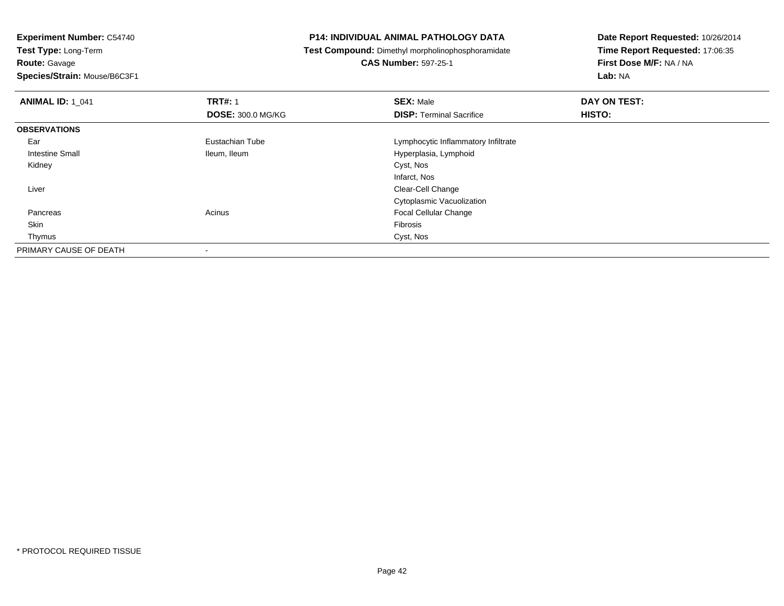**Route:** Gavage

**Species/Strain:** Mouse/B6C3F1

#### **P14: INDIVIDUAL ANIMAL PATHOLOGY DATA**

**Test Compound:** Dimethyl morpholinophosphoramidate

**CAS Number:** 597-25-1

| <b>ANIMAL ID: 1 041</b> | <b>TRT#: 1</b>           | <b>SEX: Male</b>                    | DAY ON TEST: |  |
|-------------------------|--------------------------|-------------------------------------|--------------|--|
|                         | <b>DOSE: 300.0 MG/KG</b> | <b>DISP: Terminal Sacrifice</b>     | HISTO:       |  |
| <b>OBSERVATIONS</b>     |                          |                                     |              |  |
| Ear                     | Eustachian Tube          | Lymphocytic Inflammatory Infiltrate |              |  |
| Intestine Small         | Ileum, Ileum             | Hyperplasia, Lymphoid               |              |  |
| Kidney                  |                          | Cyst, Nos                           |              |  |
|                         |                          | Infarct, Nos                        |              |  |
| Liver                   |                          | Clear-Cell Change                   |              |  |
|                         |                          | Cytoplasmic Vacuolization           |              |  |
| Pancreas                | Acinus                   | <b>Focal Cellular Change</b>        |              |  |
| Skin                    |                          | Fibrosis                            |              |  |
| Thymus                  |                          | Cyst, Nos                           |              |  |
| PRIMARY CAUSE OF DEATH  |                          |                                     |              |  |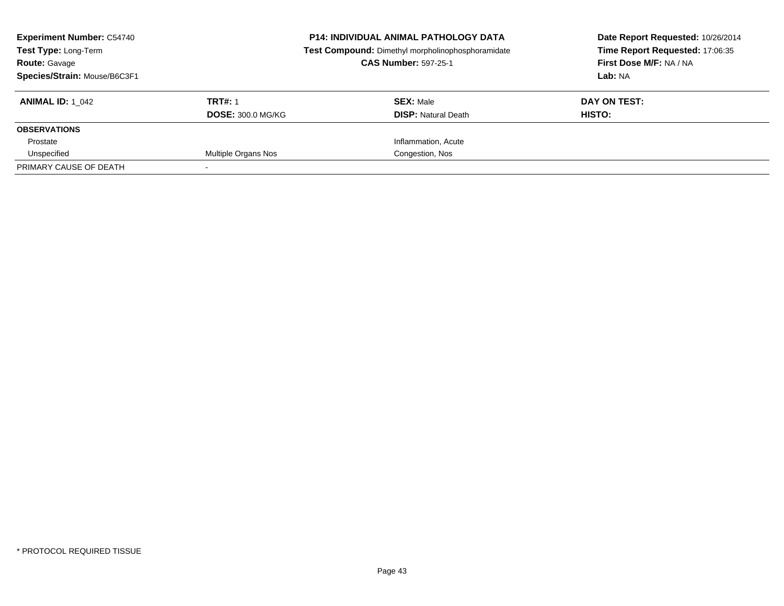| <b>Experiment Number: C54740</b><br>Test Type: Long-Term<br><b>Route: Gavage</b><br>Species/Strain: Mouse/B6C3F1 |                                            | <b>P14: INDIVIDUAL ANIMAL PATHOLOGY DATA</b><br>Test Compound: Dimethyl morpholinophosphoramidate<br><b>CAS Number: 597-25-1</b> | Date Report Requested: 10/26/2014<br>Time Report Requested: 17:06:35<br>First Dose M/F: NA / NA<br>Lab: NA |  |
|------------------------------------------------------------------------------------------------------------------|--------------------------------------------|----------------------------------------------------------------------------------------------------------------------------------|------------------------------------------------------------------------------------------------------------|--|
| <b>ANIMAL ID:</b> 1 042                                                                                          | <b>TRT#: 1</b><br><b>DOSE: 300.0 MG/KG</b> | <b>SEX: Male</b><br><b>DISP:</b> Natural Death                                                                                   | DAY ON TEST:<br>HISTO:                                                                                     |  |
| <b>OBSERVATIONS</b>                                                                                              |                                            |                                                                                                                                  |                                                                                                            |  |
| Prostate                                                                                                         |                                            | Inflammation, Acute                                                                                                              |                                                                                                            |  |
| Unspecified                                                                                                      | Multiple Organs Nos                        | Congestion, Nos                                                                                                                  |                                                                                                            |  |
| PRIMARY CAUSE OF DEATH                                                                                           |                                            |                                                                                                                                  |                                                                                                            |  |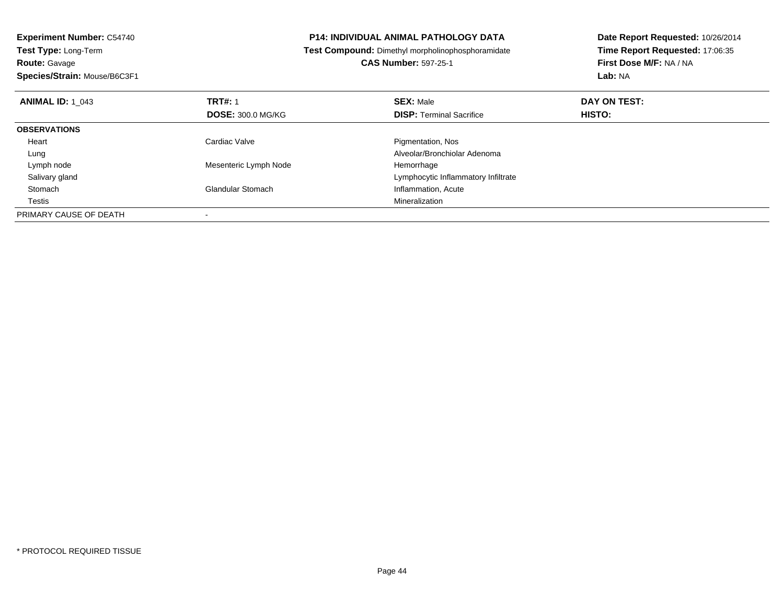| <b>Experiment Number: C54740</b><br><b>Test Type: Long-Term</b> |                          | P14: INDIVIDUAL ANIMAL PATHOLOGY DATA                    | Date Report Requested: 10/26/2014 |
|-----------------------------------------------------------------|--------------------------|----------------------------------------------------------|-----------------------------------|
|                                                                 |                          | <b>Test Compound:</b> Dimethyl morpholinophosphoramidate | Time Report Requested: 17:06:35   |
| <b>Route: Gavage</b>                                            |                          | <b>CAS Number: 597-25-1</b>                              | First Dose M/F: NA / NA           |
| Species/Strain: Mouse/B6C3F1                                    |                          |                                                          | Lab: NA                           |
| <b>TRT#: 1</b><br><b>ANIMAL ID: 1 043</b>                       |                          | <b>SEX: Male</b>                                         | DAY ON TEST:                      |
|                                                                 | <b>DOSE: 300.0 MG/KG</b> | <b>DISP:</b> Terminal Sacrifice                          | <b>HISTO:</b>                     |
| <b>OBSERVATIONS</b>                                             |                          |                                                          |                                   |
| Cardiac Valve<br>Heart                                          |                          | Pigmentation, Nos                                        |                                   |
| Lung                                                            |                          | Alveolar/Bronchiolar Adenoma                             |                                   |
| Lymph node                                                      | Mesenteric Lymph Node    | Hemorrhage                                               |                                   |
| Salivary gland                                                  |                          | Lymphocytic Inflammatory Infiltrate                      |                                   |
| Stomach<br><b>Glandular Stomach</b>                             |                          | Inflammation, Acute                                      |                                   |
| Testis                                                          |                          | Mineralization                                           |                                   |
| PRIMARY CAUSE OF DEATH                                          |                          |                                                          |                                   |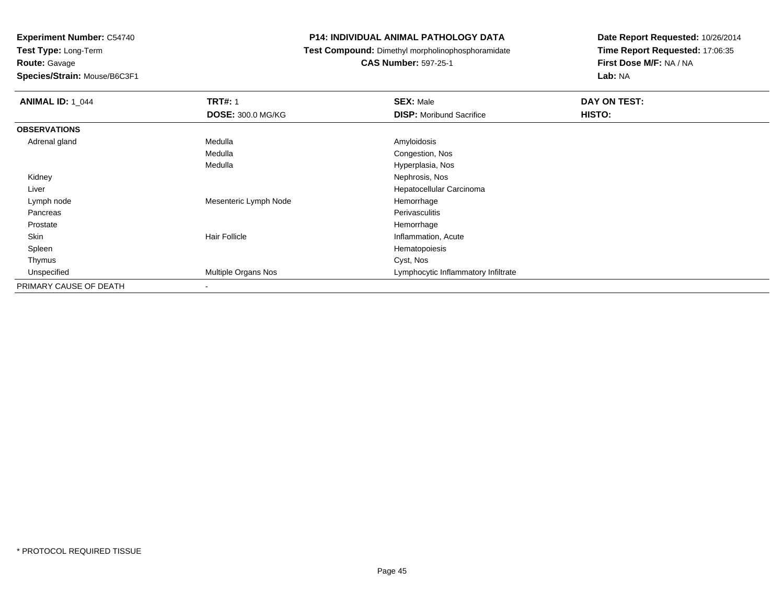**Route:** Gavage

**Species/Strain:** Mouse/B6C3F1

#### **P14: INDIVIDUAL ANIMAL PATHOLOGY DATA**

**Test Compound:** Dimethyl morpholinophosphoramidate

**CAS Number:** 597-25-1

| <b>ANIMAL ID: 1 044</b> | <b>TRT#: 1</b>           | <b>SEX: Male</b>                    | DAY ON TEST: |
|-------------------------|--------------------------|-------------------------------------|--------------|
|                         | DOSE: 300.0 MG/KG        | <b>DISP:</b> Moribund Sacrifice     | HISTO:       |
| <b>OBSERVATIONS</b>     |                          |                                     |              |
| Adrenal gland           | Medulla                  | Amyloidosis                         |              |
|                         | Medulla                  | Congestion, Nos                     |              |
|                         | Medulla                  | Hyperplasia, Nos                    |              |
| Kidney                  |                          | Nephrosis, Nos                      |              |
| Liver                   |                          | Hepatocellular Carcinoma            |              |
| Lymph node              | Mesenteric Lymph Node    | Hemorrhage                          |              |
| Pancreas                |                          | Perivasculitis                      |              |
| Prostate                |                          | Hemorrhage                          |              |
| Skin                    | <b>Hair Follicle</b>     | Inflammation, Acute                 |              |
| Spleen                  |                          | Hematopoiesis                       |              |
| Thymus                  |                          | Cyst, Nos                           |              |
| Unspecified             | Multiple Organs Nos      | Lymphocytic Inflammatory Infiltrate |              |
| PRIMARY CAUSE OF DEATH  | $\overline{\phantom{a}}$ |                                     |              |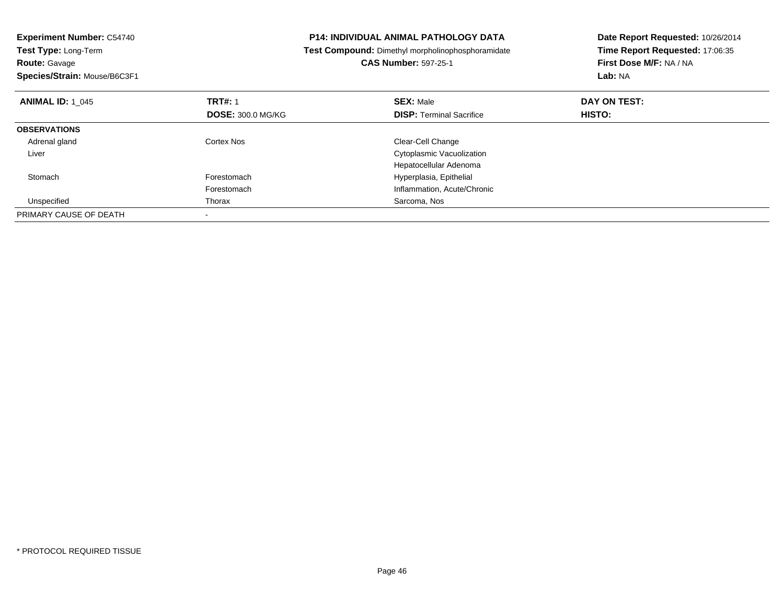| <b>Experiment Number: C54740</b><br>Test Type: Long-Term |                          | <b>P14: INDIVIDUAL ANIMAL PATHOLOGY DATA</b>      | Date Report Requested: 10/26/2014 |
|----------------------------------------------------------|--------------------------|---------------------------------------------------|-----------------------------------|
|                                                          |                          | Test Compound: Dimethyl morpholinophosphoramidate | Time Report Requested: 17:06:35   |
| <b>Route: Gavage</b>                                     |                          | <b>CAS Number: 597-25-1</b>                       | First Dose M/F: NA / NA           |
| Species/Strain: Mouse/B6C3F1                             |                          |                                                   | Lab: NA                           |
| <b>ANIMAL ID: 1 045</b>                                  | <b>TRT#: 1</b>           | <b>SEX: Male</b>                                  | DAY ON TEST:                      |
|                                                          | <b>DOSE: 300.0 MG/KG</b> | <b>DISP: Terminal Sacrifice</b>                   | HISTO:                            |
| <b>OBSERVATIONS</b>                                      |                          |                                                   |                                   |
| Adrenal gland                                            | Cortex Nos               | Clear-Cell Change                                 |                                   |
| Liver                                                    |                          | Cytoplasmic Vacuolization                         |                                   |
|                                                          |                          | Hepatocellular Adenoma                            |                                   |
| Stomach                                                  | Forestomach              | Hyperplasia, Epithelial                           |                                   |
|                                                          | Forestomach              | Inflammation, Acute/Chronic                       |                                   |
| Unspecified                                              | Thorax                   | Sarcoma, Nos                                      |                                   |
| PRIMARY CAUSE OF DEATH                                   |                          |                                                   |                                   |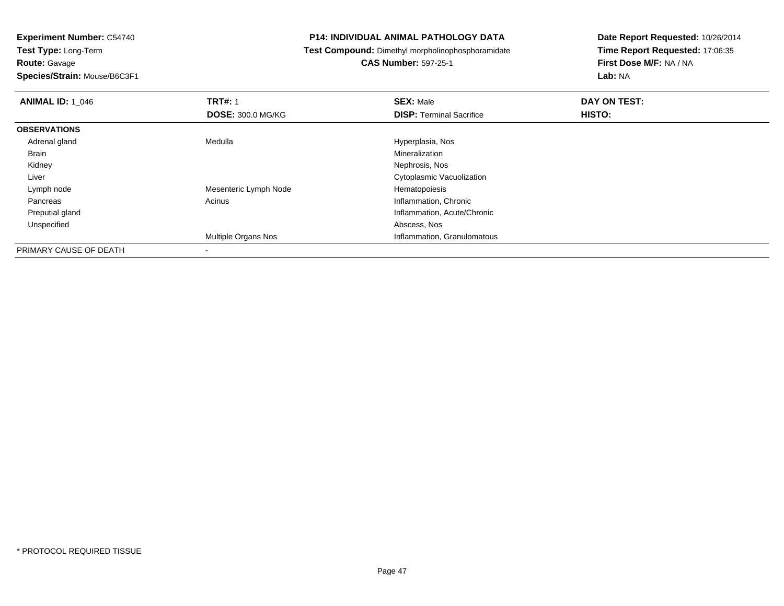**Route:** Gavage

**Species/Strain:** Mouse/B6C3F1

#### **P14: INDIVIDUAL ANIMAL PATHOLOGY DATA**

**Test Compound:** Dimethyl morpholinophosphoramidate

**CAS Number:** 597-25-1

| <b>ANIMAL ID: 1 046</b> | <b>TRT#: 1</b>             | <b>SEX: Male</b>                | DAY ON TEST: |  |
|-------------------------|----------------------------|---------------------------------|--------------|--|
|                         | <b>DOSE: 300.0 MG/KG</b>   | <b>DISP: Terminal Sacrifice</b> | HISTO:       |  |
| <b>OBSERVATIONS</b>     |                            |                                 |              |  |
| Adrenal gland           | Medulla                    | Hyperplasia, Nos                |              |  |
| <b>Brain</b>            |                            | Mineralization                  |              |  |
| Kidney                  |                            | Nephrosis, Nos                  |              |  |
| Liver                   |                            | Cytoplasmic Vacuolization       |              |  |
| Lymph node              | Mesenteric Lymph Node      | Hematopoiesis                   |              |  |
| Pancreas                | Acinus                     | Inflammation, Chronic           |              |  |
| Preputial gland         |                            | Inflammation, Acute/Chronic     |              |  |
| Unspecified             |                            | Abscess, Nos                    |              |  |
|                         | <b>Multiple Organs Nos</b> | Inflammation, Granulomatous     |              |  |
| PRIMARY CAUSE OF DEATH  |                            |                                 |              |  |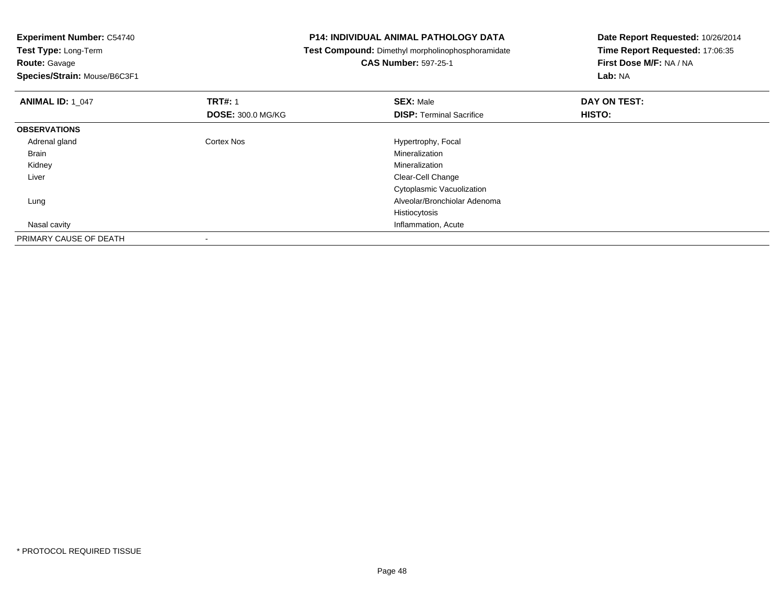**Route:** Gavage

**Species/Strain:** Mouse/B6C3F1

#### **P14: INDIVIDUAL ANIMAL PATHOLOGY DATA**

**Test Compound:** Dimethyl morpholinophosphoramidate

**CAS Number:** 597-25-1

| <b>ANIMAL ID: 1 047</b> | <b>TRT#: 1</b>           | <b>SEX: Male</b>                | DAY ON TEST: |  |
|-------------------------|--------------------------|---------------------------------|--------------|--|
|                         | <b>DOSE: 300.0 MG/KG</b> | <b>DISP: Terminal Sacrifice</b> | HISTO:       |  |
| <b>OBSERVATIONS</b>     |                          |                                 |              |  |
| Adrenal gland           | Cortex Nos               | Hypertrophy, Focal              |              |  |
| <b>Brain</b>            |                          | Mineralization                  |              |  |
| Kidney                  |                          | Mineralization                  |              |  |
| Liver                   |                          | Clear-Cell Change               |              |  |
|                         |                          | Cytoplasmic Vacuolization       |              |  |
| Lung                    |                          | Alveolar/Bronchiolar Adenoma    |              |  |
|                         |                          | Histiocytosis                   |              |  |
| Nasal cavity            |                          | Inflammation, Acute             |              |  |
| PRIMARY CAUSE OF DEATH  | $\,$                     |                                 |              |  |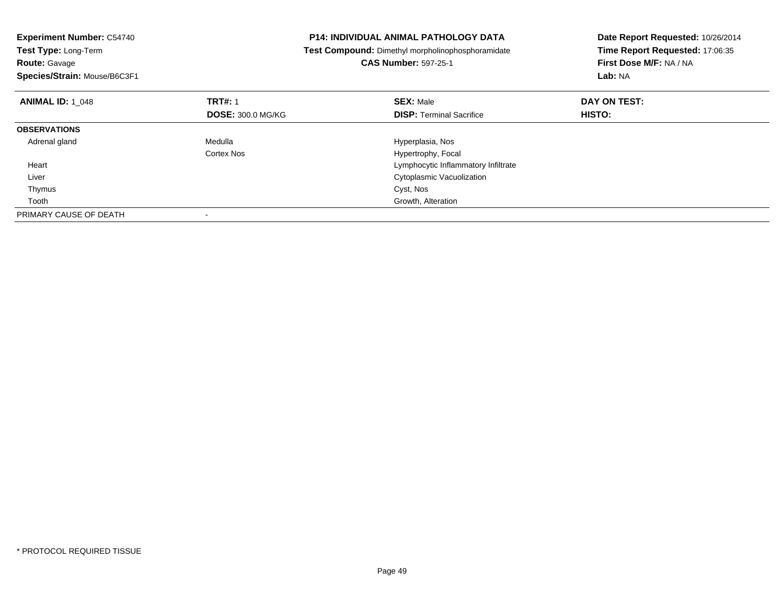| <b>Experiment Number: C54740</b><br>Test Type: Long-Term<br><b>Route: Gavage</b><br>Species/Strain: Mouse/B6C3F1 |                                            | <b>P14: INDIVIDUAL ANIMAL PATHOLOGY DATA</b><br>Test Compound: Dimethyl morpholinophosphoramidate<br><b>CAS Number: 597-25-1</b> | Date Report Requested: 10/26/2014<br>Time Report Requested: 17:06:35<br>First Dose M/F: NA / NA<br>Lab: NA |
|------------------------------------------------------------------------------------------------------------------|--------------------------------------------|----------------------------------------------------------------------------------------------------------------------------------|------------------------------------------------------------------------------------------------------------|
| <b>ANIMAL ID: 1 048</b>                                                                                          | <b>TRT#: 1</b><br><b>DOSE: 300.0 MG/KG</b> | <b>SEX: Male</b><br><b>DISP:</b> Terminal Sacrifice                                                                              | DAY ON TEST:<br><b>HISTO:</b>                                                                              |
| <b>OBSERVATIONS</b>                                                                                              |                                            |                                                                                                                                  |                                                                                                            |
| Adrenal gland                                                                                                    | Medulla                                    | Hyperplasia, Nos                                                                                                                 |                                                                                                            |
|                                                                                                                  | Cortex Nos                                 | Hypertrophy, Focal                                                                                                               |                                                                                                            |
| Heart                                                                                                            |                                            | Lymphocytic Inflammatory Infiltrate                                                                                              |                                                                                                            |
| Liver                                                                                                            |                                            | Cytoplasmic Vacuolization                                                                                                        |                                                                                                            |
| Thymus                                                                                                           |                                            | Cyst, Nos                                                                                                                        |                                                                                                            |
| Tooth                                                                                                            |                                            | Growth, Alteration                                                                                                               |                                                                                                            |
| PRIMARY CAUSE OF DEATH                                                                                           |                                            |                                                                                                                                  |                                                                                                            |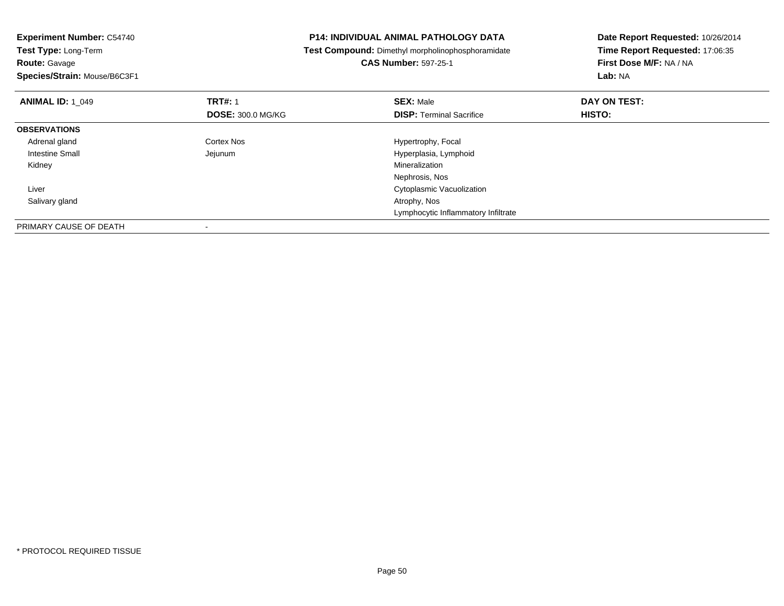|                                                                     | Date Report Requested: 10/26/2014                                                                 |  |
|---------------------------------------------------------------------|---------------------------------------------------------------------------------------------------|--|
|                                                                     | Time Report Requested: 17:06:35                                                                   |  |
| <b>CAS Number: 597-25-1</b>                                         | First Dose M/F: NA / NA                                                                           |  |
|                                                                     | Lab: NA                                                                                           |  |
| <b>SEX: Male</b>                                                    | DAY ON TEST:                                                                                      |  |
| <b>DISP:</b> Terminal Sacrifice                                     | <b>HISTO:</b>                                                                                     |  |
|                                                                     |                                                                                                   |  |
| Hypertrophy, Focal                                                  |                                                                                                   |  |
| Hyperplasia, Lymphoid                                               |                                                                                                   |  |
| Mineralization                                                      |                                                                                                   |  |
| Nephrosis, Nos                                                      |                                                                                                   |  |
| Cytoplasmic Vacuolization                                           |                                                                                                   |  |
| Atrophy, Nos                                                        |                                                                                                   |  |
| Lymphocytic Inflammatory Infiltrate                                 |                                                                                                   |  |
|                                                                     |                                                                                                   |  |
| <b>TRT#: 1</b><br><b>DOSE: 300.0 MG/KG</b><br>Cortex Nos<br>Jejunum | <b>P14: INDIVIDUAL ANIMAL PATHOLOGY DATA</b><br>Test Compound: Dimethyl morpholinophosphoramidate |  |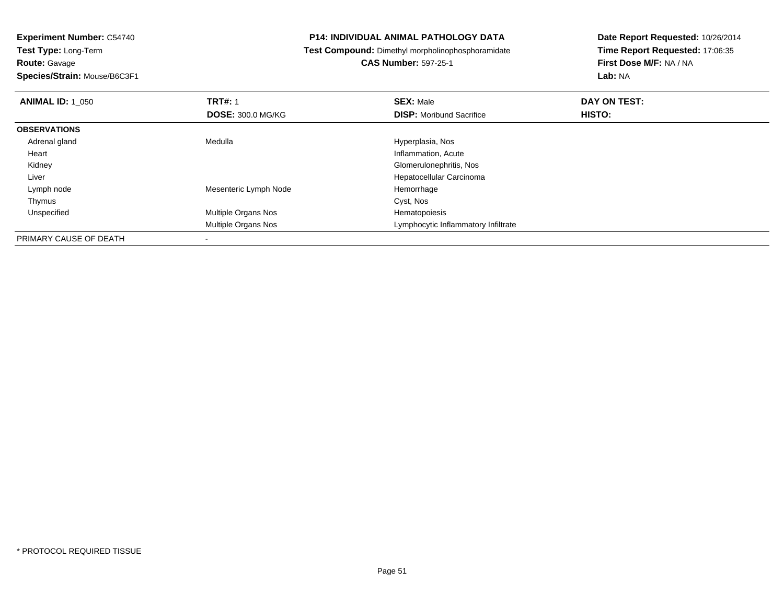**Experiment Number:** C54740**Test Type:** Long-Term**Route:** Gavage

**Species/Strain:** Mouse/B6C3F1

-

#### **P14: INDIVIDUAL ANIMAL PATHOLOGY DATA**

**Test Compound:** Dimethyl morpholinophosphoramidate

**CAS Number:** 597-25-1

| <b>ANIMAL ID: 1 050</b> | <b>TRT#: 1</b>           | <b>SEX: Male</b>                    | DAY ON TEST:  |  |
|-------------------------|--------------------------|-------------------------------------|---------------|--|
|                         | <b>DOSE: 300.0 MG/KG</b> | <b>DISP:</b> Moribund Sacrifice     | <b>HISTO:</b> |  |
| <b>OBSERVATIONS</b>     |                          |                                     |               |  |
| Adrenal gland           | Medulla                  | Hyperplasia, Nos                    |               |  |
| Heart                   |                          | Inflammation, Acute                 |               |  |
| Kidney                  |                          | Glomerulonephritis, Nos             |               |  |
| Liver                   |                          | Hepatocellular Carcinoma            |               |  |
| Lymph node              | Mesenteric Lymph Node    | Hemorrhage                          |               |  |
| Thymus                  |                          | Cyst, Nos                           |               |  |
| Unspecified             | Multiple Organs Nos      | Hematopoiesis                       |               |  |
|                         | Multiple Organs Nos      | Lymphocytic Inflammatory Infiltrate |               |  |
| PRIMARY CAUSE OF DEATH  | $\overline{\phantom{a}}$ |                                     |               |  |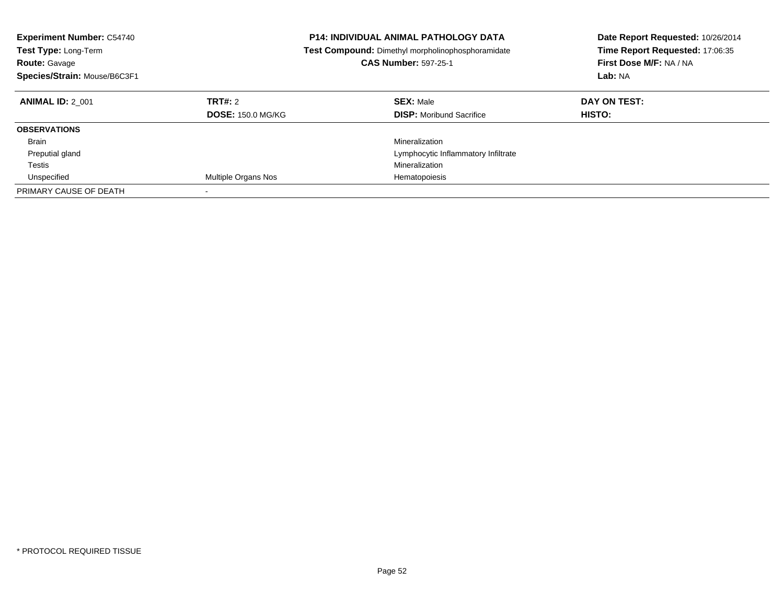| <b>Experiment Number: C54740</b><br><b>Test Type: Long-Term</b><br><b>Route: Gavage</b><br>Species/Strain: Mouse/B6C3F1 |                                     | <b>P14: INDIVIDUAL ANIMAL PATHOLOGY DATA</b><br><b>Test Compound:</b> Dimethyl morpholinophosphoramidate<br><b>CAS Number: 597-25-1</b> | Date Report Requested: 10/26/2014<br>Time Report Requested: 17:06:35<br>First Dose M/F: NA / NA<br>Lab: NA |
|-------------------------------------------------------------------------------------------------------------------------|-------------------------------------|-----------------------------------------------------------------------------------------------------------------------------------------|------------------------------------------------------------------------------------------------------------|
| <b>ANIMAL ID: 2 001</b>                                                                                                 | TRT#: 2<br><b>DOSE: 150.0 MG/KG</b> | <b>SEX: Male</b><br><b>DISP:</b> Moribund Sacrifice                                                                                     | DAY ON TEST:<br><b>HISTO:</b>                                                                              |
| <b>OBSERVATIONS</b>                                                                                                     |                                     |                                                                                                                                         |                                                                                                            |
| <b>Brain</b>                                                                                                            |                                     | Mineralization                                                                                                                          |                                                                                                            |
| Preputial gland                                                                                                         |                                     | Lymphocytic Inflammatory Infiltrate                                                                                                     |                                                                                                            |
| Testis                                                                                                                  |                                     | Mineralization                                                                                                                          |                                                                                                            |
| Unspecified                                                                                                             | Multiple Organs Nos                 | Hematopoiesis                                                                                                                           |                                                                                                            |
| PRIMARY CAUSE OF DEATH                                                                                                  | $\overline{\phantom{a}}$            |                                                                                                                                         |                                                                                                            |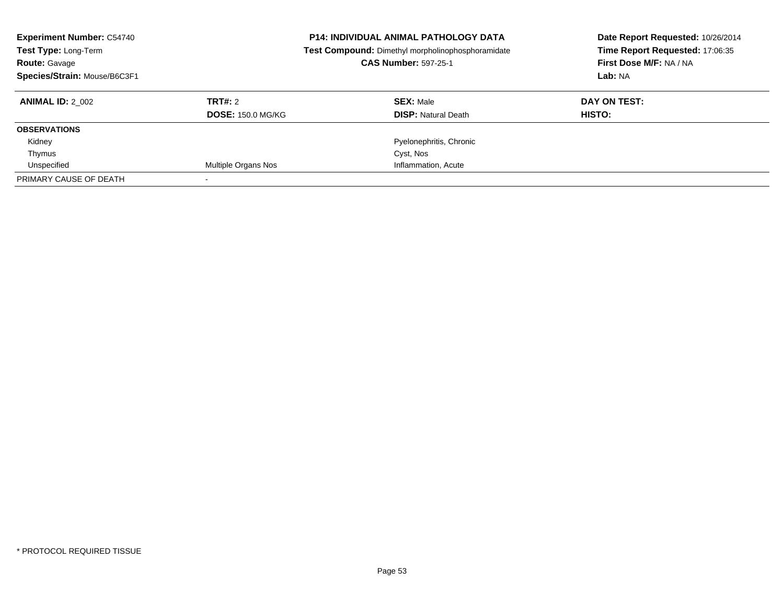| <b>Experiment Number: C54740</b><br>Test Type: Long-Term<br><b>Route: Gavage</b><br>Species/Strain: Mouse/B6C3F1 |                          | <b>P14: INDIVIDUAL ANIMAL PATHOLOGY DATA</b><br>Test Compound: Dimethyl morpholinophosphoramidate<br><b>CAS Number: 597-25-1</b> | Date Report Requested: 10/26/2014<br>Time Report Requested: 17:06:35<br>First Dose M/F: NA / NA<br>Lab: NA |
|------------------------------------------------------------------------------------------------------------------|--------------------------|----------------------------------------------------------------------------------------------------------------------------------|------------------------------------------------------------------------------------------------------------|
| <b>ANIMAL ID: 2 002</b>                                                                                          | TRT#: 2                  | <b>SEX: Male</b>                                                                                                                 | DAY ON TEST:                                                                                               |
|                                                                                                                  | <b>DOSE: 150.0 MG/KG</b> | <b>DISP:</b> Natural Death                                                                                                       | HISTO:                                                                                                     |
| <b>OBSERVATIONS</b>                                                                                              |                          |                                                                                                                                  |                                                                                                            |
| Kidney                                                                                                           |                          | Pyelonephritis, Chronic                                                                                                          |                                                                                                            |
| Thymus                                                                                                           |                          | Cyst, Nos                                                                                                                        |                                                                                                            |
| Unspecified                                                                                                      | Multiple Organs Nos      | Inflammation, Acute                                                                                                              |                                                                                                            |
| PRIMARY CAUSE OF DEATH                                                                                           |                          |                                                                                                                                  |                                                                                                            |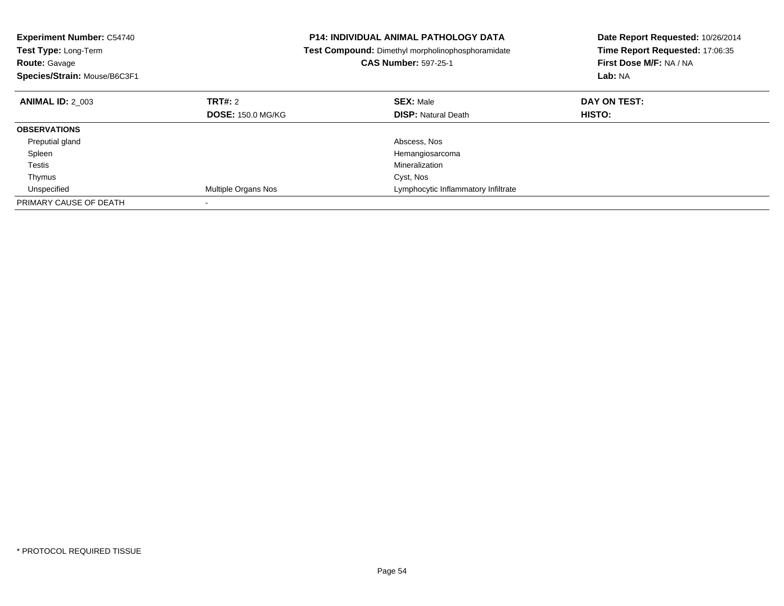| <b>Experiment Number: C54740</b><br><b>Test Type: Long-Term</b><br><b>Route: Gavage</b><br>Species/Strain: Mouse/B6C3F1 |                          | P14: INDIVIDUAL ANIMAL PATHOLOGY DATA<br>Test Compound: Dimethyl morpholinophosphoramidate<br><b>CAS Number: 597-25-1</b> | Date Report Requested: 10/26/2014<br>Time Report Requested: 17:06:35<br>First Dose M/F: NA / NA<br>Lab: NA |
|-------------------------------------------------------------------------------------------------------------------------|--------------------------|---------------------------------------------------------------------------------------------------------------------------|------------------------------------------------------------------------------------------------------------|
|                                                                                                                         |                          |                                                                                                                           |                                                                                                            |
| <b>ANIMAL ID: 2 003</b>                                                                                                 | TRT#: 2                  | <b>SEX: Male</b>                                                                                                          | DAY ON TEST:                                                                                               |
|                                                                                                                         | <b>DOSE: 150.0 MG/KG</b> | <b>DISP:</b> Natural Death                                                                                                | <b>HISTO:</b>                                                                                              |
| <b>OBSERVATIONS</b>                                                                                                     |                          |                                                                                                                           |                                                                                                            |
| Preputial gland                                                                                                         |                          | Abscess, Nos                                                                                                              |                                                                                                            |
| Spleen                                                                                                                  |                          | Hemangiosarcoma                                                                                                           |                                                                                                            |
| Testis                                                                                                                  |                          | Mineralization                                                                                                            |                                                                                                            |
| Thymus                                                                                                                  |                          | Cyst, Nos                                                                                                                 |                                                                                                            |
| Unspecified                                                                                                             | Multiple Organs Nos      | Lymphocytic Inflammatory Infiltrate                                                                                       |                                                                                                            |
| PRIMARY CAUSE OF DEATH                                                                                                  |                          |                                                                                                                           |                                                                                                            |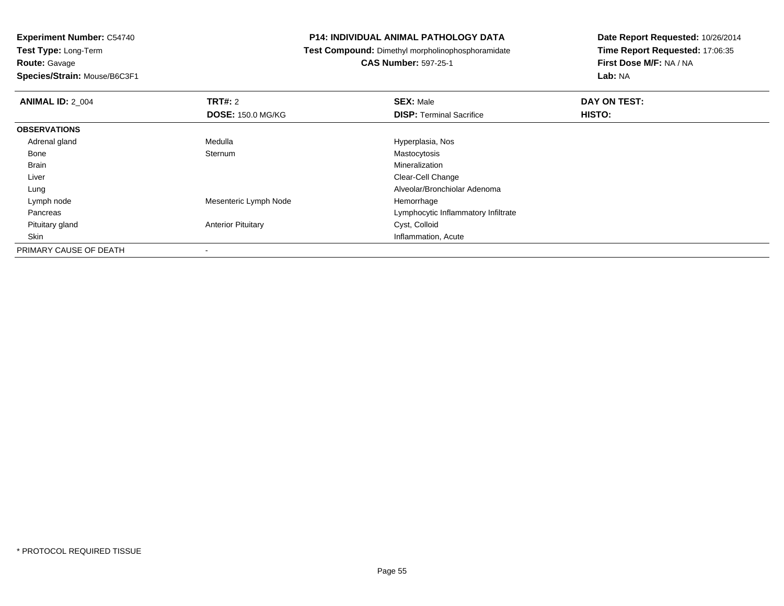**Experiment Number:** C54740**Test Type:** Long-Term**Route:** Gavage

**Species/Strain:** Mouse/B6C3F1

#### **P14: INDIVIDUAL ANIMAL PATHOLOGY DATA**

**Test Compound:** Dimethyl morpholinophosphoramidate

**CAS Number:** 597-25-1

| <b>ANIMAL ID: 2 004</b> | TRT#: 2                   | <b>SEX: Male</b>                    | DAY ON TEST: |
|-------------------------|---------------------------|-------------------------------------|--------------|
|                         | <b>DOSE: 150.0 MG/KG</b>  | <b>DISP: Terminal Sacrifice</b>     | HISTO:       |
| <b>OBSERVATIONS</b>     |                           |                                     |              |
| Adrenal gland           | Medulla                   | Hyperplasia, Nos                    |              |
| Bone                    | Sternum                   | Mastocytosis                        |              |
| <b>Brain</b>            |                           | Mineralization                      |              |
| Liver                   |                           | Clear-Cell Change                   |              |
| Lung                    |                           | Alveolar/Bronchiolar Adenoma        |              |
| Lymph node              | Mesenteric Lymph Node     | Hemorrhage                          |              |
| Pancreas                |                           | Lymphocytic Inflammatory Infiltrate |              |
| Pituitary gland         | <b>Anterior Pituitary</b> | Cyst, Colloid                       |              |
| Skin                    |                           | Inflammation, Acute                 |              |
| PRIMARY CAUSE OF DEATH  |                           |                                     |              |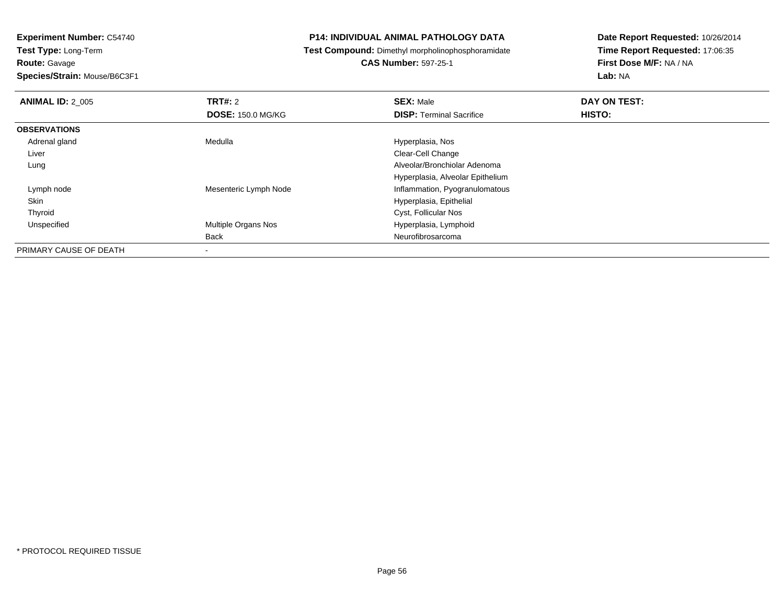**Route:** Gavage

**Species/Strain:** Mouse/B6C3F1

#### **P14: INDIVIDUAL ANIMAL PATHOLOGY DATA**

**Test Compound:** Dimethyl morpholinophosphoramidate

### **CAS Number:** 597-25-1

| <b>ANIMAL ID: 2 005</b> | TRT#: 2                  | <b>SEX: Male</b>                 | DAY ON TEST: |  |
|-------------------------|--------------------------|----------------------------------|--------------|--|
|                         | <b>DOSE: 150.0 MG/KG</b> | <b>DISP: Terminal Sacrifice</b>  | HISTO:       |  |
| <b>OBSERVATIONS</b>     |                          |                                  |              |  |
| Adrenal gland           | Medulla                  | Hyperplasia, Nos                 |              |  |
| Liver                   |                          | Clear-Cell Change                |              |  |
| Lung                    |                          | Alveolar/Bronchiolar Adenoma     |              |  |
|                         |                          | Hyperplasia, Alveolar Epithelium |              |  |
| Lymph node              | Mesenteric Lymph Node    | Inflammation, Pyogranulomatous   |              |  |
| Skin                    |                          | Hyperplasia, Epithelial          |              |  |
| Thyroid                 |                          | Cyst, Follicular Nos             |              |  |
| Unspecified             | Multiple Organs Nos      | Hyperplasia, Lymphoid            |              |  |
|                         | <b>Back</b>              | Neurofibrosarcoma                |              |  |
| PRIMARY CAUSE OF DEATH  | $\,$                     |                                  |              |  |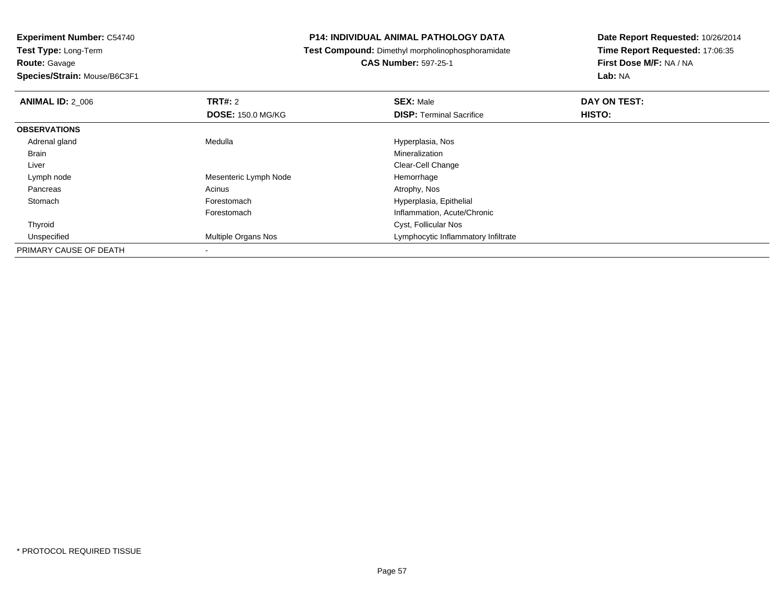**Route:** Gavage

**Species/Strain:** Mouse/B6C3F1

#### **P14: INDIVIDUAL ANIMAL PATHOLOGY DATA**

**Test Compound:** Dimethyl morpholinophosphoramidate

### **CAS Number:** 597-25-1

| <b>ANIMAL ID: 2 006</b> | TRT#: 2                  | <b>SEX: Male</b>                    | DAY ON TEST: |  |
|-------------------------|--------------------------|-------------------------------------|--------------|--|
|                         | <b>DOSE: 150.0 MG/KG</b> | <b>DISP: Terminal Sacrifice</b>     | HISTO:       |  |
| <b>OBSERVATIONS</b>     |                          |                                     |              |  |
| Adrenal gland           | Medulla                  | Hyperplasia, Nos                    |              |  |
| <b>Brain</b>            |                          | Mineralization                      |              |  |
| Liver                   |                          | Clear-Cell Change                   |              |  |
| Lymph node              | Mesenteric Lymph Node    | Hemorrhage                          |              |  |
| Pancreas                | Acinus                   | Atrophy, Nos                        |              |  |
| Stomach                 | Forestomach              | Hyperplasia, Epithelial             |              |  |
|                         | Forestomach              | Inflammation, Acute/Chronic         |              |  |
| Thyroid                 |                          | Cyst, Follicular Nos                |              |  |
| Unspecified             | Multiple Organs Nos      | Lymphocytic Inflammatory Infiltrate |              |  |
| PRIMARY CAUSE OF DEATH  |                          |                                     |              |  |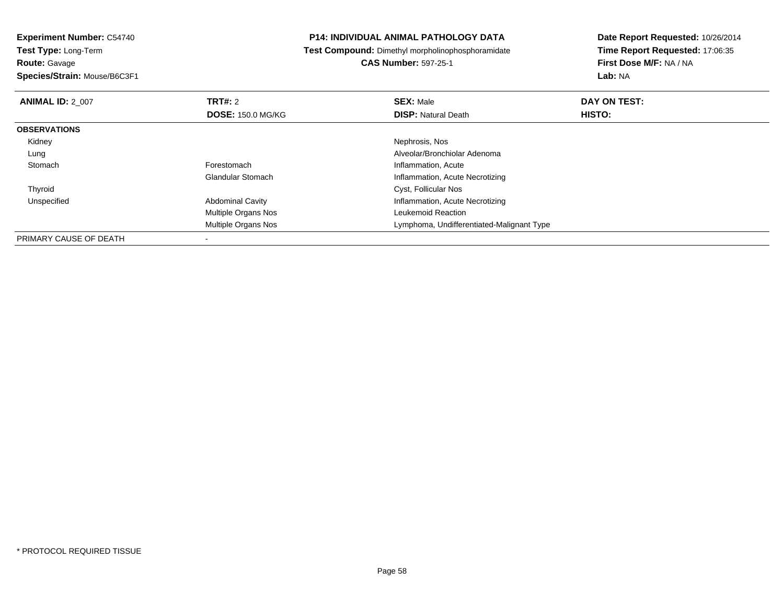**Test Type:** Long-Term**Route:** Gavage

**Species/Strain:** Mouse/B6C3F1

#### **P14: INDIVIDUAL ANIMAL PATHOLOGY DATA**

**Test Compound:** Dimethyl morpholinophosphoramidate

**CAS Number:** 597-25-1

| <b>ANIMAL ID: 2 007</b> | TRT#: 2                    | <b>SEX: Male</b>                          | DAY ON TEST:  |  |
|-------------------------|----------------------------|-------------------------------------------|---------------|--|
|                         | <b>DOSE: 150.0 MG/KG</b>   | <b>DISP:</b> Natural Death                | <b>HISTO:</b> |  |
| <b>OBSERVATIONS</b>     |                            |                                           |               |  |
| Kidney                  |                            | Nephrosis, Nos                            |               |  |
| Lung                    |                            | Alveolar/Bronchiolar Adenoma              |               |  |
| Stomach                 | Forestomach                | Inflammation, Acute                       |               |  |
|                         | <b>Glandular Stomach</b>   | Inflammation, Acute Necrotizing           |               |  |
| Thyroid                 |                            | Cyst, Follicular Nos                      |               |  |
| Unspecified             | <b>Abdominal Cavity</b>    | Inflammation, Acute Necrotizing           |               |  |
|                         | <b>Multiple Organs Nos</b> | Leukemoid Reaction                        |               |  |
|                         | <b>Multiple Organs Nos</b> | Lymphoma, Undifferentiated-Malignant Type |               |  |
| PRIMARY CAUSE OF DEATH  |                            |                                           |               |  |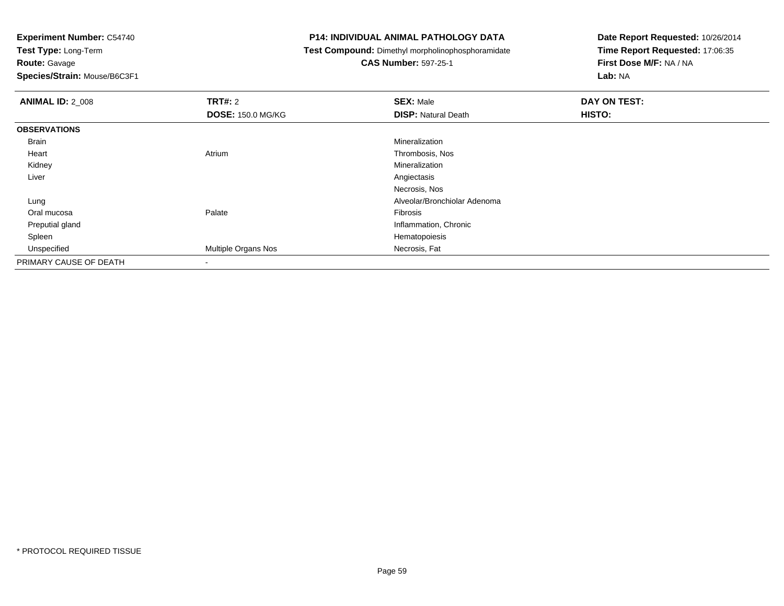**Test Type:** Long-Term**Route:** Gavage

**Species/Strain:** Mouse/B6C3F1

#### **P14: INDIVIDUAL ANIMAL PATHOLOGY DATA**

**Test Compound:** Dimethyl morpholinophosphoramidate

**CAS Number:** 597-25-1

| <b>ANIMAL ID: 2 008</b> | <b>TRT#: 2</b>           | <b>SEX: Male</b>             | DAY ON TEST: |
|-------------------------|--------------------------|------------------------------|--------------|
|                         | <b>DOSE: 150.0 MG/KG</b> | <b>DISP:</b> Natural Death   | HISTO:       |
| <b>OBSERVATIONS</b>     |                          |                              |              |
| <b>Brain</b>            |                          | Mineralization               |              |
| Heart                   | Atrium                   | Thrombosis, Nos              |              |
| Kidney                  |                          | Mineralization               |              |
| Liver                   |                          | Angiectasis                  |              |
|                         |                          | Necrosis, Nos                |              |
| Lung                    |                          | Alveolar/Bronchiolar Adenoma |              |
| Oral mucosa             | Palate                   | Fibrosis                     |              |
| Preputial gland         |                          | Inflammation, Chronic        |              |
| Spleen                  |                          | Hematopoiesis                |              |
| Unspecified             | Multiple Organs Nos      | Necrosis, Fat                |              |
| PRIMARY CAUSE OF DEATH  | ۰                        |                              |              |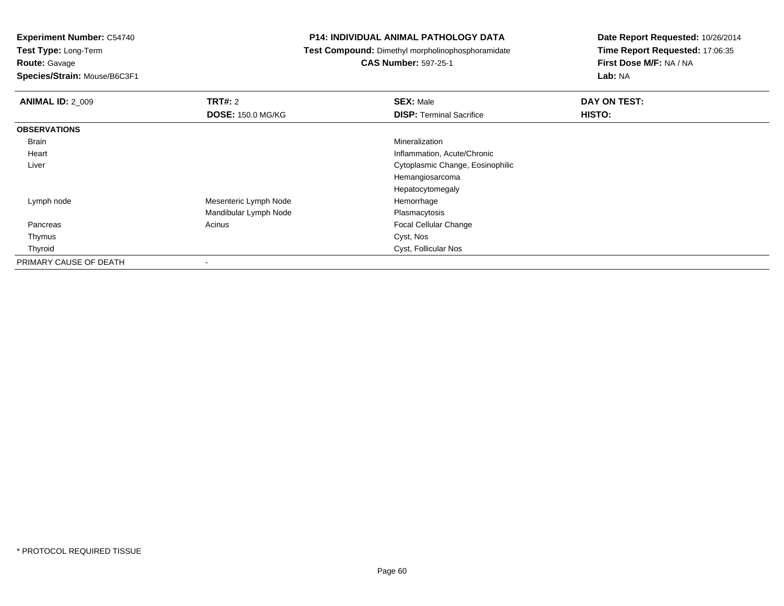**Route:** Gavage

**Species/Strain:** Mouse/B6C3F1

#### **P14: INDIVIDUAL ANIMAL PATHOLOGY DATA**

**Test Compound:** Dimethyl morpholinophosphoramidate

**CAS Number:** 597-25-1

| <b>ANIMAL ID: 2_009</b> | <b>TRT#: 2</b>           | <b>SEX: Male</b>                 | DAY ON TEST: |  |
|-------------------------|--------------------------|----------------------------------|--------------|--|
|                         | <b>DOSE: 150.0 MG/KG</b> | <b>DISP: Terminal Sacrifice</b>  | HISTO:       |  |
| <b>OBSERVATIONS</b>     |                          |                                  |              |  |
| Brain                   |                          | Mineralization                   |              |  |
| Heart                   |                          | Inflammation, Acute/Chronic      |              |  |
| Liver                   |                          | Cytoplasmic Change, Eosinophilic |              |  |
|                         |                          | Hemangiosarcoma                  |              |  |
|                         |                          | Hepatocytomegaly                 |              |  |
| Lymph node              | Mesenteric Lymph Node    | Hemorrhage                       |              |  |
|                         | Mandibular Lymph Node    | Plasmacytosis                    |              |  |
| Pancreas                | Acinus                   | Focal Cellular Change            |              |  |
| Thymus                  |                          | Cyst, Nos                        |              |  |
| Thyroid                 |                          | Cyst, Follicular Nos             |              |  |
| PRIMARY CAUSE OF DEATH  |                          |                                  |              |  |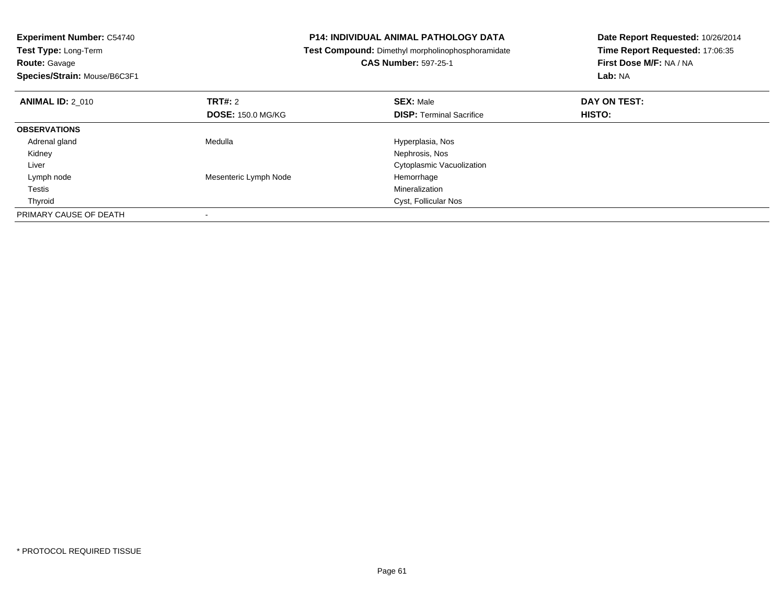| <b>Experiment Number: C54740</b><br>Test Type: Long-Term |                          | <b>P14: INDIVIDUAL ANIMAL PATHOLOGY DATA</b>      | Date Report Requested: 10/26/2014 |
|----------------------------------------------------------|--------------------------|---------------------------------------------------|-----------------------------------|
|                                                          |                          | Test Compound: Dimethyl morpholinophosphoramidate | Time Report Requested: 17:06:35   |
| <b>Route: Gavage</b>                                     |                          | <b>CAS Number: 597-25-1</b>                       | First Dose M/F: NA / NA           |
| Species/Strain: Mouse/B6C3F1                             |                          |                                                   | Lab: NA                           |
| TRT#: 2<br><b>ANIMAL ID: 2 010</b>                       |                          | <b>SEX: Male</b>                                  | DAY ON TEST:                      |
|                                                          | <b>DOSE: 150.0 MG/KG</b> | <b>DISP: Terminal Sacrifice</b>                   | <b>HISTO:</b>                     |
| <b>OBSERVATIONS</b>                                      |                          |                                                   |                                   |
| Adrenal gland<br>Medulla                                 |                          | Hyperplasia, Nos                                  |                                   |
| Kidney                                                   |                          | Nephrosis, Nos                                    |                                   |
| Liver                                                    |                          | Cytoplasmic Vacuolization                         |                                   |
| Lymph node                                               | Mesenteric Lymph Node    | Hemorrhage                                        |                                   |
| Testis                                                   |                          | Mineralization                                    |                                   |
| Thyroid                                                  |                          | Cyst, Follicular Nos                              |                                   |
| PRIMARY CAUSE OF DEATH<br>$\overline{\phantom{a}}$       |                          |                                                   |                                   |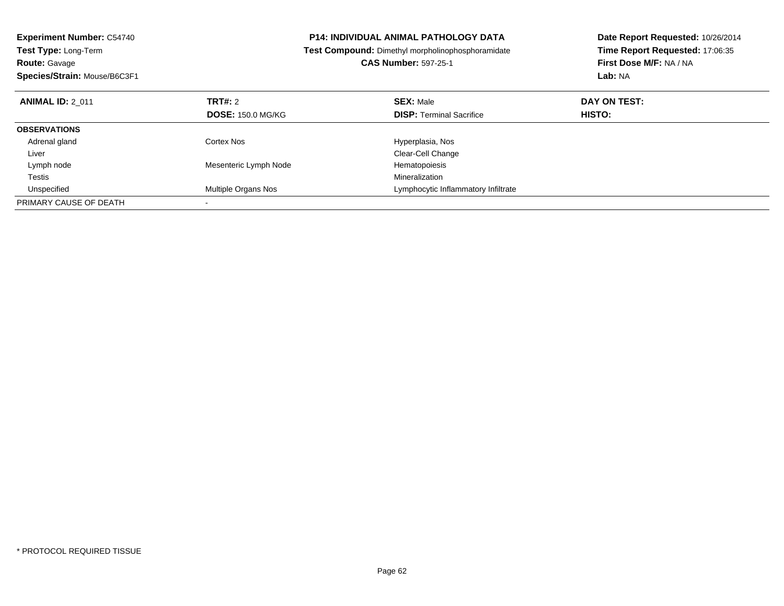| <b>Experiment Number: C54740</b> |                          | <b>P14: INDIVIDUAL ANIMAL PATHOLOGY DATA</b>             | Date Report Requested: 10/26/2014 |
|----------------------------------|--------------------------|----------------------------------------------------------|-----------------------------------|
| <b>Test Type: Long-Term</b>      |                          | <b>Test Compound:</b> Dimethyl morpholinophosphoramidate | Time Report Requested: 17:06:35   |
| <b>Route: Gavage</b>             |                          | <b>CAS Number: 597-25-1</b>                              | First Dose M/F: NA / NA           |
| Species/Strain: Mouse/B6C3F1     |                          |                                                          | Lab: NA                           |
| <b>ANIMAL ID: 2 011</b>          | <b>TRT#: 2</b>           | <b>SEX: Male</b>                                         | DAY ON TEST:                      |
|                                  | <b>DOSE: 150.0 MG/KG</b> | <b>DISP:</b> Terminal Sacrifice                          | <b>HISTO:</b>                     |
| <b>OBSERVATIONS</b>              |                          |                                                          |                                   |
| Adrenal gland                    | Cortex Nos               | Hyperplasia, Nos                                         |                                   |
| Liver                            |                          | Clear-Cell Change                                        |                                   |
| Lymph node                       | Mesenteric Lymph Node    | Hematopoiesis                                            |                                   |
| Testis                           |                          | Mineralization                                           |                                   |
| Unspecified                      | Multiple Organs Nos      | Lymphocytic Inflammatory Infiltrate                      |                                   |
| PRIMARY CAUSE OF DEATH           |                          |                                                          |                                   |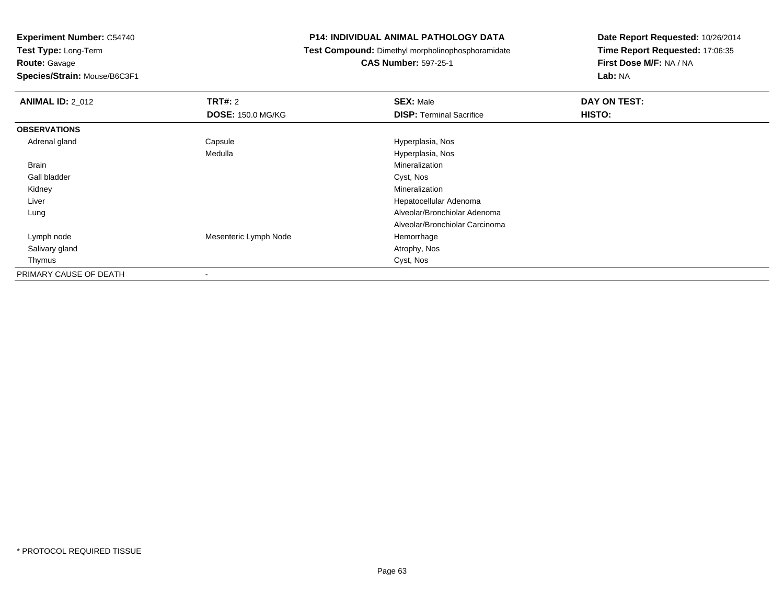**Test Type:** Long-Term**Route:** Gavage

**Species/Strain:** Mouse/B6C3F1

#### **P14: INDIVIDUAL ANIMAL PATHOLOGY DATA**

**Test Compound:** Dimethyl morpholinophosphoramidate

**CAS Number:** 597-25-1

| <b>ANIMAL ID: 2_012</b> | TRT#: 2                  | <b>SEX: Male</b>                | DAY ON TEST: |
|-------------------------|--------------------------|---------------------------------|--------------|
|                         | <b>DOSE: 150.0 MG/KG</b> | <b>DISP: Terminal Sacrifice</b> | HISTO:       |
| <b>OBSERVATIONS</b>     |                          |                                 |              |
| Adrenal gland           | Capsule                  | Hyperplasia, Nos                |              |
|                         | Medulla                  | Hyperplasia, Nos                |              |
| Brain                   |                          | Mineralization                  |              |
| Gall bladder            |                          | Cyst, Nos                       |              |
| Kidney                  |                          | Mineralization                  |              |
| Liver                   |                          | Hepatocellular Adenoma          |              |
| Lung                    |                          | Alveolar/Bronchiolar Adenoma    |              |
|                         |                          | Alveolar/Bronchiolar Carcinoma  |              |
| Lymph node              | Mesenteric Lymph Node    | Hemorrhage                      |              |
| Salivary gland          |                          | Atrophy, Nos                    |              |
| Thymus                  |                          | Cyst, Nos                       |              |
| PRIMARY CAUSE OF DEATH  | $\blacksquare$           |                                 |              |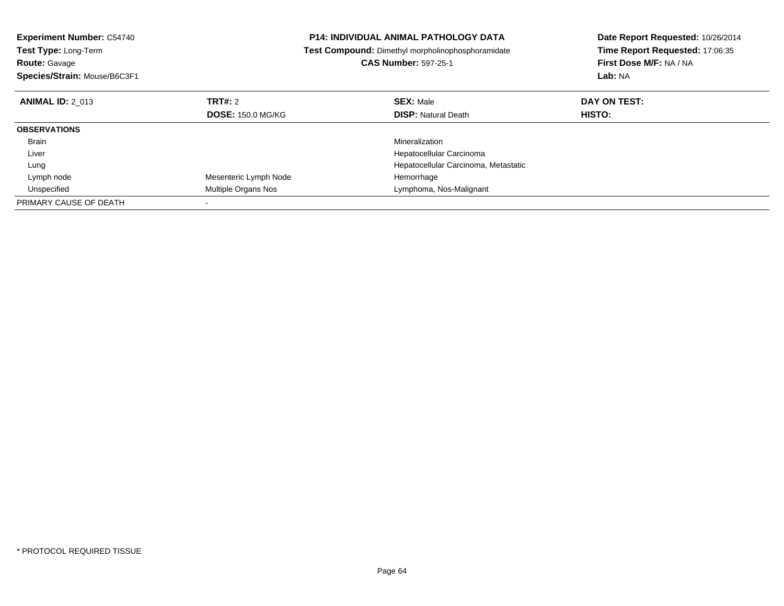| <b>Experiment Number: C54740</b> |                          | <b>P14: INDIVIDUAL ANIMAL PATHOLOGY DATA</b>      | Date Report Requested: 10/26/2014 |
|----------------------------------|--------------------------|---------------------------------------------------|-----------------------------------|
| <b>Test Type: Long-Term</b>      |                          | Test Compound: Dimethyl morpholinophosphoramidate | Time Report Requested: 17:06:35   |
| <b>Route: Gavage</b>             |                          | <b>CAS Number: 597-25-1</b>                       | First Dose M/F: NA / NA           |
| Species/Strain: Mouse/B6C3F1     |                          |                                                   | Lab: NA                           |
| <b>ANIMAL ID: 2 013</b>          | <b>TRT#: 2</b>           | <b>SEX: Male</b>                                  | DAY ON TEST:                      |
|                                  | <b>DOSE: 150.0 MG/KG</b> | <b>DISP:</b> Natural Death                        | <b>HISTO:</b>                     |
| <b>OBSERVATIONS</b>              |                          |                                                   |                                   |
| Brain                            |                          | Mineralization                                    |                                   |
| Liver                            |                          | Hepatocellular Carcinoma                          |                                   |
| Lung                             |                          | Hepatocellular Carcinoma, Metastatic              |                                   |
| Lymph node                       | Mesenteric Lymph Node    | Hemorrhage                                        |                                   |
| Unspecified                      | Multiple Organs Nos      | Lymphoma, Nos-Malignant                           |                                   |
| PRIMARY CAUSE OF DEATH           |                          |                                                   |                                   |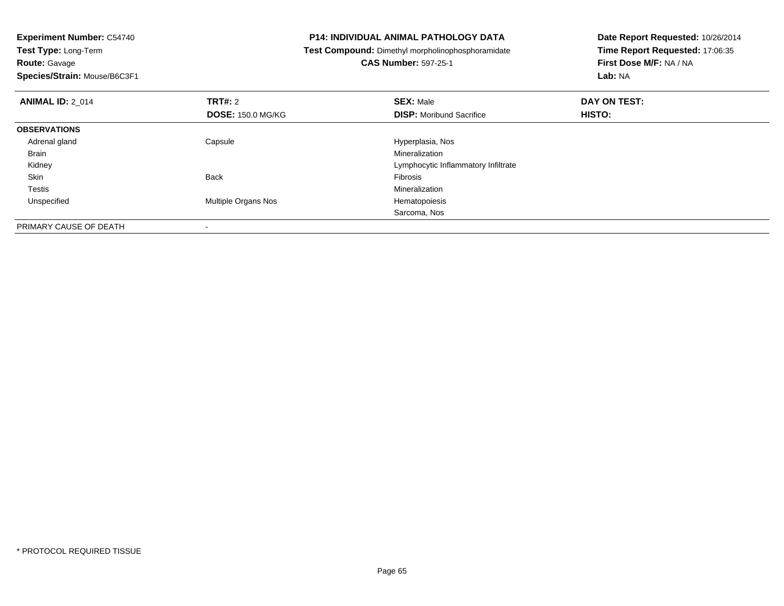**Experiment Number:** C54740**Test Type:** Long-Term**Route:** Gavage

**Species/Strain:** Mouse/B6C3F1

-

#### **P14: INDIVIDUAL ANIMAL PATHOLOGY DATA**

**Test Compound:** Dimethyl morpholinophosphoramidate

**CAS Number:** 597-25-1

| <b>ANIMAL ID: 2 014</b> | TRT#: 2                  | <b>SEX: Male</b>                    | DAY ON TEST:  |  |
|-------------------------|--------------------------|-------------------------------------|---------------|--|
|                         | <b>DOSE: 150.0 MG/KG</b> | <b>DISP:</b> Moribund Sacrifice     | <b>HISTO:</b> |  |
| <b>OBSERVATIONS</b>     |                          |                                     |               |  |
| Adrenal gland           | Capsule                  | Hyperplasia, Nos                    |               |  |
| <b>Brain</b>            |                          | Mineralization                      |               |  |
| Kidney                  |                          | Lymphocytic Inflammatory Infiltrate |               |  |
| Skin                    | <b>Back</b>              | Fibrosis                            |               |  |
| Testis                  |                          | Mineralization                      |               |  |
| Unspecified             | Multiple Organs Nos      | Hematopoiesis                       |               |  |
|                         |                          | Sarcoma, Nos                        |               |  |
| PRIMARY CAUSE OF DEATH  | $\overline{\phantom{0}}$ |                                     |               |  |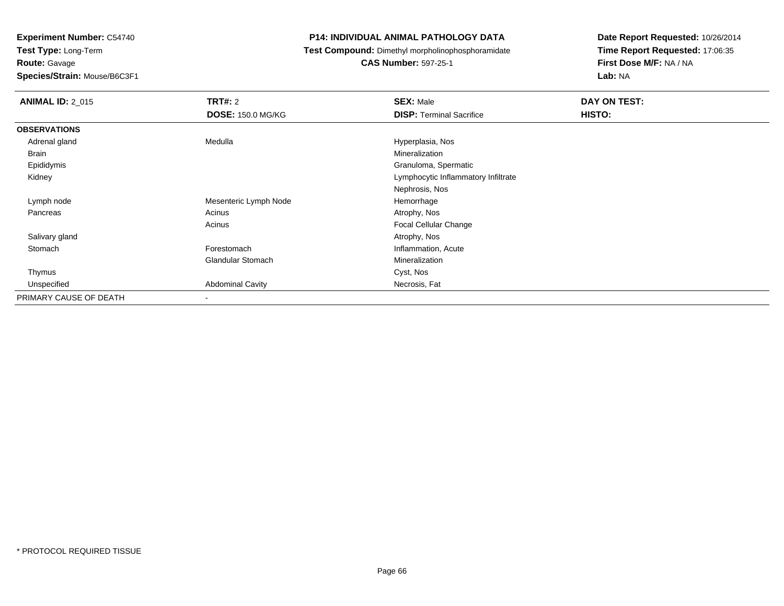**Route:** Gavage

**Species/Strain:** Mouse/B6C3F1

#### **P14: INDIVIDUAL ANIMAL PATHOLOGY DATA**

**Test Compound:** Dimethyl morpholinophosphoramidate

**CAS Number:** 597-25-1

| <b>ANIMAL ID: 2_015</b> | <b>TRT#:</b> 2<br><b>DOSE: 150.0 MG/KG</b> | <b>SEX: Male</b><br><b>DISP: Terminal Sacrifice</b> | DAY ON TEST:<br>HISTO: |
|-------------------------|--------------------------------------------|-----------------------------------------------------|------------------------|
| <b>OBSERVATIONS</b>     |                                            |                                                     |                        |
| Adrenal gland           | Medulla                                    | Hyperplasia, Nos                                    |                        |
| Brain                   |                                            | Mineralization                                      |                        |
| Epididymis              |                                            | Granuloma, Spermatic                                |                        |
| Kidney                  |                                            | Lymphocytic Inflammatory Infiltrate                 |                        |
|                         |                                            | Nephrosis, Nos                                      |                        |
| Lymph node              | Mesenteric Lymph Node                      | Hemorrhage                                          |                        |
| Pancreas                | Acinus                                     | Atrophy, Nos                                        |                        |
|                         | Acinus                                     | <b>Focal Cellular Change</b>                        |                        |
| Salivary gland          |                                            | Atrophy, Nos                                        |                        |
| Stomach                 | Forestomach                                | Inflammation, Acute                                 |                        |
|                         | <b>Glandular Stomach</b>                   | Mineralization                                      |                        |
| Thymus                  |                                            | Cyst, Nos                                           |                        |
| Unspecified             | <b>Abdominal Cavity</b>                    | Necrosis, Fat                                       |                        |
| PRIMARY CAUSE OF DEATH  |                                            |                                                     |                        |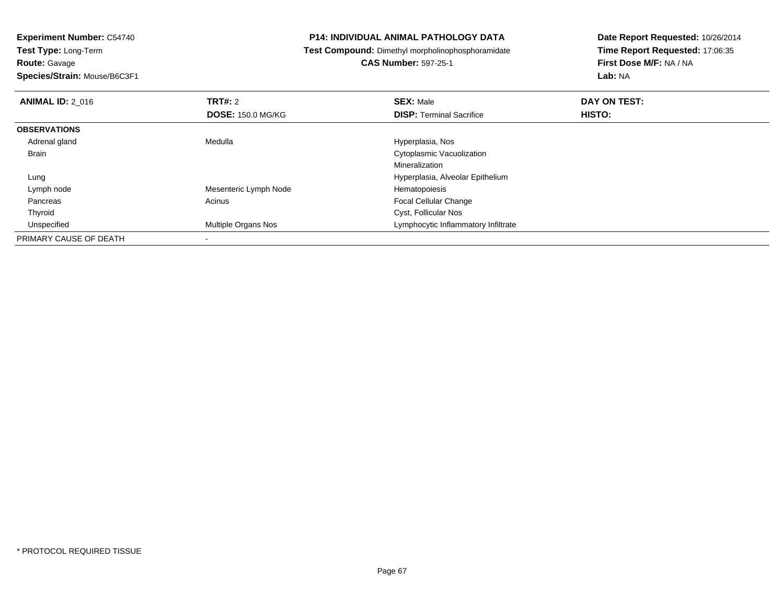**Route:** Gavage

**Species/Strain:** Mouse/B6C3F1

#### **P14: INDIVIDUAL ANIMAL PATHOLOGY DATA**

**Test Compound:** Dimethyl morpholinophosphoramidate

**CAS Number:** 597-25-1

| <b>ANIMAL ID: 2 016</b> | TRT#: 2                    | <b>SEX: Male</b>                    | DAY ON TEST: |  |
|-------------------------|----------------------------|-------------------------------------|--------------|--|
|                         | <b>DOSE: 150.0 MG/KG</b>   | <b>DISP: Terminal Sacrifice</b>     | HISTO:       |  |
| <b>OBSERVATIONS</b>     |                            |                                     |              |  |
| Adrenal gland           | Medulla                    | Hyperplasia, Nos                    |              |  |
| <b>Brain</b>            |                            | Cytoplasmic Vacuolization           |              |  |
|                         |                            | Mineralization                      |              |  |
| Lung                    |                            | Hyperplasia, Alveolar Epithelium    |              |  |
| Lymph node              | Mesenteric Lymph Node      | Hematopoiesis                       |              |  |
| Pancreas                | Acinus                     | <b>Focal Cellular Change</b>        |              |  |
| Thyroid                 |                            | Cyst, Follicular Nos                |              |  |
| Unspecified             | <b>Multiple Organs Nos</b> | Lymphocytic Inflammatory Infiltrate |              |  |
| PRIMARY CAUSE OF DEATH  |                            |                                     |              |  |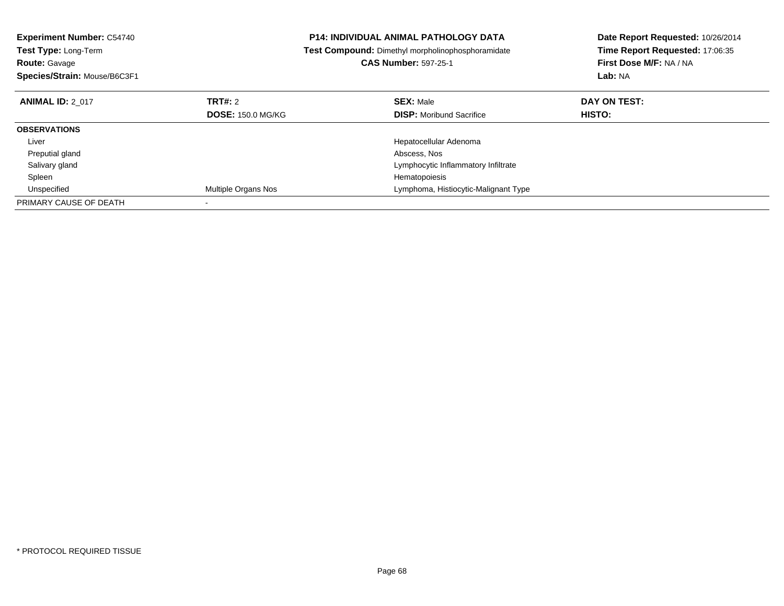| <b>Experiment Number: C54740</b><br><b>Test Type: Long-Term</b><br><b>Route: Gavage</b> |                            | <b>P14: INDIVIDUAL ANIMAL PATHOLOGY DATA</b><br>Test Compound: Dimethyl morpholinophosphoramidate<br><b>CAS Number: 597-25-1</b> | Date Report Requested: 10/26/2014<br>Time Report Requested: 17:06:35<br>First Dose M/F: NA / NA |
|-----------------------------------------------------------------------------------------|----------------------------|----------------------------------------------------------------------------------------------------------------------------------|-------------------------------------------------------------------------------------------------|
| Species/Strain: Mouse/B6C3F1                                                            |                            |                                                                                                                                  | Lab: NA                                                                                         |
| <b>ANIMAL ID: 2 017</b>                                                                 | TRT#: 2                    | <b>SEX: Male</b>                                                                                                                 | DAY ON TEST:                                                                                    |
|                                                                                         | <b>DOSE: 150.0 MG/KG</b>   | <b>DISP:</b> Moribund Sacrifice                                                                                                  | <b>HISTO:</b>                                                                                   |
| <b>OBSERVATIONS</b>                                                                     |                            |                                                                                                                                  |                                                                                                 |
| Liver                                                                                   |                            | Hepatocellular Adenoma                                                                                                           |                                                                                                 |
| Preputial gland                                                                         |                            | Abscess, Nos                                                                                                                     |                                                                                                 |
| Salivary gland                                                                          |                            | Lymphocytic Inflammatory Infiltrate                                                                                              |                                                                                                 |
| Spleen                                                                                  |                            | Hematopoiesis                                                                                                                    |                                                                                                 |
| Unspecified                                                                             | <b>Multiple Organs Nos</b> | Lymphoma, Histiocytic-Malignant Type                                                                                             |                                                                                                 |
| PRIMARY CAUSE OF DEATH                                                                  |                            |                                                                                                                                  |                                                                                                 |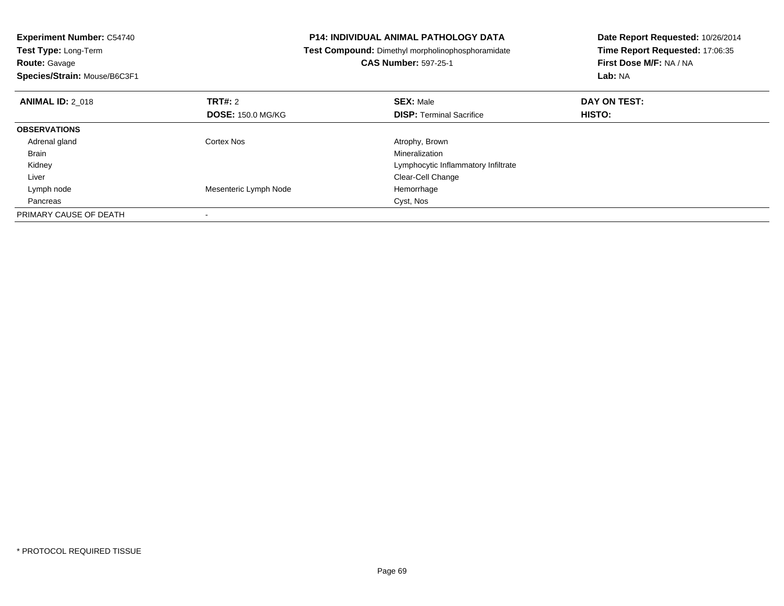| <b>Experiment Number: C54740</b><br>Test Type: Long-Term |                          | <b>P14: INDIVIDUAL ANIMAL PATHOLOGY DATA</b>             | Date Report Requested: 10/26/2014 |
|----------------------------------------------------------|--------------------------|----------------------------------------------------------|-----------------------------------|
|                                                          |                          | <b>Test Compound:</b> Dimethyl morpholinophosphoramidate | Time Report Requested: 17:06:35   |
| <b>Route: Gavage</b>                                     |                          | <b>CAS Number: 597-25-1</b>                              | First Dose M/F: NA / NA           |
| Species/Strain: Mouse/B6C3F1                             |                          |                                                          | Lab: NA                           |
| <b>ANIMAL ID: 2 018</b>                                  | <b>TRT#: 2</b>           | <b>SEX: Male</b>                                         | DAY ON TEST:                      |
|                                                          | <b>DOSE: 150.0 MG/KG</b> | <b>DISP: Terminal Sacrifice</b>                          | HISTO:                            |
| <b>OBSERVATIONS</b>                                      |                          |                                                          |                                   |
| Adrenal gland                                            | Cortex Nos               | Atrophy, Brown                                           |                                   |
| Brain                                                    |                          | Mineralization                                           |                                   |
| Kidney                                                   |                          | Lymphocytic Inflammatory Infiltrate                      |                                   |
| Liver                                                    |                          | Clear-Cell Change                                        |                                   |
| Lymph node                                               | Mesenteric Lymph Node    | Hemorrhage                                               |                                   |
| Pancreas                                                 |                          | Cyst, Nos                                                |                                   |
| PRIMARY CAUSE OF DEATH                                   |                          |                                                          |                                   |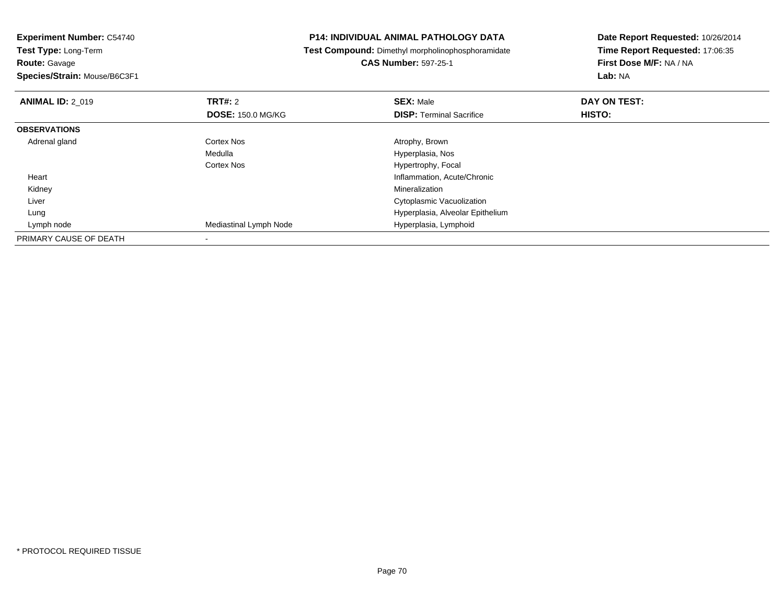**Route:** Gavage

**Species/Strain:** Mouse/B6C3F1

#### **P14: INDIVIDUAL ANIMAL PATHOLOGY DATA**

**Test Compound:** Dimethyl morpholinophosphoramidate

**CAS Number:** 597-25-1

| <b>ANIMAL ID: 2 019</b> | TRT#: 2                  | <b>SEX: Male</b>                 | DAY ON TEST: |  |
|-------------------------|--------------------------|----------------------------------|--------------|--|
|                         | <b>DOSE: 150.0 MG/KG</b> | <b>DISP:</b> Terminal Sacrifice  | HISTO:       |  |
| <b>OBSERVATIONS</b>     |                          |                                  |              |  |
| Adrenal gland           | Cortex Nos               | Atrophy, Brown                   |              |  |
|                         | Medulla                  | Hyperplasia, Nos                 |              |  |
|                         | <b>Cortex Nos</b>        | Hypertrophy, Focal               |              |  |
| Heart                   |                          | Inflammation, Acute/Chronic      |              |  |
| Kidney                  |                          | Mineralization                   |              |  |
| Liver                   |                          | Cytoplasmic Vacuolization        |              |  |
| Lung                    |                          | Hyperplasia, Alveolar Epithelium |              |  |
| Lymph node              | Mediastinal Lymph Node   | Hyperplasia, Lymphoid            |              |  |
| PRIMARY CAUSE OF DEATH  |                          |                                  |              |  |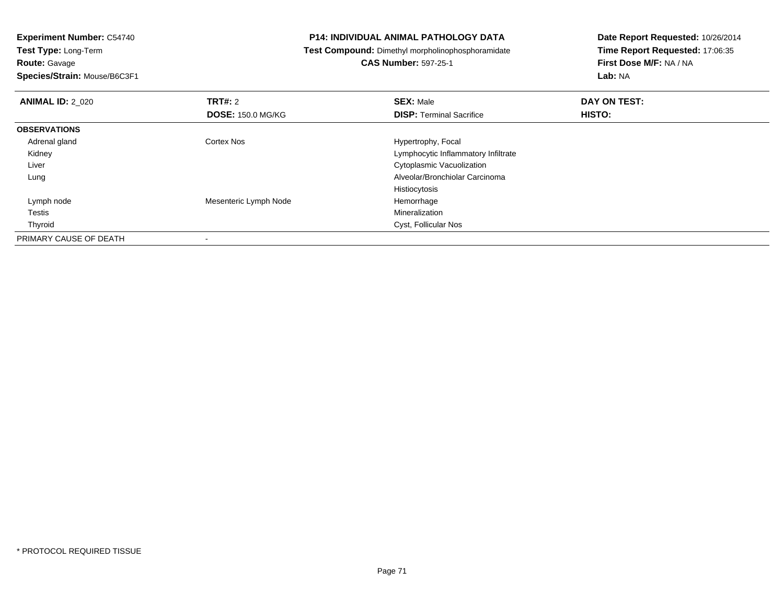**Route:** Gavage

**Species/Strain:** Mouse/B6C3F1

#### **P14: INDIVIDUAL ANIMAL PATHOLOGY DATA**

**Test Compound:** Dimethyl morpholinophosphoramidate

**CAS Number:** 597-25-1

| <b>ANIMAL ID: 2 020</b> | TRT#: 2                  | <b>SEX: Male</b>                    | DAY ON TEST: |  |
|-------------------------|--------------------------|-------------------------------------|--------------|--|
|                         | <b>DOSE: 150.0 MG/KG</b> | <b>DISP: Terminal Sacrifice</b>     | HISTO:       |  |
| <b>OBSERVATIONS</b>     |                          |                                     |              |  |
| Adrenal gland           | <b>Cortex Nos</b>        | Hypertrophy, Focal                  |              |  |
| Kidney                  |                          | Lymphocytic Inflammatory Infiltrate |              |  |
| Liver                   |                          | Cytoplasmic Vacuolization           |              |  |
| Lung                    |                          | Alveolar/Bronchiolar Carcinoma      |              |  |
|                         |                          | Histiocytosis                       |              |  |
| Lymph node              | Mesenteric Lymph Node    | Hemorrhage                          |              |  |
| Testis                  |                          | Mineralization                      |              |  |
| Thyroid                 |                          | Cyst, Follicular Nos                |              |  |
| PRIMARY CAUSE OF DEATH  |                          |                                     |              |  |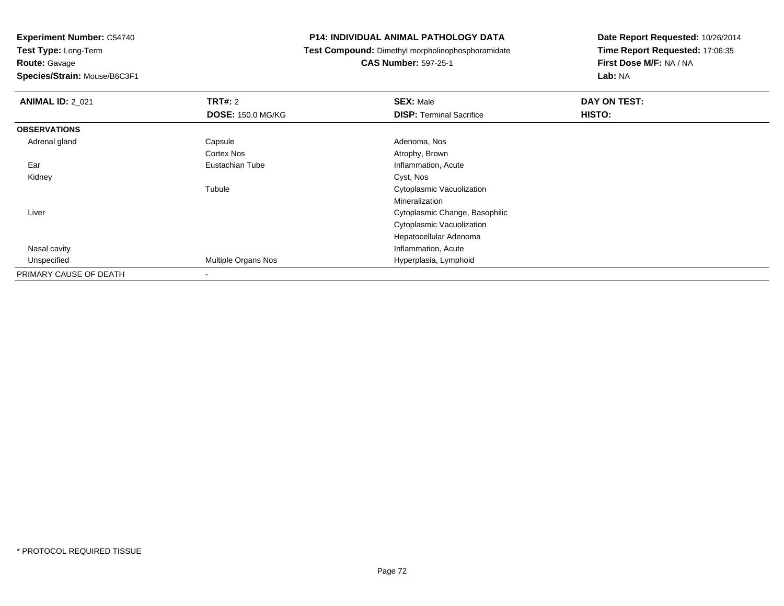**Test Type:** Long-Term**Route:** Gavage

**Species/Strain:** Mouse/B6C3F1

#### **P14: INDIVIDUAL ANIMAL PATHOLOGY DATA**

**Test Compound:** Dimethyl morpholinophosphoramidate

**CAS Number:** 597-25-1

| <b>ANIMAL ID: 2_021</b> | <b>TRT#: 2</b>           | <b>SEX: Male</b>                | DAY ON TEST: |  |
|-------------------------|--------------------------|---------------------------------|--------------|--|
|                         | <b>DOSE: 150.0 MG/KG</b> | <b>DISP: Terminal Sacrifice</b> | HISTO:       |  |
| <b>OBSERVATIONS</b>     |                          |                                 |              |  |
| Adrenal gland           | Capsule                  | Adenoma, Nos                    |              |  |
|                         | <b>Cortex Nos</b>        | Atrophy, Brown                  |              |  |
| Ear                     | Eustachian Tube          | Inflammation, Acute             |              |  |
| Kidney                  |                          | Cyst, Nos                       |              |  |
|                         | Tubule                   | Cytoplasmic Vacuolization       |              |  |
|                         |                          | Mineralization                  |              |  |
| Liver                   |                          | Cytoplasmic Change, Basophilic  |              |  |
|                         |                          | Cytoplasmic Vacuolization       |              |  |
|                         |                          | Hepatocellular Adenoma          |              |  |
| Nasal cavity            |                          | Inflammation, Acute             |              |  |
| Unspecified             | Multiple Organs Nos      | Hyperplasia, Lymphoid           |              |  |
| PRIMARY CAUSE OF DEATH  |                          |                                 |              |  |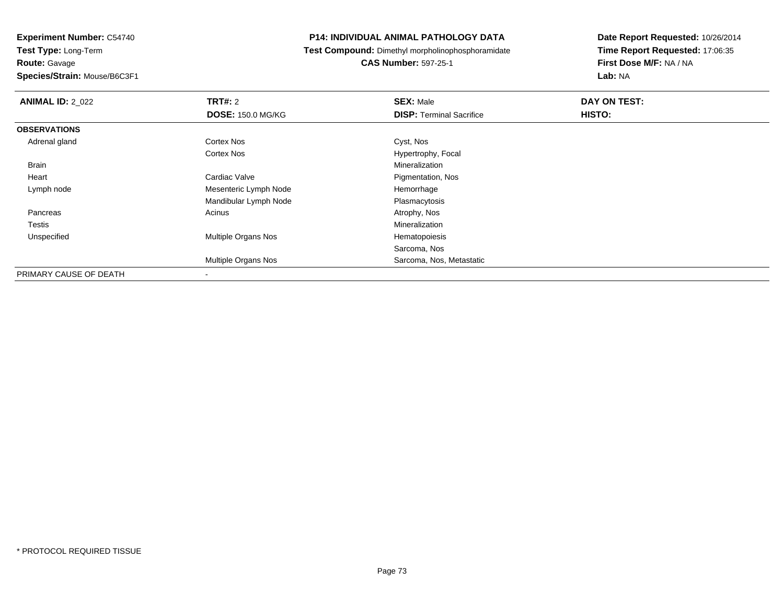**Experiment Number:** C54740**Test Type:** Long-Term**Route:** Gavage

**Species/Strain:** Mouse/B6C3F1

#### **P14: INDIVIDUAL ANIMAL PATHOLOGY DATA**

**Test Compound:** Dimethyl morpholinophosphoramidate

**CAS Number:** 597-25-1

| <b>ANIMAL ID: 2_022</b> | TRT#: 2                  | <b>SEX: Male</b>                | DAY ON TEST: |  |
|-------------------------|--------------------------|---------------------------------|--------------|--|
|                         | <b>DOSE: 150.0 MG/KG</b> | <b>DISP: Terminal Sacrifice</b> | HISTO:       |  |
| <b>OBSERVATIONS</b>     |                          |                                 |              |  |
| Adrenal gland           | <b>Cortex Nos</b>        | Cyst, Nos                       |              |  |
|                         | <b>Cortex Nos</b>        | Hypertrophy, Focal              |              |  |
| Brain                   |                          | Mineralization                  |              |  |
| Heart                   | Cardiac Valve            | Pigmentation, Nos               |              |  |
| Lymph node              | Mesenteric Lymph Node    | Hemorrhage                      |              |  |
|                         | Mandibular Lymph Node    | Plasmacytosis                   |              |  |
| Pancreas                | Acinus                   | Atrophy, Nos                    |              |  |
| Testis                  |                          | Mineralization                  |              |  |
| Unspecified             | Multiple Organs Nos      | Hematopoiesis                   |              |  |
|                         |                          | Sarcoma, Nos                    |              |  |
|                         | Multiple Organs Nos      | Sarcoma, Nos, Metastatic        |              |  |
| PRIMARY CAUSE OF DEATH  |                          |                                 |              |  |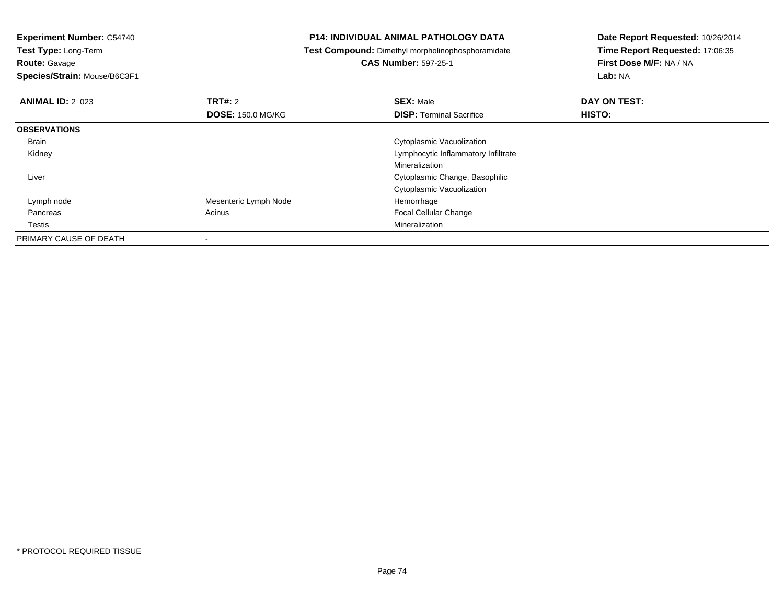**Experiment Number:** C54740

**Test Type:** Long-Term**Route:** Gavage

**Species/Strain:** Mouse/B6C3F1

#### **P14: INDIVIDUAL ANIMAL PATHOLOGY DATA**

**Test Compound:** Dimethyl morpholinophosphoramidate

**CAS Number:** 597-25-1

| <b>ANIMAL ID: 2 023</b> | TRT#: 2                  | <b>SEX: Male</b>                    | DAY ON TEST: |  |
|-------------------------|--------------------------|-------------------------------------|--------------|--|
|                         | <b>DOSE: 150.0 MG/KG</b> | <b>DISP: Terminal Sacrifice</b>     | HISTO:       |  |
| <b>OBSERVATIONS</b>     |                          |                                     |              |  |
| <b>Brain</b>            |                          | Cytoplasmic Vacuolization           |              |  |
| Kidney                  |                          | Lymphocytic Inflammatory Infiltrate |              |  |
|                         |                          | Mineralization                      |              |  |
| Liver                   |                          | Cytoplasmic Change, Basophilic      |              |  |
|                         |                          | Cytoplasmic Vacuolization           |              |  |
| Lymph node              | Mesenteric Lymph Node    | Hemorrhage                          |              |  |
| Pancreas                | Acinus                   | <b>Focal Cellular Change</b>        |              |  |
| Testis                  |                          | Mineralization                      |              |  |
| PRIMARY CAUSE OF DEATH  |                          |                                     |              |  |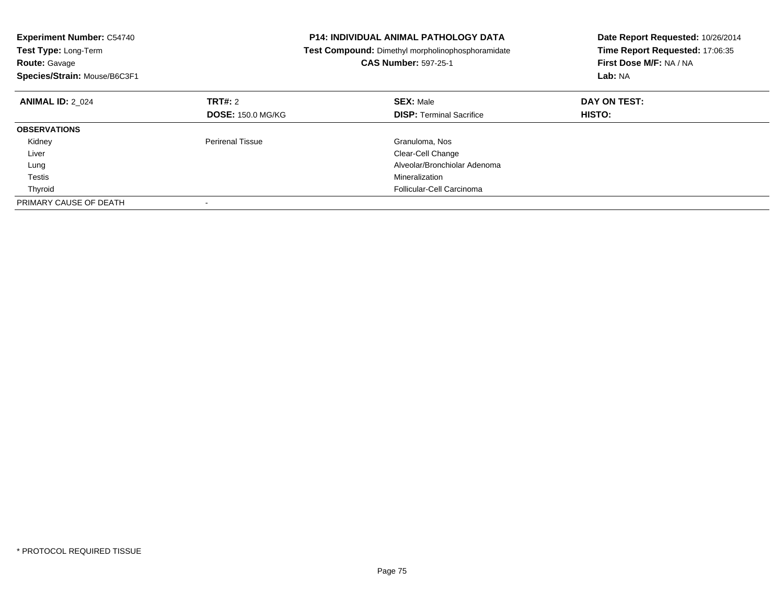| <b>Experiment Number: C54740</b><br>Test Type: Long-Term |                          | <b>P14: INDIVIDUAL ANIMAL PATHOLOGY DATA</b>      | Date Report Requested: 10/26/2014 |
|----------------------------------------------------------|--------------------------|---------------------------------------------------|-----------------------------------|
|                                                          |                          | Test Compound: Dimethyl morpholinophosphoramidate | Time Report Requested: 17:06:35   |
| <b>Route: Gavage</b>                                     |                          | <b>CAS Number: 597-25-1</b>                       | First Dose M/F: NA / NA           |
| Species/Strain: Mouse/B6C3F1                             |                          |                                                   | Lab: NA                           |
| <b>ANIMAL ID: 2 024</b>                                  | <b>TRT#: 2</b>           | <b>SEX: Male</b>                                  | DAY ON TEST:                      |
|                                                          | <b>DOSE: 150.0 MG/KG</b> | <b>DISP: Terminal Sacrifice</b>                   | HISTO:                            |
| <b>OBSERVATIONS</b>                                      |                          |                                                   |                                   |
| Kidney                                                   | <b>Perirenal Tissue</b>  | Granuloma, Nos                                    |                                   |
| Liver                                                    |                          | Clear-Cell Change                                 |                                   |
| Lung                                                     |                          | Alveolar/Bronchiolar Adenoma                      |                                   |
| Testis                                                   |                          | Mineralization                                    |                                   |
| Thyroid                                                  |                          | Follicular-Cell Carcinoma                         |                                   |
| PRIMARY CAUSE OF DEATH                                   |                          |                                                   |                                   |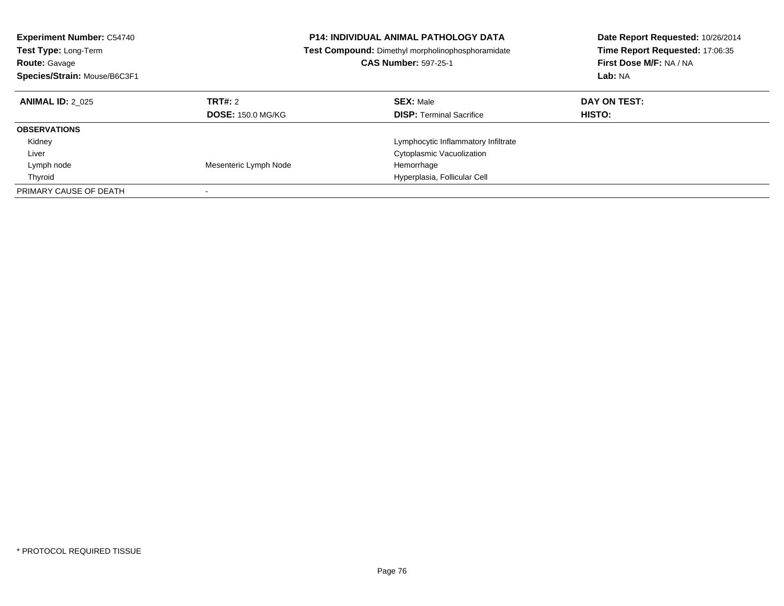| <b>Experiment Number: C54740</b><br><b>Test Type: Long-Term</b><br><b>Route: Gavage</b><br>Species/Strain: Mouse/B6C3F1 |                                     | <b>P14: INDIVIDUAL ANIMAL PATHOLOGY DATA</b><br>Test Compound: Dimethyl morpholinophosphoramidate<br><b>CAS Number: 597-25-1</b> | Date Report Requested: 10/26/2014<br>Time Report Requested: 17:06:35<br>First Dose M/F: NA / NA<br>Lab: NA |
|-------------------------------------------------------------------------------------------------------------------------|-------------------------------------|----------------------------------------------------------------------------------------------------------------------------------|------------------------------------------------------------------------------------------------------------|
| <b>ANIMAL ID: 2 025</b>                                                                                                 | TRT#: 2<br><b>DOSE: 150.0 MG/KG</b> | <b>SEX: Male</b><br><b>DISP:</b> Terminal Sacrifice                                                                              | DAY ON TEST:<br>HISTO:                                                                                     |
| <b>OBSERVATIONS</b>                                                                                                     |                                     |                                                                                                                                  |                                                                                                            |
| Kidney                                                                                                                  |                                     | Lymphocytic Inflammatory Infiltrate                                                                                              |                                                                                                            |
| Liver                                                                                                                   |                                     | Cytoplasmic Vacuolization                                                                                                        |                                                                                                            |
| Lymph node                                                                                                              | Mesenteric Lymph Node               | Hemorrhage                                                                                                                       |                                                                                                            |
| Thyroid                                                                                                                 |                                     | Hyperplasia, Follicular Cell                                                                                                     |                                                                                                            |
| PRIMARY CAUSE OF DEATH                                                                                                  |                                     |                                                                                                                                  |                                                                                                            |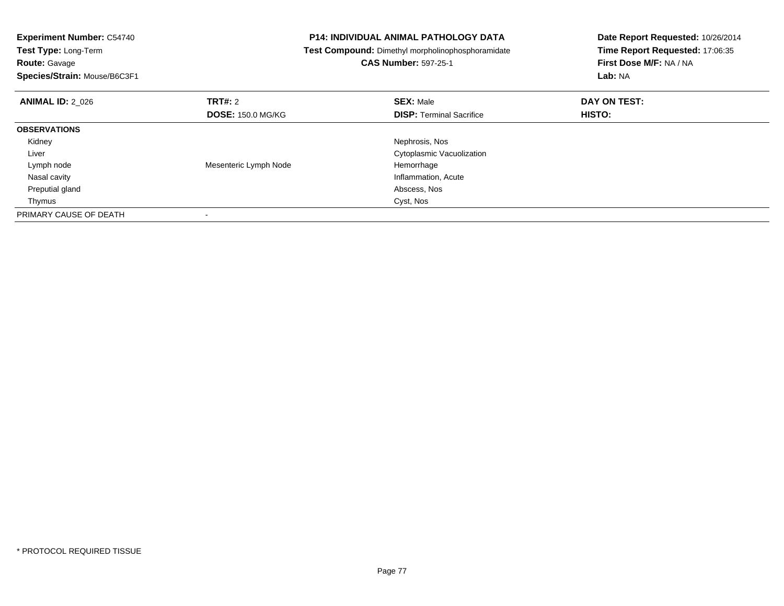| <b>Experiment Number: C54740</b><br><b>Test Type: Long-Term</b> |                          | <b>P14: INDIVIDUAL ANIMAL PATHOLOGY DATA</b>      | Date Report Requested: 10/26/2014 |
|-----------------------------------------------------------------|--------------------------|---------------------------------------------------|-----------------------------------|
|                                                                 |                          | Test Compound: Dimethyl morpholinophosphoramidate | Time Report Requested: 17:06:35   |
| <b>Route: Gavage</b>                                            |                          | <b>CAS Number: 597-25-1</b>                       | First Dose M/F: NA / NA           |
| Species/Strain: Mouse/B6C3F1                                    |                          |                                                   | Lab: NA                           |
| <b>ANIMAL ID: 2 026</b>                                         | TRT#: 2                  | <b>SEX: Male</b>                                  | DAY ON TEST:                      |
|                                                                 | <b>DOSE: 150.0 MG/KG</b> | <b>DISP: Terminal Sacrifice</b>                   | HISTO:                            |
| <b>OBSERVATIONS</b>                                             |                          |                                                   |                                   |
| Kidney                                                          |                          | Nephrosis, Nos                                    |                                   |
| Liver                                                           |                          | Cytoplasmic Vacuolization                         |                                   |
| Lymph node                                                      | Mesenteric Lymph Node    | Hemorrhage                                        |                                   |
| Nasal cavity                                                    |                          | Inflammation, Acute                               |                                   |
| Preputial gland                                                 |                          | Abscess, Nos                                      |                                   |
| Thymus                                                          |                          | Cyst, Nos                                         |                                   |
| PRIMARY CAUSE OF DEATH                                          |                          |                                                   |                                   |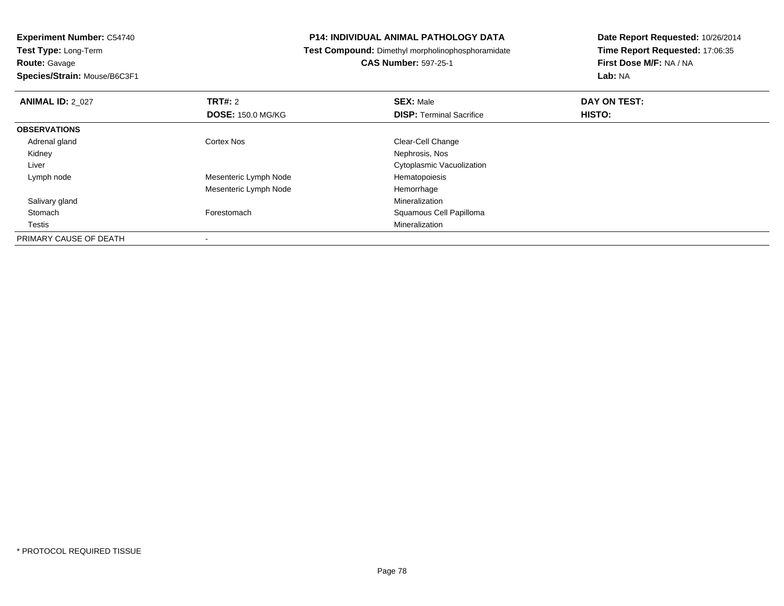**Route:** Gavage

**Species/Strain:** Mouse/B6C3F1

#### **P14: INDIVIDUAL ANIMAL PATHOLOGY DATA**

**Test Compound:** Dimethyl morpholinophosphoramidate

**CAS Number:** 597-25-1

| <b>ANIMAL ID: 2 027</b> | TRT#: 2                  | <b>SEX: Male</b>                | DAY ON TEST: |  |
|-------------------------|--------------------------|---------------------------------|--------------|--|
|                         | <b>DOSE: 150.0 MG/KG</b> | <b>DISP:</b> Terminal Sacrifice | HISTO:       |  |
| <b>OBSERVATIONS</b>     |                          |                                 |              |  |
| Adrenal gland           | Cortex Nos               | Clear-Cell Change               |              |  |
| Kidney                  |                          | Nephrosis, Nos                  |              |  |
| Liver                   |                          | Cytoplasmic Vacuolization       |              |  |
| Lymph node              | Mesenteric Lymph Node    | Hematopoiesis                   |              |  |
|                         | Mesenteric Lymph Node    | Hemorrhage                      |              |  |
| Salivary gland          |                          | Mineralization                  |              |  |
| Stomach                 | Forestomach              | Squamous Cell Papilloma         |              |  |
| Testis                  |                          | Mineralization                  |              |  |
| PRIMARY CAUSE OF DEATH  |                          |                                 |              |  |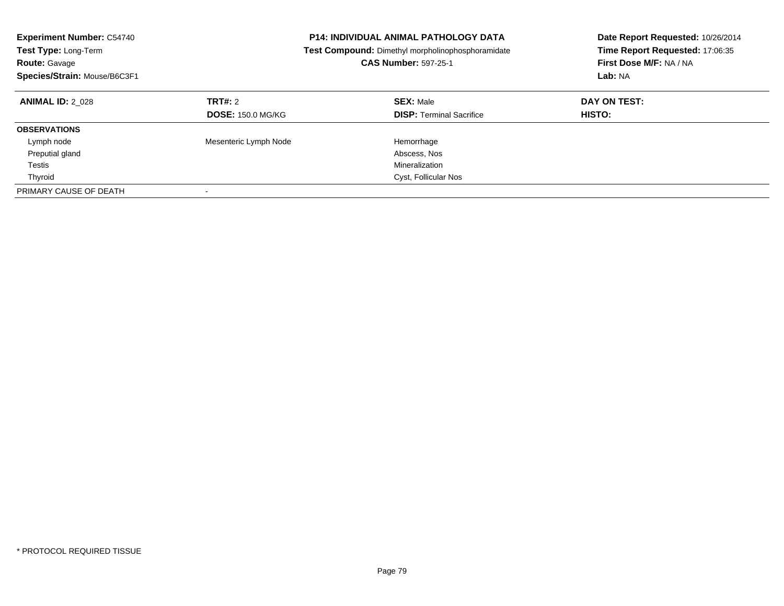| <b>Experiment Number: C54740</b><br><b>P14: INDIVIDUAL ANIMAL PATHOLOGY DATA</b><br>Test Type: Long-Term<br>Test Compound: Dimethyl morpholinophosphoramidate<br><b>CAS Number: 597-25-1</b><br><b>Route: Gavage</b><br>Species/Strain: Mouse/B6C3F1 |                                            |                                                     | Date Report Requested: 10/26/2014<br>Time Report Requested: 17:06:35<br>First Dose M/F: NA / NA<br>Lab: NA |
|------------------------------------------------------------------------------------------------------------------------------------------------------------------------------------------------------------------------------------------------------|--------------------------------------------|-----------------------------------------------------|------------------------------------------------------------------------------------------------------------|
| <b>ANIMAL ID: 2 028</b>                                                                                                                                                                                                                              | <b>TRT#: 2</b><br><b>DOSE: 150.0 MG/KG</b> | <b>SEX: Male</b><br><b>DISP:</b> Terminal Sacrifice | DAY ON TEST:<br>HISTO:                                                                                     |
| <b>OBSERVATIONS</b>                                                                                                                                                                                                                                  |                                            |                                                     |                                                                                                            |
| Lymph node                                                                                                                                                                                                                                           | Mesenteric Lymph Node                      | Hemorrhage                                          |                                                                                                            |
| Preputial gland                                                                                                                                                                                                                                      |                                            | Abscess, Nos                                        |                                                                                                            |
| Testis                                                                                                                                                                                                                                               |                                            | Mineralization                                      |                                                                                                            |
| Thyroid                                                                                                                                                                                                                                              |                                            | Cyst, Follicular Nos                                |                                                                                                            |
| PRIMARY CAUSE OF DEATH                                                                                                                                                                                                                               |                                            |                                                     |                                                                                                            |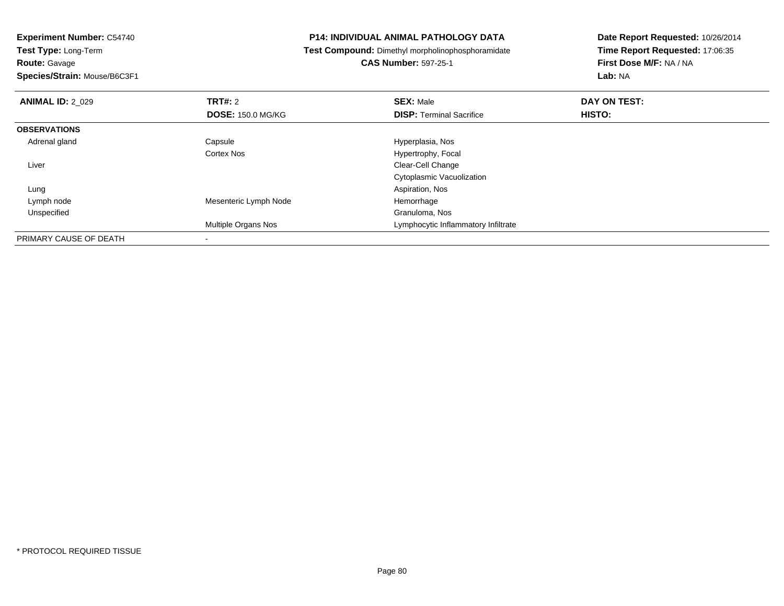**Route:** Gavage

**Species/Strain:** Mouse/B6C3F1

#### **P14: INDIVIDUAL ANIMAL PATHOLOGY DATA**

**Test Compound:** Dimethyl morpholinophosphoramidate

**CAS Number:** 597-25-1

| <b>ANIMAL ID: 2 029</b> | <b>TRT#: 2</b>           | <b>SEX: Male</b>                    | DAY ON TEST: |  |
|-------------------------|--------------------------|-------------------------------------|--------------|--|
|                         | <b>DOSE: 150.0 MG/KG</b> | <b>DISP: Terminal Sacrifice</b>     | HISTO:       |  |
| <b>OBSERVATIONS</b>     |                          |                                     |              |  |
| Adrenal gland           | Capsule                  | Hyperplasia, Nos                    |              |  |
|                         | <b>Cortex Nos</b>        | Hypertrophy, Focal                  |              |  |
| Liver                   |                          | Clear-Cell Change                   |              |  |
|                         |                          | Cytoplasmic Vacuolization           |              |  |
| Lung                    |                          | Aspiration, Nos                     |              |  |
| Lymph node              | Mesenteric Lymph Node    | Hemorrhage                          |              |  |
| Unspecified             |                          | Granuloma, Nos                      |              |  |
|                         | Multiple Organs Nos      | Lymphocytic Inflammatory Infiltrate |              |  |
| PRIMARY CAUSE OF DEATH  |                          |                                     |              |  |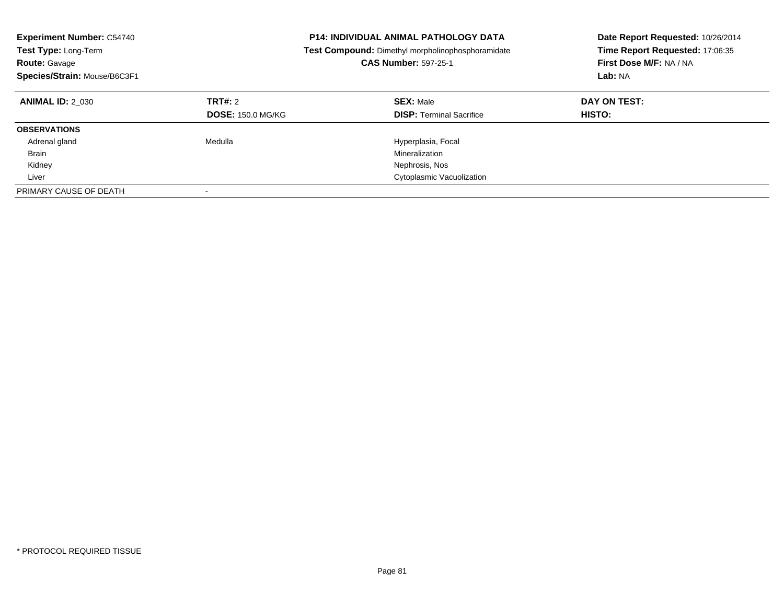| <b>Experiment Number: C54740</b><br><b>Test Type: Long-Term</b><br><b>CAS Number: 597-25-1</b><br><b>Route: Gavage</b><br>Species/Strain: Mouse/B6C3F1 |                                     | <b>P14: INDIVIDUAL ANIMAL PATHOLOGY DATA</b><br>Test Compound: Dimethyl morpholinophosphoramidate | Date Report Requested: 10/26/2014<br>Time Report Requested: 17:06:35<br>First Dose M/F: NA / NA<br>Lab: NA |
|--------------------------------------------------------------------------------------------------------------------------------------------------------|-------------------------------------|---------------------------------------------------------------------------------------------------|------------------------------------------------------------------------------------------------------------|
| <b>ANIMAL ID: 2 030</b>                                                                                                                                | TRT#: 2<br><b>DOSE: 150.0 MG/KG</b> | <b>SEX: Male</b><br><b>DISP:</b> Terminal Sacrifice                                               | DAY ON TEST:<br>HISTO:                                                                                     |
| <b>OBSERVATIONS</b>                                                                                                                                    |                                     |                                                                                                   |                                                                                                            |
| Adrenal gland                                                                                                                                          | Medulla                             | Hyperplasia, Focal                                                                                |                                                                                                            |
| <b>Brain</b>                                                                                                                                           |                                     | Mineralization                                                                                    |                                                                                                            |
| Kidney                                                                                                                                                 |                                     | Nephrosis, Nos                                                                                    |                                                                                                            |
| Liver                                                                                                                                                  |                                     | Cytoplasmic Vacuolization                                                                         |                                                                                                            |
| PRIMARY CAUSE OF DEATH                                                                                                                                 |                                     |                                                                                                   |                                                                                                            |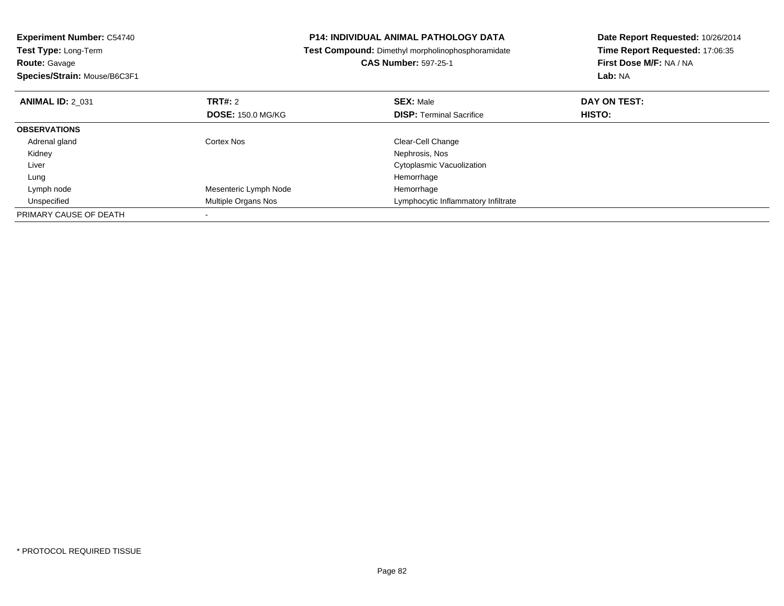| <b>Experiment Number: C54740</b><br>Test Type: Long-Term |                          | <b>P14: INDIVIDUAL ANIMAL PATHOLOGY DATA</b>      | Date Report Requested: 10/26/2014 |
|----------------------------------------------------------|--------------------------|---------------------------------------------------|-----------------------------------|
|                                                          |                          | Test Compound: Dimethyl morpholinophosphoramidate | Time Report Requested: 17:06:35   |
| <b>Route: Gavage</b>                                     |                          | <b>CAS Number: 597-25-1</b>                       | First Dose M/F: NA / NA           |
| Species/Strain: Mouse/B6C3F1                             |                          |                                                   | Lab: NA                           |
| <b>ANIMAL ID: 2 031</b>                                  | TRT#: 2                  | <b>SEX: Male</b>                                  | DAY ON TEST:                      |
|                                                          | <b>DOSE: 150.0 MG/KG</b> | <b>DISP:</b> Terminal Sacrifice                   | HISTO:                            |
| <b>OBSERVATIONS</b>                                      |                          |                                                   |                                   |
| Adrenal gland                                            | Cortex Nos               | Clear-Cell Change                                 |                                   |
| Kidney                                                   |                          | Nephrosis, Nos                                    |                                   |
| Liver                                                    |                          | Cytoplasmic Vacuolization                         |                                   |
| Lung                                                     |                          | Hemorrhage                                        |                                   |
| Lymph node                                               | Mesenteric Lymph Node    | Hemorrhage                                        |                                   |
| Unspecified                                              | Multiple Organs Nos      | Lymphocytic Inflammatory Infiltrate               |                                   |
| PRIMARY CAUSE OF DEATH                                   |                          |                                                   |                                   |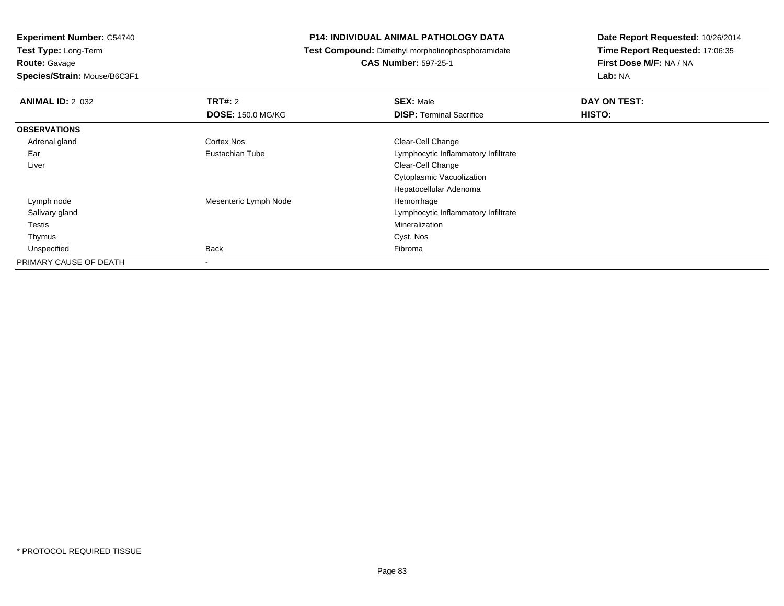**Route:** Gavage

**Species/Strain:** Mouse/B6C3F1

#### **P14: INDIVIDUAL ANIMAL PATHOLOGY DATA**

**Test Compound:** Dimethyl morpholinophosphoramidate

**CAS Number:** 597-25-1

| <b>ANIMAL ID: 2_032</b> | TRT#: 2                  | <b>SEX: Male</b>                    | DAY ON TEST:  |  |
|-------------------------|--------------------------|-------------------------------------|---------------|--|
|                         | <b>DOSE: 150.0 MG/KG</b> | <b>DISP: Terminal Sacrifice</b>     | <b>HISTO:</b> |  |
| <b>OBSERVATIONS</b>     |                          |                                     |               |  |
| Adrenal gland           | <b>Cortex Nos</b>        | Clear-Cell Change                   |               |  |
| Ear                     | Eustachian Tube          | Lymphocytic Inflammatory Infiltrate |               |  |
| Liver                   |                          | Clear-Cell Change                   |               |  |
|                         |                          | Cytoplasmic Vacuolization           |               |  |
|                         |                          | Hepatocellular Adenoma              |               |  |
| Lymph node              | Mesenteric Lymph Node    | Hemorrhage                          |               |  |
| Salivary gland          |                          | Lymphocytic Inflammatory Infiltrate |               |  |
| Testis                  |                          | Mineralization                      |               |  |
| Thymus                  |                          | Cyst, Nos                           |               |  |
| Unspecified             | <b>Back</b>              | Fibroma                             |               |  |
| PRIMARY CAUSE OF DEATH  | $\overline{\phantom{a}}$ |                                     |               |  |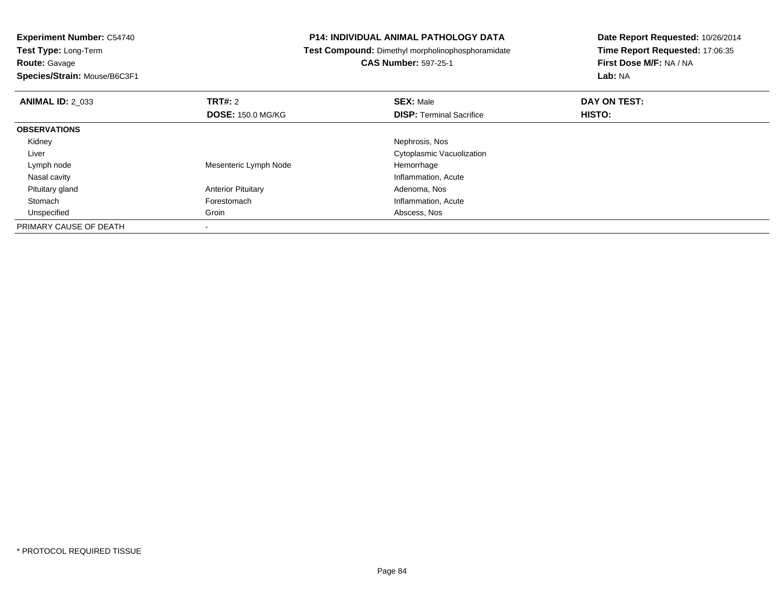**Experiment Number:** C54740**Test Type:** Long-Term**Route:** Gavage

**Species/Strain:** Mouse/B6C3F1

### **P14: INDIVIDUAL ANIMAL PATHOLOGY DATA**

**Test Compound:** Dimethyl morpholinophosphoramidate

## **CAS Number:** 597-25-1

| <b>ANIMAL ID: 2 033</b> | <b>TRT#: 2</b>            | <b>SEX: Male</b>                | DAY ON TEST: |
|-------------------------|---------------------------|---------------------------------|--------------|
|                         | <b>DOSE: 150.0 MG/KG</b>  | <b>DISP: Terminal Sacrifice</b> | HISTO:       |
| <b>OBSERVATIONS</b>     |                           |                                 |              |
| Kidney                  |                           | Nephrosis, Nos                  |              |
| Liver                   |                           | Cytoplasmic Vacuolization       |              |
| Lymph node              | Mesenteric Lymph Node     | Hemorrhage                      |              |
| Nasal cavity            |                           | Inflammation, Acute             |              |
| Pituitary gland         | <b>Anterior Pituitary</b> | Adenoma, Nos                    |              |
| Stomach                 | Forestomach               | Inflammation, Acute             |              |
| Unspecified             | Groin                     | Abscess, Nos                    |              |
| PRIMARY CAUSE OF DEATH  |                           |                                 |              |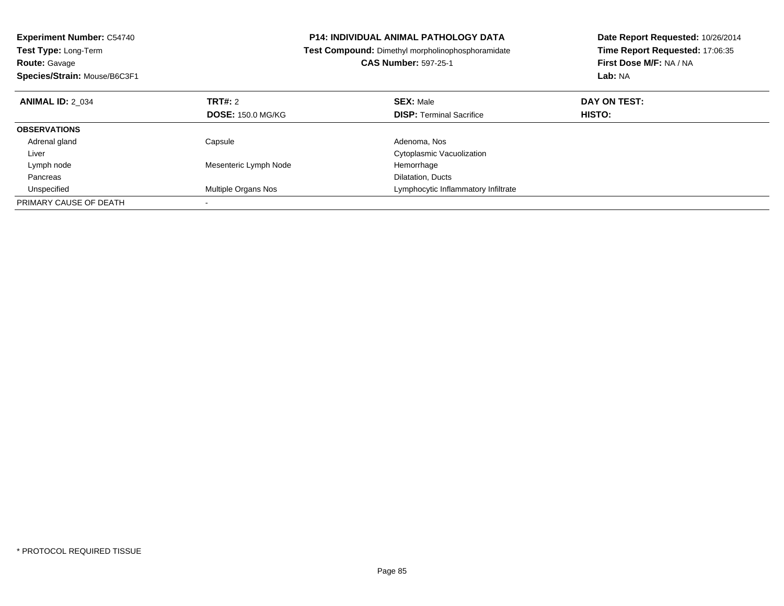| <b>Experiment Number: C54740</b> |                          | <b>P14: INDIVIDUAL ANIMAL PATHOLOGY DATA</b>             | Date Report Requested: 10/26/2014 |  |
|----------------------------------|--------------------------|----------------------------------------------------------|-----------------------------------|--|
| <b>Test Type: Long-Term</b>      |                          | <b>Test Compound:</b> Dimethyl morpholinophosphoramidate | Time Report Requested: 17:06:35   |  |
| <b>Route: Gavage</b>             |                          | <b>CAS Number: 597-25-1</b>                              | First Dose M/F: NA / NA           |  |
| Species/Strain: Mouse/B6C3F1     |                          |                                                          | Lab: NA                           |  |
| <b>ANIMAL ID: 2 034</b>          | <b>TRT#: 2</b>           | <b>SEX: Male</b>                                         | DAY ON TEST:                      |  |
|                                  | <b>DOSE: 150.0 MG/KG</b> | <b>DISP:</b> Terminal Sacrifice                          | <b>HISTO:</b>                     |  |
| <b>OBSERVATIONS</b>              |                          |                                                          |                                   |  |
| Adrenal gland                    | Capsule                  | Adenoma, Nos                                             |                                   |  |
| Liver                            |                          | Cytoplasmic Vacuolization                                |                                   |  |
| Lymph node                       | Mesenteric Lymph Node    | Hemorrhage                                               |                                   |  |
| Pancreas                         |                          | Dilatation, Ducts                                        |                                   |  |
| Unspecified                      | Multiple Organs Nos      | Lymphocytic Inflammatory Infiltrate                      |                                   |  |
| PRIMARY CAUSE OF DEATH           |                          |                                                          |                                   |  |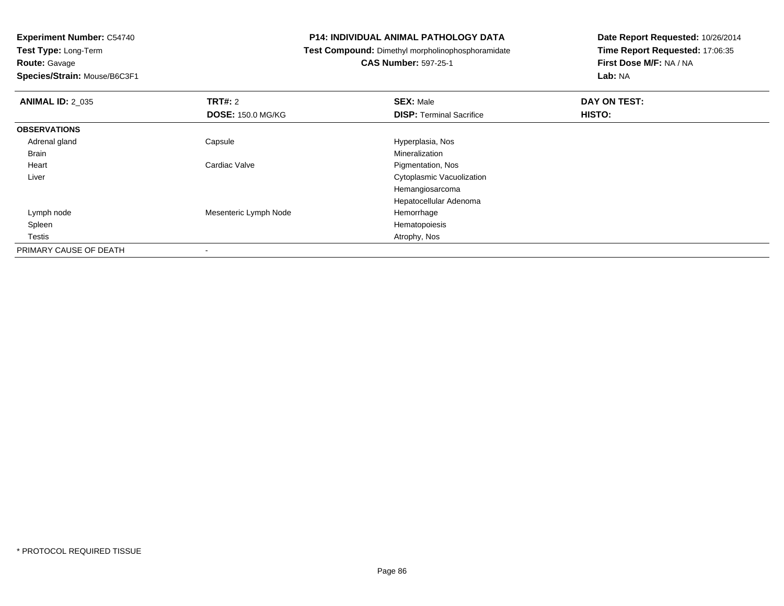**Route:** Gavage

**Species/Strain:** Mouse/B6C3F1

#### **P14: INDIVIDUAL ANIMAL PATHOLOGY DATA**

**Test Compound:** Dimethyl morpholinophosphoramidate

**CAS Number:** 597-25-1

| <b>ANIMAL ID: 2 035</b> | <b>TRT#: 2</b>           | <b>SEX: Male</b>                | DAY ON TEST: |  |
|-------------------------|--------------------------|---------------------------------|--------------|--|
|                         | <b>DOSE: 150.0 MG/KG</b> | <b>DISP: Terminal Sacrifice</b> | HISTO:       |  |
| <b>OBSERVATIONS</b>     |                          |                                 |              |  |
| Adrenal gland           | Capsule                  | Hyperplasia, Nos                |              |  |
| <b>Brain</b>            |                          | Mineralization                  |              |  |
| Heart                   | Cardiac Valve            | Pigmentation, Nos               |              |  |
| Liver                   |                          | Cytoplasmic Vacuolization       |              |  |
|                         |                          | Hemangiosarcoma                 |              |  |
|                         |                          | Hepatocellular Adenoma          |              |  |
| Lymph node              | Mesenteric Lymph Node    | Hemorrhage                      |              |  |
| Spleen                  |                          | Hematopoiesis                   |              |  |
| <b>Testis</b>           |                          | Atrophy, Nos                    |              |  |
| PRIMARY CAUSE OF DEATH  |                          |                                 |              |  |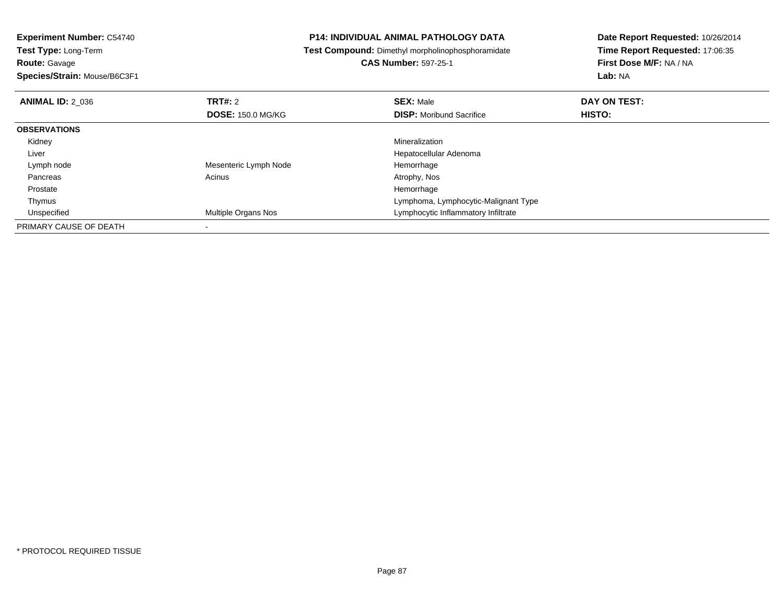**Experiment Number:** C54740**Test Type:** Long-Term**Route:** Gavage **Species/Strain:** Mouse/B6C3F1**P14: INDIVIDUAL ANIMAL PATHOLOGY DATA Test Compound:** Dimethyl morpholinophosphoramidate**CAS Number:** 597-25-1**Date Report Requested:** 10/26/2014**Time Report Requested:** 17:06:35**First Dose M/F:** NA / NA**Lab:** NA**ANIMAL ID:** 2\_036**6 DAY ON TEST: TRT#:** 2 **SEX:** Male **SEX:** Male **DOSE:** 150.0 MG/KG**DISP:** Moribund Sacrifice **HISTO: OBSERVATIONS** Kidneyy with the control of the control of the control of the control of the control of the control of the control of the control of the control of the control of the control of the control of the control of the control of the c Hepatocellular Adenoma Liver Lymph node Mesenteric Lymph Node Hemorrhage Pancreass and the contract of the contract of the contract of the contract of the contract  $\mathsf{A}$  at  $\mathsf{A}$  and  $\mathsf{A}$  and  $\mathsf{A}$  and  $\mathsf{A}$  and  $\mathsf{A}$  are contract of  $\mathsf{A}$  and  $\mathsf{A}$  and  $\mathsf{A}$  are contract of Prostatee design of the state of the state of the state of the state of the state of the state of the state of the state of the state of the state of the state of the state of the state of the state of the state of the state of th ThymusLymphoma, Lymphocytic-Malignant Type<br>
Lymphocytic Inflammatory Inflitrate UnspecifiedLymphocytic Inflammatory Infiltrate PRIMARY CAUSE OF DEATH-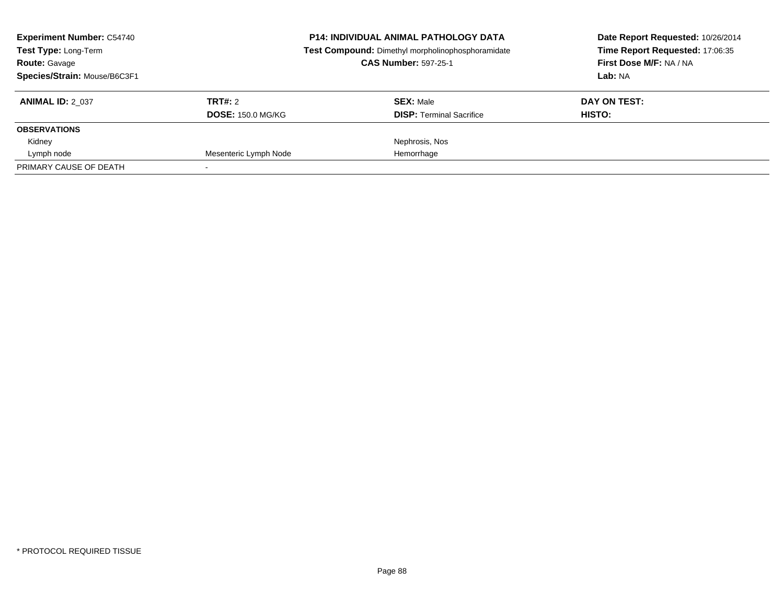| <b>Experiment Number: C54740</b><br>Test Type: Long-Term<br><b>Route: Gavage</b><br>Species/Strain: Mouse/B6C3F1 |                                     | <b>P14: INDIVIDUAL ANIMAL PATHOLOGY DATA</b><br>Test Compound: Dimethyl morpholinophosphoramidate<br><b>CAS Number: 597-25-1</b> | Date Report Requested: 10/26/2014<br>Time Report Requested: 17:06:35<br>First Dose M/F: NA / NA<br>Lab: NA |  |
|------------------------------------------------------------------------------------------------------------------|-------------------------------------|----------------------------------------------------------------------------------------------------------------------------------|------------------------------------------------------------------------------------------------------------|--|
| <b>ANIMAL ID: 2 037</b>                                                                                          | TRT#: 2<br><b>DOSE: 150.0 MG/KG</b> | <b>SEX: Male</b><br><b>DISP: Terminal Sacrifice</b>                                                                              | DAY ON TEST:<br>HISTO:                                                                                     |  |
| <b>OBSERVATIONS</b>                                                                                              |                                     |                                                                                                                                  |                                                                                                            |  |
| Kidney                                                                                                           |                                     | Nephrosis, Nos                                                                                                                   |                                                                                                            |  |
| Lymph node                                                                                                       | Mesenteric Lymph Node               | Hemorrhage                                                                                                                       |                                                                                                            |  |
| PRIMARY CAUSE OF DEATH                                                                                           |                                     |                                                                                                                                  |                                                                                                            |  |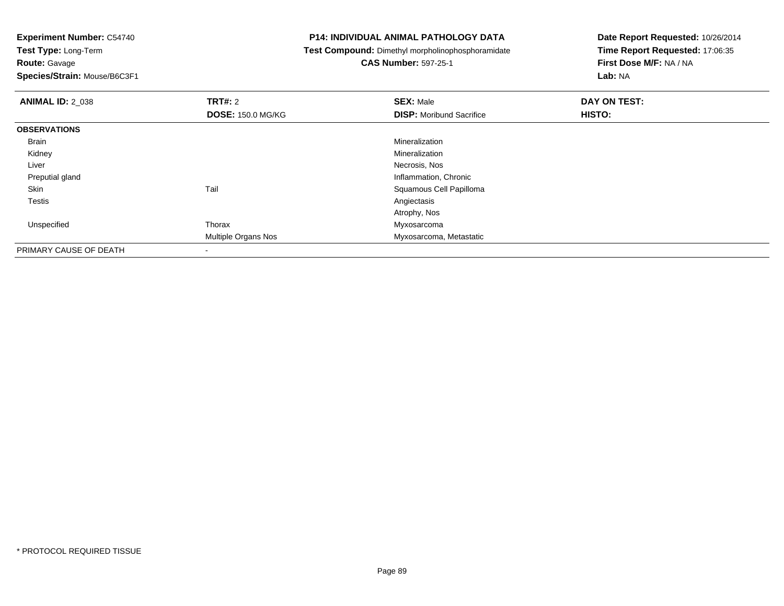**Route:** Gavage

**Species/Strain:** Mouse/B6C3F1

#### **P14: INDIVIDUAL ANIMAL PATHOLOGY DATA**

**Test Compound:** Dimethyl morpholinophosphoramidate

**CAS Number:** 597-25-1

| <b>ANIMAL ID: 2 038</b> | <b>TRT#: 2</b>           | <b>SEX: Male</b>                | DAY ON TEST: |  |
|-------------------------|--------------------------|---------------------------------|--------------|--|
|                         | <b>DOSE: 150.0 MG/KG</b> | <b>DISP:</b> Moribund Sacrifice | HISTO:       |  |
| <b>OBSERVATIONS</b>     |                          |                                 |              |  |
| Brain                   |                          | Mineralization                  |              |  |
| Kidney                  |                          | Mineralization                  |              |  |
| Liver                   |                          | Necrosis, Nos                   |              |  |
| Preputial gland         |                          | Inflammation, Chronic           |              |  |
| Skin                    | Tail                     | Squamous Cell Papilloma         |              |  |
| <b>Testis</b>           |                          | Angiectasis                     |              |  |
|                         |                          | Atrophy, Nos                    |              |  |
| Unspecified             | Thorax                   | Myxosarcoma                     |              |  |
|                         | Multiple Organs Nos      | Myxosarcoma, Metastatic         |              |  |
| PRIMARY CAUSE OF DEATH  |                          |                                 |              |  |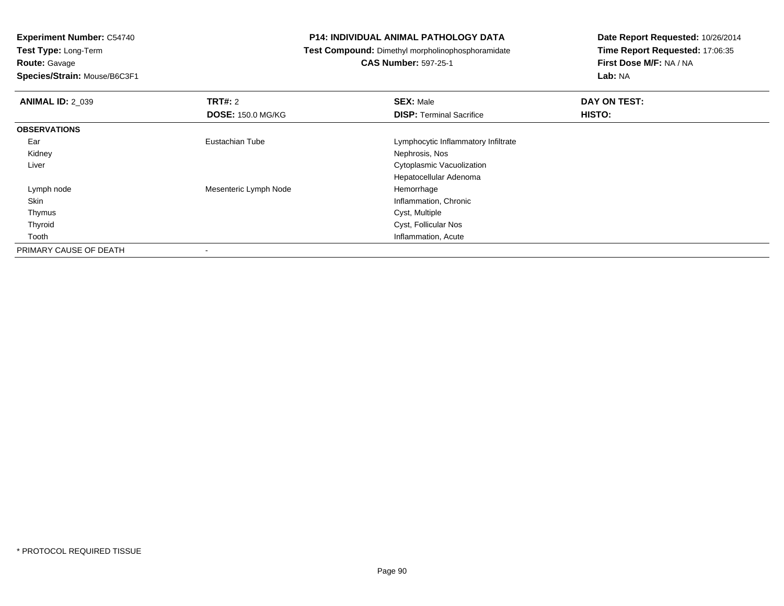**Route:** Gavage

**Species/Strain:** Mouse/B6C3F1

#### **P14: INDIVIDUAL ANIMAL PATHOLOGY DATA**

**Test Compound:** Dimethyl morpholinophosphoramidate

**CAS Number:** 597-25-1

| <b>ANIMAL ID: 2 039</b> | <b>TRT#: 2</b>           | <b>SEX: Male</b>                    | DAY ON TEST: |  |
|-------------------------|--------------------------|-------------------------------------|--------------|--|
|                         | <b>DOSE: 150.0 MG/KG</b> | <b>DISP: Terminal Sacrifice</b>     | HISTO:       |  |
| <b>OBSERVATIONS</b>     |                          |                                     |              |  |
| Ear                     | Eustachian Tube          | Lymphocytic Inflammatory Infiltrate |              |  |
| Kidney                  |                          | Nephrosis, Nos                      |              |  |
| Liver                   |                          | Cytoplasmic Vacuolization           |              |  |
|                         |                          | Hepatocellular Adenoma              |              |  |
| Lymph node              | Mesenteric Lymph Node    | Hemorrhage                          |              |  |
| Skin                    |                          | Inflammation, Chronic               |              |  |
| Thymus                  |                          | Cyst, Multiple                      |              |  |
| Thyroid                 |                          | Cyst, Follicular Nos                |              |  |
| Tooth                   |                          | Inflammation, Acute                 |              |  |
| PRIMARY CAUSE OF DEATH  |                          |                                     |              |  |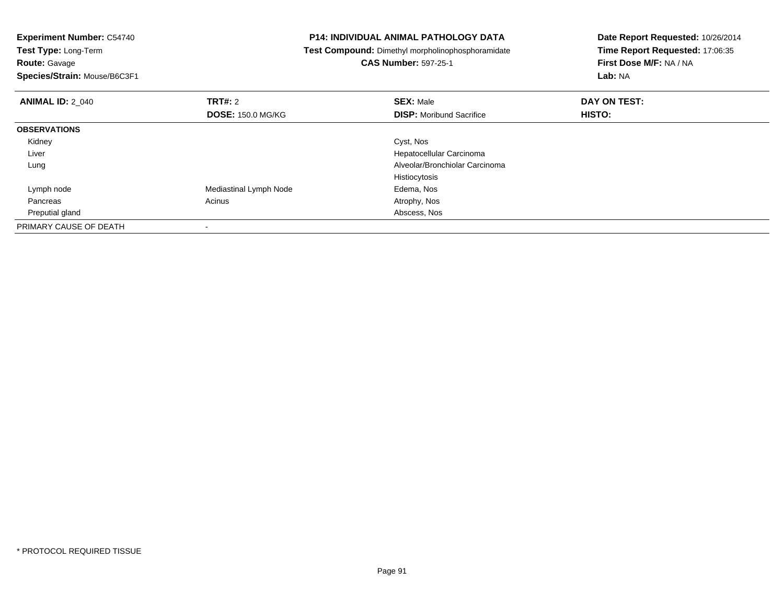| <b>Experiment Number: C54740</b> |                          | <b>P14: INDIVIDUAL ANIMAL PATHOLOGY DATA</b>      | Date Report Requested: 10/26/2014 |  |
|----------------------------------|--------------------------|---------------------------------------------------|-----------------------------------|--|
| Test Type: Long-Term             |                          | Test Compound: Dimethyl morpholinophosphoramidate | Time Report Requested: 17:06:35   |  |
| <b>Route: Gavage</b>             |                          | <b>CAS Number: 597-25-1</b>                       | First Dose M/F: NA / NA           |  |
| Species/Strain: Mouse/B6C3F1     |                          |                                                   | Lab: NA                           |  |
| <b>ANIMAL ID: 2 040</b>          | <b>TRT#: 2</b>           | <b>SEX: Male</b>                                  | DAY ON TEST:                      |  |
|                                  | <b>DOSE: 150.0 MG/KG</b> | <b>DISP:</b> Moribund Sacrifice                   | HISTO:                            |  |
| <b>OBSERVATIONS</b>              |                          |                                                   |                                   |  |
| Kidney                           |                          | Cyst, Nos                                         |                                   |  |
| Liver                            |                          | Hepatocellular Carcinoma                          |                                   |  |
| Lung                             |                          | Alveolar/Bronchiolar Carcinoma                    |                                   |  |
|                                  |                          | Histiocytosis                                     |                                   |  |
| Lymph node                       | Mediastinal Lymph Node   | Edema, Nos                                        |                                   |  |
| Pancreas                         | Acinus                   | Atrophy, Nos                                      |                                   |  |
| Preputial gland                  |                          | Abscess, Nos                                      |                                   |  |
| PRIMARY CAUSE OF DEATH           |                          |                                                   |                                   |  |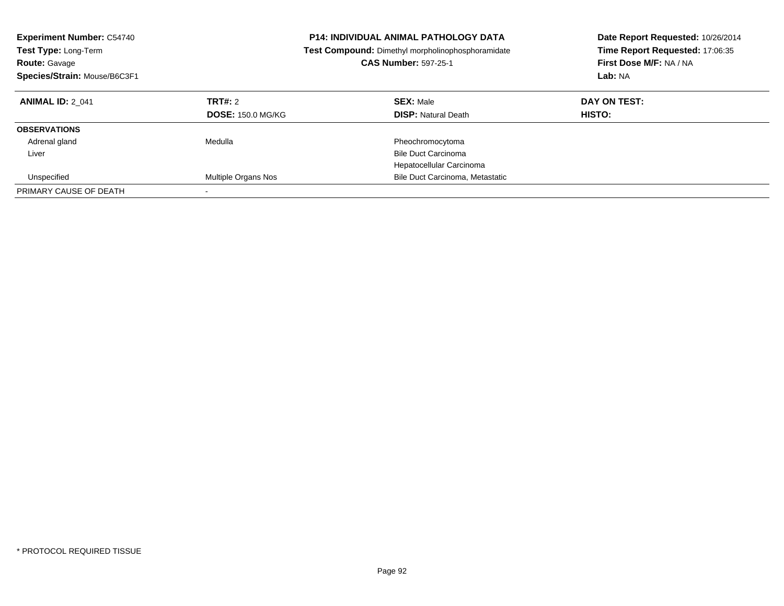| <b>Experiment Number: C54740</b><br><b>Test Type: Long-Term</b><br><b>Route: Gavage</b><br>Species/Strain: Mouse/B6C3F1 |                                     | <b>P14: INDIVIDUAL ANIMAL PATHOLOGY DATA</b><br><b>Test Compound:</b> Dimethyl morpholinophosphoramidate<br><b>CAS Number: 597-25-1</b> | Date Report Requested: 10/26/2014<br>Time Report Requested: 17:06:35<br>First Dose M/F: NA / NA<br>Lab: NA |
|-------------------------------------------------------------------------------------------------------------------------|-------------------------------------|-----------------------------------------------------------------------------------------------------------------------------------------|------------------------------------------------------------------------------------------------------------|
| <b>ANIMAL ID: 2 041</b>                                                                                                 | TRT#: 2<br><b>DOSE: 150.0 MG/KG</b> | <b>SEX: Male</b><br><b>DISP:</b> Natural Death                                                                                          | DAY ON TEST:<br>HISTO:                                                                                     |
| <b>OBSERVATIONS</b>                                                                                                     |                                     |                                                                                                                                         |                                                                                                            |
| Adrenal gland                                                                                                           | Medulla                             | Pheochromocytoma                                                                                                                        |                                                                                                            |
| Liver                                                                                                                   |                                     | <b>Bile Duct Carcinoma</b>                                                                                                              |                                                                                                            |
|                                                                                                                         |                                     | Hepatocellular Carcinoma                                                                                                                |                                                                                                            |
| Unspecified                                                                                                             | Multiple Organs Nos                 | Bile Duct Carcinoma, Metastatic                                                                                                         |                                                                                                            |
| PRIMARY CAUSE OF DEATH                                                                                                  |                                     |                                                                                                                                         |                                                                                                            |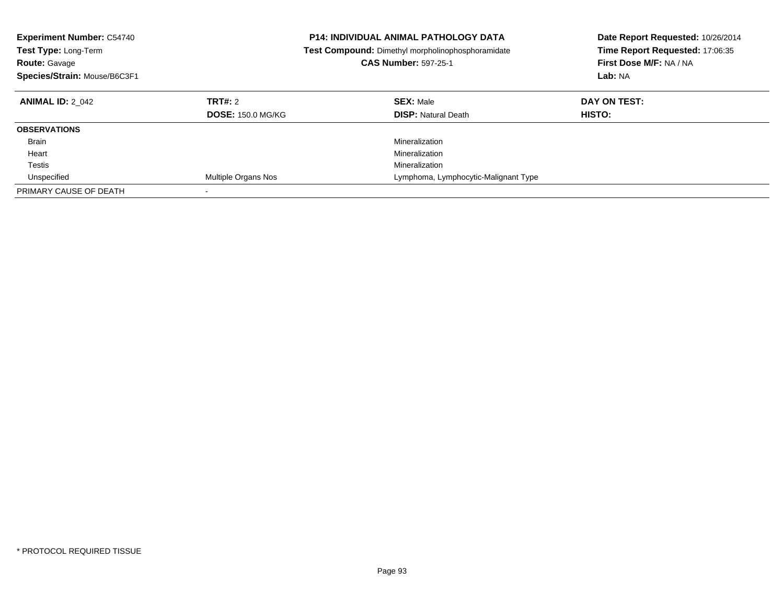| <b>Experiment Number: C54740</b><br><b>Test Type: Long-Term</b><br><b>Route: Gavage</b><br>Species/Strain: Mouse/B6C3F1 |                                     | <b>P14: INDIVIDUAL ANIMAL PATHOLOGY DATA</b><br>Test Compound: Dimethyl morpholinophosphoramidate<br><b>CAS Number: 597-25-1</b> | Date Report Requested: 10/26/2014<br>Time Report Requested: 17:06:35<br>First Dose M/F: NA / NA<br>Lab: NA |
|-------------------------------------------------------------------------------------------------------------------------|-------------------------------------|----------------------------------------------------------------------------------------------------------------------------------|------------------------------------------------------------------------------------------------------------|
| <b>ANIMAL ID: 2 042</b>                                                                                                 | TRT#: 2<br><b>DOSE: 150.0 MG/KG</b> | <b>SEX: Male</b><br><b>DISP: Natural Death</b>                                                                                   | DAY ON TEST:<br><b>HISTO:</b>                                                                              |
| <b>OBSERVATIONS</b>                                                                                                     |                                     |                                                                                                                                  |                                                                                                            |
| <b>Brain</b>                                                                                                            |                                     | Mineralization                                                                                                                   |                                                                                                            |
| Heart                                                                                                                   |                                     | Mineralization                                                                                                                   |                                                                                                            |
| Testis                                                                                                                  |                                     | Mineralization                                                                                                                   |                                                                                                            |
| Unspecified                                                                                                             | Multiple Organs Nos                 | Lymphoma, Lymphocytic-Malignant Type                                                                                             |                                                                                                            |
| PRIMARY CAUSE OF DEATH                                                                                                  |                                     |                                                                                                                                  |                                                                                                            |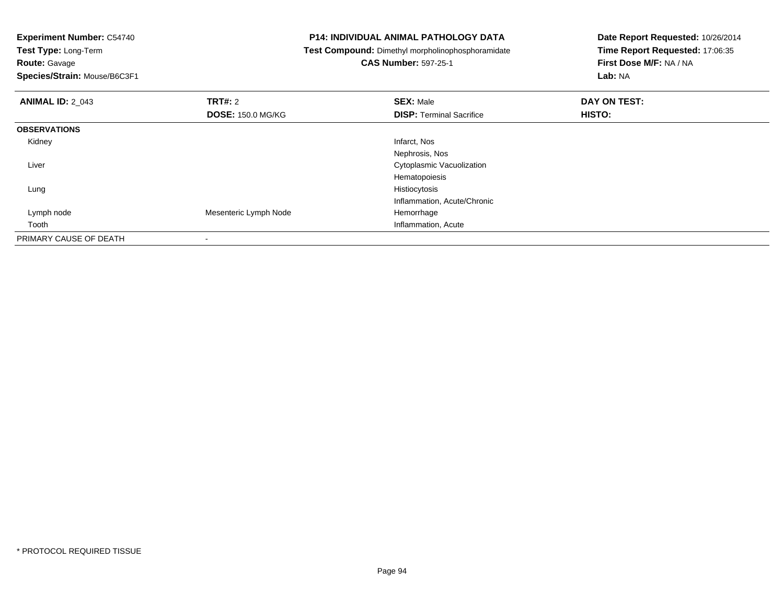**Experiment Number:** C54740

**Test Type:** Long-Term**Route:** Gavage

**Species/Strain:** Mouse/B6C3F1

#### **P14: INDIVIDUAL ANIMAL PATHOLOGY DATA**

**Test Compound:** Dimethyl morpholinophosphoramidate

# **CAS Number:** 597-25-1

| <b>ANIMAL ID: 2_043</b> | TRT#: 2                  | <b>SEX: Male</b>                | DAY ON TEST: |  |
|-------------------------|--------------------------|---------------------------------|--------------|--|
|                         | <b>DOSE: 150.0 MG/KG</b> | <b>DISP: Terminal Sacrifice</b> | HISTO:       |  |
| <b>OBSERVATIONS</b>     |                          |                                 |              |  |
| Kidney                  |                          | Infarct, Nos                    |              |  |
|                         |                          | Nephrosis, Nos                  |              |  |
| Liver                   |                          | Cytoplasmic Vacuolization       |              |  |
|                         |                          | Hematopoiesis                   |              |  |
| Lung                    |                          | Histiocytosis                   |              |  |
|                         |                          | Inflammation, Acute/Chronic     |              |  |
| Lymph node              | Mesenteric Lymph Node    | Hemorrhage                      |              |  |
| Tooth                   |                          | Inflammation, Acute             |              |  |
| PRIMARY CAUSE OF DEATH  | $\,$                     |                                 |              |  |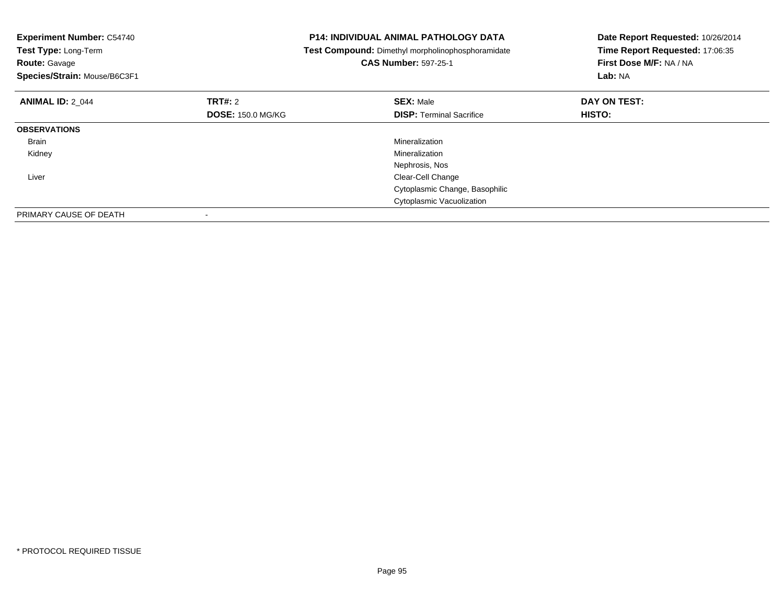| <b>Experiment Number: C54740</b><br>Test Type: Long-Term<br><b>Route: Gavage</b><br>Species/Strain: Mouse/B6C3F1 |                          | <b>P14: INDIVIDUAL ANIMAL PATHOLOGY DATA</b><br>Test Compound: Dimethyl morpholinophosphoramidate<br><b>CAS Number: 597-25-1</b> | Date Report Requested: 10/26/2014<br>Time Report Requested: 17:06:35<br>First Dose M/F: NA / NA<br>Lab: NA |
|------------------------------------------------------------------------------------------------------------------|--------------------------|----------------------------------------------------------------------------------------------------------------------------------|------------------------------------------------------------------------------------------------------------|
| <b>ANIMAL ID: 2_044</b>                                                                                          | TRT#: 2                  | <b>SEX: Male</b>                                                                                                                 | DAY ON TEST:                                                                                               |
|                                                                                                                  | <b>DOSE: 150.0 MG/KG</b> | <b>DISP:</b> Terminal Sacrifice                                                                                                  | HISTO:                                                                                                     |
| <b>OBSERVATIONS</b>                                                                                              |                          |                                                                                                                                  |                                                                                                            |
| Brain                                                                                                            |                          | Mineralization                                                                                                                   |                                                                                                            |
| Kidney                                                                                                           |                          | Mineralization                                                                                                                   |                                                                                                            |
|                                                                                                                  |                          | Nephrosis, Nos                                                                                                                   |                                                                                                            |
| Liver                                                                                                            |                          | Clear-Cell Change                                                                                                                |                                                                                                            |
|                                                                                                                  |                          | Cytoplasmic Change, Basophilic                                                                                                   |                                                                                                            |
|                                                                                                                  |                          | Cytoplasmic Vacuolization                                                                                                        |                                                                                                            |
| PRIMARY CAUSE OF DEATH                                                                                           |                          |                                                                                                                                  |                                                                                                            |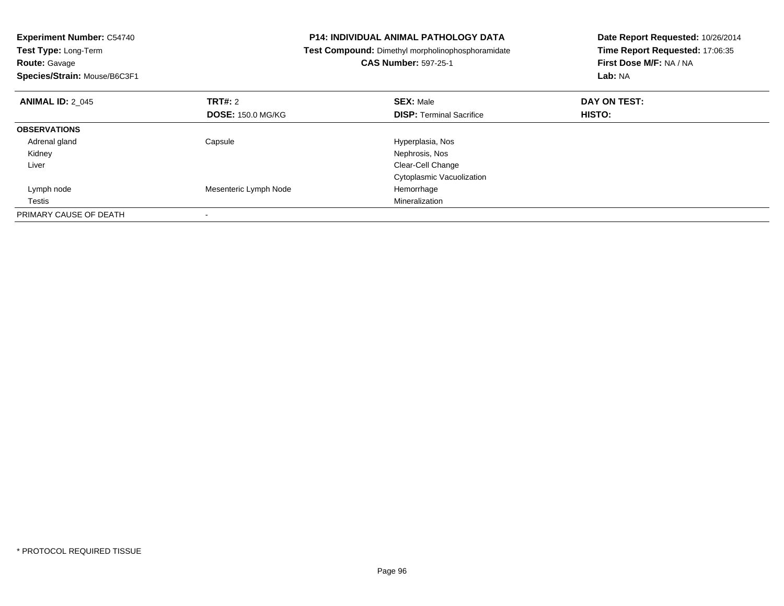| <b>Experiment Number: C54740</b><br>Test Type: Long-Term |                          | <b>P14: INDIVIDUAL ANIMAL PATHOLOGY DATA</b>      | Date Report Requested: 10/26/2014 |
|----------------------------------------------------------|--------------------------|---------------------------------------------------|-----------------------------------|
|                                                          |                          | Test Compound: Dimethyl morpholinophosphoramidate | Time Report Requested: 17:06:35   |
| <b>Route: Gavage</b>                                     |                          | <b>CAS Number: 597-25-1</b>                       | First Dose M/F: NA / NA           |
| Species/Strain: Mouse/B6C3F1                             |                          |                                                   | Lab: NA                           |
| <b>ANIMAL ID: 2 045</b>                                  | <b>TRT#: 2</b>           | <b>SEX: Male</b>                                  | DAY ON TEST:                      |
|                                                          | <b>DOSE: 150.0 MG/KG</b> | <b>DISP: Terminal Sacrifice</b>                   | HISTO:                            |
| <b>OBSERVATIONS</b>                                      |                          |                                                   |                                   |
| Adrenal gland                                            | Capsule                  | Hyperplasia, Nos                                  |                                   |
| Kidney                                                   |                          | Nephrosis, Nos                                    |                                   |
| Liver                                                    |                          | Clear-Cell Change                                 |                                   |
|                                                          |                          | Cytoplasmic Vacuolization                         |                                   |
| Lymph node                                               | Mesenteric Lymph Node    | Hemorrhage                                        |                                   |
| Testis                                                   |                          | Mineralization                                    |                                   |
| PRIMARY CAUSE OF DEATH                                   |                          |                                                   |                                   |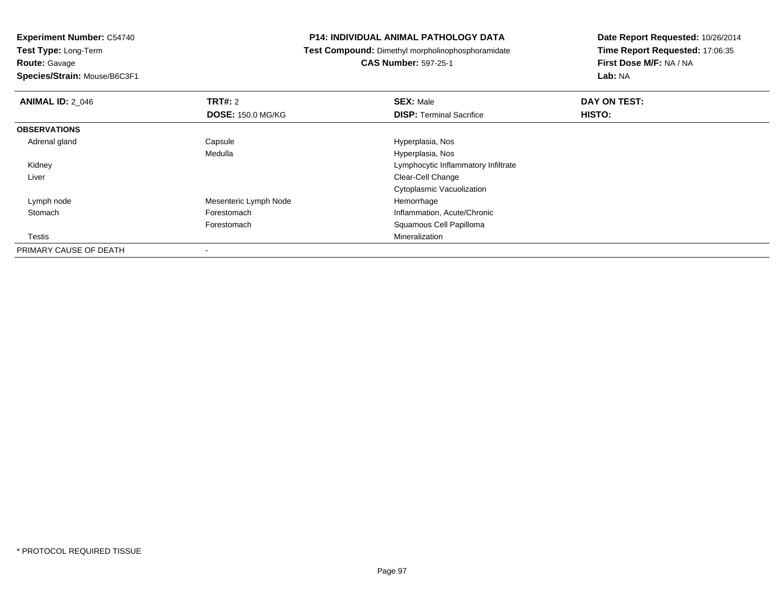**Experiment Number:** C54740

**Test Type:** Long-Term**Route:** Gavage

**Species/Strain:** Mouse/B6C3F1

#### **P14: INDIVIDUAL ANIMAL PATHOLOGY DATA**

**Test Compound:** Dimethyl morpholinophosphoramidate

**CAS Number:** 597-25-1

| <b>ANIMAL ID: 2 046</b> | TRT#: 2                  | <b>SEX: Male</b>                    | DAY ON TEST: |  |
|-------------------------|--------------------------|-------------------------------------|--------------|--|
|                         | <b>DOSE: 150.0 MG/KG</b> | <b>DISP: Terminal Sacrifice</b>     | HISTO:       |  |
| <b>OBSERVATIONS</b>     |                          |                                     |              |  |
| Adrenal gland           | Capsule                  | Hyperplasia, Nos                    |              |  |
|                         | Medulla                  | Hyperplasia, Nos                    |              |  |
| Kidney                  |                          | Lymphocytic Inflammatory Infiltrate |              |  |
| Liver                   |                          | Clear-Cell Change                   |              |  |
|                         |                          | Cytoplasmic Vacuolization           |              |  |
| Lymph node              | Mesenteric Lymph Node    | Hemorrhage                          |              |  |
| Stomach                 | Forestomach              | Inflammation, Acute/Chronic         |              |  |
|                         | Forestomach              | Squamous Cell Papilloma             |              |  |
| Testis                  |                          | Mineralization                      |              |  |
| PRIMARY CAUSE OF DEATH  |                          |                                     |              |  |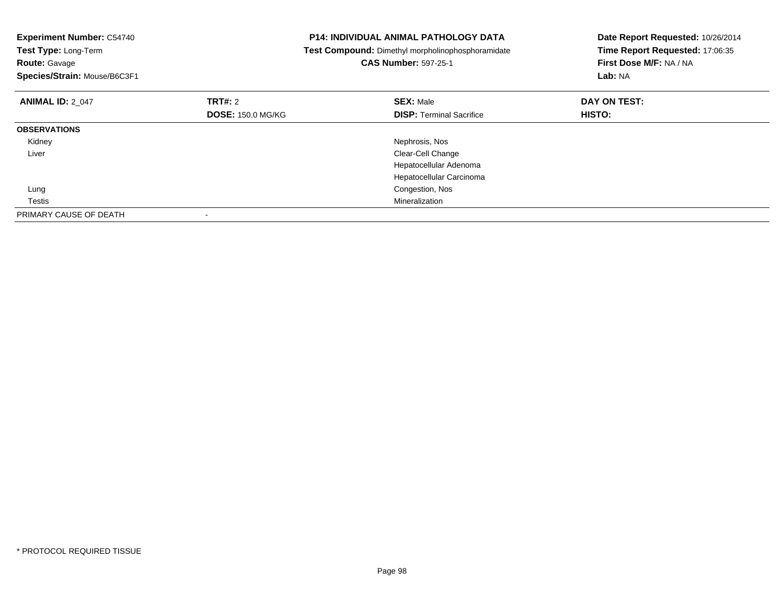| <b>Experiment Number: C54740</b><br>Test Type: Long-Term<br><b>Route: Gavage</b><br>Species/Strain: Mouse/B6C3F1 |                          | <b>P14: INDIVIDUAL ANIMAL PATHOLOGY DATA</b><br>Test Compound: Dimethyl morpholinophosphoramidate<br><b>CAS Number: 597-25-1</b> | Date Report Requested: 10/26/2014<br>Time Report Requested: 17:06:35<br>First Dose M/F: NA / NA<br>Lab: NA |
|------------------------------------------------------------------------------------------------------------------|--------------------------|----------------------------------------------------------------------------------------------------------------------------------|------------------------------------------------------------------------------------------------------------|
| <b>ANIMAL ID: 2_047</b>                                                                                          | TRT#: 2                  | <b>SEX: Male</b>                                                                                                                 | DAY ON TEST:                                                                                               |
|                                                                                                                  | <b>DOSE: 150.0 MG/KG</b> | <b>DISP:</b> Terminal Sacrifice                                                                                                  | HISTO:                                                                                                     |
| <b>OBSERVATIONS</b>                                                                                              |                          |                                                                                                                                  |                                                                                                            |
| Kidney                                                                                                           |                          | Nephrosis, Nos                                                                                                                   |                                                                                                            |
| Liver                                                                                                            |                          | Clear-Cell Change                                                                                                                |                                                                                                            |
|                                                                                                                  |                          | Hepatocellular Adenoma                                                                                                           |                                                                                                            |
|                                                                                                                  |                          | Hepatocellular Carcinoma                                                                                                         |                                                                                                            |
| Lung                                                                                                             |                          | Congestion, Nos                                                                                                                  |                                                                                                            |
| Testis                                                                                                           |                          | Mineralization                                                                                                                   |                                                                                                            |
| PRIMARY CAUSE OF DEATH                                                                                           |                          |                                                                                                                                  |                                                                                                            |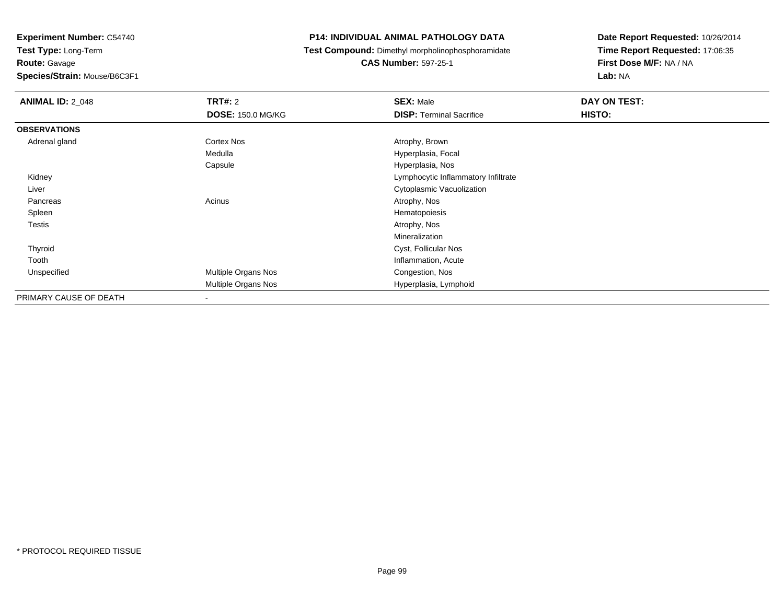**Route:** Gavage

**Species/Strain:** Mouse/B6C3F1

#### **P14: INDIVIDUAL ANIMAL PATHOLOGY DATA**

**Test Compound:** Dimethyl morpholinophosphoramidate

**CAS Number:** 597-25-1

| <b>ANIMAL ID: 2_048</b> | <b>TRT#: 2</b>           | <b>SEX: Male</b>                    | DAY ON TEST: |
|-------------------------|--------------------------|-------------------------------------|--------------|
|                         | <b>DOSE: 150.0 MG/KG</b> | <b>DISP: Terminal Sacrifice</b>     | HISTO:       |
| <b>OBSERVATIONS</b>     |                          |                                     |              |
| Adrenal gland           | Cortex Nos               | Atrophy, Brown                      |              |
|                         | Medulla                  | Hyperplasia, Focal                  |              |
|                         | Capsule                  | Hyperplasia, Nos                    |              |
| Kidney                  |                          | Lymphocytic Inflammatory Infiltrate |              |
| Liver                   |                          | Cytoplasmic Vacuolization           |              |
| Pancreas                | Acinus                   | Atrophy, Nos                        |              |
| Spleen                  |                          | Hematopoiesis                       |              |
| Testis                  |                          | Atrophy, Nos                        |              |
|                         |                          | Mineralization                      |              |
| Thyroid                 |                          | Cyst, Follicular Nos                |              |
| Tooth                   |                          | Inflammation, Acute                 |              |
| Unspecified             | Multiple Organs Nos      | Congestion, Nos                     |              |
|                         | Multiple Organs Nos      | Hyperplasia, Lymphoid               |              |
| PRIMARY CAUSE OF DEATH  | $\overline{\phantom{a}}$ |                                     |              |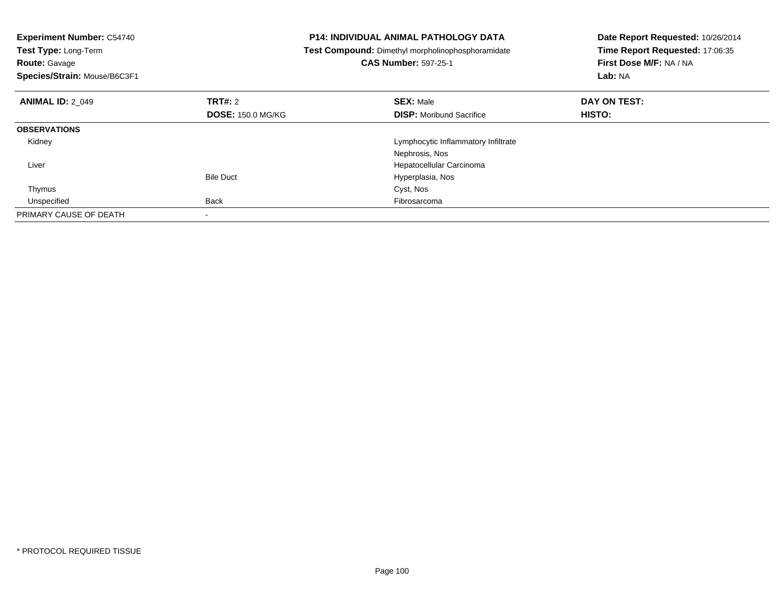| <b>Experiment Number: C54740</b><br>Test Type: Long-Term<br><b>Route: Gavage</b><br>Species/Strain: Mouse/B6C3F1 |                          | <b>P14: INDIVIDUAL ANIMAL PATHOLOGY DATA</b><br>Test Compound: Dimethyl morpholinophosphoramidate<br><b>CAS Number: 597-25-1</b> | Date Report Requested: 10/26/2014<br>Time Report Requested: 17:06:35<br>First Dose M/F: NA / NA<br>Lab: NA |
|------------------------------------------------------------------------------------------------------------------|--------------------------|----------------------------------------------------------------------------------------------------------------------------------|------------------------------------------------------------------------------------------------------------|
| <b>ANIMAL ID: 2 049</b>                                                                                          | TRT#: 2                  | <b>SEX: Male</b>                                                                                                                 | DAY ON TEST:                                                                                               |
|                                                                                                                  | <b>DOSE: 150.0 MG/KG</b> | <b>DISP:</b> Moribund Sacrifice                                                                                                  | <b>HISTO:</b>                                                                                              |
| <b>OBSERVATIONS</b>                                                                                              |                          |                                                                                                                                  |                                                                                                            |
| Kidney                                                                                                           |                          | Lymphocytic Inflammatory Infiltrate                                                                                              |                                                                                                            |
|                                                                                                                  |                          | Nephrosis, Nos                                                                                                                   |                                                                                                            |
| Liver                                                                                                            |                          | Hepatocellular Carcinoma                                                                                                         |                                                                                                            |
|                                                                                                                  | <b>Bile Duct</b>         | Hyperplasia, Nos                                                                                                                 |                                                                                                            |
| Thymus                                                                                                           |                          | Cyst, Nos                                                                                                                        |                                                                                                            |
| Unspecified                                                                                                      | <b>Back</b>              | Fibrosarcoma                                                                                                                     |                                                                                                            |
| PRIMARY CAUSE OF DEATH                                                                                           |                          |                                                                                                                                  |                                                                                                            |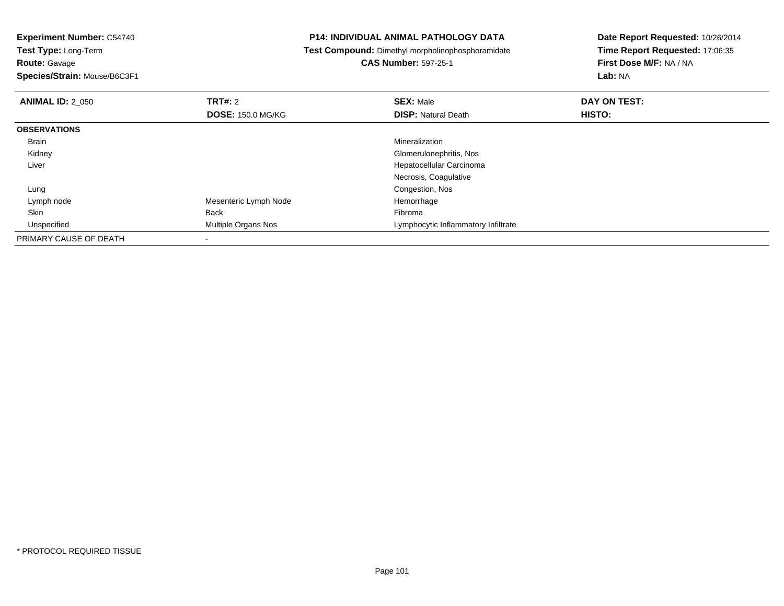**Route:** Gavage

**Species/Strain:** Mouse/B6C3F1

#### **P14: INDIVIDUAL ANIMAL PATHOLOGY DATA**

**Test Compound:** Dimethyl morpholinophosphoramidate

**CAS Number:** 597-25-1

| <b>ANIMAL ID: 2 050</b> | TRT#: 2                    | <b>SEX: Male</b>                    | DAY ON TEST: |  |
|-------------------------|----------------------------|-------------------------------------|--------------|--|
|                         | <b>DOSE: 150.0 MG/KG</b>   | <b>DISP: Natural Death</b>          | HISTO:       |  |
| <b>OBSERVATIONS</b>     |                            |                                     |              |  |
| Brain                   |                            | Mineralization                      |              |  |
| Kidney                  |                            | Glomerulonephritis, Nos             |              |  |
| Liver                   |                            | Hepatocellular Carcinoma            |              |  |
|                         |                            | Necrosis, Coagulative               |              |  |
| Lung                    |                            | Congestion, Nos                     |              |  |
| Lymph node              | Mesenteric Lymph Node      | Hemorrhage                          |              |  |
| Skin                    | Back                       | Fibroma                             |              |  |
| Unspecified             | <b>Multiple Organs Nos</b> | Lymphocytic Inflammatory Infiltrate |              |  |
| PRIMARY CAUSE OF DEATH  |                            |                                     |              |  |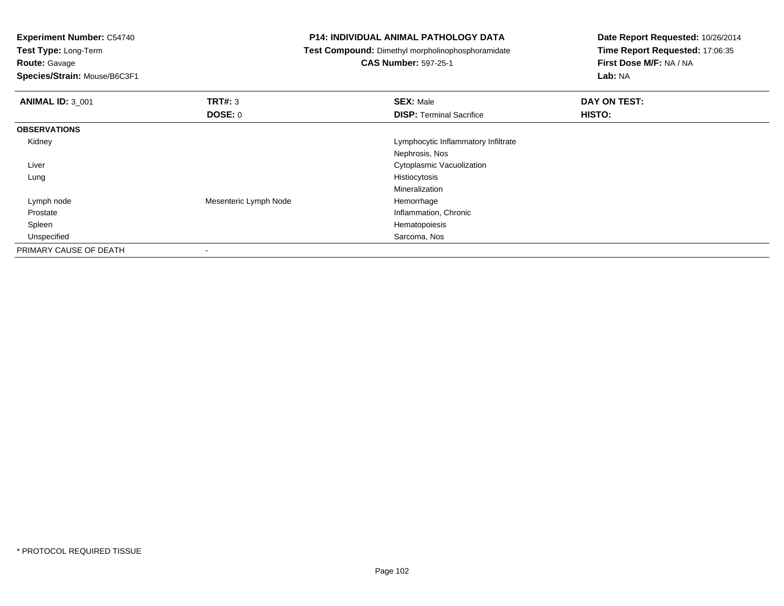**Experiment Number:** C54740**Test Type:** Long-Term**Route:** Gavage **Species/Strain:** Mouse/B6C3F1**P14: INDIVIDUAL ANIMAL PATHOLOGY DATA Test Compound:** Dimethyl morpholinophosphoramidate**CAS Number:** 597-25-1**Date Report Requested:** 10/26/2014**Time Report Requested:** 17:06:35**First Dose M/F:** NA / NA**Lab:** NA**ANIMAL ID:** 3\_001**TRT#:** 3 **SEX:** Male **DAY ON TEST: DOSE:** 0**DISP:** Terminal Sacrifice **HISTO: OBSERVATIONS** Kidney Lymphocytic Inflammatory InfiltrateNephrosis, Nos**Cytoplasmic Vacuolization** Control of the Control of the Control of Cytoplasmic Vacuolization Liver Lungg and the state of the state of the state of the state of the state of the state of the state of the state of the state of the state of the state of the state of the state of the state of the state of the state of the stat MineralizationHemorrhage Lymph nodeMesenteric Lymph Node ProstateInflammation, Chronic<br>Hematopoiesis Spleenn and the state of the state of the state of the state of the state of the state of the state of the state of the state of the state of the state of the state of the state of the state of the state of the state of the stat Unspecified Sarcoma, Nos PRIMARY CAUSE OF DEATH-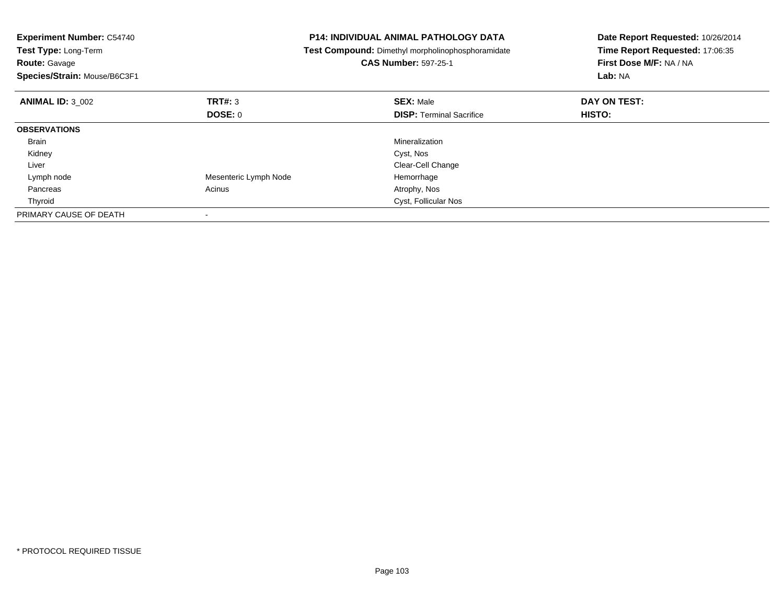| <b>Experiment Number: C54740</b><br>Test Type: Long-Term<br><b>Route: Gavage</b><br>Species/Strain: Mouse/B6C3F1 |                       | <b>P14: INDIVIDUAL ANIMAL PATHOLOGY DATA</b><br>Test Compound: Dimethyl morpholinophosphoramidate<br><b>CAS Number: 597-25-1</b> | Date Report Requested: 10/26/2014<br>Time Report Requested: 17:06:35<br>First Dose M/F: NA / NA<br>Lab: NA |
|------------------------------------------------------------------------------------------------------------------|-----------------------|----------------------------------------------------------------------------------------------------------------------------------|------------------------------------------------------------------------------------------------------------|
| <b>ANIMAL ID: 3 002</b>                                                                                          | TRT#: 3               | <b>SEX: Male</b>                                                                                                                 | DAY ON TEST:                                                                                               |
|                                                                                                                  | DOSE: 0               | <b>DISP:</b> Terminal Sacrifice                                                                                                  | <b>HISTO:</b>                                                                                              |
| <b>OBSERVATIONS</b>                                                                                              |                       |                                                                                                                                  |                                                                                                            |
| Brain                                                                                                            |                       | Mineralization                                                                                                                   |                                                                                                            |
| Kidney                                                                                                           |                       | Cyst, Nos                                                                                                                        |                                                                                                            |
| Liver                                                                                                            |                       | Clear-Cell Change                                                                                                                |                                                                                                            |
| Lymph node                                                                                                       | Mesenteric Lymph Node | Hemorrhage                                                                                                                       |                                                                                                            |
| Pancreas                                                                                                         | Acinus                | Atrophy, Nos                                                                                                                     |                                                                                                            |
| Thyroid                                                                                                          |                       | Cyst, Follicular Nos                                                                                                             |                                                                                                            |
| PRIMARY CAUSE OF DEATH                                                                                           |                       |                                                                                                                                  |                                                                                                            |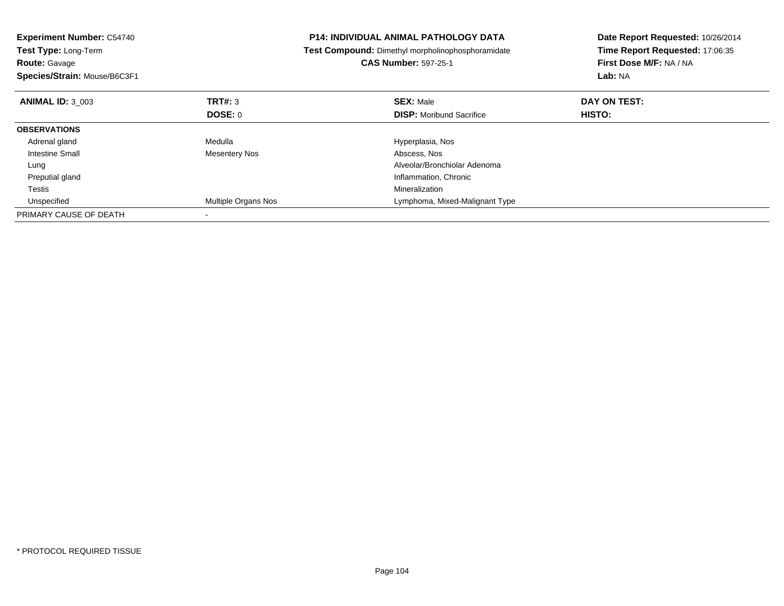| <b>Experiment Number: C54740</b><br><b>Test Type: Long-Term</b><br><b>Route: Gavage</b><br>Species/Strain: Mouse/B6C3F1 |                      | <b>P14: INDIVIDUAL ANIMAL PATHOLOGY DATA</b><br>Test Compound: Dimethyl morpholinophosphoramidate<br><b>CAS Number: 597-25-1</b> | Date Report Requested: 10/26/2014<br>Time Report Requested: 17:06:35<br>First Dose M/F: NA / NA<br>Lab: NA |
|-------------------------------------------------------------------------------------------------------------------------|----------------------|----------------------------------------------------------------------------------------------------------------------------------|------------------------------------------------------------------------------------------------------------|
| <b>ANIMAL ID: 3 003</b>                                                                                                 | <b>TRT#: 3</b>       | <b>SEX: Male</b>                                                                                                                 | DAY ON TEST:                                                                                               |
|                                                                                                                         | DOSE: 0              | <b>DISP:</b> Moribund Sacrifice                                                                                                  | HISTO:                                                                                                     |
| <b>OBSERVATIONS</b>                                                                                                     |                      |                                                                                                                                  |                                                                                                            |
| Adrenal gland                                                                                                           | Medulla              | Hyperplasia, Nos                                                                                                                 |                                                                                                            |
| Intestine Small                                                                                                         | <b>Mesentery Nos</b> | Abscess, Nos                                                                                                                     |                                                                                                            |
| Lung                                                                                                                    |                      | Alveolar/Bronchiolar Adenoma                                                                                                     |                                                                                                            |
| Preputial gland                                                                                                         |                      | Inflammation, Chronic                                                                                                            |                                                                                                            |
| Testis                                                                                                                  |                      | Mineralization                                                                                                                   |                                                                                                            |
| Unspecified                                                                                                             | Multiple Organs Nos  | Lymphoma, Mixed-Malignant Type                                                                                                   |                                                                                                            |
| PRIMARY CAUSE OF DEATH                                                                                                  |                      |                                                                                                                                  |                                                                                                            |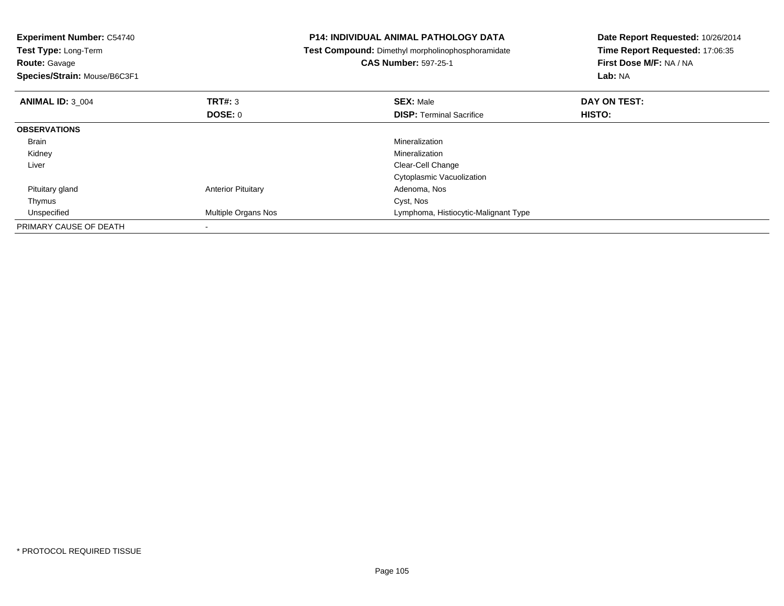| <b>Experiment Number: C54740</b><br><b>Test Type: Long-Term</b><br><b>Route: Gavage</b><br>Species/Strain: Mouse/B6C3F1 |                           | <b>P14: INDIVIDUAL ANIMAL PATHOLOGY DATA</b><br>Test Compound: Dimethyl morpholinophosphoramidate<br><b>CAS Number: 597-25-1</b> | Date Report Requested: 10/26/2014<br>Time Report Requested: 17:06:35<br>First Dose M/F: NA / NA<br>Lab: NA |
|-------------------------------------------------------------------------------------------------------------------------|---------------------------|----------------------------------------------------------------------------------------------------------------------------------|------------------------------------------------------------------------------------------------------------|
| <b>ANIMAL ID: 3 004</b>                                                                                                 | <b>TRT#: 3</b>            | <b>SEX: Male</b>                                                                                                                 | DAY ON TEST:                                                                                               |
|                                                                                                                         | DOSE: 0                   | <b>DISP:</b> Terminal Sacrifice                                                                                                  | HISTO:                                                                                                     |
| <b>OBSERVATIONS</b>                                                                                                     |                           |                                                                                                                                  |                                                                                                            |
| Brain                                                                                                                   |                           | Mineralization                                                                                                                   |                                                                                                            |
| Kidney                                                                                                                  |                           | Mineralization                                                                                                                   |                                                                                                            |
| Liver                                                                                                                   |                           | Clear-Cell Change                                                                                                                |                                                                                                            |
|                                                                                                                         |                           | Cytoplasmic Vacuolization                                                                                                        |                                                                                                            |
| Pituitary gland                                                                                                         | <b>Anterior Pituitary</b> | Adenoma, Nos                                                                                                                     |                                                                                                            |
| Thymus                                                                                                                  |                           | Cyst, Nos                                                                                                                        |                                                                                                            |
| Unspecified                                                                                                             | Multiple Organs Nos       | Lymphoma, Histiocytic-Malignant Type                                                                                             |                                                                                                            |
| PRIMARY CAUSE OF DEATH                                                                                                  |                           |                                                                                                                                  |                                                                                                            |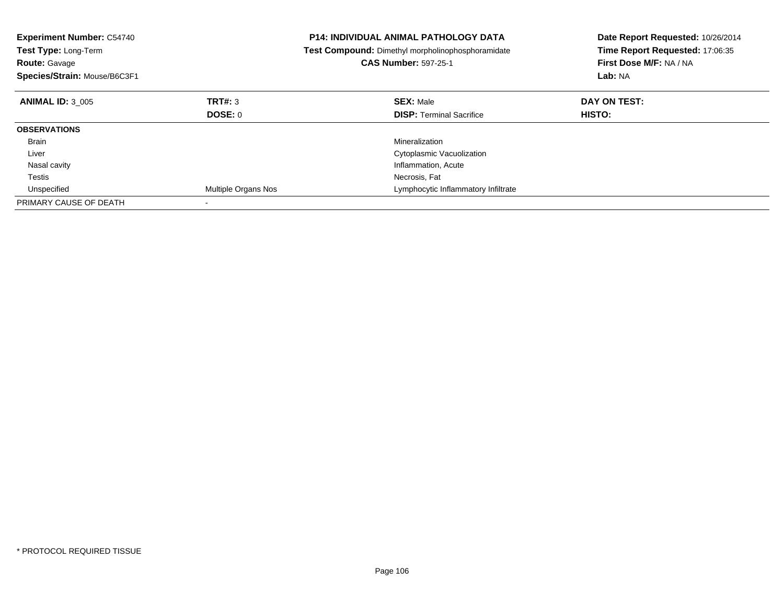| <b>Experiment Number: C54740</b><br>Test Type: Long-Term<br><b>Route: Gavage</b><br>Species/Strain: Mouse/B6C3F1 |                     | <b>P14: INDIVIDUAL ANIMAL PATHOLOGY DATA</b><br>Test Compound: Dimethyl morpholinophosphoramidate<br><b>CAS Number: 597-25-1</b> | Date Report Requested: 10/26/2014<br>Time Report Requested: 17:06:35<br>First Dose M/F: NA / NA<br>Lab: NA |
|------------------------------------------------------------------------------------------------------------------|---------------------|----------------------------------------------------------------------------------------------------------------------------------|------------------------------------------------------------------------------------------------------------|
| <b>ANIMAL ID: 3 005</b>                                                                                          | TRT#: 3             | <b>SEX: Male</b>                                                                                                                 | DAY ON TEST:                                                                                               |
|                                                                                                                  | DOSE: 0             | <b>DISP:</b> Terminal Sacrifice                                                                                                  | <b>HISTO:</b>                                                                                              |
| <b>OBSERVATIONS</b>                                                                                              |                     |                                                                                                                                  |                                                                                                            |
| <b>Brain</b>                                                                                                     |                     | Mineralization                                                                                                                   |                                                                                                            |
| Liver                                                                                                            |                     | Cytoplasmic Vacuolization                                                                                                        |                                                                                                            |
| Nasal cavity                                                                                                     |                     | Inflammation, Acute                                                                                                              |                                                                                                            |
| Testis                                                                                                           |                     | Necrosis, Fat                                                                                                                    |                                                                                                            |
| Unspecified                                                                                                      | Multiple Organs Nos | Lymphocytic Inflammatory Infiltrate                                                                                              |                                                                                                            |
| PRIMARY CAUSE OF DEATH                                                                                           |                     |                                                                                                                                  |                                                                                                            |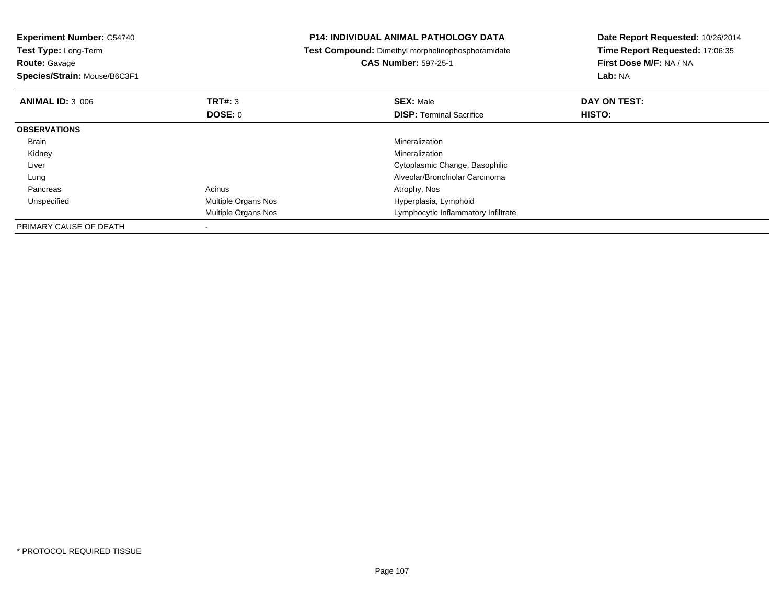| <b>Experiment Number: C54740</b><br><b>Test Type: Long-Term</b><br><b>Route: Gavage</b><br>Species/Strain: Mouse/B6C3F1 |                     | <b>P14: INDIVIDUAL ANIMAL PATHOLOGY DATA</b><br>Test Compound: Dimethyl morpholinophosphoramidate<br><b>CAS Number: 597-25-1</b> | Date Report Requested: 10/26/2014<br>Time Report Requested: 17:06:35<br>First Dose M/F: NA / NA<br>Lab: NA |
|-------------------------------------------------------------------------------------------------------------------------|---------------------|----------------------------------------------------------------------------------------------------------------------------------|------------------------------------------------------------------------------------------------------------|
| <b>ANIMAL ID: 3 006</b>                                                                                                 | <b>TRT#: 3</b>      | <b>SEX: Male</b>                                                                                                                 | DAY ON TEST:                                                                                               |
|                                                                                                                         | <b>DOSE: 0</b>      | <b>DISP: Terminal Sacrifice</b>                                                                                                  | HISTO:                                                                                                     |
| <b>OBSERVATIONS</b>                                                                                                     |                     |                                                                                                                                  |                                                                                                            |
| Brain                                                                                                                   |                     | Mineralization                                                                                                                   |                                                                                                            |
| Kidney                                                                                                                  |                     | Mineralization                                                                                                                   |                                                                                                            |
| Liver                                                                                                                   |                     | Cytoplasmic Change, Basophilic                                                                                                   |                                                                                                            |
| Lung                                                                                                                    |                     | Alveolar/Bronchiolar Carcinoma                                                                                                   |                                                                                                            |
| Pancreas                                                                                                                | Acinus              | Atrophy, Nos                                                                                                                     |                                                                                                            |
| Unspecified                                                                                                             | Multiple Organs Nos | Hyperplasia, Lymphoid                                                                                                            |                                                                                                            |
|                                                                                                                         | Multiple Organs Nos | Lymphocytic Inflammatory Infiltrate                                                                                              |                                                                                                            |
| PRIMARY CAUSE OF DEATH                                                                                                  |                     |                                                                                                                                  |                                                                                                            |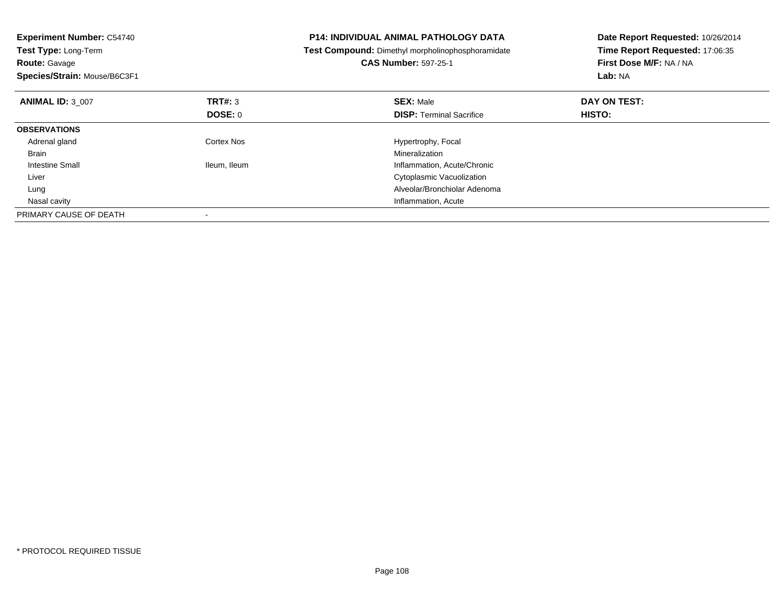| <b>Experiment Number: C54740</b><br>Test Type: Long-Term<br><b>Route: Gavage</b><br>Species/Strain: Mouse/B6C3F1 |                | <b>P14: INDIVIDUAL ANIMAL PATHOLOGY DATA</b><br>Test Compound: Dimethyl morpholinophosphoramidate<br><b>CAS Number: 597-25-1</b> | Date Report Requested: 10/26/2014<br>Time Report Requested: 17:06:35<br>First Dose M/F: NA / NA<br>Lab: NA |
|------------------------------------------------------------------------------------------------------------------|----------------|----------------------------------------------------------------------------------------------------------------------------------|------------------------------------------------------------------------------------------------------------|
| <b>ANIMAL ID: 3 007</b>                                                                                          | TRT#: 3        | <b>SEX: Male</b>                                                                                                                 | DAY ON TEST:                                                                                               |
|                                                                                                                  | <b>DOSE: 0</b> | <b>DISP:</b> Terminal Sacrifice                                                                                                  | <b>HISTO:</b>                                                                                              |
| <b>OBSERVATIONS</b>                                                                                              |                |                                                                                                                                  |                                                                                                            |
| Adrenal gland                                                                                                    | Cortex Nos     | Hypertrophy, Focal                                                                                                               |                                                                                                            |
| <b>Brain</b>                                                                                                     |                | Mineralization                                                                                                                   |                                                                                                            |
| Intestine Small                                                                                                  | Ileum, Ileum   | Inflammation, Acute/Chronic                                                                                                      |                                                                                                            |
| Liver                                                                                                            |                | Cytoplasmic Vacuolization                                                                                                        |                                                                                                            |
| Lung                                                                                                             |                | Alveolar/Bronchiolar Adenoma                                                                                                     |                                                                                                            |
| Nasal cavity                                                                                                     |                | Inflammation, Acute                                                                                                              |                                                                                                            |
| PRIMARY CAUSE OF DEATH                                                                                           |                |                                                                                                                                  |                                                                                                            |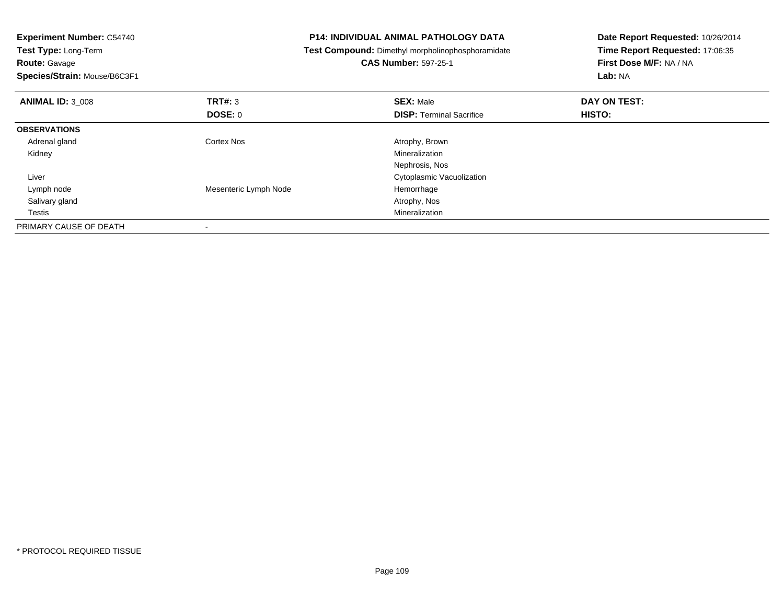| <b>Experiment Number: C54740</b> |                       | <b>P14: INDIVIDUAL ANIMAL PATHOLOGY DATA</b>      | Date Report Requested: 10/26/2014 |
|----------------------------------|-----------------------|---------------------------------------------------|-----------------------------------|
| Test Type: Long-Term             |                       | Test Compound: Dimethyl morpholinophosphoramidate | Time Report Requested: 17:06:35   |
| <b>Route: Gavage</b>             |                       | <b>CAS Number: 597-25-1</b>                       | First Dose M/F: NA / NA           |
| Species/Strain: Mouse/B6C3F1     |                       |                                                   | Lab: NA                           |
| <b>ANIMAL ID: 3 008</b>          | <b>TRT#: 3</b>        | <b>SEX: Male</b>                                  | DAY ON TEST:                      |
|                                  | <b>DOSE: 0</b>        | <b>DISP: Terminal Sacrifice</b>                   | HISTO:                            |
| <b>OBSERVATIONS</b>              |                       |                                                   |                                   |
| Adrenal gland                    | Cortex Nos            | Atrophy, Brown                                    |                                   |
| Kidney                           |                       | Mineralization                                    |                                   |
|                                  |                       | Nephrosis, Nos                                    |                                   |
| Liver                            |                       | Cytoplasmic Vacuolization                         |                                   |
| Lymph node                       | Mesenteric Lymph Node | Hemorrhage                                        |                                   |
| Salivary gland                   |                       | Atrophy, Nos                                      |                                   |
| Testis                           |                       | Mineralization                                    |                                   |
| PRIMARY CAUSE OF DEATH           |                       |                                                   |                                   |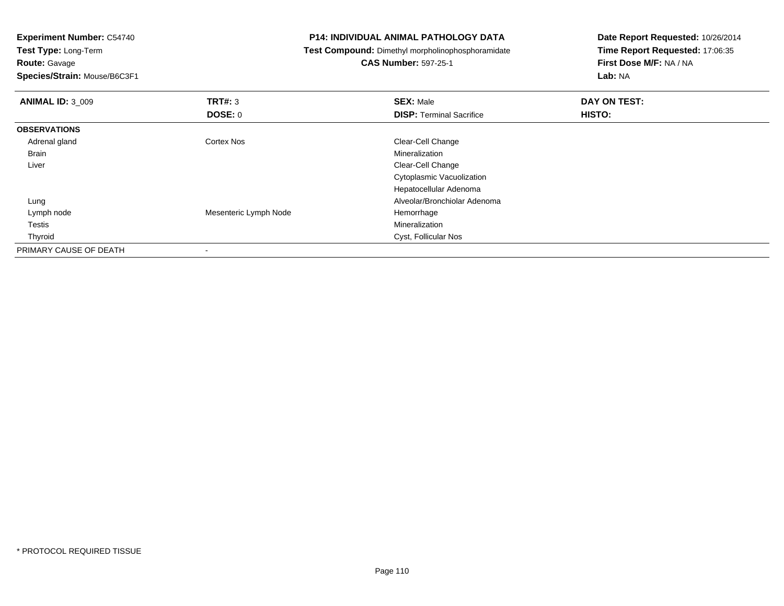| <b>Experiment Number: C54740</b> |                                                   | <b>P14: INDIVIDUAL ANIMAL PATHOLOGY DATA</b> | Date Report Requested: 10/26/2014 |  |
|----------------------------------|---------------------------------------------------|----------------------------------------------|-----------------------------------|--|
| Test Type: Long-Term             | Test Compound: Dimethyl morpholinophosphoramidate |                                              | Time Report Requested: 17:06:35   |  |
| <b>Route: Gavage</b>             |                                                   | <b>CAS Number: 597-25-1</b>                  | First Dose M/F: NA / NA           |  |
| Species/Strain: Mouse/B6C3F1     |                                                   |                                              | Lab: NA                           |  |
| <b>ANIMAL ID: 3_009</b>          | <b>TRT#: 3</b>                                    | <b>SEX: Male</b>                             | DAY ON TEST:                      |  |
|                                  | <b>DOSE: 0</b>                                    | <b>DISP: Terminal Sacrifice</b>              | HISTO:                            |  |
| <b>OBSERVATIONS</b>              |                                                   |                                              |                                   |  |
| Adrenal gland                    | Cortex Nos                                        | Clear-Cell Change                            |                                   |  |
| Brain                            |                                                   | Mineralization                               |                                   |  |
| Liver                            |                                                   | Clear-Cell Change                            |                                   |  |
|                                  |                                                   | Cytoplasmic Vacuolization                    |                                   |  |
|                                  |                                                   | Hepatocellular Adenoma                       |                                   |  |
| Lung                             |                                                   | Alveolar/Bronchiolar Adenoma                 |                                   |  |
| Lymph node                       | Mesenteric Lymph Node                             | Hemorrhage                                   |                                   |  |
| Testis                           |                                                   | Mineralization                               |                                   |  |
| Thyroid                          |                                                   | Cyst, Follicular Nos                         |                                   |  |
| PRIMARY CAUSE OF DEATH<br>۰      |                                                   |                                              |                                   |  |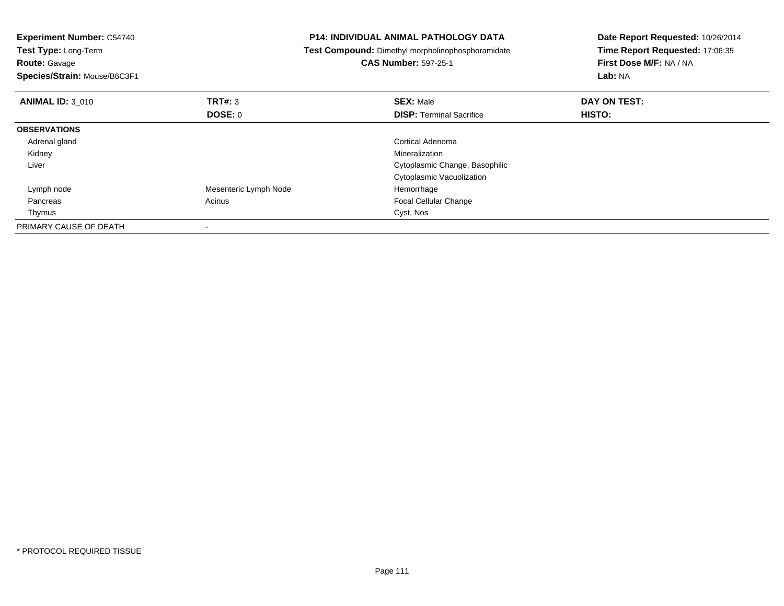| <b>Experiment Number: C54740</b><br>Test Type: Long-Term |                       | <b>P14: INDIVIDUAL ANIMAL PATHOLOGY DATA</b>      | Date Report Requested: 10/26/2014 |  |
|----------------------------------------------------------|-----------------------|---------------------------------------------------|-----------------------------------|--|
|                                                          |                       | Test Compound: Dimethyl morpholinophosphoramidate | Time Report Requested: 17:06:35   |  |
| <b>Route: Gavage</b>                                     |                       | <b>CAS Number: 597-25-1</b>                       | First Dose M/F: NA / NA           |  |
| Species/Strain: Mouse/B6C3F1                             |                       |                                                   | Lab: NA                           |  |
| <b>ANIMAL ID: 3 010</b>                                  | TRT#: 3               | <b>SEX: Male</b>                                  | DAY ON TEST:                      |  |
|                                                          | DOSE: 0               | <b>DISP:</b> Terminal Sacrifice                   | HISTO:                            |  |
| <b>OBSERVATIONS</b>                                      |                       |                                                   |                                   |  |
| Adrenal gland                                            |                       | Cortical Adenoma                                  |                                   |  |
| Kidney                                                   |                       | Mineralization                                    |                                   |  |
| Liver                                                    |                       | Cytoplasmic Change, Basophilic                    |                                   |  |
|                                                          |                       | Cytoplasmic Vacuolization                         |                                   |  |
| Lymph node                                               | Mesenteric Lymph Node | Hemorrhage                                        |                                   |  |
| Pancreas                                                 | Acinus                | Focal Cellular Change                             |                                   |  |
| Thymus                                                   |                       | Cyst, Nos                                         |                                   |  |
| PRIMARY CAUSE OF DEATH                                   |                       |                                                   |                                   |  |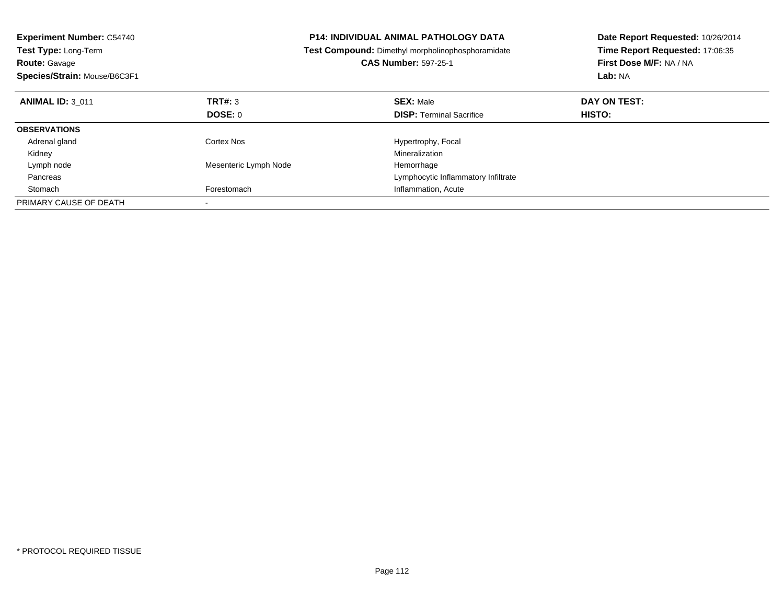| <b>Experiment Number: C54740</b><br><b>Test Type: Long-Term</b><br>Route: Gavage<br>Species/Strain: Mouse/B6C3F1 |                       | <b>P14: INDIVIDUAL ANIMAL PATHOLOGY DATA</b><br>Test Compound: Dimethyl morpholinophosphoramidate<br><b>CAS Number: 597-25-1</b> | Date Report Requested: 10/26/2014<br>Time Report Requested: 17:06:35<br>First Dose M/F: NA / NA<br>Lab: NA |
|------------------------------------------------------------------------------------------------------------------|-----------------------|----------------------------------------------------------------------------------------------------------------------------------|------------------------------------------------------------------------------------------------------------|
| <b>ANIMAL ID: 3 011</b>                                                                                          | TRT#: 3               | <b>SEX: Male</b>                                                                                                                 | DAY ON TEST:                                                                                               |
|                                                                                                                  | <b>DOSE: 0</b>        | <b>DISP:</b> Terminal Sacrifice                                                                                                  | HISTO:                                                                                                     |
| <b>OBSERVATIONS</b>                                                                                              |                       |                                                                                                                                  |                                                                                                            |
| Adrenal gland                                                                                                    | Cortex Nos            | Hypertrophy, Focal                                                                                                               |                                                                                                            |
| Kidney                                                                                                           |                       | Mineralization                                                                                                                   |                                                                                                            |
| Lymph node                                                                                                       | Mesenteric Lymph Node | Hemorrhage                                                                                                                       |                                                                                                            |
| Pancreas                                                                                                         |                       | Lymphocytic Inflammatory Infiltrate                                                                                              |                                                                                                            |
| Stomach                                                                                                          | Forestomach           | Inflammation, Acute                                                                                                              |                                                                                                            |
| PRIMARY CAUSE OF DEATH                                                                                           |                       |                                                                                                                                  |                                                                                                            |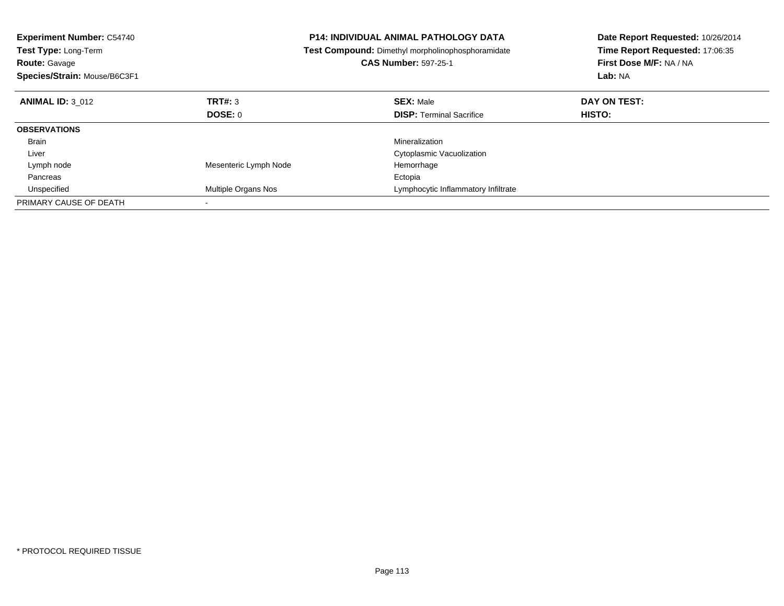| <b>Experiment Number: C54740</b><br>Test Type: Long-Term<br><b>Route: Gavage</b><br>Species/Strain: Mouse/B6C3F1 |                       | <b>P14: INDIVIDUAL ANIMAL PATHOLOGY DATA</b><br>Test Compound: Dimethyl morpholinophosphoramidate<br><b>CAS Number: 597-25-1</b> | Date Report Requested: 10/26/2014<br>Time Report Requested: 17:06:35<br>First Dose M/F: NA / NA<br>Lab: NA |
|------------------------------------------------------------------------------------------------------------------|-----------------------|----------------------------------------------------------------------------------------------------------------------------------|------------------------------------------------------------------------------------------------------------|
| <b>ANIMAL ID: 3 012</b>                                                                                          | TRT#: 3               | <b>SEX: Male</b>                                                                                                                 | DAY ON TEST:                                                                                               |
|                                                                                                                  | DOSE: 0               | <b>DISP:</b> Terminal Sacrifice                                                                                                  | HISTO:                                                                                                     |
| <b>OBSERVATIONS</b>                                                                                              |                       |                                                                                                                                  |                                                                                                            |
| <b>Brain</b>                                                                                                     |                       | Mineralization                                                                                                                   |                                                                                                            |
| Liver                                                                                                            |                       | Cytoplasmic Vacuolization                                                                                                        |                                                                                                            |
| Lymph node                                                                                                       | Mesenteric Lymph Node | Hemorrhage                                                                                                                       |                                                                                                            |
| Pancreas                                                                                                         |                       | Ectopia                                                                                                                          |                                                                                                            |
| Unspecified                                                                                                      | Multiple Organs Nos   | Lymphocytic Inflammatory Infiltrate                                                                                              |                                                                                                            |
| PRIMARY CAUSE OF DEATH                                                                                           |                       |                                                                                                                                  |                                                                                                            |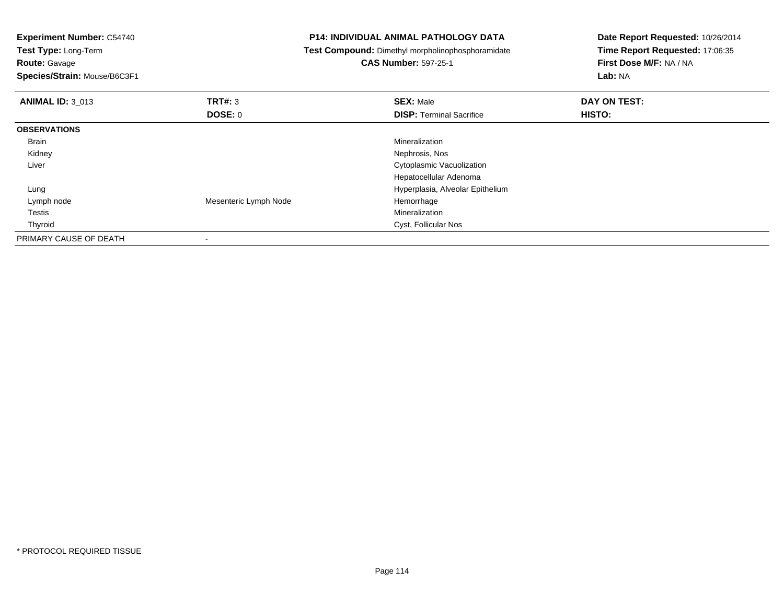| <b>Experiment Number: C54740</b> |                       | <b>P14: INDIVIDUAL ANIMAL PATHOLOGY DATA</b>      | Date Report Requested: 10/26/2014 |
|----------------------------------|-----------------------|---------------------------------------------------|-----------------------------------|
| Test Type: Long-Term             |                       | Test Compound: Dimethyl morpholinophosphoramidate | Time Report Requested: 17:06:35   |
| <b>Route: Gavage</b>             |                       | <b>CAS Number: 597-25-1</b>                       | First Dose M/F: NA / NA           |
| Species/Strain: Mouse/B6C3F1     |                       |                                                   | Lab: NA                           |
| <b>ANIMAL ID: 3 013</b>          | <b>TRT#: 3</b>        | <b>SEX: Male</b>                                  | DAY ON TEST:                      |
|                                  | DOSE: 0               | <b>DISP:</b> Terminal Sacrifice                   | HISTO:                            |
| <b>OBSERVATIONS</b>              |                       |                                                   |                                   |
| Brain                            |                       | Mineralization                                    |                                   |
| Kidney                           |                       | Nephrosis, Nos                                    |                                   |
| Liver                            |                       | Cytoplasmic Vacuolization                         |                                   |
|                                  |                       | Hepatocellular Adenoma                            |                                   |
| Lung                             |                       | Hyperplasia, Alveolar Epithelium                  |                                   |
| Lymph node                       | Mesenteric Lymph Node | Hemorrhage                                        |                                   |
| Testis                           |                       | Mineralization                                    |                                   |
| Thyroid                          |                       | Cyst, Follicular Nos                              |                                   |
| PRIMARY CAUSE OF DEATH           |                       |                                                   |                                   |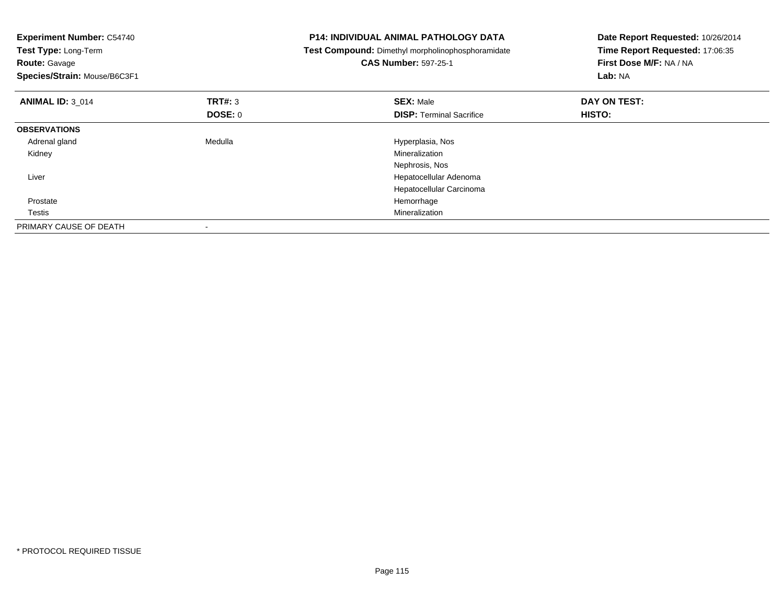| <b>Experiment Number: C54740</b><br>Test Type: Long-Term<br><b>Route: Gavage</b><br>Species/Strain: Mouse/B6C3F1 |                           | <b>P14: INDIVIDUAL ANIMAL PATHOLOGY DATA</b><br>Test Compound: Dimethyl morpholinophosphoramidate<br><b>CAS Number: 597-25-1</b> | Date Report Requested: 10/26/2014<br>Time Report Requested: 17:06:35<br>First Dose M/F: NA / NA<br>Lab: NA |
|------------------------------------------------------------------------------------------------------------------|---------------------------|----------------------------------------------------------------------------------------------------------------------------------|------------------------------------------------------------------------------------------------------------|
| <b>ANIMAL ID: 3 014</b>                                                                                          | <b>TRT#: 3</b><br>DOSE: 0 | <b>SEX: Male</b><br><b>DISP:</b> Terminal Sacrifice                                                                              | DAY ON TEST:<br>HISTO:                                                                                     |
| <b>OBSERVATIONS</b>                                                                                              |                           |                                                                                                                                  |                                                                                                            |
| Adrenal gland                                                                                                    | Medulla                   | Hyperplasia, Nos                                                                                                                 |                                                                                                            |
| Kidney                                                                                                           |                           | Mineralization                                                                                                                   |                                                                                                            |
|                                                                                                                  |                           | Nephrosis, Nos                                                                                                                   |                                                                                                            |
| Liver                                                                                                            |                           | Hepatocellular Adenoma                                                                                                           |                                                                                                            |
|                                                                                                                  |                           | Hepatocellular Carcinoma                                                                                                         |                                                                                                            |
| Prostate                                                                                                         |                           | Hemorrhage                                                                                                                       |                                                                                                            |
| Testis                                                                                                           |                           | Mineralization                                                                                                                   |                                                                                                            |
| PRIMARY CAUSE OF DEATH                                                                                           |                           |                                                                                                                                  |                                                                                                            |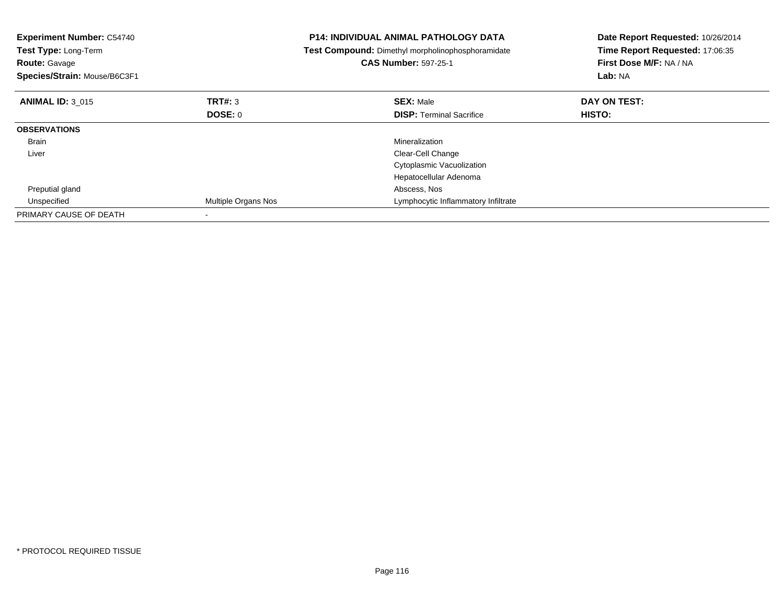| <b>Experiment Number: C54740</b><br>Test Type: Long-Term<br><b>Route: Gavage</b><br>Species/Strain: Mouse/B6C3F1 |                            | <b>P14: INDIVIDUAL ANIMAL PATHOLOGY DATA</b><br>Test Compound: Dimethyl morpholinophosphoramidate<br><b>CAS Number: 597-25-1</b> | Date Report Requested: 10/26/2014<br>Time Report Requested: 17:06:35<br>First Dose M/F: NA / NA<br>Lab: NA |
|------------------------------------------------------------------------------------------------------------------|----------------------------|----------------------------------------------------------------------------------------------------------------------------------|------------------------------------------------------------------------------------------------------------|
| <b>ANIMAL ID: 3 015</b>                                                                                          | TRT#: 3                    | <b>SEX: Male</b>                                                                                                                 | DAY ON TEST:                                                                                               |
|                                                                                                                  | DOSE: 0                    | <b>DISP:</b> Terminal Sacrifice                                                                                                  | <b>HISTO:</b>                                                                                              |
| <b>OBSERVATIONS</b>                                                                                              |                            |                                                                                                                                  |                                                                                                            |
| Brain                                                                                                            |                            | Mineralization                                                                                                                   |                                                                                                            |
| Liver                                                                                                            |                            | Clear-Cell Change                                                                                                                |                                                                                                            |
|                                                                                                                  |                            | Cytoplasmic Vacuolization                                                                                                        |                                                                                                            |
|                                                                                                                  |                            | Hepatocellular Adenoma                                                                                                           |                                                                                                            |
| Preputial gland                                                                                                  |                            | Abscess, Nos                                                                                                                     |                                                                                                            |
| Unspecified                                                                                                      | <b>Multiple Organs Nos</b> | Lymphocytic Inflammatory Infiltrate                                                                                              |                                                                                                            |
| PRIMARY CAUSE OF DEATH                                                                                           |                            |                                                                                                                                  |                                                                                                            |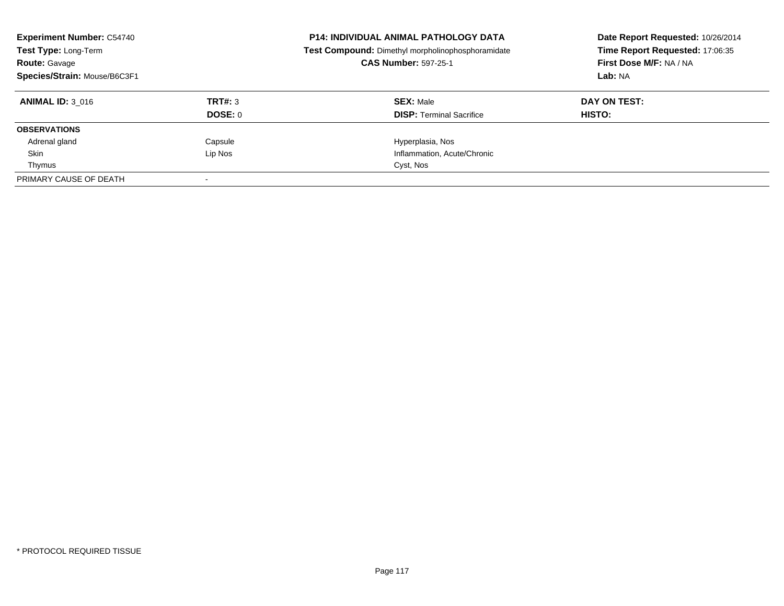| <b>Experiment Number: C54740</b><br>Test Type: Long-Term<br><b>Route: Gavage</b><br>Species/Strain: Mouse/B6C3F1 |                | <b>P14: INDIVIDUAL ANIMAL PATHOLOGY DATA</b><br>Test Compound: Dimethyl morpholinophosphoramidate<br><b>CAS Number: 597-25-1</b> | Date Report Requested: 10/26/2014<br>Time Report Requested: 17:06:35<br>First Dose M/F: NA / NA<br>Lab: NA |
|------------------------------------------------------------------------------------------------------------------|----------------|----------------------------------------------------------------------------------------------------------------------------------|------------------------------------------------------------------------------------------------------------|
| <b>ANIMAL ID: 3 016</b>                                                                                          | TRT#: 3        | <b>SEX: Male</b>                                                                                                                 | DAY ON TEST:                                                                                               |
|                                                                                                                  | <b>DOSE: 0</b> | <b>DISP:</b> Terminal Sacrifice                                                                                                  | HISTO:                                                                                                     |
| <b>OBSERVATIONS</b>                                                                                              |                |                                                                                                                                  |                                                                                                            |
| Adrenal gland                                                                                                    | Capsule        | Hyperplasia, Nos                                                                                                                 |                                                                                                            |
| Skin                                                                                                             | Lip Nos        | Inflammation, Acute/Chronic                                                                                                      |                                                                                                            |
| Thymus                                                                                                           |                | Cyst, Nos                                                                                                                        |                                                                                                            |
| PRIMARY CAUSE OF DEATH                                                                                           |                |                                                                                                                                  |                                                                                                            |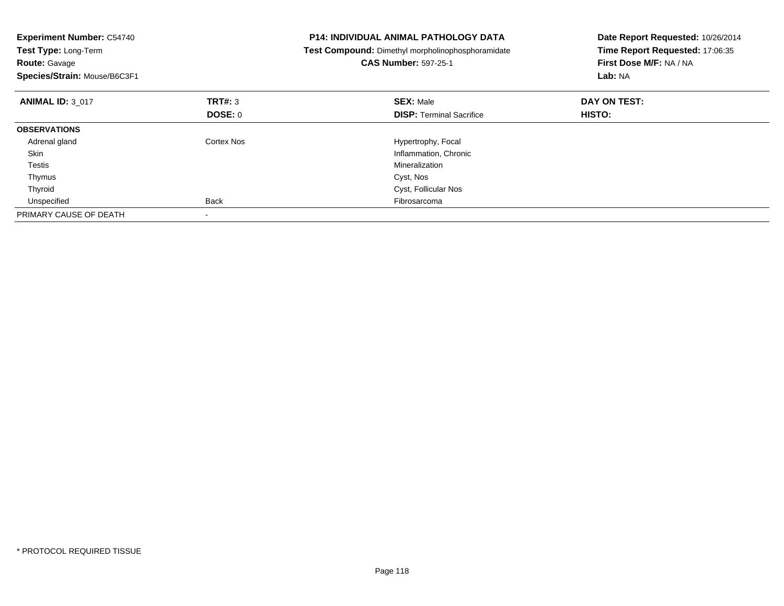| <b>Experiment Number: C54740</b><br>Test Type: Long-Term<br><b>Route: Gavage</b><br>Species/Strain: Mouse/B6C3F1 |                | <b>P14: INDIVIDUAL ANIMAL PATHOLOGY DATA</b><br>Test Compound: Dimethyl morpholinophosphoramidate<br><b>CAS Number: 597-25-1</b> | Date Report Requested: 10/26/2014<br>Time Report Requested: 17:06:35<br>First Dose M/F: NA / NA<br>Lab: NA |
|------------------------------------------------------------------------------------------------------------------|----------------|----------------------------------------------------------------------------------------------------------------------------------|------------------------------------------------------------------------------------------------------------|
| <b>ANIMAL ID: 3 017</b>                                                                                          | TRT#: 3        | <b>SEX: Male</b>                                                                                                                 | DAY ON TEST:                                                                                               |
|                                                                                                                  | <b>DOSE: 0</b> | <b>DISP:</b> Terminal Sacrifice                                                                                                  | HISTO:                                                                                                     |
| <b>OBSERVATIONS</b>                                                                                              |                |                                                                                                                                  |                                                                                                            |
| Adrenal gland                                                                                                    | Cortex Nos     | Hypertrophy, Focal                                                                                                               |                                                                                                            |
| Skin                                                                                                             |                | Inflammation, Chronic                                                                                                            |                                                                                                            |
| Testis                                                                                                           |                | Mineralization                                                                                                                   |                                                                                                            |
| Thymus                                                                                                           |                | Cyst, Nos                                                                                                                        |                                                                                                            |
| Thyroid                                                                                                          |                | Cyst, Follicular Nos                                                                                                             |                                                                                                            |
| Unspecified                                                                                                      | <b>Back</b>    | Fibrosarcoma                                                                                                                     |                                                                                                            |
| PRIMARY CAUSE OF DEATH                                                                                           |                |                                                                                                                                  |                                                                                                            |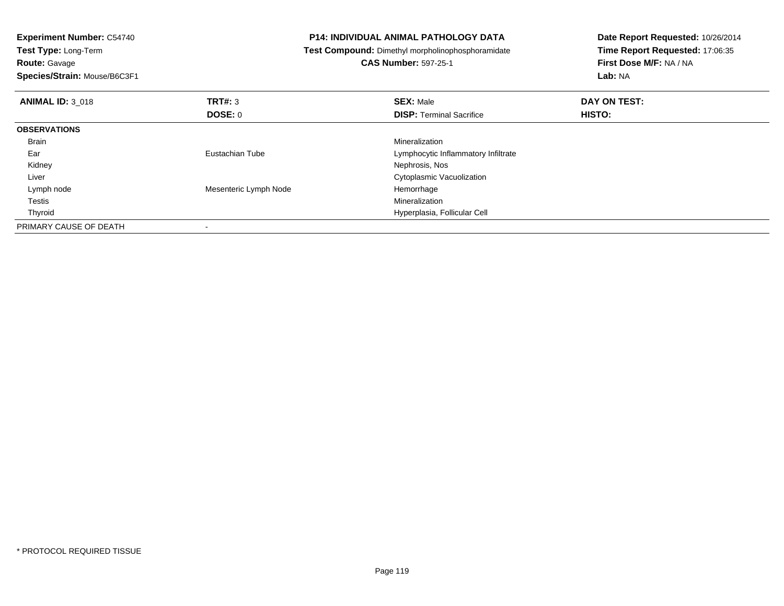| <b>Experiment Number: C54740</b> |                       | <b>P14: INDIVIDUAL ANIMAL PATHOLOGY DATA</b>      | Date Report Requested: 10/26/2014 |  |
|----------------------------------|-----------------------|---------------------------------------------------|-----------------------------------|--|
| Test Type: Long-Term             |                       | Test Compound: Dimethyl morpholinophosphoramidate | Time Report Requested: 17:06:35   |  |
| <b>Route: Gavage</b>             |                       | <b>CAS Number: 597-25-1</b>                       | First Dose M/F: NA / NA           |  |
| Species/Strain: Mouse/B6C3F1     |                       |                                                   | Lab: NA                           |  |
| <b>ANIMAL ID: 3 018</b>          | TRT#: 3               | <b>SEX: Male</b>                                  | DAY ON TEST:                      |  |
|                                  | DOSE: 0               | <b>DISP:</b> Terminal Sacrifice                   | HISTO:                            |  |
| <b>OBSERVATIONS</b>              |                       |                                                   |                                   |  |
| Brain                            |                       | <b>Mineralization</b>                             |                                   |  |
| Ear                              | Eustachian Tube       | Lymphocytic Inflammatory Infiltrate               |                                   |  |
| Kidney                           |                       | Nephrosis, Nos                                    |                                   |  |
| Liver                            |                       | Cytoplasmic Vacuolization                         |                                   |  |
| Lymph node                       | Mesenteric Lymph Node | Hemorrhage                                        |                                   |  |
| Testis                           |                       | <b>Mineralization</b>                             |                                   |  |
| Thyroid                          |                       | Hyperplasia, Follicular Cell                      |                                   |  |
| PRIMARY CAUSE OF DEATH           |                       |                                                   |                                   |  |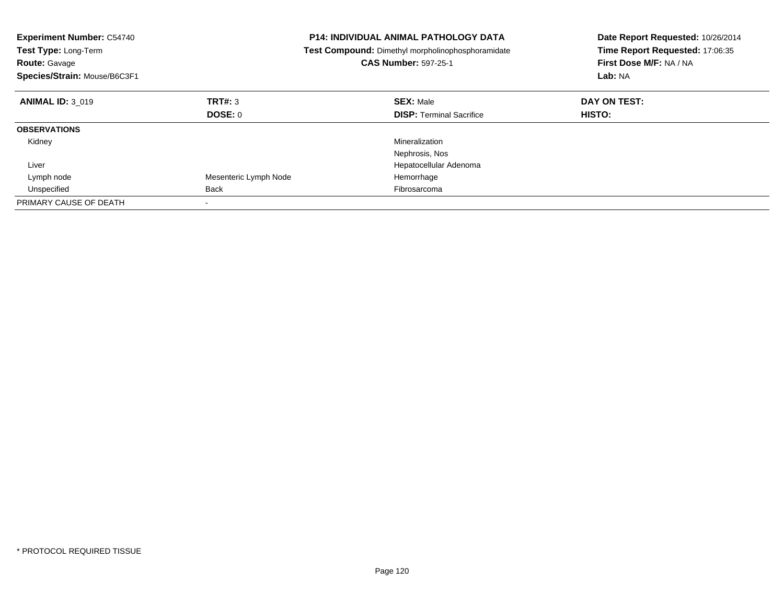| <b>Experiment Number: C54740</b><br>Test Type: Long-Term<br><b>Route: Gavage</b><br>Species/Strain: Mouse/B6C3F1 |                       | <b>P14: INDIVIDUAL ANIMAL PATHOLOGY DATA</b><br>Test Compound: Dimethyl morpholinophosphoramidate<br><b>CAS Number: 597-25-1</b> | Date Report Requested: 10/26/2014<br>Time Report Requested: 17:06:35<br>First Dose M/F: NA / NA<br>Lab: NA |
|------------------------------------------------------------------------------------------------------------------|-----------------------|----------------------------------------------------------------------------------------------------------------------------------|------------------------------------------------------------------------------------------------------------|
| <b>ANIMAL ID: 3 019</b>                                                                                          | TRT#: 3               | <b>SEX: Male</b>                                                                                                                 | DAY ON TEST:                                                                                               |
|                                                                                                                  | DOSE: 0               | <b>DISP:</b> Terminal Sacrifice                                                                                                  | <b>HISTO:</b>                                                                                              |
| <b>OBSERVATIONS</b>                                                                                              |                       |                                                                                                                                  |                                                                                                            |
| Kidney                                                                                                           |                       | Mineralization                                                                                                                   |                                                                                                            |
|                                                                                                                  |                       | Nephrosis, Nos                                                                                                                   |                                                                                                            |
| Liver                                                                                                            |                       | Hepatocellular Adenoma                                                                                                           |                                                                                                            |
| Lymph node                                                                                                       | Mesenteric Lymph Node | Hemorrhage                                                                                                                       |                                                                                                            |
| Unspecified                                                                                                      | <b>Back</b>           | Fibrosarcoma                                                                                                                     |                                                                                                            |
| PRIMARY CAUSE OF DEATH                                                                                           |                       |                                                                                                                                  |                                                                                                            |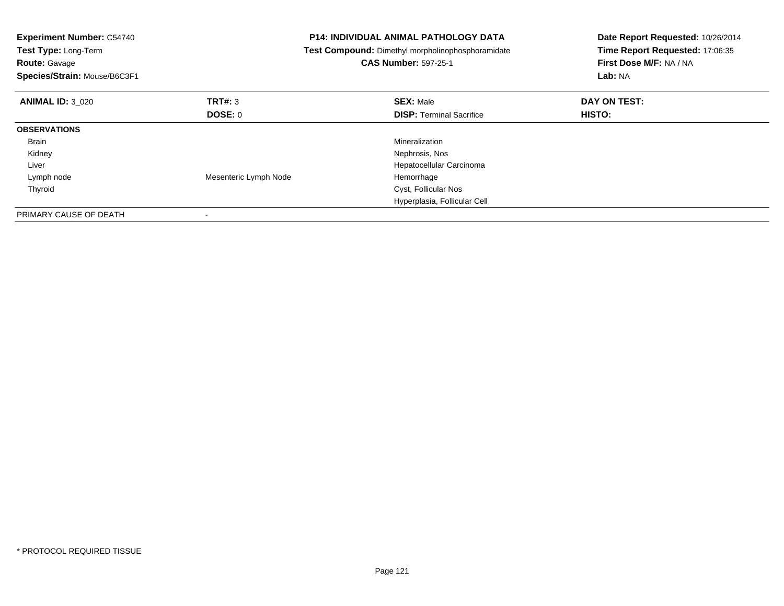| <b>Experiment Number: C54740</b><br><b>Test Type: Long-Term</b><br><b>Route: Gavage</b><br>Species/Strain: Mouse/B6C3F1 |                       | <b>P14: INDIVIDUAL ANIMAL PATHOLOGY DATA</b><br>Test Compound: Dimethyl morpholinophosphoramidate<br><b>CAS Number: 597-25-1</b> | Date Report Requested: 10/26/2014<br>Time Report Requested: 17:06:35<br>First Dose M/F: NA / NA<br>Lab: NA |
|-------------------------------------------------------------------------------------------------------------------------|-----------------------|----------------------------------------------------------------------------------------------------------------------------------|------------------------------------------------------------------------------------------------------------|
| <b>ANIMAL ID: 3 020</b>                                                                                                 | TRT#: 3               | <b>SEX: Male</b>                                                                                                                 | DAY ON TEST:                                                                                               |
|                                                                                                                         | <b>DOSE: 0</b>        | <b>DISP:</b> Terminal Sacrifice                                                                                                  | <b>HISTO:</b>                                                                                              |
| <b>OBSERVATIONS</b>                                                                                                     |                       |                                                                                                                                  |                                                                                                            |
| Brain                                                                                                                   |                       | Mineralization                                                                                                                   |                                                                                                            |
| Kidney                                                                                                                  |                       | Nephrosis, Nos                                                                                                                   |                                                                                                            |
| Liver                                                                                                                   |                       | Hepatocellular Carcinoma                                                                                                         |                                                                                                            |
| Lymph node                                                                                                              | Mesenteric Lymph Node | Hemorrhage                                                                                                                       |                                                                                                            |
| Thyroid                                                                                                                 |                       | Cyst, Follicular Nos                                                                                                             |                                                                                                            |
|                                                                                                                         |                       | Hyperplasia, Follicular Cell                                                                                                     |                                                                                                            |
| PRIMARY CAUSE OF DEATH                                                                                                  |                       |                                                                                                                                  |                                                                                                            |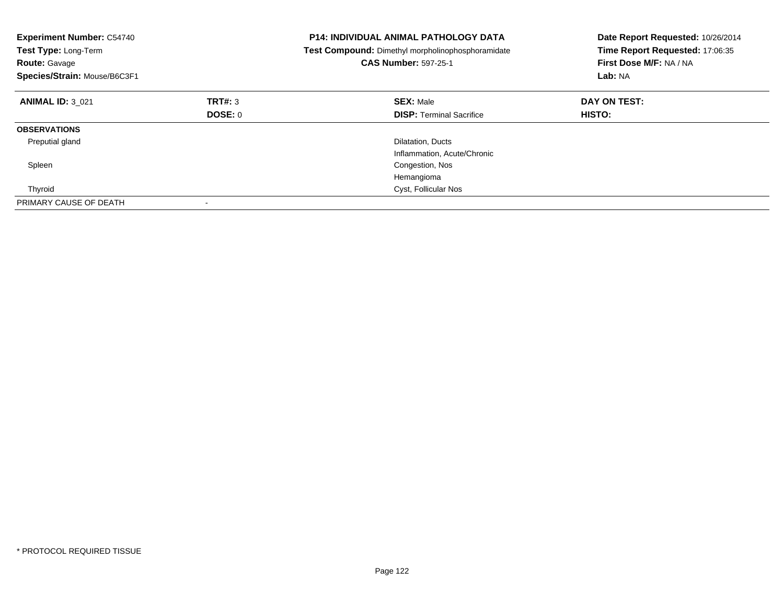| <b>Experiment Number: C54740</b><br>Test Type: Long-Term<br><b>Route: Gavage</b><br>Species/Strain: Mouse/B6C3F1 |         | <b>P14: INDIVIDUAL ANIMAL PATHOLOGY DATA</b><br>Test Compound: Dimethyl morpholinophosphoramidate<br><b>CAS Number: 597-25-1</b> | Date Report Requested: 10/26/2014<br>Time Report Requested: 17:06:35<br>First Dose M/F: NA / NA<br>Lab: NA |
|------------------------------------------------------------------------------------------------------------------|---------|----------------------------------------------------------------------------------------------------------------------------------|------------------------------------------------------------------------------------------------------------|
| <b>ANIMAL ID: 3_021</b>                                                                                          | TRT#: 3 | <b>SEX: Male</b>                                                                                                                 | DAY ON TEST:                                                                                               |
|                                                                                                                  | DOSE: 0 | <b>DISP:</b> Terminal Sacrifice                                                                                                  | HISTO:                                                                                                     |
| <b>OBSERVATIONS</b>                                                                                              |         |                                                                                                                                  |                                                                                                            |
| Preputial gland                                                                                                  |         | Dilatation, Ducts                                                                                                                |                                                                                                            |
|                                                                                                                  |         | Inflammation, Acute/Chronic                                                                                                      |                                                                                                            |
| Spleen                                                                                                           |         | Congestion, Nos                                                                                                                  |                                                                                                            |
|                                                                                                                  |         | Hemangioma                                                                                                                       |                                                                                                            |
| Thyroid                                                                                                          |         | Cyst, Follicular Nos                                                                                                             |                                                                                                            |
| PRIMARY CAUSE OF DEATH                                                                                           |         |                                                                                                                                  |                                                                                                            |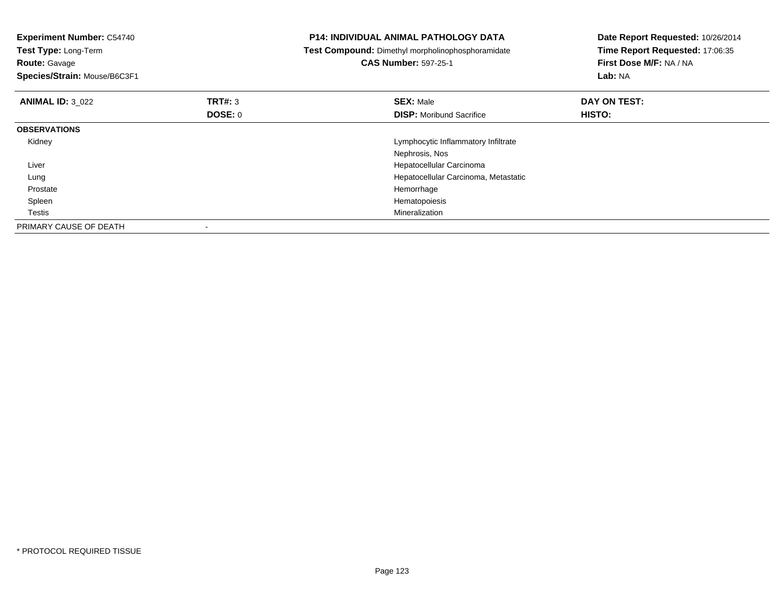| <b>Experiment Number: C54740</b><br>Test Type: Long-Term<br><b>Route: Gavage</b><br>Species/Strain: Mouse/B6C3F1 |         | <b>P14: INDIVIDUAL ANIMAL PATHOLOGY DATA</b><br>Test Compound: Dimethyl morpholinophosphoramidate<br><b>CAS Number: 597-25-1</b> | Date Report Requested: 10/26/2014<br>Time Report Requested: 17:06:35<br>First Dose M/F: NA / NA<br>Lab: NA |
|------------------------------------------------------------------------------------------------------------------|---------|----------------------------------------------------------------------------------------------------------------------------------|------------------------------------------------------------------------------------------------------------|
| <b>ANIMAL ID: 3 022</b>                                                                                          | TRT#: 3 | <b>SEX: Male</b>                                                                                                                 | DAY ON TEST:                                                                                               |
|                                                                                                                  | DOSE: 0 | <b>DISP:</b> Moribund Sacrifice                                                                                                  | <b>HISTO:</b>                                                                                              |
| <b>OBSERVATIONS</b>                                                                                              |         |                                                                                                                                  |                                                                                                            |
| Kidney                                                                                                           |         | Lymphocytic Inflammatory Infiltrate                                                                                              |                                                                                                            |
|                                                                                                                  |         | Nephrosis, Nos                                                                                                                   |                                                                                                            |
| Liver                                                                                                            |         | Hepatocellular Carcinoma                                                                                                         |                                                                                                            |
| Lung                                                                                                             |         | Hepatocellular Carcinoma, Metastatic                                                                                             |                                                                                                            |
| Prostate                                                                                                         |         | Hemorrhage                                                                                                                       |                                                                                                            |
| Spleen                                                                                                           |         | Hematopoiesis                                                                                                                    |                                                                                                            |
| Testis                                                                                                           |         | Mineralization                                                                                                                   |                                                                                                            |
| PRIMARY CAUSE OF DEATH                                                                                           |         |                                                                                                                                  |                                                                                                            |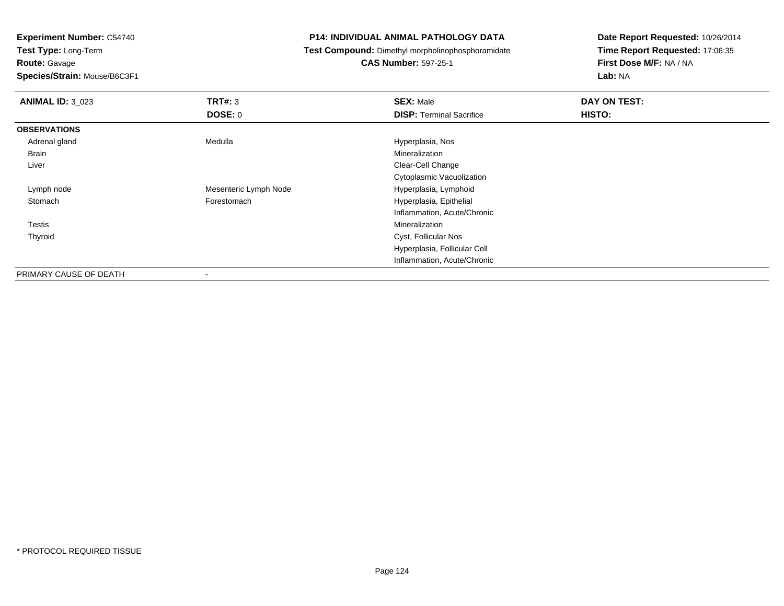**Experiment Number:** C54740

**Test Type:** Long-Term

**Route:** Gavage

**Species/Strain:** Mouse/B6C3F1

## **P14: INDIVIDUAL ANIMAL PATHOLOGY DATA**

**Test Compound:** Dimethyl morpholinophosphoramidate

## **CAS Number:** 597-25-1

**Date Report Requested:** 10/26/2014**Time Report Requested:** 17:06:35**First Dose M/F:** NA / NA**Lab:** NA

| <b>ANIMAL ID: 3_023</b> | TRT#: 3               | <b>SEX: Male</b>                | DAY ON TEST: |
|-------------------------|-----------------------|---------------------------------|--------------|
|                         | <b>DOSE: 0</b>        | <b>DISP: Terminal Sacrifice</b> | HISTO:       |
| <b>OBSERVATIONS</b>     |                       |                                 |              |
| Adrenal gland           | Medulla               | Hyperplasia, Nos                |              |
| Brain                   |                       | Mineralization                  |              |
| Liver                   |                       | Clear-Cell Change               |              |
|                         |                       | Cytoplasmic Vacuolization       |              |
| Lymph node              | Mesenteric Lymph Node | Hyperplasia, Lymphoid           |              |
| Stomach                 | Forestomach           | Hyperplasia, Epithelial         |              |
|                         |                       | Inflammation, Acute/Chronic     |              |
| Testis                  |                       | Mineralization                  |              |
| Thyroid                 |                       | Cyst, Follicular Nos            |              |
|                         |                       | Hyperplasia, Follicular Cell    |              |
|                         |                       | Inflammation, Acute/Chronic     |              |
| PRIMARY CAUSE OF DEATH  | $\blacksquare$        |                                 |              |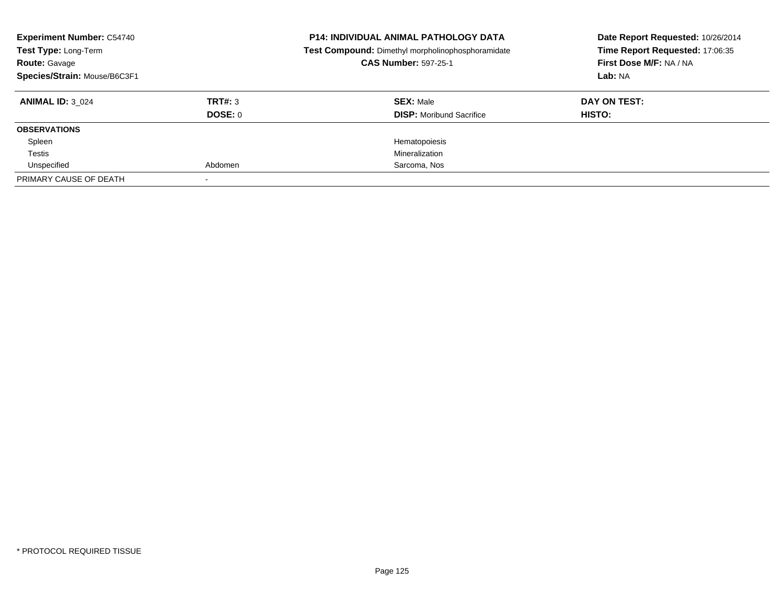| <b>Experiment Number: C54740</b><br>Test Type: Long-Term<br><b>Route: Gavage</b><br>Species/Strain: Mouse/B6C3F1 |         | <b>P14: INDIVIDUAL ANIMAL PATHOLOGY DATA</b><br>Test Compound: Dimethyl morpholinophosphoramidate<br><b>CAS Number: 597-25-1</b> | Date Report Requested: 10/26/2014<br>Time Report Requested: 17:06:35<br>First Dose M/F: NA / NA<br>Lab: NA |
|------------------------------------------------------------------------------------------------------------------|---------|----------------------------------------------------------------------------------------------------------------------------------|------------------------------------------------------------------------------------------------------------|
| <b>ANIMAL ID: 3 024</b>                                                                                          | TRT#: 3 | <b>SEX: Male</b>                                                                                                                 | DAY ON TEST:                                                                                               |
|                                                                                                                  | DOSE: 0 | <b>DISP:</b> Moribund Sacrifice                                                                                                  | <b>HISTO:</b>                                                                                              |
| <b>OBSERVATIONS</b>                                                                                              |         |                                                                                                                                  |                                                                                                            |
| Spleen                                                                                                           |         | Hematopoiesis                                                                                                                    |                                                                                                            |
| Testis                                                                                                           |         | Mineralization                                                                                                                   |                                                                                                            |
| Unspecified                                                                                                      | Abdomen | Sarcoma, Nos                                                                                                                     |                                                                                                            |
| PRIMARY CAUSE OF DEATH                                                                                           |         |                                                                                                                                  |                                                                                                            |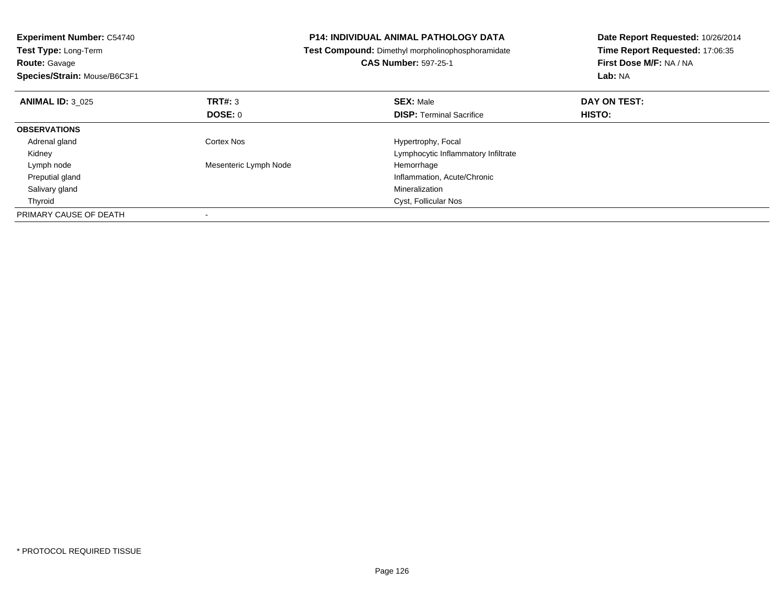| <b>Experiment Number: C54740</b><br><b>Test Type: Long-Term</b><br><b>Route: Gavage</b><br>Species/Strain: Mouse/B6C3F1 |                       | <b>P14: INDIVIDUAL ANIMAL PATHOLOGY DATA</b><br>Test Compound: Dimethyl morpholinophosphoramidate<br><b>CAS Number: 597-25-1</b> | Date Report Requested: 10/26/2014<br>Time Report Requested: 17:06:35<br>First Dose M/F: NA / NA<br>Lab: NA |
|-------------------------------------------------------------------------------------------------------------------------|-----------------------|----------------------------------------------------------------------------------------------------------------------------------|------------------------------------------------------------------------------------------------------------|
| <b>ANIMAL ID: 3 025</b>                                                                                                 | TRT#: 3               | <b>SEX: Male</b>                                                                                                                 | DAY ON TEST:                                                                                               |
|                                                                                                                         | <b>DOSE: 0</b>        | <b>DISP:</b> Terminal Sacrifice                                                                                                  | HISTO:                                                                                                     |
| <b>OBSERVATIONS</b>                                                                                                     |                       |                                                                                                                                  |                                                                                                            |
| Adrenal gland                                                                                                           | Cortex Nos            | Hypertrophy, Focal                                                                                                               |                                                                                                            |
| Kidney                                                                                                                  |                       | Lymphocytic Inflammatory Infiltrate                                                                                              |                                                                                                            |
| Lymph node                                                                                                              | Mesenteric Lymph Node | Hemorrhage                                                                                                                       |                                                                                                            |
| Preputial gland                                                                                                         |                       | Inflammation, Acute/Chronic                                                                                                      |                                                                                                            |
| Salivary gland                                                                                                          |                       | Mineralization                                                                                                                   |                                                                                                            |
| Thyroid                                                                                                                 |                       | Cyst, Follicular Nos                                                                                                             |                                                                                                            |
| PRIMARY CAUSE OF DEATH                                                                                                  |                       |                                                                                                                                  |                                                                                                            |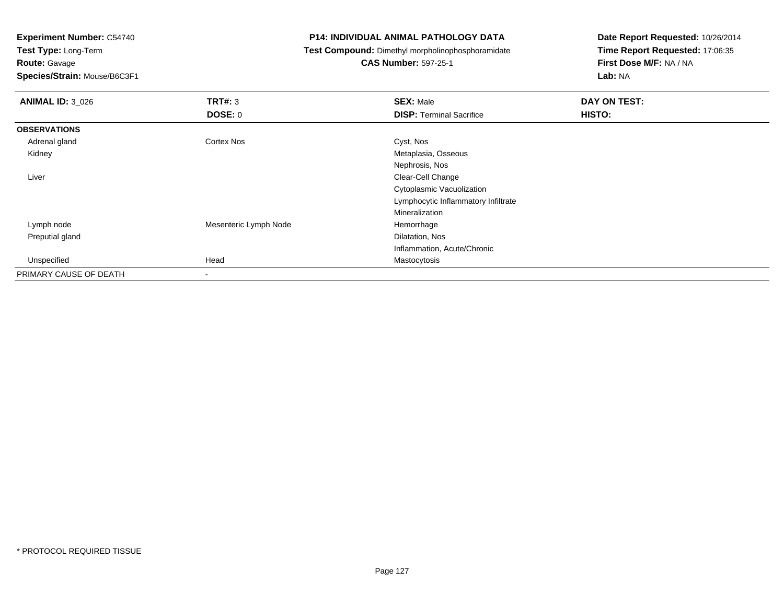**Experiment Number:** C54740

**Test Type:** Long-Term

**Route:** Gavage

**Species/Strain:** Mouse/B6C3F1

## **P14: INDIVIDUAL ANIMAL PATHOLOGY DATA**

**Test Compound:** Dimethyl morpholinophosphoramidate

**CAS Number:** 597-25-1

**Date Report Requested:** 10/26/2014**Time Report Requested:** 17:06:35**First Dose M/F:** NA / NA**Lab:** NA

| <b>ANIMAL ID: 3_026</b> | TRT#: 3               | <b>SEX: Male</b>                    | DAY ON TEST: |
|-------------------------|-----------------------|-------------------------------------|--------------|
|                         | <b>DOSE: 0</b>        | <b>DISP: Terminal Sacrifice</b>     | HISTO:       |
| <b>OBSERVATIONS</b>     |                       |                                     |              |
| Adrenal gland           | Cortex Nos            | Cyst, Nos                           |              |
| Kidney                  |                       | Metaplasia, Osseous                 |              |
|                         |                       | Nephrosis, Nos                      |              |
| Liver                   |                       | Clear-Cell Change                   |              |
|                         |                       | Cytoplasmic Vacuolization           |              |
|                         |                       | Lymphocytic Inflammatory Infiltrate |              |
|                         |                       | Mineralization                      |              |
| Lymph node              | Mesenteric Lymph Node | Hemorrhage                          |              |
| Preputial gland         |                       | Dilatation, Nos                     |              |
|                         |                       | Inflammation, Acute/Chronic         |              |
| Unspecified             | Head                  | Mastocytosis                        |              |
| PRIMARY CAUSE OF DEATH  | $\blacksquare$        |                                     |              |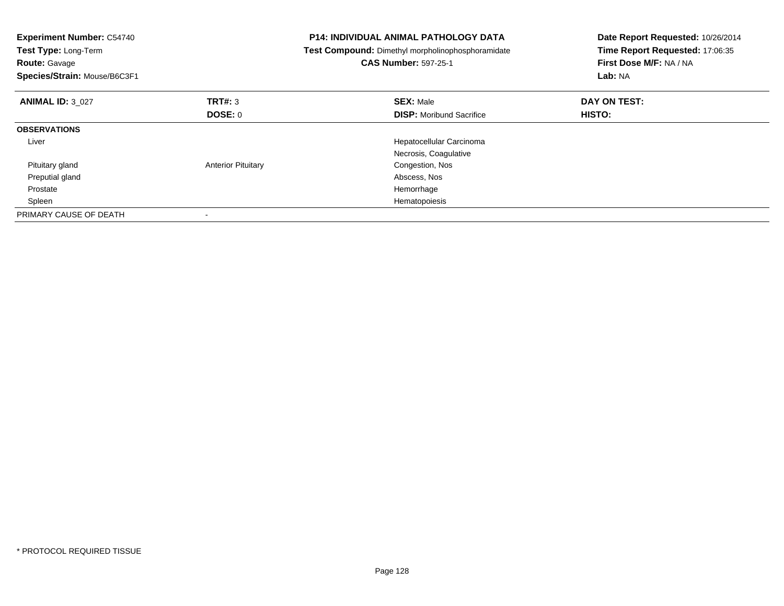| <b>Experiment Number: C54740</b><br>Test Type: Long-Term<br><b>Route: Gavage</b><br>Species/Strain: Mouse/B6C3F1 |                           | <b>P14: INDIVIDUAL ANIMAL PATHOLOGY DATA</b><br>Test Compound: Dimethyl morpholinophosphoramidate<br><b>CAS Number: 597-25-1</b> | Date Report Requested: 10/26/2014<br>Time Report Requested: 17:06:35<br>First Dose M/F: NA / NA<br>Lab: NA |
|------------------------------------------------------------------------------------------------------------------|---------------------------|----------------------------------------------------------------------------------------------------------------------------------|------------------------------------------------------------------------------------------------------------|
| <b>ANIMAL ID: 3 027</b>                                                                                          | TRT#: 3                   | <b>SEX: Male</b>                                                                                                                 | DAY ON TEST:                                                                                               |
|                                                                                                                  | DOSE: 0                   | <b>DISP:</b> Moribund Sacrifice                                                                                                  | <b>HISTO:</b>                                                                                              |
| <b>OBSERVATIONS</b>                                                                                              |                           |                                                                                                                                  |                                                                                                            |
| Liver                                                                                                            |                           | Hepatocellular Carcinoma                                                                                                         |                                                                                                            |
|                                                                                                                  |                           | Necrosis, Coagulative                                                                                                            |                                                                                                            |
| Pituitary gland                                                                                                  | <b>Anterior Pituitary</b> | Congestion, Nos                                                                                                                  |                                                                                                            |
| Preputial gland                                                                                                  |                           | Abscess, Nos                                                                                                                     |                                                                                                            |
| Prostate                                                                                                         |                           | Hemorrhage                                                                                                                       |                                                                                                            |
| Spleen                                                                                                           |                           | Hematopoiesis                                                                                                                    |                                                                                                            |
| PRIMARY CAUSE OF DEATH                                                                                           |                           |                                                                                                                                  |                                                                                                            |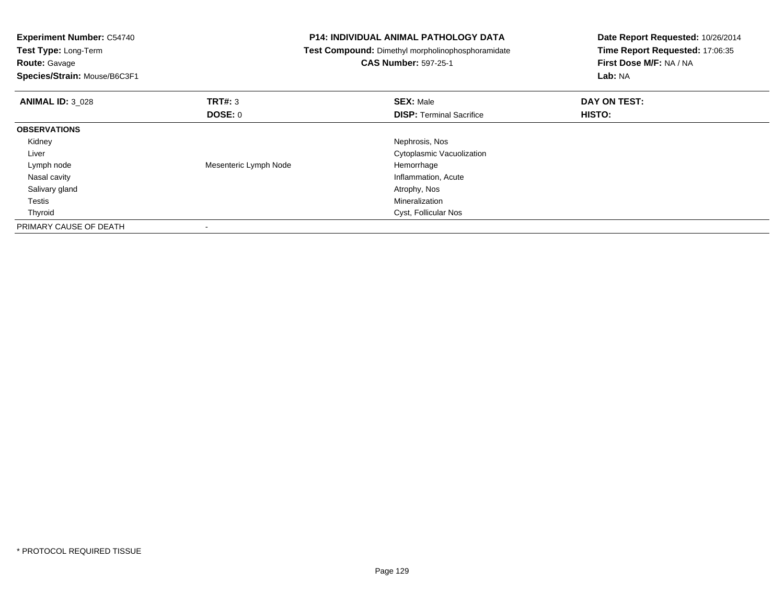| <b>Experiment Number: C54740</b><br>Test Type: Long-Term<br><b>Route: Gavage</b><br>Species/Strain: Mouse/B6C3F1 |                       | <b>P14: INDIVIDUAL ANIMAL PATHOLOGY DATA</b><br>Test Compound: Dimethyl morpholinophosphoramidate<br><b>CAS Number: 597-25-1</b> | Date Report Requested: 10/26/2014<br>Time Report Requested: 17:06:35<br>First Dose M/F: NA / NA<br>Lab: NA |
|------------------------------------------------------------------------------------------------------------------|-----------------------|----------------------------------------------------------------------------------------------------------------------------------|------------------------------------------------------------------------------------------------------------|
| <b>ANIMAL ID: 3_028</b>                                                                                          | TRT#: 3               | <b>SEX: Male</b>                                                                                                                 | DAY ON TEST:                                                                                               |
|                                                                                                                  | <b>DOSE: 0</b>        | <b>DISP:</b> Terminal Sacrifice                                                                                                  | HISTO:                                                                                                     |
| <b>OBSERVATIONS</b>                                                                                              |                       |                                                                                                                                  |                                                                                                            |
| Kidney                                                                                                           |                       | Nephrosis, Nos                                                                                                                   |                                                                                                            |
| Liver                                                                                                            |                       | Cytoplasmic Vacuolization                                                                                                        |                                                                                                            |
| Lymph node                                                                                                       | Mesenteric Lymph Node | Hemorrhage                                                                                                                       |                                                                                                            |
| Nasal cavity                                                                                                     |                       | Inflammation, Acute                                                                                                              |                                                                                                            |
| Salivary gland                                                                                                   |                       | Atrophy, Nos                                                                                                                     |                                                                                                            |
| Testis                                                                                                           |                       | Mineralization                                                                                                                   |                                                                                                            |
| Thyroid                                                                                                          |                       | Cyst, Follicular Nos                                                                                                             |                                                                                                            |
| PRIMARY CAUSE OF DEATH                                                                                           |                       |                                                                                                                                  |                                                                                                            |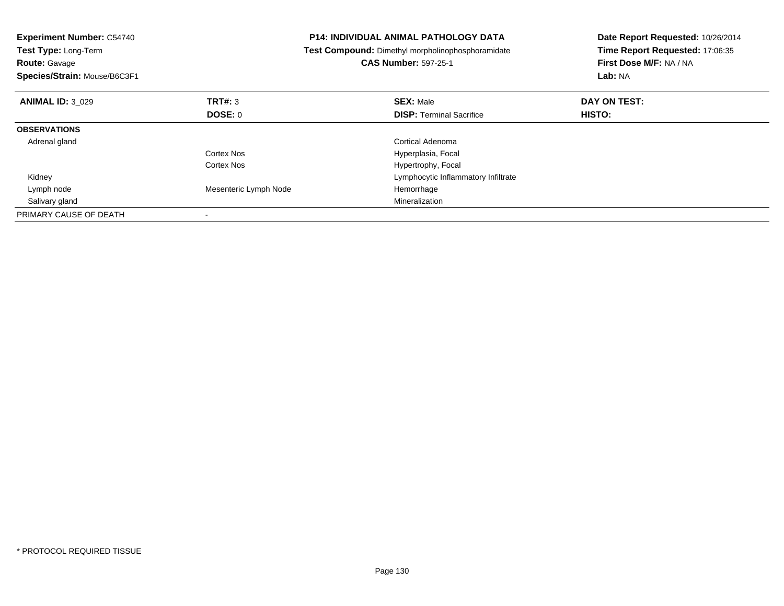| <b>Experiment Number: C54740</b><br>Test Type: Long-Term<br><b>Route: Gavage</b><br>Species/Strain: Mouse/B6C3F1 |                       | <b>P14: INDIVIDUAL ANIMAL PATHOLOGY DATA</b><br>Test Compound: Dimethyl morpholinophosphoramidate<br><b>CAS Number: 597-25-1</b> | Date Report Requested: 10/26/2014<br>Time Report Requested: 17:06:35<br>First Dose M/F: NA / NA<br>Lab: NA |
|------------------------------------------------------------------------------------------------------------------|-----------------------|----------------------------------------------------------------------------------------------------------------------------------|------------------------------------------------------------------------------------------------------------|
| <b>ANIMAL ID: 3 029</b>                                                                                          | TRT#: 3               | <b>SEX: Male</b>                                                                                                                 | DAY ON TEST:                                                                                               |
|                                                                                                                  | DOSE: 0               | <b>DISP:</b> Terminal Sacrifice                                                                                                  | HISTO:                                                                                                     |
| <b>OBSERVATIONS</b>                                                                                              |                       |                                                                                                                                  |                                                                                                            |
| Adrenal gland                                                                                                    |                       | <b>Cortical Adenoma</b>                                                                                                          |                                                                                                            |
|                                                                                                                  | Cortex Nos            | Hyperplasia, Focal                                                                                                               |                                                                                                            |
|                                                                                                                  | Cortex Nos            | Hypertrophy, Focal                                                                                                               |                                                                                                            |
| Kidney                                                                                                           |                       | Lymphocytic Inflammatory Infiltrate                                                                                              |                                                                                                            |
| Lymph node                                                                                                       | Mesenteric Lymph Node | Hemorrhage                                                                                                                       |                                                                                                            |
| Salivary gland                                                                                                   |                       | Mineralization                                                                                                                   |                                                                                                            |
| PRIMARY CAUSE OF DEATH                                                                                           |                       |                                                                                                                                  |                                                                                                            |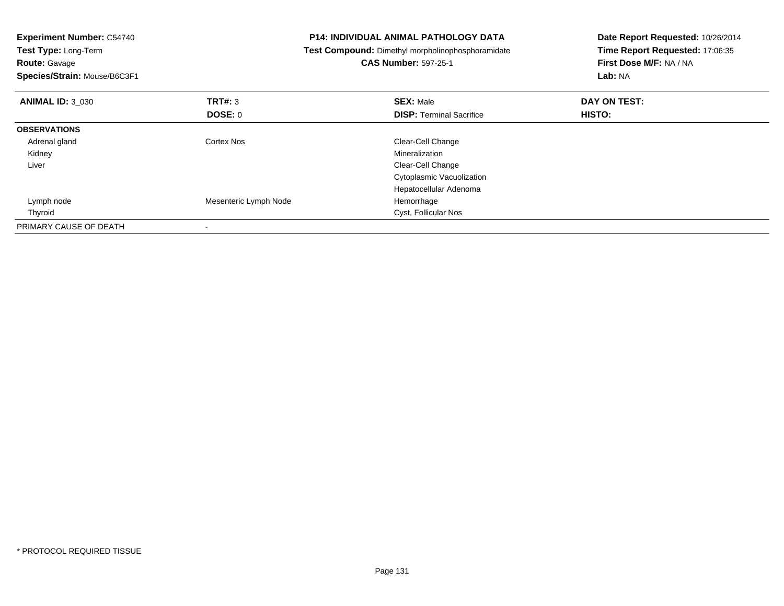| <b>Experiment Number: C54740</b><br>Test Type: Long-Term<br><b>Route:</b> Gavage<br>Species/Strain: Mouse/B6C3F1 |                       | <b>P14: INDIVIDUAL ANIMAL PATHOLOGY DATA</b><br>Test Compound: Dimethyl morpholinophosphoramidate<br><b>CAS Number: 597-25-1</b> | Date Report Requested: 10/26/2014<br>Time Report Requested: 17:06:35<br>First Dose M/F: NA / NA<br>Lab: NA |
|------------------------------------------------------------------------------------------------------------------|-----------------------|----------------------------------------------------------------------------------------------------------------------------------|------------------------------------------------------------------------------------------------------------|
| <b>ANIMAL ID: 3 030</b>                                                                                          | TRT#: 3               | <b>SEX: Male</b>                                                                                                                 | DAY ON TEST:                                                                                               |
|                                                                                                                  | <b>DOSE: 0</b>        | <b>DISP:</b> Terminal Sacrifice                                                                                                  | HISTO:                                                                                                     |
| <b>OBSERVATIONS</b>                                                                                              |                       |                                                                                                                                  |                                                                                                            |
| Adrenal gland                                                                                                    | Cortex Nos            | Clear-Cell Change                                                                                                                |                                                                                                            |
| Kidney                                                                                                           |                       | Mineralization                                                                                                                   |                                                                                                            |
| Liver                                                                                                            |                       | Clear-Cell Change                                                                                                                |                                                                                                            |
|                                                                                                                  |                       | Cytoplasmic Vacuolization                                                                                                        |                                                                                                            |
|                                                                                                                  |                       | Hepatocellular Adenoma                                                                                                           |                                                                                                            |
| Lymph node                                                                                                       | Mesenteric Lymph Node | Hemorrhage                                                                                                                       |                                                                                                            |
| Thyroid                                                                                                          |                       | Cyst, Follicular Nos                                                                                                             |                                                                                                            |
| PRIMARY CAUSE OF DEATH                                                                                           |                       |                                                                                                                                  |                                                                                                            |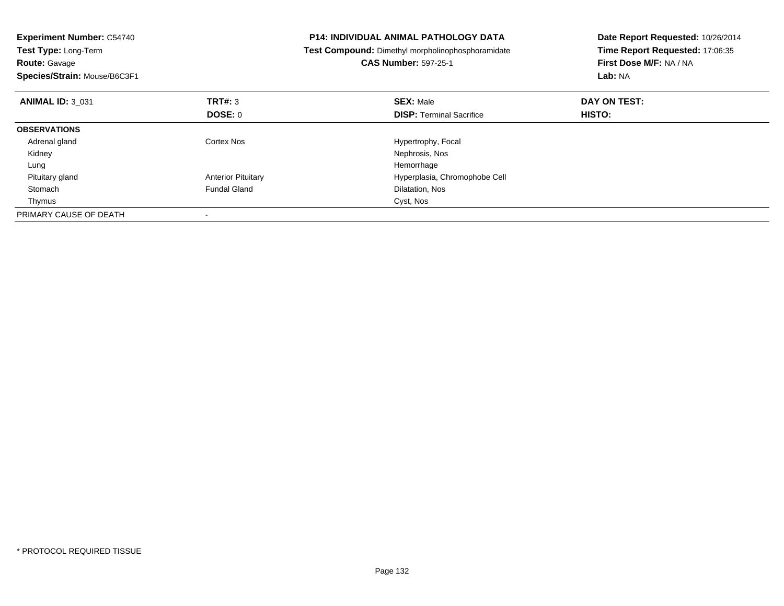| <b>Experiment Number: C54740</b><br>Test Type: Long-Term<br><b>Route: Gavage</b><br>Species/Strain: Mouse/B6C3F1 |                           | <b>P14: INDIVIDUAL ANIMAL PATHOLOGY DATA</b><br>Test Compound: Dimethyl morpholinophosphoramidate<br><b>CAS Number: 597-25-1</b> | Date Report Requested: 10/26/2014<br>Time Report Requested: 17:06:35<br>First Dose M/F: NA / NA<br>Lab: NA |
|------------------------------------------------------------------------------------------------------------------|---------------------------|----------------------------------------------------------------------------------------------------------------------------------|------------------------------------------------------------------------------------------------------------|
| <b>ANIMAL ID: 3 031</b>                                                                                          | TRT#: 3                   | <b>SEX: Male</b>                                                                                                                 | DAY ON TEST:                                                                                               |
|                                                                                                                  | <b>DOSE: 0</b>            | <b>DISP:</b> Terminal Sacrifice                                                                                                  | <b>HISTO:</b>                                                                                              |
| <b>OBSERVATIONS</b>                                                                                              |                           |                                                                                                                                  |                                                                                                            |
| Adrenal gland                                                                                                    | Cortex Nos                | Hypertrophy, Focal                                                                                                               |                                                                                                            |
| Kidney                                                                                                           |                           | Nephrosis, Nos                                                                                                                   |                                                                                                            |
| Lung                                                                                                             |                           | Hemorrhage                                                                                                                       |                                                                                                            |
| Pituitary gland                                                                                                  | <b>Anterior Pituitary</b> | Hyperplasia, Chromophobe Cell                                                                                                    |                                                                                                            |
| Stomach                                                                                                          | <b>Fundal Gland</b>       | Dilatation, Nos                                                                                                                  |                                                                                                            |
| Thymus                                                                                                           |                           | Cyst, Nos                                                                                                                        |                                                                                                            |
| PRIMARY CAUSE OF DEATH                                                                                           |                           |                                                                                                                                  |                                                                                                            |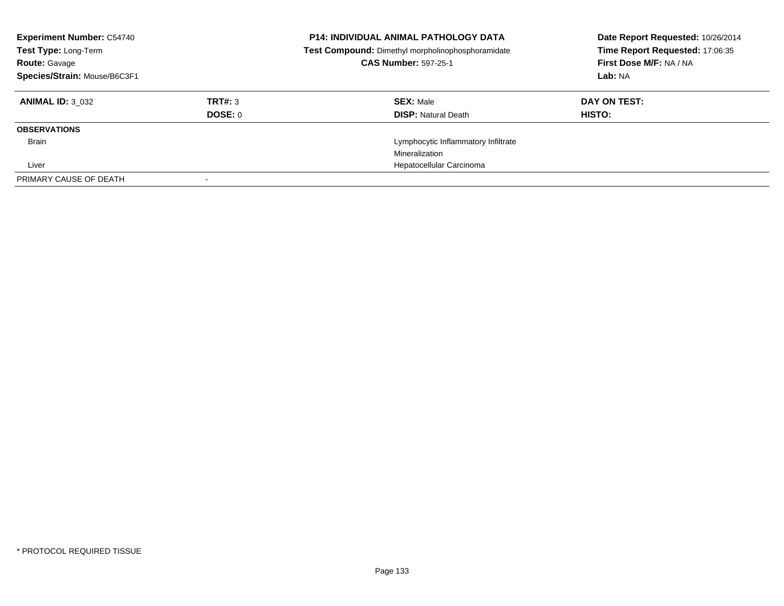| <b>Experiment Number: C54740</b><br>Test Type: Long-Term<br><b>Route: Gavage</b><br>Species/Strain: Mouse/B6C3F1 |         | <b>P14: INDIVIDUAL ANIMAL PATHOLOGY DATA</b><br>Test Compound: Dimethyl morpholinophosphoramidate<br><b>CAS Number: 597-25-1</b> | Date Report Requested: 10/26/2014<br>Time Report Requested: 17:06:35<br>First Dose M/F: NA / NA<br>Lab: NA |
|------------------------------------------------------------------------------------------------------------------|---------|----------------------------------------------------------------------------------------------------------------------------------|------------------------------------------------------------------------------------------------------------|
| <b>ANIMAL ID: 3 032</b>                                                                                          | TRT#: 3 | <b>SEX: Male</b>                                                                                                                 | DAY ON TEST:                                                                                               |
|                                                                                                                  | DOSE: 0 | <b>DISP:</b> Natural Death                                                                                                       | HISTO:                                                                                                     |
| <b>OBSERVATIONS</b>                                                                                              |         |                                                                                                                                  |                                                                                                            |
| Brain                                                                                                            |         | Lymphocytic Inflammatory Infiltrate                                                                                              |                                                                                                            |
|                                                                                                                  |         | Mineralization                                                                                                                   |                                                                                                            |
| Liver                                                                                                            |         | Hepatocellular Carcinoma                                                                                                         |                                                                                                            |
| PRIMARY CAUSE OF DEATH                                                                                           |         |                                                                                                                                  |                                                                                                            |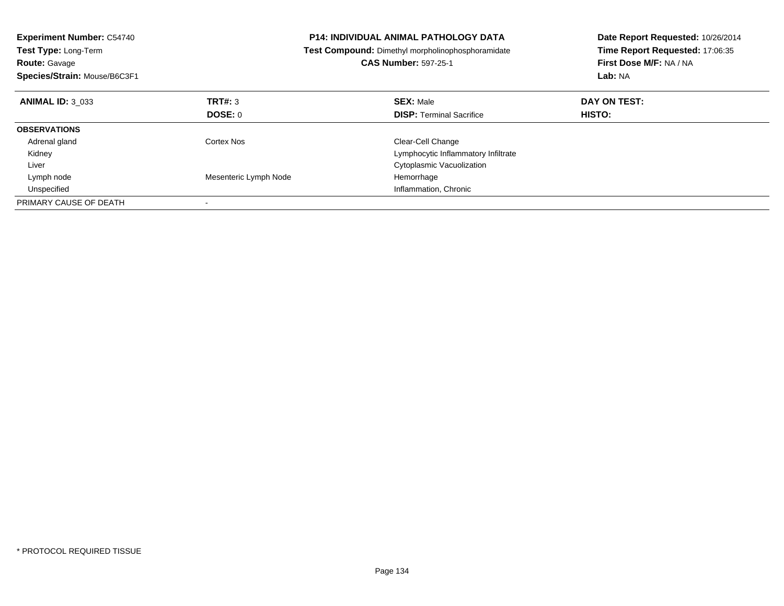| <b>Experiment Number: C54740</b><br>Test Type: Long-Term<br><b>Route: Gavage</b><br>Species/Strain: Mouse/B6C3F1 |                       | <b>P14: INDIVIDUAL ANIMAL PATHOLOGY DATA</b><br>Test Compound: Dimethyl morpholinophosphoramidate<br><b>CAS Number: 597-25-1</b> | Date Report Requested: 10/26/2014<br>Time Report Requested: 17:06:35<br>First Dose M/F: NA / NA<br>Lab: NA |
|------------------------------------------------------------------------------------------------------------------|-----------------------|----------------------------------------------------------------------------------------------------------------------------------|------------------------------------------------------------------------------------------------------------|
| <b>ANIMAL ID: 3 033</b>                                                                                          | TRT#: 3               | <b>SEX: Male</b>                                                                                                                 | DAY ON TEST:                                                                                               |
|                                                                                                                  | DOSE: 0               | <b>DISP:</b> Terminal Sacrifice                                                                                                  | HISTO:                                                                                                     |
| <b>OBSERVATIONS</b>                                                                                              |                       |                                                                                                                                  |                                                                                                            |
| Adrenal gland                                                                                                    | Cortex Nos            | Clear-Cell Change                                                                                                                |                                                                                                            |
| Kidney                                                                                                           |                       | Lymphocytic Inflammatory Infiltrate                                                                                              |                                                                                                            |
| Liver                                                                                                            |                       | Cytoplasmic Vacuolization                                                                                                        |                                                                                                            |
| Lymph node                                                                                                       | Mesenteric Lymph Node | Hemorrhage                                                                                                                       |                                                                                                            |
| Unspecified                                                                                                      |                       | Inflammation, Chronic                                                                                                            |                                                                                                            |
| PRIMARY CAUSE OF DEATH                                                                                           |                       |                                                                                                                                  |                                                                                                            |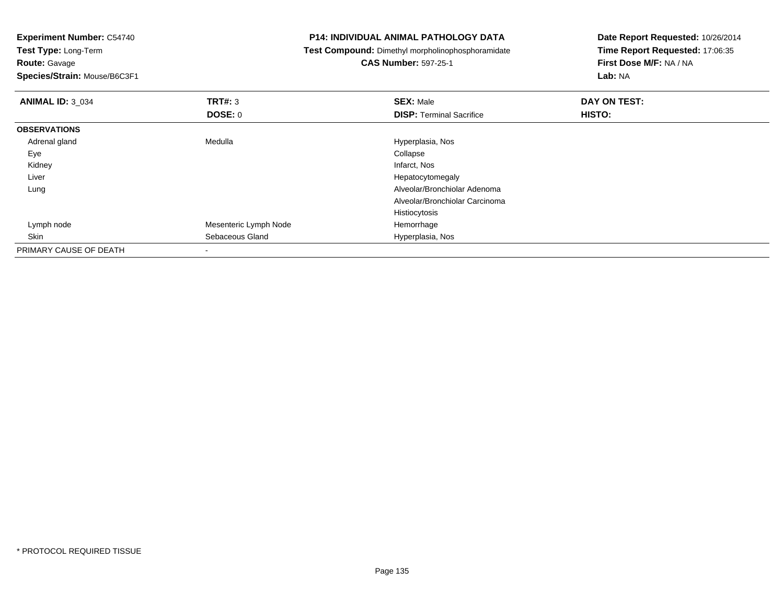**Experiment Number:** C54740**Test Type:** Long-Term**Route:** Gavage **Species/Strain:** Mouse/B6C3F1**P14: INDIVIDUAL ANIMAL PATHOLOGY DATA Test Compound:** Dimethyl morpholinophosphoramidate**CAS Number:** 597-25-1**Date Report Requested:** 10/26/2014**Time Report Requested:** 17:06:35**First Dose M/F:** NA / NA**Lab:** NA**ANIMAL ID:** 3\_034 **TRT#:** <sup>3</sup> **SEX:** Male **DAY ON TEST: DOSE:** 0**DISP:** Terminal Sacrifice **HISTO: OBSERVATIONS** Adrenal glandMedulla Hyperplasia, Nos<br>
Collapse Collapse Eyee de la contradiction de la contradiction de la contradiction de la contradiction de la contradiction de la co<br>La contradiction de la contradiction de la contradiction de la contradiction de la contradiction de la contrad Kidneyy which is a state of the control of the control of the control of the control of the control of the control of the control of the control of the control of the control of the control of the control of the control of the c Liver Hepatocytomegaly Alveolar/Bronchiolar Adenoma LungAlveolar/Bronchiolar CarcinomaHistiocytosisHemorrhage Lymph nodeMesenteric Lymph Node<br>Sebaceous Gland SkinHyperplasia, Nos PRIMARY CAUSE OF DEATH

-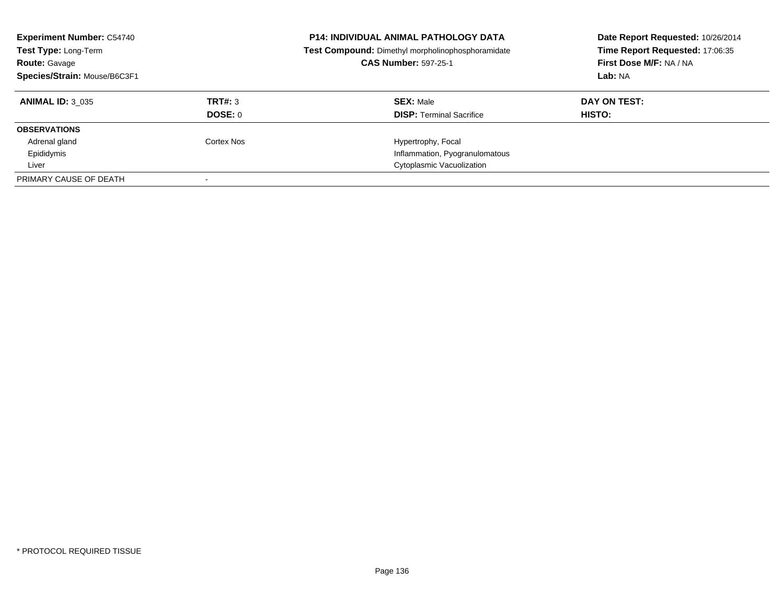| <b>Experiment Number: C54740</b><br>Test Type: Long-Term<br><b>Route: Gavage</b><br>Species/Strain: Mouse/B6C3F1 |                | <b>P14: INDIVIDUAL ANIMAL PATHOLOGY DATA</b><br>Test Compound: Dimethyl morpholinophosphoramidate<br><b>CAS Number: 597-25-1</b> | Date Report Requested: 10/26/2014<br>Time Report Requested: 17:06:35<br>First Dose M/F: NA / NA<br>Lab: NA |
|------------------------------------------------------------------------------------------------------------------|----------------|----------------------------------------------------------------------------------------------------------------------------------|------------------------------------------------------------------------------------------------------------|
| <b>ANIMAL ID: 3 035</b>                                                                                          | TRT#: 3        | <b>SEX: Male</b>                                                                                                                 | DAY ON TEST:                                                                                               |
| <b>OBSERVATIONS</b>                                                                                              | <b>DOSE: 0</b> | <b>DISP:</b> Terminal Sacrifice                                                                                                  | HISTO:                                                                                                     |
| Adrenal gland                                                                                                    | Cortex Nos     | Hypertrophy, Focal                                                                                                               |                                                                                                            |
| Epididymis                                                                                                       |                | Inflammation, Pyogranulomatous                                                                                                   |                                                                                                            |
| Liver                                                                                                            |                | Cytoplasmic Vacuolization                                                                                                        |                                                                                                            |
| PRIMARY CAUSE OF DEATH                                                                                           |                |                                                                                                                                  |                                                                                                            |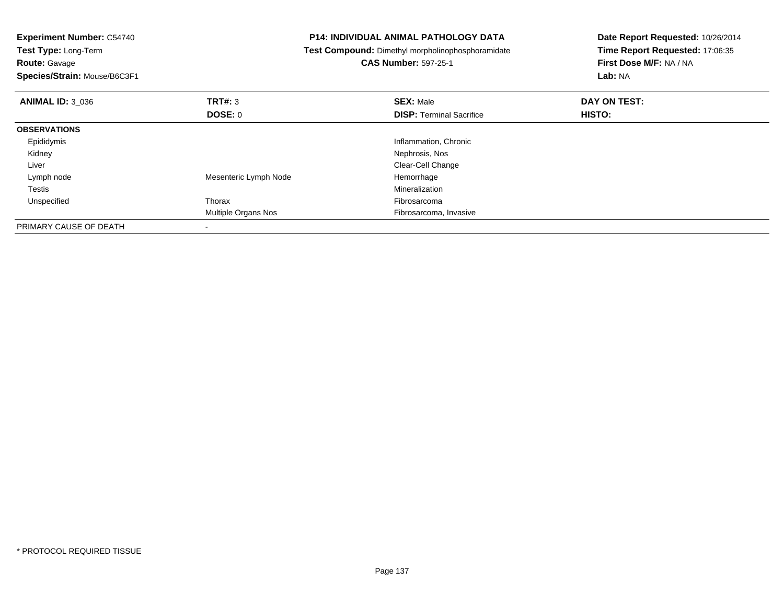| <b>Experiment Number: C54740</b> |                       | <b>P14: INDIVIDUAL ANIMAL PATHOLOGY DATA</b>      | Date Report Requested: 10/26/2014 |  |
|----------------------------------|-----------------------|---------------------------------------------------|-----------------------------------|--|
| Test Type: Long-Term             |                       | Test Compound: Dimethyl morpholinophosphoramidate | Time Report Requested: 17:06:35   |  |
| <b>Route: Gavage</b>             |                       | <b>CAS Number: 597-25-1</b>                       | First Dose M/F: NA / NA           |  |
| Species/Strain: Mouse/B6C3F1     |                       |                                                   | Lab: NA                           |  |
| <b>ANIMAL ID: 3 036</b>          | TRT#: 3               | <b>SEX: Male</b>                                  | DAY ON TEST:                      |  |
|                                  | <b>DOSE: 0</b>        | <b>DISP: Terminal Sacrifice</b>                   | HISTO:                            |  |
| <b>OBSERVATIONS</b>              |                       |                                                   |                                   |  |
| Epididymis                       |                       | Inflammation, Chronic                             |                                   |  |
| Kidney                           |                       | Nephrosis, Nos                                    |                                   |  |
| Liver                            |                       | Clear-Cell Change                                 |                                   |  |
| Lymph node                       | Mesenteric Lymph Node | Hemorrhage                                        |                                   |  |
| Testis                           |                       | Mineralization                                    |                                   |  |
| Unspecified                      | Thorax                | Fibrosarcoma                                      |                                   |  |
|                                  | Multiple Organs Nos   | Fibrosarcoma, Invasive                            |                                   |  |
| PRIMARY CAUSE OF DEATH           |                       |                                                   |                                   |  |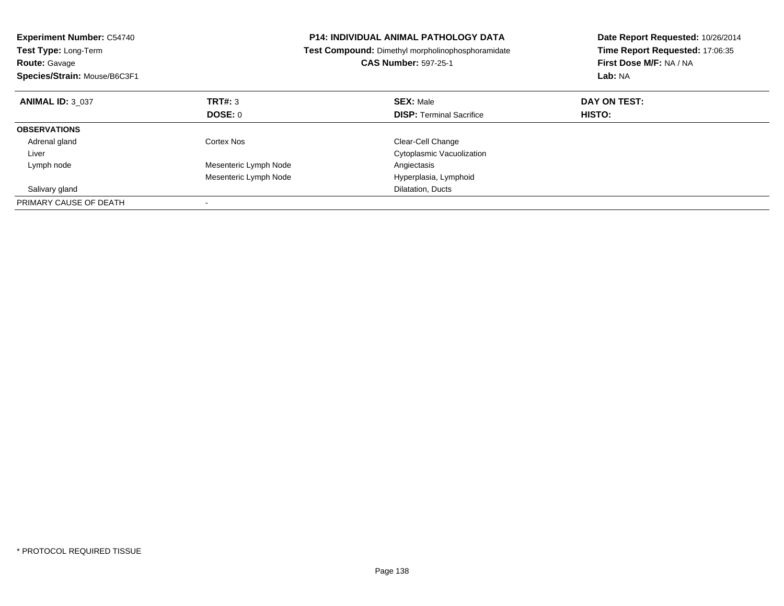| <b>Experiment Number: C54740</b><br><b>Test Type: Long-Term</b><br><b>Route: Gavage</b><br>Species/Strain: Mouse/B6C3F1 |                       | <b>P14: INDIVIDUAL ANIMAL PATHOLOGY DATA</b><br><b>Test Compound:</b> Dimethyl morpholinophosphoramidate<br><b>CAS Number: 597-25-1</b> | Date Report Requested: 10/26/2014<br>Time Report Requested: 17:06:35<br>First Dose M/F: NA / NA<br>Lab: NA |
|-------------------------------------------------------------------------------------------------------------------------|-----------------------|-----------------------------------------------------------------------------------------------------------------------------------------|------------------------------------------------------------------------------------------------------------|
| <b>ANIMAL ID: 3 037</b>                                                                                                 | TRT#: 3               | <b>SEX: Male</b>                                                                                                                        | DAY ON TEST:                                                                                               |
|                                                                                                                         | DOSE: 0               | <b>DISP:</b> Terminal Sacrifice                                                                                                         | HISTO:                                                                                                     |
| <b>OBSERVATIONS</b>                                                                                                     |                       |                                                                                                                                         |                                                                                                            |
| Adrenal gland                                                                                                           | Cortex Nos            | Clear-Cell Change                                                                                                                       |                                                                                                            |
| Liver                                                                                                                   |                       | Cytoplasmic Vacuolization                                                                                                               |                                                                                                            |
| Lymph node                                                                                                              | Mesenteric Lymph Node | Angiectasis                                                                                                                             |                                                                                                            |
|                                                                                                                         | Mesenteric Lymph Node | Hyperplasia, Lymphoid                                                                                                                   |                                                                                                            |
| Salivary gland                                                                                                          |                       | Dilatation, Ducts                                                                                                                       |                                                                                                            |
| PRIMARY CAUSE OF DEATH                                                                                                  |                       |                                                                                                                                         |                                                                                                            |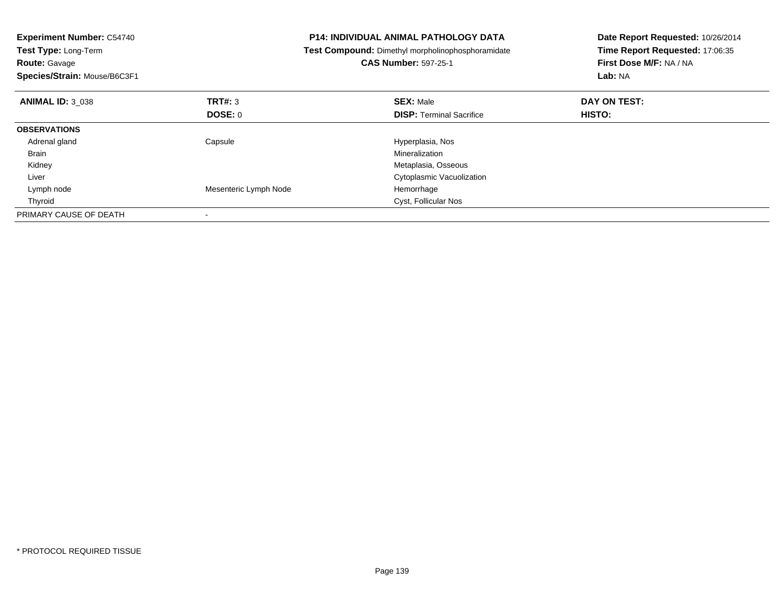| <b>Experiment Number: C54740</b><br>Test Type: Long-Term<br><b>Route: Gavage</b><br>Species/Strain: Mouse/B6C3F1 |                       | <b>P14: INDIVIDUAL ANIMAL PATHOLOGY DATA</b><br>Test Compound: Dimethyl morpholinophosphoramidate<br><b>CAS Number: 597-25-1</b> | Date Report Requested: 10/26/2014<br>Time Report Requested: 17:06:35<br>First Dose M/F: NA / NA<br>Lab: NA |
|------------------------------------------------------------------------------------------------------------------|-----------------------|----------------------------------------------------------------------------------------------------------------------------------|------------------------------------------------------------------------------------------------------------|
| <b>ANIMAL ID: 3 038</b>                                                                                          | TRT#: 3               | <b>SEX: Male</b>                                                                                                                 | DAY ON TEST:                                                                                               |
|                                                                                                                  | <b>DOSE: 0</b>        | <b>DISP:</b> Terminal Sacrifice                                                                                                  | <b>HISTO:</b>                                                                                              |
| <b>OBSERVATIONS</b>                                                                                              |                       |                                                                                                                                  |                                                                                                            |
| Adrenal gland                                                                                                    | Capsule               | Hyperplasia, Nos                                                                                                                 |                                                                                                            |
| <b>Brain</b>                                                                                                     |                       | Mineralization                                                                                                                   |                                                                                                            |
| Kidney                                                                                                           |                       | Metaplasia, Osseous                                                                                                              |                                                                                                            |
| Liver                                                                                                            |                       | Cytoplasmic Vacuolization                                                                                                        |                                                                                                            |
| Lymph node                                                                                                       | Mesenteric Lymph Node | Hemorrhage                                                                                                                       |                                                                                                            |
| Thyroid                                                                                                          |                       | <b>Cyst, Follicular Nos</b>                                                                                                      |                                                                                                            |
| PRIMARY CAUSE OF DEATH                                                                                           |                       |                                                                                                                                  |                                                                                                            |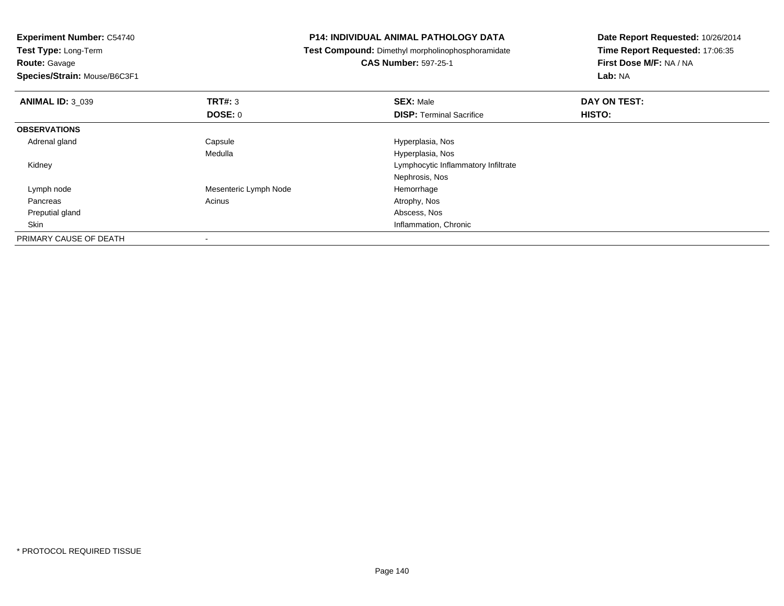**Experiment Number:** C54740**Test Type:** Long-Term**Route:** Gavage **Species/Strain:** Mouse/B6C3F1**P14: INDIVIDUAL ANIMAL PATHOLOGY DATA Test Compound:** Dimethyl morpholinophosphoramidate**CAS Number:** 597-25-1**Date Report Requested:** 10/26/2014**Time Report Requested:** 17:06:35**First Dose M/F:** NA / NA**Lab:** NA**ANIMAL ID:** 3\_039**9 SEX:** Male **DAY ON TEST: DAY ON TEST: DOSE:** 0**DISP:** Terminal Sacrifice **HISTO: OBSERVATIONS** Adrenal glandCapsule **Capsule Hyperplasia**, Nos Medulla Hyperplasia, Nos Kidney Lymphocytic Inflammatory InfiltrateNephrosis, Nos Lymph nodeMesenteric Lymph Node<br>
Acinus<br>
Atrophy, Nos Pancreass and the contract of the contract of the contract of the contract of the contract  $\mathsf{A}$  at  $\mathsf{A}$  and  $\mathsf{A}$  and  $\mathsf{A}$  and  $\mathsf{A}$  and  $\mathsf{A}$  are contract of  $\mathsf{A}$  and  $\mathsf{A}$  and  $\mathsf{A}$  are contract of Preputial glandd and the control of the control of the control of the control of the control of the control of the control of the control of the control of the control of the control of the control of the control of the control of the co Skin Inflammation, Chronic PRIMARY CAUSE OF DEATH-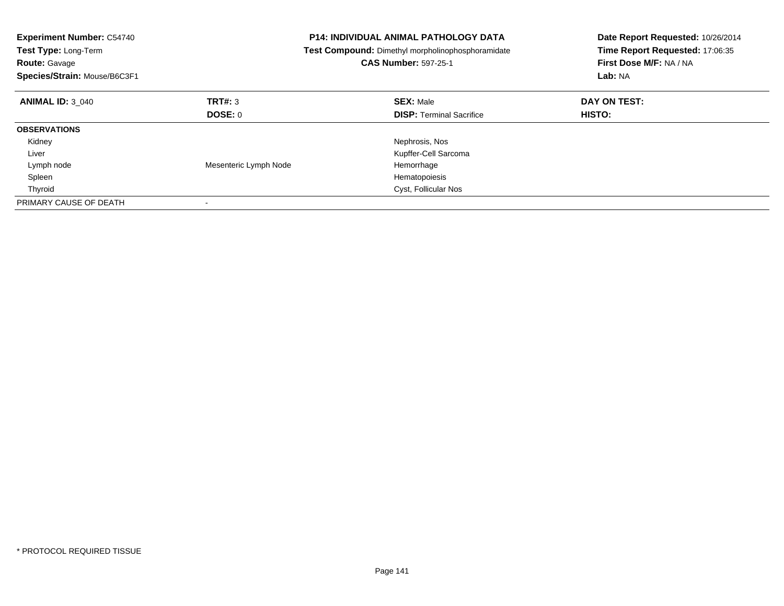| <b>Experiment Number: C54740</b><br>Test Type: Long-Term<br><b>Route: Gavage</b><br>Species/Strain: Mouse/B6C3F1 |                       | <b>P14: INDIVIDUAL ANIMAL PATHOLOGY DATA</b><br>Test Compound: Dimethyl morpholinophosphoramidate<br><b>CAS Number: 597-25-1</b> | Date Report Requested: 10/26/2014<br>Time Report Requested: 17:06:35<br>First Dose M/F: NA / NA<br>Lab: NA |
|------------------------------------------------------------------------------------------------------------------|-----------------------|----------------------------------------------------------------------------------------------------------------------------------|------------------------------------------------------------------------------------------------------------|
| <b>ANIMAL ID: 3 040</b>                                                                                          | <b>TRT#: 3</b>        | <b>SEX: Male</b>                                                                                                                 | DAY ON TEST:                                                                                               |
|                                                                                                                  | DOSE: 0               | <b>DISP:</b> Terminal Sacrifice                                                                                                  | <b>HISTO:</b>                                                                                              |
| <b>OBSERVATIONS</b>                                                                                              |                       |                                                                                                                                  |                                                                                                            |
| Kidney                                                                                                           |                       | Nephrosis, Nos                                                                                                                   |                                                                                                            |
| Liver                                                                                                            |                       | Kupffer-Cell Sarcoma                                                                                                             |                                                                                                            |
| Lymph node                                                                                                       | Mesenteric Lymph Node | Hemorrhage                                                                                                                       |                                                                                                            |
| Spleen                                                                                                           |                       | Hematopoiesis                                                                                                                    |                                                                                                            |
| Thyroid                                                                                                          |                       | Cyst, Follicular Nos                                                                                                             |                                                                                                            |
| PRIMARY CAUSE OF DEATH                                                                                           |                       |                                                                                                                                  |                                                                                                            |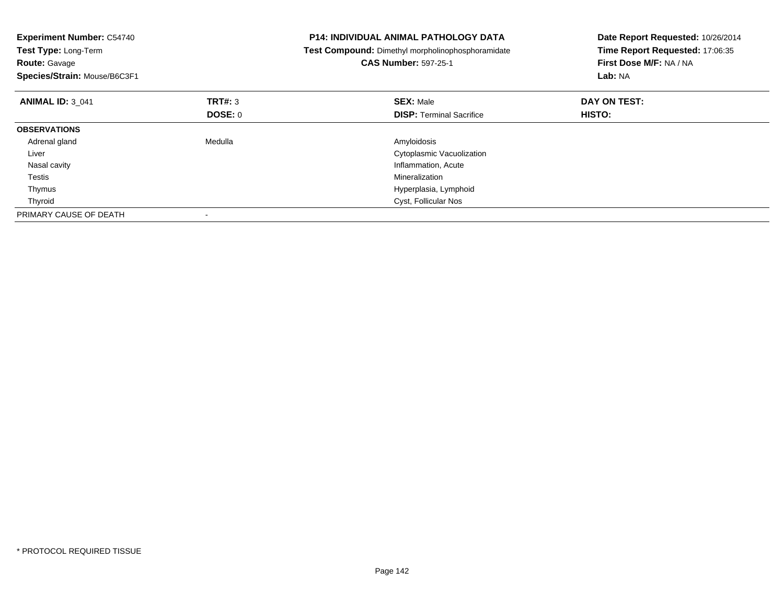| <b>Experiment Number: C54740</b><br>Test Type: Long-Term<br><b>Route: Gavage</b><br>Species/Strain: Mouse/B6C3F1 |         | <b>P14: INDIVIDUAL ANIMAL PATHOLOGY DATA</b><br>Test Compound: Dimethyl morpholinophosphoramidate<br><b>CAS Number: 597-25-1</b> | Date Report Requested: 10/26/2014<br>Time Report Requested: 17:06:35<br>First Dose M/F: NA / NA<br>Lab: NA |
|------------------------------------------------------------------------------------------------------------------|---------|----------------------------------------------------------------------------------------------------------------------------------|------------------------------------------------------------------------------------------------------------|
| <b>ANIMAL ID: 3 041</b>                                                                                          | TRT#: 3 | <b>SEX: Male</b>                                                                                                                 | DAY ON TEST:                                                                                               |
|                                                                                                                  | DOSE: 0 | <b>DISP:</b> Terminal Sacrifice                                                                                                  | <b>HISTO:</b>                                                                                              |
| <b>OBSERVATIONS</b>                                                                                              |         |                                                                                                                                  |                                                                                                            |
| Adrenal gland                                                                                                    | Medulla | Amyloidosis                                                                                                                      |                                                                                                            |
| Liver                                                                                                            |         | Cytoplasmic Vacuolization                                                                                                        |                                                                                                            |
| Nasal cavity                                                                                                     |         | Inflammation, Acute                                                                                                              |                                                                                                            |
| Testis                                                                                                           |         | Mineralization                                                                                                                   |                                                                                                            |
| Thymus                                                                                                           |         | Hyperplasia, Lymphoid                                                                                                            |                                                                                                            |
| Thyroid                                                                                                          |         | <b>Cyst, Follicular Nos</b>                                                                                                      |                                                                                                            |
| PRIMARY CAUSE OF DEATH                                                                                           |         |                                                                                                                                  |                                                                                                            |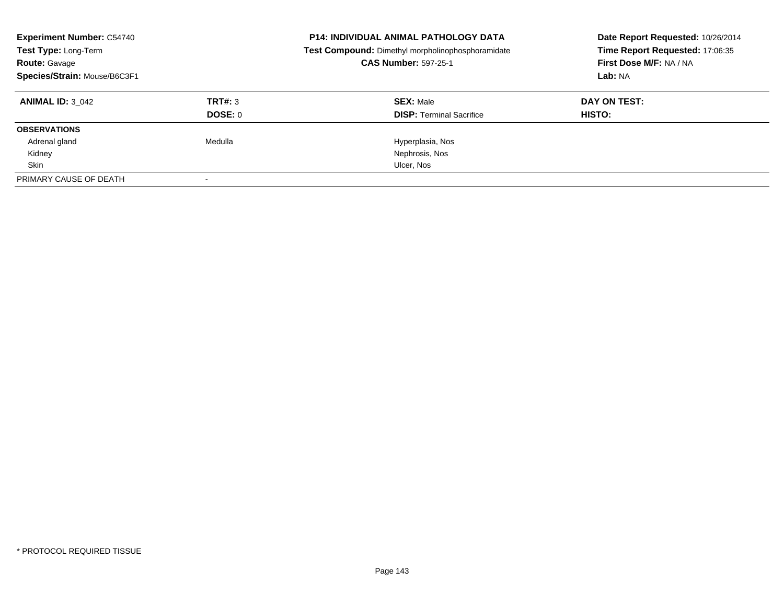| <b>Experiment Number: C54740</b><br>Test Type: Long-Term<br><b>Route: Gavage</b><br>Species/Strain: Mouse/B6C3F1 |                | <b>P14: INDIVIDUAL ANIMAL PATHOLOGY DATA</b><br>Test Compound: Dimethyl morpholinophosphoramidate<br><b>CAS Number: 597-25-1</b> | Date Report Requested: 10/26/2014<br>Time Report Requested: 17:06:35<br>First Dose M/F: NA / NA<br>Lab: NA |
|------------------------------------------------------------------------------------------------------------------|----------------|----------------------------------------------------------------------------------------------------------------------------------|------------------------------------------------------------------------------------------------------------|
| <b>ANIMAL ID: 3 042</b>                                                                                          | TRT#: 3        | <b>SEX: Male</b>                                                                                                                 | DAY ON TEST:                                                                                               |
|                                                                                                                  | <b>DOSE: 0</b> | <b>DISP:</b> Terminal Sacrifice                                                                                                  | HISTO:                                                                                                     |
| <b>OBSERVATIONS</b>                                                                                              |                |                                                                                                                                  |                                                                                                            |
| Adrenal gland                                                                                                    | Medulla        | Hyperplasia, Nos                                                                                                                 |                                                                                                            |
| Kidney                                                                                                           |                | Nephrosis, Nos                                                                                                                   |                                                                                                            |
| Skin                                                                                                             |                | Ulcer, Nos                                                                                                                       |                                                                                                            |
| PRIMARY CAUSE OF DEATH                                                                                           |                |                                                                                                                                  |                                                                                                            |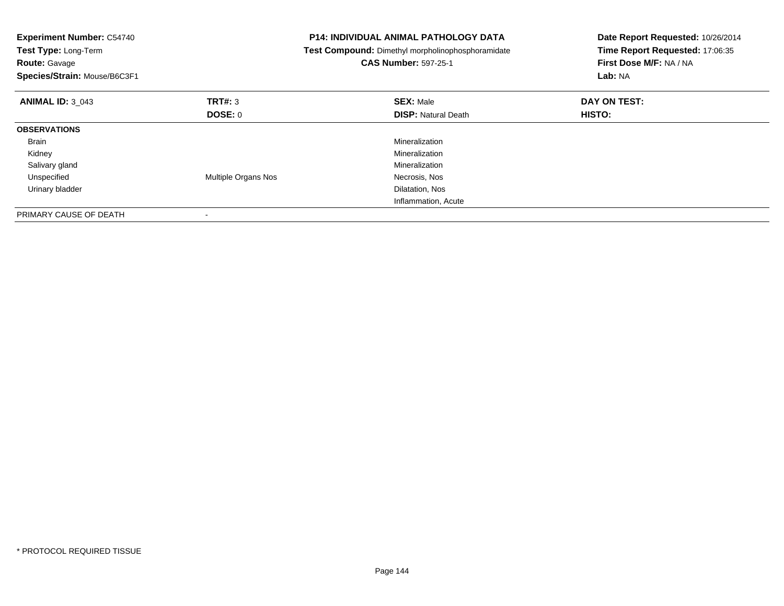| <b>Experiment Number: C54740</b><br>Test Type: Long-Term<br><b>Route: Gavage</b><br>Species/Strain: Mouse/B6C3F1 |                     | <b>P14: INDIVIDUAL ANIMAL PATHOLOGY DATA</b><br>Test Compound: Dimethyl morpholinophosphoramidate<br><b>CAS Number: 597-25-1</b> | Date Report Requested: 10/26/2014<br>Time Report Requested: 17:06:35<br>First Dose M/F: NA / NA<br><b>Lab: NA</b> |
|------------------------------------------------------------------------------------------------------------------|---------------------|----------------------------------------------------------------------------------------------------------------------------------|-------------------------------------------------------------------------------------------------------------------|
| <b>ANIMAL ID: 3 043</b>                                                                                          | TRT#: 3             | <b>SEX: Male</b>                                                                                                                 | DAY ON TEST:                                                                                                      |
|                                                                                                                  | DOSE: 0             | <b>DISP: Natural Death</b>                                                                                                       | <b>HISTO:</b>                                                                                                     |
| <b>OBSERVATIONS</b>                                                                                              |                     |                                                                                                                                  |                                                                                                                   |
| Brain                                                                                                            |                     | Mineralization                                                                                                                   |                                                                                                                   |
| Kidney                                                                                                           |                     | Mineralization                                                                                                                   |                                                                                                                   |
| Salivary gland                                                                                                   |                     | Mineralization                                                                                                                   |                                                                                                                   |
| Unspecified                                                                                                      | Multiple Organs Nos | Necrosis, Nos                                                                                                                    |                                                                                                                   |
| Urinary bladder                                                                                                  |                     | Dilatation, Nos                                                                                                                  |                                                                                                                   |
|                                                                                                                  |                     | Inflammation, Acute                                                                                                              |                                                                                                                   |
| PRIMARY CAUSE OF DEATH                                                                                           |                     |                                                                                                                                  |                                                                                                                   |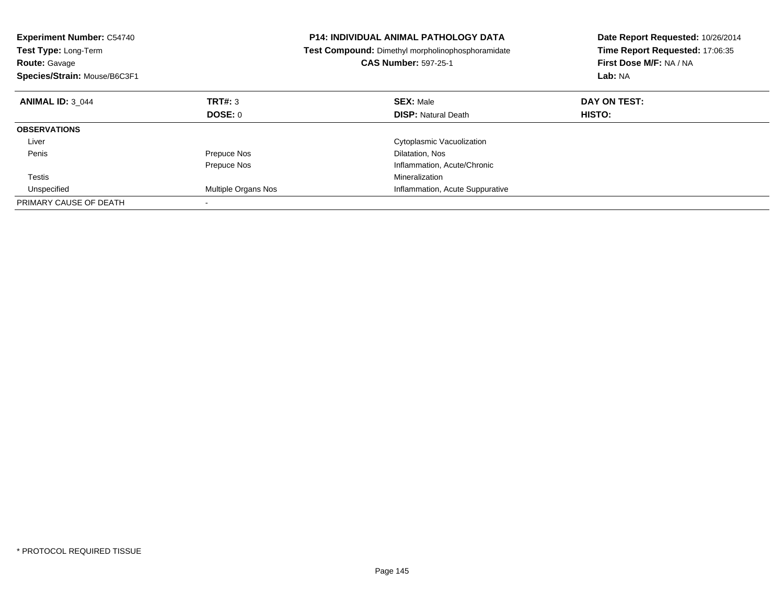| <b>Experiment Number: C54740</b><br>Test Type: Long-Term<br><b>Route: Gavage</b><br>Species/Strain: Mouse/B6C3F1 |                     | <b>P14: INDIVIDUAL ANIMAL PATHOLOGY DATA</b><br>Test Compound: Dimethyl morpholinophosphoramidate<br><b>CAS Number: 597-25-1</b> | Date Report Requested: 10/26/2014<br>Time Report Requested: 17:06:35<br>First Dose M/F: NA / NA<br>Lab: NA |
|------------------------------------------------------------------------------------------------------------------|---------------------|----------------------------------------------------------------------------------------------------------------------------------|------------------------------------------------------------------------------------------------------------|
| <b>ANIMAL ID: 3 044</b>                                                                                          | TRT#: 3             | <b>SEX: Male</b>                                                                                                                 | DAY ON TEST:                                                                                               |
|                                                                                                                  | DOSE: 0             | <b>DISP:</b> Natural Death                                                                                                       | HISTO:                                                                                                     |
| <b>OBSERVATIONS</b>                                                                                              |                     |                                                                                                                                  |                                                                                                            |
| Liver                                                                                                            |                     | Cytoplasmic Vacuolization                                                                                                        |                                                                                                            |
| Penis                                                                                                            | Prepuce Nos         | Dilatation, Nos                                                                                                                  |                                                                                                            |
|                                                                                                                  | Prepuce Nos         | Inflammation, Acute/Chronic                                                                                                      |                                                                                                            |
| <b>Testis</b>                                                                                                    |                     | Mineralization                                                                                                                   |                                                                                                            |
| Unspecified                                                                                                      | Multiple Organs Nos | Inflammation, Acute Suppurative                                                                                                  |                                                                                                            |
| PRIMARY CAUSE OF DEATH                                                                                           |                     |                                                                                                                                  |                                                                                                            |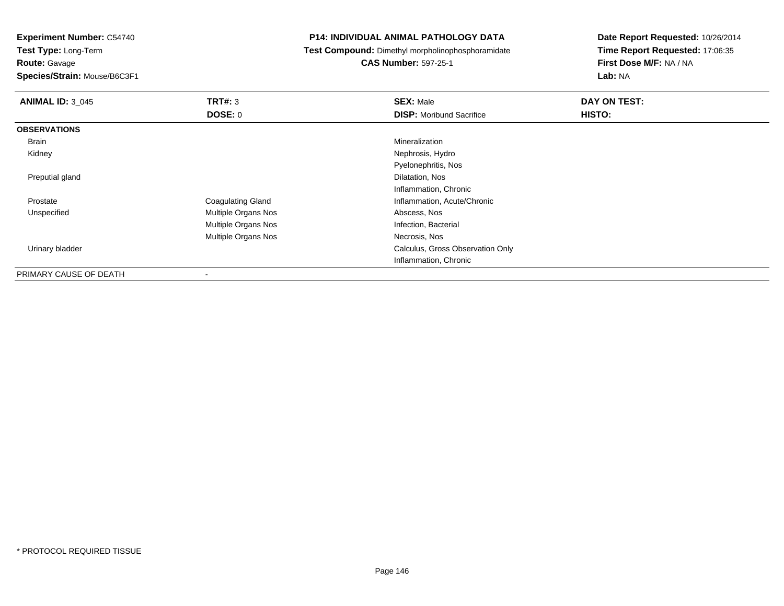**Experiment Number:** C54740

**Test Type:** Long-Term

**Route:** Gavage

**Species/Strain:** Mouse/B6C3F1

## **P14: INDIVIDUAL ANIMAL PATHOLOGY DATA**

**Test Compound:** Dimethyl morpholinophosphoramidate

**CAS Number:** 597-25-1

**Date Report Requested:** 10/26/2014**Time Report Requested:** 17:06:35**First Dose M/F:** NA / NA**Lab:** NA

| <b>ANIMAL ID: 3_045</b> | TRT#: 3                  | <b>SEX: Male</b>                 | DAY ON TEST: |
|-------------------------|--------------------------|----------------------------------|--------------|
|                         | DOSE: 0                  | <b>DISP:</b> Moribund Sacrifice  | HISTO:       |
| <b>OBSERVATIONS</b>     |                          |                                  |              |
| Brain                   |                          | Mineralization                   |              |
| Kidney                  |                          | Nephrosis, Hydro                 |              |
|                         |                          | Pyelonephritis, Nos              |              |
| Preputial gland         |                          | Dilatation, Nos                  |              |
|                         |                          | Inflammation, Chronic            |              |
| Prostate                | <b>Coagulating Gland</b> | Inflammation, Acute/Chronic      |              |
| Unspecified             | Multiple Organs Nos      | Abscess, Nos                     |              |
|                         | Multiple Organs Nos      | Infection, Bacterial             |              |
|                         | Multiple Organs Nos      | Necrosis, Nos                    |              |
| Urinary bladder         |                          | Calculus, Gross Observation Only |              |
|                         |                          | Inflammation, Chronic            |              |
| PRIMARY CAUSE OF DEATH  | ۰                        |                                  |              |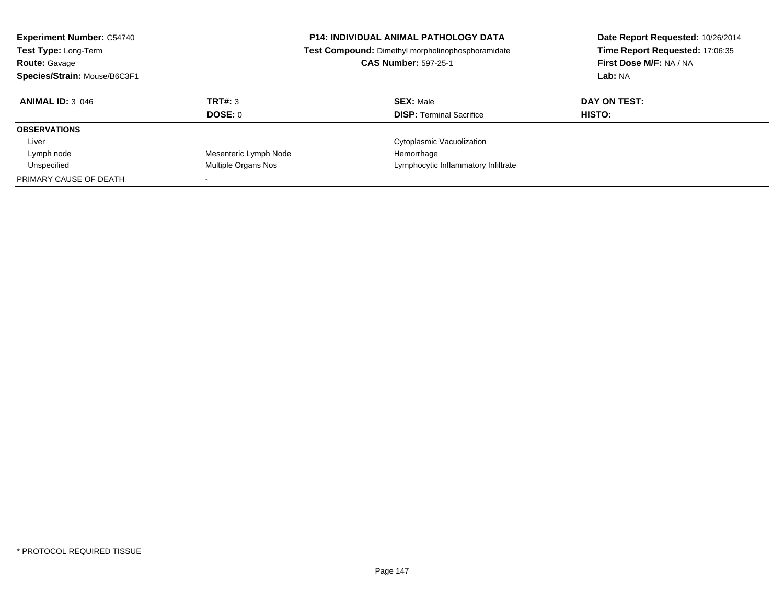| <b>Experiment Number: C54740</b><br>Test Type: Long-Term<br><b>Route: Gavage</b><br>Species/Strain: Mouse/B6C3F1 |                       | <b>P14: INDIVIDUAL ANIMAL PATHOLOGY DATA</b><br>Test Compound: Dimethyl morpholinophosphoramidate<br><b>CAS Number: 597-25-1</b> | Date Report Requested: 10/26/2014<br>Time Report Requested: 17:06:35<br>First Dose M/F: NA / NA<br>Lab: NA |
|------------------------------------------------------------------------------------------------------------------|-----------------------|----------------------------------------------------------------------------------------------------------------------------------|------------------------------------------------------------------------------------------------------------|
| <b>ANIMAL ID: 3 046</b>                                                                                          | TRT#: 3               | <b>SEX: Male</b>                                                                                                                 | DAY ON TEST:                                                                                               |
|                                                                                                                  | <b>DOSE: 0</b>        | <b>DISP:</b> Terminal Sacrifice                                                                                                  | HISTO:                                                                                                     |
| <b>OBSERVATIONS</b>                                                                                              |                       |                                                                                                                                  |                                                                                                            |
| Liver                                                                                                            |                       | Cytoplasmic Vacuolization                                                                                                        |                                                                                                            |
| Lymph node                                                                                                       | Mesenteric Lymph Node | Hemorrhage                                                                                                                       |                                                                                                            |
| Unspecified                                                                                                      | Multiple Organs Nos   | Lymphocytic Inflammatory Infiltrate                                                                                              |                                                                                                            |
| PRIMARY CAUSE OF DEATH                                                                                           |                       |                                                                                                                                  |                                                                                                            |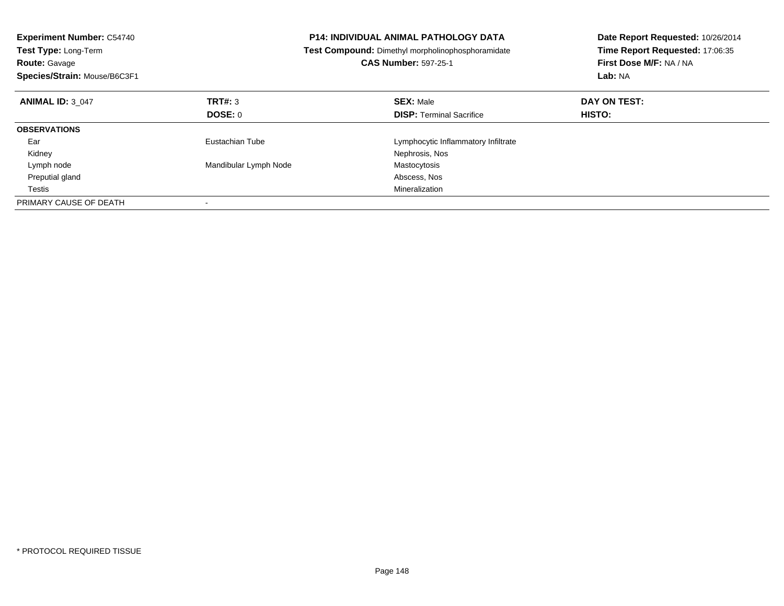| <b>Experiment Number: C54740</b><br>Test Type: Long-Term<br><b>Route: Gavage</b><br>Species/Strain: Mouse/B6C3F1 |                       | <b>P14: INDIVIDUAL ANIMAL PATHOLOGY DATA</b><br>Test Compound: Dimethyl morpholinophosphoramidate<br><b>CAS Number: 597-25-1</b> | Date Report Requested: 10/26/2014<br>Time Report Requested: 17:06:35<br>First Dose M/F: NA / NA<br>Lab: NA |
|------------------------------------------------------------------------------------------------------------------|-----------------------|----------------------------------------------------------------------------------------------------------------------------------|------------------------------------------------------------------------------------------------------------|
| <b>ANIMAL ID: 3 047</b>                                                                                          | TRT#: 3               | <b>SEX: Male</b>                                                                                                                 | DAY ON TEST:                                                                                               |
|                                                                                                                  | DOSE: 0               | <b>DISP:</b> Terminal Sacrifice                                                                                                  | <b>HISTO:</b>                                                                                              |
| <b>OBSERVATIONS</b>                                                                                              |                       |                                                                                                                                  |                                                                                                            |
| Ear                                                                                                              | Eustachian Tube       | Lymphocytic Inflammatory Infiltrate                                                                                              |                                                                                                            |
| Kidney                                                                                                           |                       | Nephrosis, Nos                                                                                                                   |                                                                                                            |
| Lymph node                                                                                                       | Mandibular Lymph Node | Mastocytosis                                                                                                                     |                                                                                                            |
| Preputial gland                                                                                                  |                       | Abscess, Nos                                                                                                                     |                                                                                                            |
| Testis                                                                                                           |                       | Mineralization                                                                                                                   |                                                                                                            |
| PRIMARY CAUSE OF DEATH                                                                                           |                       |                                                                                                                                  |                                                                                                            |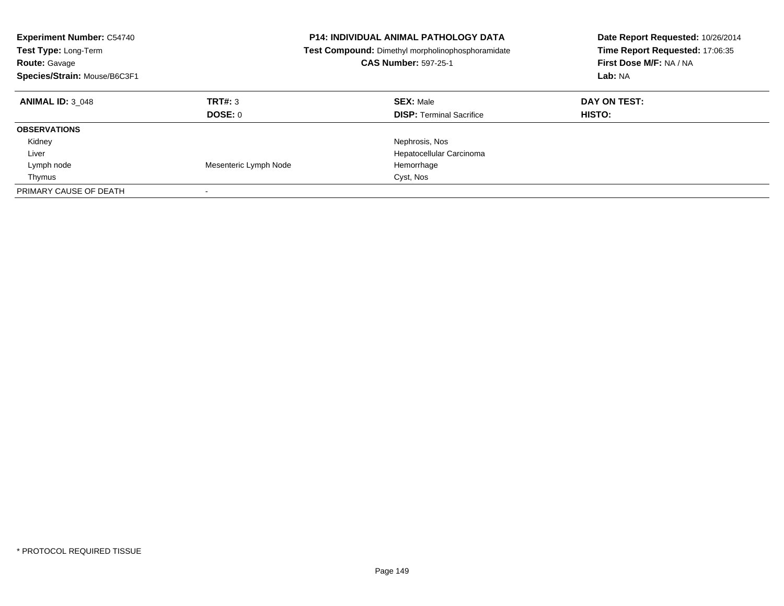| <b>Experiment Number: C54740</b><br><b>Test Type: Long-Term</b><br><b>Route: Gavage</b><br>Species/Strain: Mouse/B6C3F1 |                           | <b>P14: INDIVIDUAL ANIMAL PATHOLOGY DATA</b><br><b>Test Compound:</b> Dimethyl morpholinophosphoramidate<br><b>CAS Number: 597-25-1</b> | Date Report Requested: 10/26/2014<br>Time Report Requested: 17:06:35<br>First Dose M/F: NA / NA<br>Lab: NA |
|-------------------------------------------------------------------------------------------------------------------------|---------------------------|-----------------------------------------------------------------------------------------------------------------------------------------|------------------------------------------------------------------------------------------------------------|
| <b>ANIMAL ID: 3 048</b>                                                                                                 | TRT#: 3<br><b>DOSE: 0</b> | <b>SEX: Male</b><br><b>DISP:</b> Terminal Sacrifice                                                                                     | DAY ON TEST:<br>HISTO:                                                                                     |
| <b>OBSERVATIONS</b>                                                                                                     |                           |                                                                                                                                         |                                                                                                            |
| Kidney                                                                                                                  |                           | Nephrosis, Nos                                                                                                                          |                                                                                                            |
| Liver                                                                                                                   |                           | Hepatocellular Carcinoma                                                                                                                |                                                                                                            |
| Lymph node                                                                                                              | Mesenteric Lymph Node     | Hemorrhage                                                                                                                              |                                                                                                            |
| Thymus                                                                                                                  |                           | Cyst, Nos                                                                                                                               |                                                                                                            |
| PRIMARY CAUSE OF DEATH                                                                                                  |                           |                                                                                                                                         |                                                                                                            |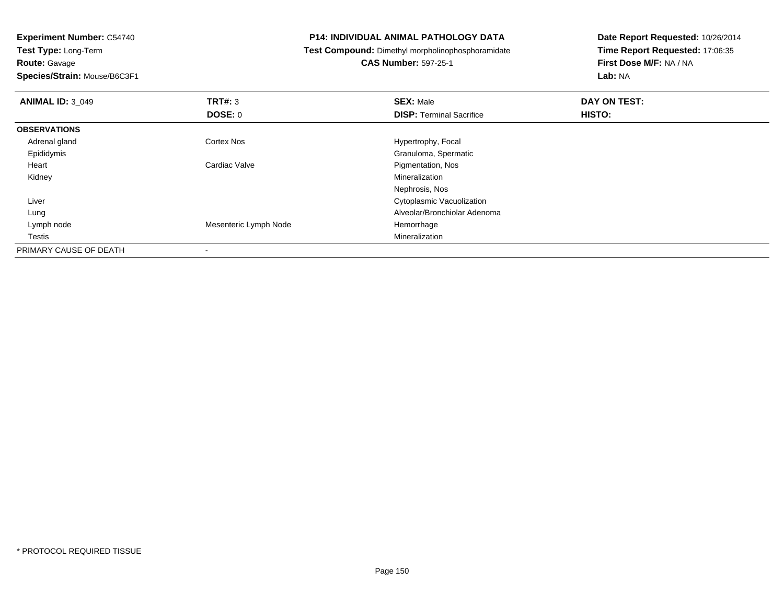**Experiment Number:** C54740**Test Type:** Long-Term

**Route:** Gavage

**Species/Strain:** Mouse/B6C3F1

## **P14: INDIVIDUAL ANIMAL PATHOLOGY DATA**

**Test Compound:** Dimethyl morpholinophosphoramidate

## **CAS Number:** 597-25-1

**Date Report Requested:** 10/26/2014**Time Report Requested:** 17:06:35**First Dose M/F:** NA / NA**Lab:** NA

| <b>ANIMAL ID: 3 049</b> | TRT#: 3               | <b>SEX: Male</b>                | DAY ON TEST: |  |
|-------------------------|-----------------------|---------------------------------|--------------|--|
|                         | <b>DOSE: 0</b>        | <b>DISP: Terminal Sacrifice</b> | HISTO:       |  |
| <b>OBSERVATIONS</b>     |                       |                                 |              |  |
| Adrenal gland           | <b>Cortex Nos</b>     | Hypertrophy, Focal              |              |  |
| Epididymis              |                       | Granuloma, Spermatic            |              |  |
| Heart                   | Cardiac Valve         | Pigmentation, Nos               |              |  |
| Kidney                  |                       | Mineralization                  |              |  |
|                         |                       | Nephrosis, Nos                  |              |  |
| Liver                   |                       | Cytoplasmic Vacuolization       |              |  |
| Lung                    |                       | Alveolar/Bronchiolar Adenoma    |              |  |
| Lymph node              | Mesenteric Lymph Node | Hemorrhage                      |              |  |
| Testis                  |                       | Mineralization                  |              |  |
| PRIMARY CAUSE OF DEATH  |                       |                                 |              |  |